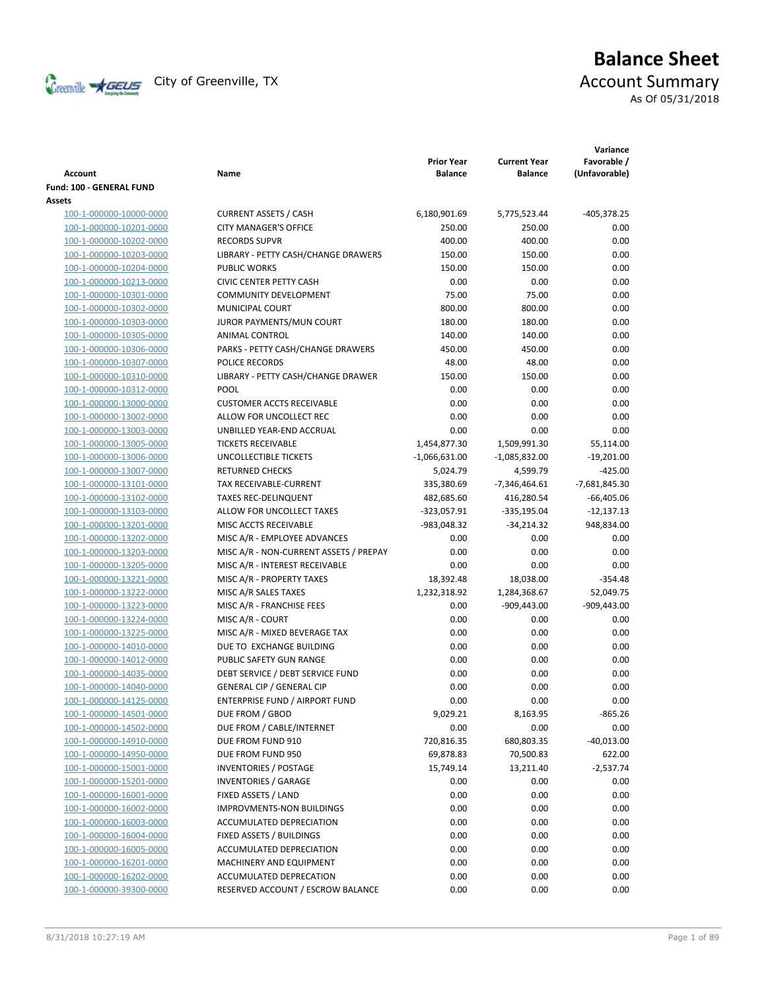

# **Balance Sheet** Creenville  $\star$  GEUS</del> City of Greenville, TX **Account Summary** As Of 05/31/2018

|                                 |                                        |                                     |                                       | Variance                     |
|---------------------------------|----------------------------------------|-------------------------------------|---------------------------------------|------------------------------|
| <b>Account</b>                  | Name                                   | <b>Prior Year</b><br><b>Balance</b> | <b>Current Year</b><br><b>Balance</b> | Favorable /<br>(Unfavorable) |
| <b>Fund: 100 - GENERAL FUND</b> |                                        |                                     |                                       |                              |
| Assets                          |                                        |                                     |                                       |                              |
| 100-1-000000-10000-0000         | <b>CURRENT ASSETS / CASH</b>           | 6,180,901.69                        | 5,775,523.44                          | $-405,378.25$                |
| 100-1-000000-10201-0000         | <b>CITY MANAGER'S OFFICE</b>           | 250.00                              | 250.00                                | 0.00                         |
| 100-1-000000-10202-0000         | <b>RECORDS SUPVR</b>                   | 400.00                              | 400.00                                | 0.00                         |
| 100-1-000000-10203-0000         | LIBRARY - PETTY CASH/CHANGE DRAWERS    | 150.00                              | 150.00                                | 0.00                         |
| 100-1-000000-10204-0000         | <b>PUBLIC WORKS</b>                    | 150.00                              | 150.00                                | 0.00                         |
| 100-1-000000-10213-0000         | <b>CIVIC CENTER PETTY CASH</b>         | 0.00                                | 0.00                                  | 0.00                         |
| 100-1-000000-10301-0000         | <b>COMMUNITY DEVELOPMENT</b>           | 75.00                               | 75.00                                 | 0.00                         |
| 100-1-000000-10302-0000         | <b>MUNICIPAL COURT</b>                 | 800.00                              | 800.00                                | 0.00                         |
| 100-1-000000-10303-0000         | JUROR PAYMENTS/MUN COURT               | 180.00                              | 180.00                                | 0.00                         |
| 100-1-000000-10305-0000         | ANIMAL CONTROL                         | 140.00                              | 140.00                                | 0.00                         |
| 100-1-000000-10306-0000         | PARKS - PETTY CASH/CHANGE DRAWERS      | 450.00                              | 450.00                                | 0.00                         |
| 100-1-000000-10307-0000         | POLICE RECORDS                         | 48.00                               | 48.00                                 | 0.00                         |
| 100-1-000000-10310-0000         | LIBRARY - PETTY CASH/CHANGE DRAWER     | 150.00                              | 150.00                                | 0.00                         |
| 100-1-000000-10312-0000         | POOL                                   | 0.00                                | 0.00                                  | 0.00                         |
| 100-1-000000-13000-0000         | <b>CUSTOMER ACCTS RECEIVABLE</b>       | 0.00                                | 0.00                                  | 0.00                         |
| 100-1-000000-13002-0000         | ALLOW FOR UNCOLLECT REC                | 0.00                                | 0.00                                  | 0.00                         |
| 100-1-000000-13003-0000         | UNBILLED YEAR-END ACCRUAL              | 0.00                                | 0.00                                  | 0.00                         |
| 100-1-000000-13005-0000         | <b>TICKETS RECEIVABLE</b>              | 1,454,877.30                        | 1,509,991.30                          | 55,114.00                    |
| 100-1-000000-13006-0000         | UNCOLLECTIBLE TICKETS                  | $-1,066,631.00$                     | $-1,085,832.00$                       | $-19,201.00$                 |
| 100-1-000000-13007-0000         | <b>RETURNED CHECKS</b>                 | 5,024.79                            | 4,599.79                              | $-425.00$                    |
| 100-1-000000-13101-0000         | TAX RECEIVABLE-CURRENT                 | 335,380.69                          | -7,346,464.61                         | $-7,681,845.30$              |
| 100-1-000000-13102-0000         | <b>TAXES REC-DELINQUENT</b>            | 482,685.60                          | 416,280.54                            | $-66,405.06$                 |
| 100-1-000000-13103-0000         | ALLOW FOR UNCOLLECT TAXES              | $-323,057.91$                       | $-335,195.04$                         | $-12,137.13$                 |
| 100-1-000000-13201-0000         | MISC ACCTS RECEIVABLE                  | -983,048.32                         | $-34,214.32$                          | 948,834.00                   |
| 100-1-000000-13202-0000         | MISC A/R - EMPLOYEE ADVANCES           | 0.00                                | 0.00                                  | 0.00                         |
| 100-1-000000-13203-0000         | MISC A/R - NON-CURRENT ASSETS / PREPAY | 0.00                                | 0.00                                  | 0.00                         |
| 100-1-000000-13205-0000         | MISC A/R - INTEREST RECEIVABLE         | 0.00                                | 0.00                                  | 0.00                         |
| 100-1-000000-13221-0000         | MISC A/R - PROPERTY TAXES              | 18,392.48                           | 18,038.00                             | $-354.48$                    |
| 100-1-000000-13222-0000         | MISC A/R SALES TAXES                   | 1,232,318.92                        | 1,284,368.67                          | 52,049.75                    |
| 100-1-000000-13223-0000         | MISC A/R - FRANCHISE FEES              | 0.00                                | $-909,443.00$                         | $-909,443.00$                |
| 100-1-000000-13224-0000         | MISC A/R - COURT                       | 0.00                                | 0.00                                  | 0.00                         |
| 100-1-000000-13225-0000         | MISC A/R - MIXED BEVERAGE TAX          | 0.00                                | 0.00                                  | 0.00                         |
| 100-1-000000-14010-0000         | DUE TO EXCHANGE BUILDING               | 0.00                                | 0.00                                  | 0.00                         |
| 100-1-000000-14012-0000         | PUBLIC SAFETY GUN RANGE                | 0.00                                | 0.00                                  | 0.00                         |
| 100-1-000000-14035-0000         | DEBT SERVICE / DEBT SERVICE FUND       | 0.00                                | 0.00                                  | 0.00                         |
| 100-1-000000-14040-0000         | <b>GENERAL CIP / GENERAL CIP</b>       | 0.00                                | 0.00                                  | 0.00                         |
| 100-1-000000-14125-0000         | <b>ENTERPRISE FUND / AIRPORT FUND</b>  | 0.00                                | 0.00                                  | 0.00                         |
| 100-1-000000-14501-0000         | DUE FROM / GBOD                        | 9,029.21                            | 8,163.95                              | $-865.26$                    |
| 100-1-000000-14502-0000         | DUE FROM / CABLE/INTERNET              | 0.00                                | 0.00                                  | 0.00                         |
| 100-1-000000-14910-0000         | DUE FROM FUND 910                      | 720,816.35                          | 680,803.35                            | $-40,013.00$                 |
| 100-1-000000-14950-0000         | DUE FROM FUND 950                      | 69,878.83                           | 70,500.83                             | 622.00                       |
| 100-1-000000-15001-0000         | <b>INVENTORIES / POSTAGE</b>           | 15,749.14                           | 13,211.40                             | $-2,537.74$                  |
| 100-1-000000-15201-0000         | <b>INVENTORIES / GARAGE</b>            | 0.00                                | 0.00                                  | 0.00                         |
| 100-1-000000-16001-0000         | FIXED ASSETS / LAND                    | 0.00                                | 0.00                                  | 0.00                         |
| 100-1-000000-16002-0000         | <b>IMPROVMENTS-NON BUILDINGS</b>       | 0.00                                | 0.00                                  | 0.00                         |
| 100-1-000000-16003-0000         | ACCUMULATED DEPRECIATION               | 0.00                                | 0.00                                  | 0.00                         |
| 100-1-000000-16004-0000         | FIXED ASSETS / BUILDINGS               | 0.00                                | 0.00                                  | 0.00                         |
| 100-1-000000-16005-0000         | ACCUMULATED DEPRECIATION               | 0.00                                | 0.00                                  | 0.00                         |
| 100-1-000000-16201-0000         | MACHINERY AND EQUIPMENT                | 0.00                                | 0.00                                  | 0.00                         |
| 100-1-000000-16202-0000         | ACCUMULATED DEPRECATION                | 0.00                                | 0.00                                  | 0.00                         |
| 100-1-000000-39300-0000         | RESERVED ACCOUNT / ESCROW BALANCE      | 0.00                                | 0.00                                  | 0.00                         |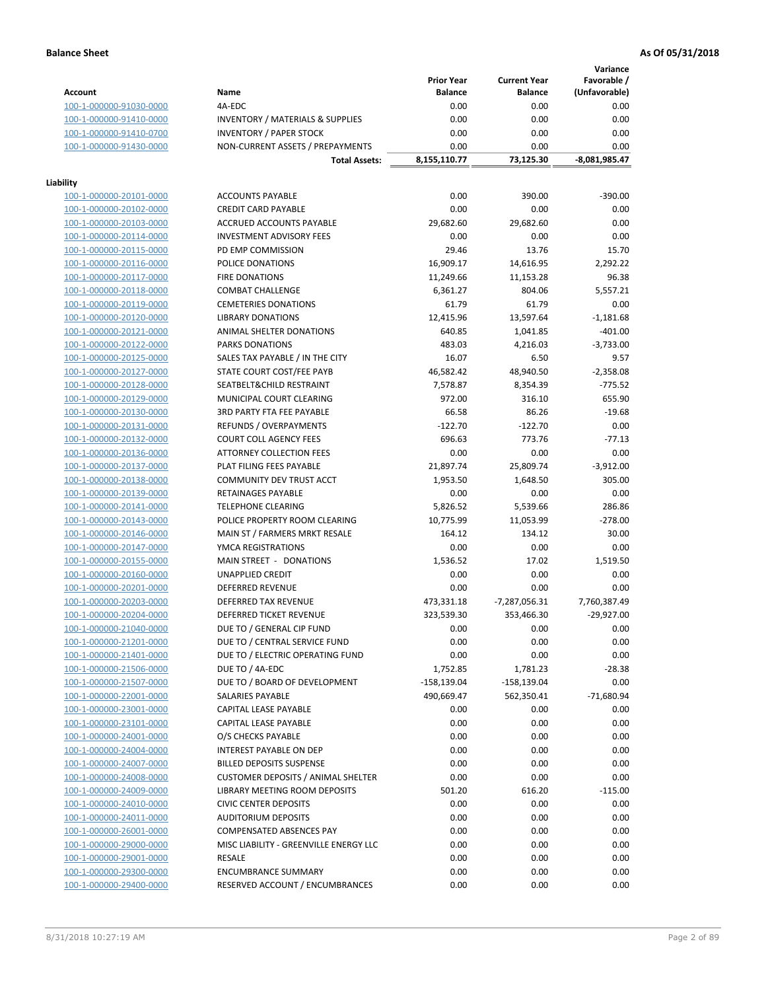**Variance**

|                                                    |                                             | <b>Prior Year</b>        | <b>Current Year</b>           | Favorable /   |
|----------------------------------------------------|---------------------------------------------|--------------------------|-------------------------------|---------------|
| <b>Account</b>                                     | Name                                        | <b>Balance</b>           | <b>Balance</b>                | (Unfavorable) |
| 100-1-000000-91030-0000                            | 4A-EDC                                      | 0.00                     | 0.00                          | 0.00          |
| 100-1-000000-91410-0000                            | <b>INVENTORY / MATERIALS &amp; SUPPLIES</b> | 0.00                     | 0.00                          | 0.00          |
| 100-1-000000-91410-0700                            | <b>INVENTORY / PAPER STOCK</b>              | 0.00                     | 0.00                          | 0.00          |
| 100-1-000000-91430-0000                            | NON-CURRENT ASSETS / PREPAYMENTS            | 0.00                     | 0.00                          | 0.00          |
|                                                    | <b>Total Assets:</b>                        | 8,155,110.77             | 73,125.30                     | -8,081,985.47 |
|                                                    |                                             |                          |                               |               |
| Liability                                          |                                             |                          |                               |               |
| 100-1-000000-20101-0000                            | <b>ACCOUNTS PAYABLE</b>                     | 0.00                     | 390.00                        | $-390.00$     |
| 100-1-000000-20102-0000                            | <b>CREDIT CARD PAYABLE</b>                  | 0.00                     | 0.00                          | 0.00          |
| 100-1-000000-20103-0000                            | ACCRUED ACCOUNTS PAYABLE                    | 29,682.60                | 29,682.60                     | 0.00          |
| 100-1-000000-20114-0000                            | <b>INVESTMENT ADVISORY FEES</b>             | 0.00                     | 0.00                          | 0.00          |
| 100-1-000000-20115-0000                            | PD EMP COMMISSION                           | 29.46                    | 13.76                         | 15.70         |
| 100-1-000000-20116-0000                            | POLICE DONATIONS                            | 16,909.17                | 14,616.95                     | 2,292.22      |
| 100-1-000000-20117-0000                            | <b>FIRE DONATIONS</b>                       | 11,249.66                | 11,153.28                     | 96.38         |
| 100-1-000000-20118-0000                            | <b>COMBAT CHALLENGE</b>                     | 6,361.27                 | 804.06                        | 5,557.21      |
| 100-1-000000-20119-0000                            | <b>CEMETERIES DONATIONS</b>                 | 61.79                    | 61.79                         | 0.00          |
| 100-1-000000-20120-0000                            | <b>LIBRARY DONATIONS</b>                    | 12,415.96                | 13,597.64                     | $-1,181.68$   |
| 100-1-000000-20121-0000                            | <b>ANIMAL SHELTER DONATIONS</b>             | 640.85                   | 1,041.85                      | $-401.00$     |
| 100-1-000000-20122-0000                            | <b>PARKS DONATIONS</b>                      | 483.03                   | 4,216.03                      | $-3,733.00$   |
| 100-1-000000-20125-0000                            | SALES TAX PAYABLE / IN THE CITY             | 16.07                    | 6.50                          | 9.57          |
| 100-1-000000-20127-0000                            | STATE COURT COST/FEE PAYB                   | 46,582.42                | 48,940.50                     | $-2,358.08$   |
| 100-1-000000-20128-0000                            | SEATBELT&CHILD RESTRAINT                    | 7,578.87                 | 8,354.39                      | $-775.52$     |
| 100-1-000000-20129-0000                            | MUNICIPAL COURT CLEARING                    | 972.00                   | 316.10                        | 655.90        |
| 100-1-000000-20130-0000                            | <b>3RD PARTY FTA FEE PAYABLE</b>            | 66.58                    | 86.26                         | $-19.68$      |
| 100-1-000000-20131-0000                            | REFUNDS / OVERPAYMENTS                      | $-122.70$                | $-122.70$                     | 0.00          |
| 100-1-000000-20132-0000                            | <b>COURT COLL AGENCY FEES</b>               | 696.63                   | 773.76                        | $-77.13$      |
| 100-1-000000-20136-0000                            | ATTORNEY COLLECTION FEES                    | 0.00                     | 0.00                          | 0.00          |
| 100-1-000000-20137-0000                            | PLAT FILING FEES PAYABLE                    | 21,897.74                | 25,809.74                     | $-3,912.00$   |
| 100-1-000000-20138-0000                            | COMMUNITY DEV TRUST ACCT                    | 1,953.50                 | 1,648.50                      | 305.00        |
| 100-1-000000-20139-0000                            | RETAINAGES PAYABLE                          | 0.00                     | 0.00                          | 0.00          |
| 100-1-000000-20141-0000                            | <b>TELEPHONE CLEARING</b>                   | 5,826.52                 | 5,539.66                      | 286.86        |
| 100-1-000000-20143-0000                            | POLICE PROPERTY ROOM CLEARING               | 10,775.99                | 11,053.99                     | $-278.00$     |
| 100-1-000000-20146-0000                            | MAIN ST / FARMERS MRKT RESALE               | 164.12                   | 134.12                        | 30.00         |
| 100-1-000000-20147-0000                            | YMCA REGISTRATIONS                          | 0.00                     | 0.00                          | 0.00          |
| 100-1-000000-20155-0000                            | MAIN STREET - DONATIONS                     | 1,536.52                 | 17.02                         | 1,519.50      |
| 100-1-000000-20160-0000                            | <b>UNAPPLIED CREDIT</b>                     | 0.00                     | 0.00                          | 0.00          |
| 100-1-000000-20201-0000                            | <b>DEFERRED REVENUE</b>                     | 0.00                     | 0.00                          | 0.00          |
|                                                    | DEFERRED TAX REVENUE                        |                          |                               |               |
| 100-1-000000-20203-0000<br>100-1-000000-20204-0000 | DEFERRED TICKET REVENUE                     | 473,331.18<br>323,539.30 | $-7,287,056.31$<br>353,466.30 | 7,760,387.49  |
|                                                    |                                             |                          |                               | $-29,927.00$  |
| 100-1-000000-21040-0000                            | DUE TO / GENERAL CIP FUND                   | 0.00                     | 0.00                          | 0.00<br>0.00  |
| 100-1-000000-21201-0000                            | DUE TO / CENTRAL SERVICE FUND               | 0.00                     | 0.00                          |               |
| 100-1-000000-21401-0000                            | DUE TO / ELECTRIC OPERATING FUND            | 0.00                     | 0.00                          | 0.00          |
| 100-1-000000-21506-0000                            | DUE TO / 4A-EDC                             | 1,752.85                 | 1,781.23                      | $-28.38$      |
| 100-1-000000-21507-0000                            | DUE TO / BOARD OF DEVELOPMENT               | $-158,139.04$            | $-158,139.04$                 | 0.00          |
| 100-1-000000-22001-0000                            | <b>SALARIES PAYABLE</b>                     | 490,669.47               | 562,350.41                    | $-71,680.94$  |
| 100-1-000000-23001-0000                            | CAPITAL LEASE PAYABLE                       | 0.00                     | 0.00                          | 0.00          |
| 100-1-000000-23101-0000                            | CAPITAL LEASE PAYABLE                       | 0.00                     | 0.00                          | 0.00          |
| 100-1-000000-24001-0000                            | O/S CHECKS PAYABLE                          | 0.00                     | 0.00                          | 0.00          |
| 100-1-000000-24004-0000                            | INTEREST PAYABLE ON DEP                     | 0.00                     | 0.00                          | 0.00          |
| 100-1-000000-24007-0000                            | <b>BILLED DEPOSITS SUSPENSE</b>             | 0.00                     | 0.00                          | 0.00          |
| 100-1-000000-24008-0000                            | <b>CUSTOMER DEPOSITS / ANIMAL SHELTER</b>   | 0.00                     | 0.00                          | 0.00          |
| 100-1-000000-24009-0000                            | <b>LIBRARY MEETING ROOM DEPOSITS</b>        | 501.20                   | 616.20                        | $-115.00$     |
| 100-1-000000-24010-0000                            | <b>CIVIC CENTER DEPOSITS</b>                | 0.00                     | 0.00                          | 0.00          |
| 100-1-000000-24011-0000                            | <b>AUDITORIUM DEPOSITS</b>                  | 0.00                     | 0.00                          | 0.00          |
| 100-1-000000-26001-0000                            | <b>COMPENSATED ABSENCES PAY</b>             | 0.00                     | 0.00                          | 0.00          |
| 100-1-000000-29000-0000                            | MISC LIABILITY - GREENVILLE ENERGY LLC      | 0.00                     | 0.00                          | 0.00          |
| 100-1-000000-29001-0000                            | <b>RESALE</b>                               | 0.00                     | 0.00                          | 0.00          |
| 100-1-000000-29300-0000                            | <b>ENCUMBRANCE SUMMARY</b>                  | 0.00                     | 0.00                          | 0.00          |
| 100-1-000000-29400-0000                            | RESERVED ACCOUNT / ENCUMBRANCES             | 0.00                     | 0.00                          | 0.00          |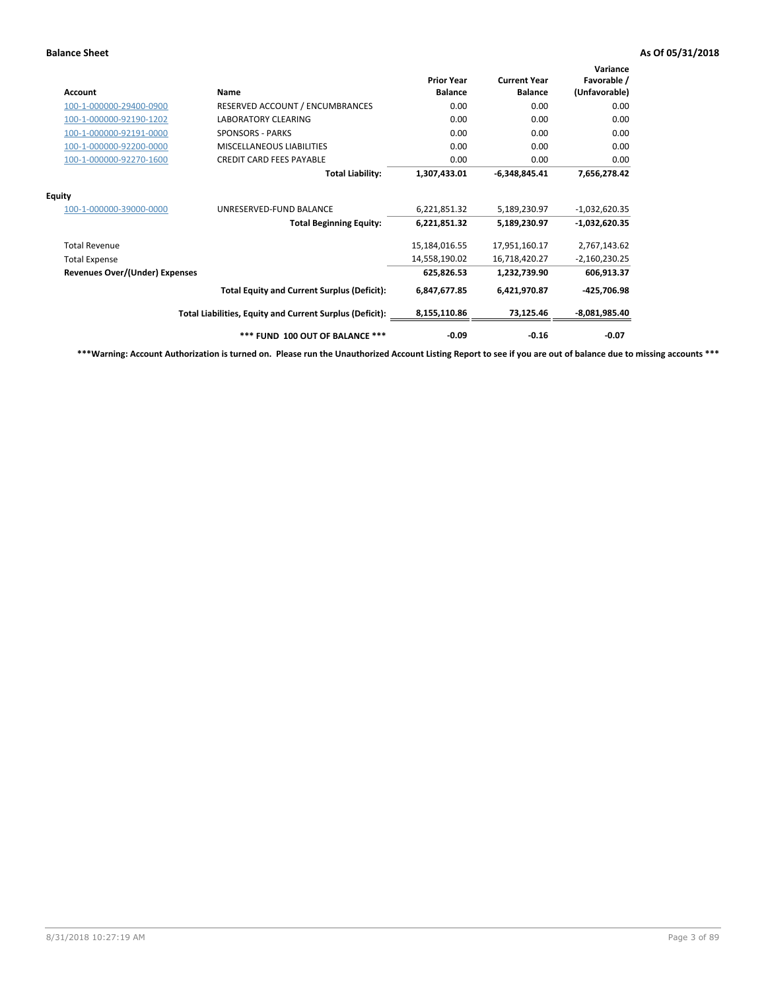| <b>Account</b>                        | <b>Name</b>                                              | <b>Prior Year</b><br><b>Balance</b> | <b>Current Year</b><br><b>Balance</b> | Variance<br>Favorable /<br>(Unfavorable) |
|---------------------------------------|----------------------------------------------------------|-------------------------------------|---------------------------------------|------------------------------------------|
| 100-1-000000-29400-0900               | RESERVED ACCOUNT / ENCUMBRANCES                          | 0.00                                | 0.00                                  | 0.00                                     |
| 100-1-000000-92190-1202               | <b>LABORATORY CLEARING</b>                               | 0.00                                | 0.00                                  | 0.00                                     |
| 100-1-000000-92191-0000               | <b>SPONSORS - PARKS</b>                                  | 0.00                                | 0.00                                  | 0.00                                     |
| 100-1-000000-92200-0000               | MISCELLANEOUS LIABILITIES                                | 0.00                                | 0.00                                  | 0.00                                     |
| 100-1-000000-92270-1600               | <b>CREDIT CARD FEES PAYABLE</b>                          | 0.00                                | 0.00                                  | 0.00                                     |
|                                       | <b>Total Liability:</b>                                  | 1,307,433.01                        | $-6,348,845.41$                       | 7,656,278.42                             |
| <b>Equity</b>                         |                                                          |                                     |                                       |                                          |
| 100-1-000000-39000-0000               | UNRESERVED-FUND BALANCE                                  | 6,221,851.32                        | 5,189,230.97                          | $-1,032,620.35$                          |
|                                       | <b>Total Beginning Equity:</b>                           | 6,221,851.32                        | 5,189,230.97                          | $-1,032,620.35$                          |
| <b>Total Revenue</b>                  |                                                          | 15,184,016.55                       | 17,951,160.17                         | 2,767,143.62                             |
| <b>Total Expense</b>                  |                                                          | 14,558,190.02                       | 16,718,420.27                         | $-2,160,230.25$                          |
| <b>Revenues Over/(Under) Expenses</b> |                                                          | 625,826.53                          | 1,232,739.90                          | 606,913.37                               |
|                                       | <b>Total Equity and Current Surplus (Deficit):</b>       | 6,847,677.85                        | 6,421,970.87                          | -425,706.98                              |
|                                       | Total Liabilities, Equity and Current Surplus (Deficit): | 8,155,110.86                        | 73,125.46                             | $-8,081,985.40$                          |
|                                       | *** FUND 100 OUT OF BALANCE ***                          | $-0.09$                             | $-0.16$                               | $-0.07$                                  |

**\*\*\*Warning: Account Authorization is turned on. Please run the Unauthorized Account Listing Report to see if you are out of balance due to missing accounts \*\*\***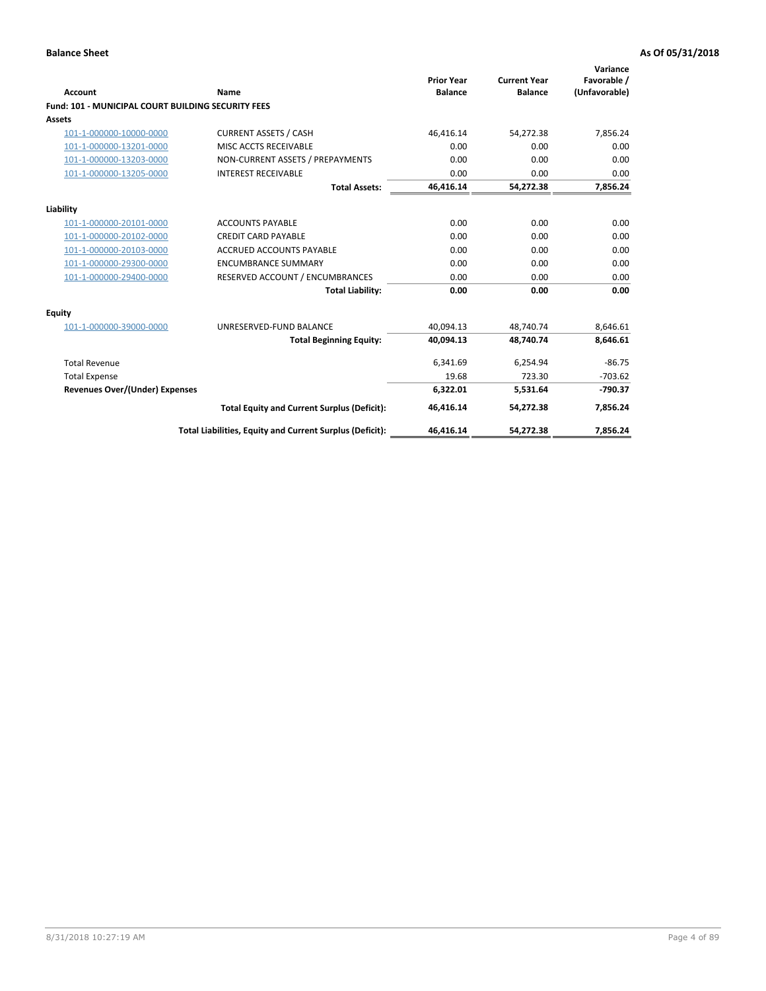| <b>Account</b>                                            | Name                                                     | <b>Prior Year</b><br><b>Balance</b> | <b>Current Year</b><br><b>Balance</b> | Variance<br>Favorable /<br>(Unfavorable) |
|-----------------------------------------------------------|----------------------------------------------------------|-------------------------------------|---------------------------------------|------------------------------------------|
| <b>Fund: 101 - MUNICIPAL COURT BUILDING SECURITY FEES</b> |                                                          |                                     |                                       |                                          |
| <b>Assets</b>                                             |                                                          |                                     |                                       |                                          |
| 101-1-000000-10000-0000                                   | <b>CURRENT ASSETS / CASH</b>                             | 46,416.14                           | 54,272.38                             | 7,856.24                                 |
| 101-1-000000-13201-0000                                   | MISC ACCTS RECEIVABLE                                    | 0.00                                | 0.00                                  | 0.00                                     |
| 101-1-000000-13203-0000                                   | NON-CURRENT ASSETS / PREPAYMENTS                         | 0.00                                | 0.00                                  | 0.00                                     |
| 101-1-000000-13205-0000                                   | <b>INTEREST RECEIVABLE</b>                               | 0.00                                | 0.00                                  | 0.00                                     |
|                                                           | <b>Total Assets:</b>                                     | 46,416.14                           | 54,272.38                             | 7,856.24                                 |
| Liability                                                 |                                                          |                                     |                                       |                                          |
| 101-1-000000-20101-0000                                   | <b>ACCOUNTS PAYABLE</b>                                  | 0.00                                | 0.00                                  | 0.00                                     |
| 101-1-000000-20102-0000                                   | <b>CREDIT CARD PAYABLE</b>                               | 0.00                                | 0.00                                  | 0.00                                     |
| 101-1-000000-20103-0000                                   | <b>ACCRUED ACCOUNTS PAYABLE</b>                          | 0.00                                | 0.00                                  | 0.00                                     |
| 101-1-000000-29300-0000                                   | <b>ENCUMBRANCE SUMMARY</b>                               | 0.00                                | 0.00                                  | 0.00                                     |
| 101-1-000000-29400-0000                                   | RESERVED ACCOUNT / ENCUMBRANCES                          | 0.00                                | 0.00                                  | 0.00                                     |
|                                                           | <b>Total Liability:</b>                                  | 0.00                                | 0.00                                  | 0.00                                     |
| <b>Equity</b>                                             |                                                          |                                     |                                       |                                          |
| 101-1-000000-39000-0000                                   | UNRESERVED-FUND BALANCE                                  | 40.094.13                           | 48,740.74                             | 8,646.61                                 |
|                                                           | <b>Total Beginning Equity:</b>                           | 40.094.13                           | 48.740.74                             | 8.646.61                                 |
| <b>Total Revenue</b>                                      |                                                          | 6,341.69                            | 6,254.94                              | $-86.75$                                 |
| <b>Total Expense</b>                                      |                                                          | 19.68                               | 723.30                                | $-703.62$                                |
| <b>Revenues Over/(Under) Expenses</b>                     |                                                          | 6,322.01                            | 5,531.64                              | $-790.37$                                |
|                                                           | <b>Total Equity and Current Surplus (Deficit):</b>       | 46,416.14                           | 54,272.38                             | 7,856.24                                 |
|                                                           | Total Liabilities, Equity and Current Surplus (Deficit): | 46,416.14                           | 54,272.38                             | 7,856.24                                 |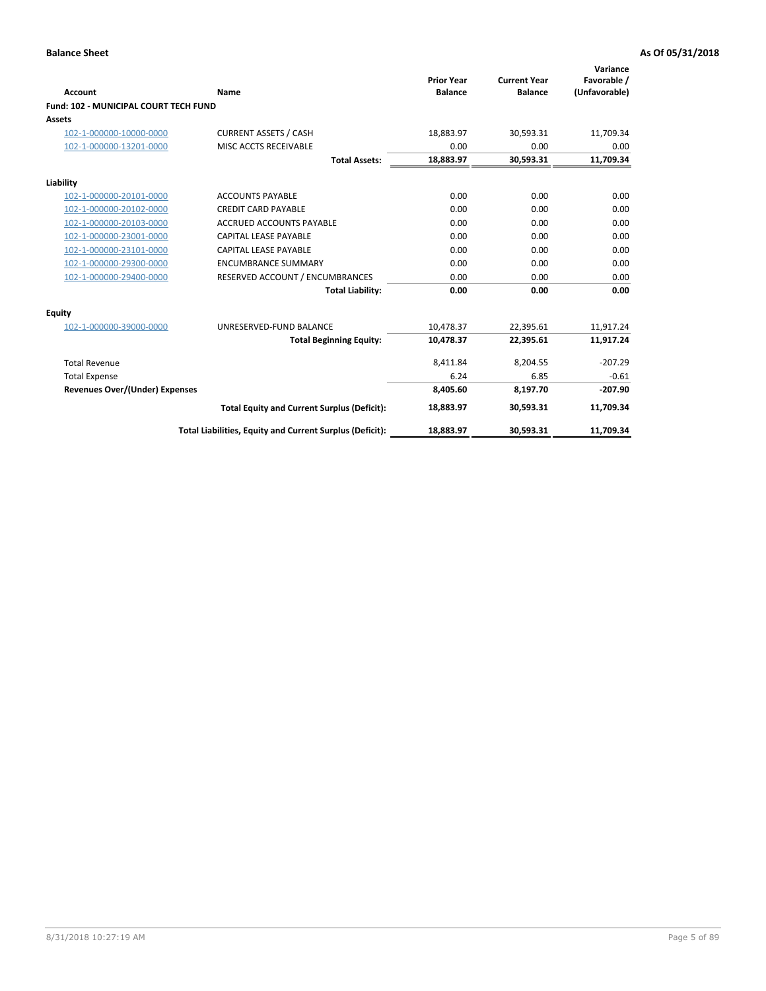| <b>Account</b>                        | Name                                                     | <b>Prior Year</b><br><b>Balance</b> | <b>Current Year</b><br><b>Balance</b> | Variance<br>Favorable /<br>(Unfavorable) |
|---------------------------------------|----------------------------------------------------------|-------------------------------------|---------------------------------------|------------------------------------------|
| Fund: 102 - MUNICIPAL COURT TECH FUND |                                                          |                                     |                                       |                                          |
| <b>Assets</b>                         |                                                          |                                     |                                       |                                          |
| 102-1-000000-10000-0000               | <b>CURRENT ASSETS / CASH</b>                             | 18,883.97                           | 30,593.31                             | 11,709.34                                |
| 102-1-000000-13201-0000               | MISC ACCTS RECEIVABLE                                    | 0.00                                | 0.00                                  | 0.00                                     |
|                                       | <b>Total Assets:</b>                                     | 18,883.97                           | 30,593.31                             | 11,709.34                                |
| Liability                             |                                                          |                                     |                                       |                                          |
| 102-1-000000-20101-0000               | <b>ACCOUNTS PAYABLE</b>                                  | 0.00                                | 0.00                                  | 0.00                                     |
| 102-1-000000-20102-0000               | <b>CREDIT CARD PAYABLE</b>                               | 0.00                                | 0.00                                  | 0.00                                     |
| 102-1-000000-20103-0000               | <b>ACCRUED ACCOUNTS PAYABLE</b>                          | 0.00                                | 0.00                                  | 0.00                                     |
| 102-1-000000-23001-0000               | <b>CAPITAL LEASE PAYABLE</b>                             | 0.00                                | 0.00                                  | 0.00                                     |
| 102-1-000000-23101-0000               | <b>CAPITAL LEASE PAYABLE</b>                             | 0.00                                | 0.00                                  | 0.00                                     |
| 102-1-000000-29300-0000               | <b>ENCUMBRANCE SUMMARY</b>                               | 0.00                                | 0.00                                  | 0.00                                     |
| 102-1-000000-29400-0000               | RESERVED ACCOUNT / ENCUMBRANCES                          | 0.00                                | 0.00                                  | 0.00                                     |
|                                       | <b>Total Liability:</b>                                  | 0.00                                | 0.00                                  | 0.00                                     |
| <b>Equity</b>                         |                                                          |                                     |                                       |                                          |
| 102-1-000000-39000-0000               | UNRESERVED-FUND BALANCE                                  | 10,478.37                           | 22,395.61                             | 11,917.24                                |
|                                       | <b>Total Beginning Equity:</b>                           | 10,478.37                           | 22,395.61                             | 11,917.24                                |
| <b>Total Revenue</b>                  |                                                          | 8,411.84                            | 8,204.55                              | $-207.29$                                |
| <b>Total Expense</b>                  |                                                          | 6.24                                | 6.85                                  | $-0.61$                                  |
| <b>Revenues Over/(Under) Expenses</b> |                                                          | 8.405.60                            | 8,197.70                              | $-207.90$                                |
|                                       | <b>Total Equity and Current Surplus (Deficit):</b>       | 18,883.97                           | 30,593.31                             | 11,709.34                                |
|                                       | Total Liabilities, Equity and Current Surplus (Deficit): | 18,883.97                           | 30,593.31                             | 11,709.34                                |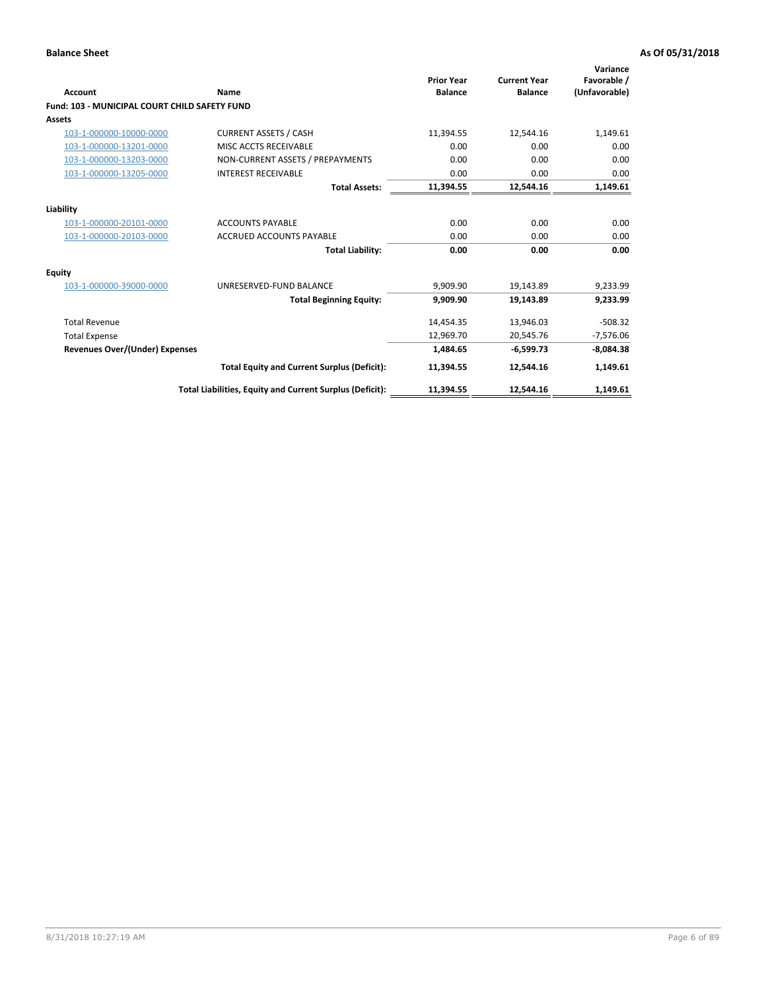| <b>Account</b>                                       | Name                                                     | <b>Prior Year</b><br><b>Balance</b> | <b>Current Year</b><br><b>Balance</b> | Variance<br>Favorable /<br>(Unfavorable) |
|------------------------------------------------------|----------------------------------------------------------|-------------------------------------|---------------------------------------|------------------------------------------|
| <b>Fund: 103 - MUNICIPAL COURT CHILD SAFETY FUND</b> |                                                          |                                     |                                       |                                          |
| <b>Assets</b>                                        |                                                          |                                     |                                       |                                          |
| 103-1-000000-10000-0000                              | <b>CURRENT ASSETS / CASH</b>                             | 11,394.55                           | 12,544.16                             | 1,149.61                                 |
| 103-1-000000-13201-0000                              | MISC ACCTS RECEIVABLE                                    | 0.00                                | 0.00                                  | 0.00                                     |
| 103-1-000000-13203-0000                              | NON-CURRENT ASSETS / PREPAYMENTS                         | 0.00                                | 0.00                                  | 0.00                                     |
| 103-1-000000-13205-0000                              | <b>INTEREST RECEIVABLE</b>                               | 0.00                                | 0.00                                  | 0.00                                     |
|                                                      | <b>Total Assets:</b>                                     | 11,394.55                           | 12,544.16                             | 1,149.61                                 |
| Liability                                            |                                                          |                                     |                                       |                                          |
| 103-1-000000-20101-0000                              | <b>ACCOUNTS PAYABLE</b>                                  | 0.00                                | 0.00                                  | 0.00                                     |
| 103-1-000000-20103-0000                              | <b>ACCRUED ACCOUNTS PAYABLE</b>                          | 0.00                                | 0.00                                  | 0.00                                     |
|                                                      | <b>Total Liability:</b>                                  | 0.00                                | 0.00                                  | 0.00                                     |
| <b>Equity</b>                                        |                                                          |                                     |                                       |                                          |
| 103-1-000000-39000-0000                              | UNRESERVED-FUND BALANCE                                  | 9,909.90                            | 19,143.89                             | 9,233.99                                 |
|                                                      | <b>Total Beginning Equity:</b>                           | 9,909.90                            | 19.143.89                             | 9.233.99                                 |
| <b>Total Revenue</b>                                 |                                                          | 14,454.35                           | 13,946.03                             | $-508.32$                                |
| <b>Total Expense</b>                                 |                                                          | 12,969.70                           | 20,545.76                             | $-7,576.06$                              |
| <b>Revenues Over/(Under) Expenses</b>                |                                                          | 1,484.65                            | $-6.599.73$                           | $-8,084.38$                              |
|                                                      | <b>Total Equity and Current Surplus (Deficit):</b>       | 11,394.55                           | 12.544.16                             | 1,149.61                                 |
|                                                      | Total Liabilities, Equity and Current Surplus (Deficit): | 11,394.55                           | 12,544.16                             | 1,149.61                                 |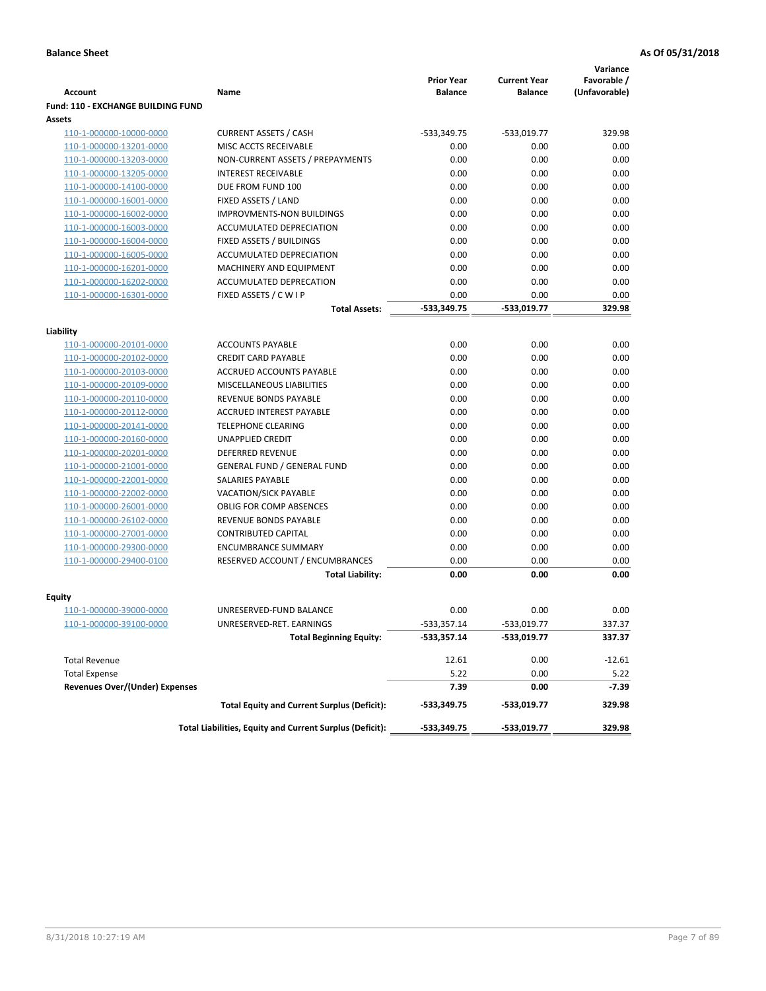|                                       |                                                          |                                     |                                       | Variance                     |
|---------------------------------------|----------------------------------------------------------|-------------------------------------|---------------------------------------|------------------------------|
| <b>Account</b>                        | Name                                                     | <b>Prior Year</b><br><b>Balance</b> | <b>Current Year</b><br><b>Balance</b> | Favorable /<br>(Unfavorable) |
| Fund: 110 - EXCHANGE BUILDING FUND    |                                                          |                                     |                                       |                              |
| Assets                                |                                                          |                                     |                                       |                              |
| 110-1-000000-10000-0000               | <b>CURRENT ASSETS / CASH</b>                             | -533,349.75                         | $-533,019.77$                         | 329.98                       |
| 110-1-000000-13201-0000               | MISC ACCTS RECEIVABLE                                    | 0.00                                | 0.00                                  | 0.00                         |
| 110-1-000000-13203-0000               | NON-CURRENT ASSETS / PREPAYMENTS                         | 0.00                                | 0.00                                  | 0.00                         |
| 110-1-000000-13205-0000               | <b>INTEREST RECEIVABLE</b>                               | 0.00                                | 0.00                                  | 0.00                         |
| 110-1-000000-14100-0000               | DUE FROM FUND 100                                        | 0.00                                | 0.00                                  | 0.00                         |
| 110-1-000000-16001-0000               | FIXED ASSETS / LAND                                      | 0.00                                | 0.00                                  | 0.00                         |
| 110-1-000000-16002-0000               | <b>IMPROVMENTS-NON BUILDINGS</b>                         | 0.00                                | 0.00                                  | 0.00                         |
| 110-1-000000-16003-0000               | ACCUMULATED DEPRECIATION                                 | 0.00                                | 0.00                                  | 0.00                         |
| 110-1-000000-16004-0000               | FIXED ASSETS / BUILDINGS                                 | 0.00                                | 0.00                                  | 0.00                         |
| 110-1-000000-16005-0000               | ACCUMULATED DEPRECIATION                                 | 0.00                                | 0.00                                  | 0.00                         |
| 110-1-000000-16201-0000               | MACHINERY AND EQUIPMENT                                  | 0.00                                | 0.00                                  | 0.00                         |
| 110-1-000000-16202-0000               | ACCUMULATED DEPRECATION                                  | 0.00                                | 0.00                                  | 0.00                         |
| 110-1-000000-16301-0000               | FIXED ASSETS / C W I P                                   | 0.00                                | 0.00                                  | 0.00                         |
|                                       | <b>Total Assets:</b>                                     | $-533,349.75$                       | -533,019.77                           | 329.98                       |
| Liability                             |                                                          |                                     |                                       |                              |
| 110-1-000000-20101-0000               | <b>ACCOUNTS PAYABLE</b>                                  | 0.00                                | 0.00                                  | 0.00                         |
| 110-1-000000-20102-0000               | <b>CREDIT CARD PAYABLE</b>                               | 0.00                                | 0.00                                  | 0.00                         |
| 110-1-000000-20103-0000               | ACCRUED ACCOUNTS PAYABLE                                 | 0.00                                | 0.00                                  | 0.00                         |
| 110-1-000000-20109-0000               | MISCELLANEOUS LIABILITIES                                | 0.00                                | 0.00                                  | 0.00                         |
| 110-1-000000-20110-0000               | <b>REVENUE BONDS PAYABLE</b>                             | 0.00                                | 0.00                                  | 0.00                         |
| 110-1-000000-20112-0000               | <b>ACCRUED INTEREST PAYABLE</b>                          | 0.00                                | 0.00                                  | 0.00                         |
| 110-1-000000-20141-0000               | <b>TELEPHONE CLEARING</b>                                | 0.00                                | 0.00                                  | 0.00                         |
| 110-1-000000-20160-0000               | <b>UNAPPLIED CREDIT</b>                                  | 0.00                                | 0.00                                  | 0.00                         |
| 110-1-000000-20201-0000               | <b>DEFERRED REVENUE</b>                                  | 0.00                                | 0.00                                  | 0.00                         |
| 110-1-000000-21001-0000               | <b>GENERAL FUND / GENERAL FUND</b>                       | 0.00                                | 0.00                                  | 0.00                         |
| 110-1-000000-22001-0000               | SALARIES PAYABLE                                         | 0.00                                | 0.00                                  | 0.00                         |
| 110-1-000000-22002-0000               | <b>VACATION/SICK PAYABLE</b>                             | 0.00                                | 0.00                                  | 0.00                         |
| 110-1-000000-26001-0000               | <b>OBLIG FOR COMP ABSENCES</b>                           | 0.00                                | 0.00                                  | 0.00                         |
| 110-1-000000-26102-0000               | REVENUE BONDS PAYABLE                                    | 0.00                                | 0.00                                  | 0.00                         |
| 110-1-000000-27001-0000               | <b>CONTRIBUTED CAPITAL</b>                               | 0.00                                | 0.00                                  | 0.00                         |
| 110-1-000000-29300-0000               | <b>ENCUMBRANCE SUMMARY</b>                               | 0.00                                | 0.00                                  | 0.00                         |
| 110-1-000000-29400-0100               | RESERVED ACCOUNT / ENCUMBRANCES                          | 0.00                                | 0.00                                  | 0.00                         |
|                                       | <b>Total Liability:</b>                                  | 0.00                                | 0.00                                  | 0.00                         |
| <b>Equity</b>                         |                                                          |                                     |                                       |                              |
| 110-1-000000-39000-0000               | UNRESERVED-FUND BALANCE                                  | 0.00                                | 0.00                                  | 0.00                         |
| <u>110-1-000000-39100-0000</u>        | UNRESERVED-RET. EARNINGS                                 | $-533,357.14$                       | -533,019.77                           | 337.37                       |
|                                       | <b>Total Beginning Equity:</b>                           | $-533,357.14$                       | -533,019.77                           | 337.37                       |
|                                       |                                                          |                                     |                                       |                              |
| <b>Total Revenue</b>                  |                                                          | 12.61                               | 0.00                                  | $-12.61$                     |
| <b>Total Expense</b>                  |                                                          | 5.22                                | 0.00                                  | 5.22                         |
| <b>Revenues Over/(Under) Expenses</b> |                                                          | 7.39                                | 0.00                                  | $-7.39$                      |
|                                       | <b>Total Equity and Current Surplus (Deficit):</b>       | -533,349.75                         | -533,019.77                           | 329.98                       |
|                                       | Total Liabilities, Equity and Current Surplus (Deficit): | -533,349.75                         | -533,019.77                           | 329.98                       |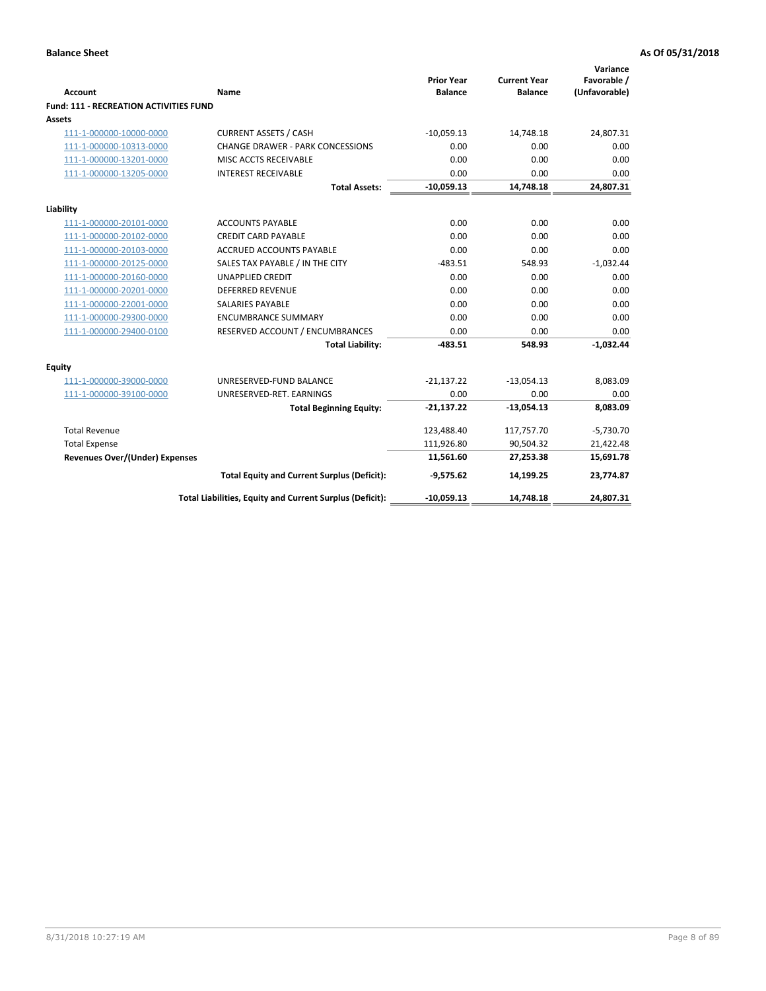| <b>Account</b>                                     | <b>Name</b>                                              | <b>Prior Year</b><br><b>Balance</b> | <b>Current Year</b><br><b>Balance</b> | Variance<br>Favorable /<br>(Unfavorable) |
|----------------------------------------------------|----------------------------------------------------------|-------------------------------------|---------------------------------------|------------------------------------------|
| Fund: 111 - RECREATION ACTIVITIES FUND             |                                                          |                                     |                                       |                                          |
| <b>Assets</b>                                      |                                                          |                                     |                                       |                                          |
| 111-1-000000-10000-0000                            | <b>CURRENT ASSETS / CASH</b>                             | $-10,059.13$                        | 14,748.18                             | 24,807.31                                |
| 111-1-000000-10313-0000                            | <b>CHANGE DRAWER - PARK CONCESSIONS</b>                  | 0.00                                | 0.00                                  | 0.00                                     |
| 111-1-000000-13201-0000                            | MISC ACCTS RECEIVABLE                                    | 0.00                                | 0.00                                  | 0.00                                     |
| 111-1-000000-13205-0000                            | <b>INTEREST RECEIVABLE</b>                               | 0.00                                | 0.00                                  | 0.00                                     |
|                                                    | <b>Total Assets:</b>                                     | $-10,059.13$                        | 14,748.18                             | 24,807.31                                |
|                                                    |                                                          |                                     |                                       |                                          |
| Liability                                          |                                                          | 0.00                                | 0.00                                  | 0.00                                     |
| 111-1-000000-20101-0000<br>111-1-000000-20102-0000 | <b>ACCOUNTS PAYABLE</b><br><b>CREDIT CARD PAYABLE</b>    | 0.00                                | 0.00                                  | 0.00                                     |
| 111-1-000000-20103-0000                            | <b>ACCRUED ACCOUNTS PAYABLE</b>                          | 0.00                                | 0.00                                  | 0.00                                     |
| 111-1-000000-20125-0000                            | SALES TAX PAYABLE / IN THE CITY                          | $-483.51$                           | 548.93                                | $-1,032.44$                              |
| 111-1-000000-20160-0000                            | <b>UNAPPLIED CREDIT</b>                                  | 0.00                                | 0.00                                  | 0.00                                     |
| 111-1-000000-20201-0000                            | <b>DEFERRED REVENUE</b>                                  | 0.00                                | 0.00                                  | 0.00                                     |
| 111-1-000000-22001-0000                            | <b>SALARIES PAYABLE</b>                                  | 0.00                                | 0.00                                  | 0.00                                     |
| 111-1-000000-29300-0000                            | <b>ENCUMBRANCE SUMMARY</b>                               | 0.00                                | 0.00                                  | 0.00                                     |
| 111-1-000000-29400-0100                            | RESERVED ACCOUNT / ENCUMBRANCES                          | 0.00                                | 0.00                                  | 0.00                                     |
|                                                    | <b>Total Liability:</b>                                  | $-483.51$                           | 548.93                                | $-1,032.44$                              |
| <b>Equity</b>                                      |                                                          |                                     |                                       |                                          |
| 111-1-000000-39000-0000                            | UNRESERVED-FUND BALANCE                                  | $-21,137.22$                        | $-13,054.13$                          | 8,083.09                                 |
| 111-1-000000-39100-0000                            | UNRESERVED-RET. EARNINGS                                 | 0.00                                | 0.00                                  | 0.00                                     |
|                                                    | <b>Total Beginning Equity:</b>                           | $-21,137.22$                        | $-13,054.13$                          | 8,083.09                                 |
| <b>Total Revenue</b>                               |                                                          | 123,488.40                          | 117,757.70                            | $-5,730.70$                              |
| <b>Total Expense</b>                               |                                                          | 111,926.80                          | 90,504.32                             | 21,422.48                                |
| <b>Revenues Over/(Under) Expenses</b>              |                                                          | 11,561.60                           | 27,253.38                             | 15,691.78                                |
|                                                    | <b>Total Equity and Current Surplus (Deficit):</b>       | $-9,575.62$                         | 14,199.25                             | 23,774.87                                |
|                                                    | Total Liabilities, Equity and Current Surplus (Deficit): | $-10,059.13$                        | 14,748.18                             | 24,807.31                                |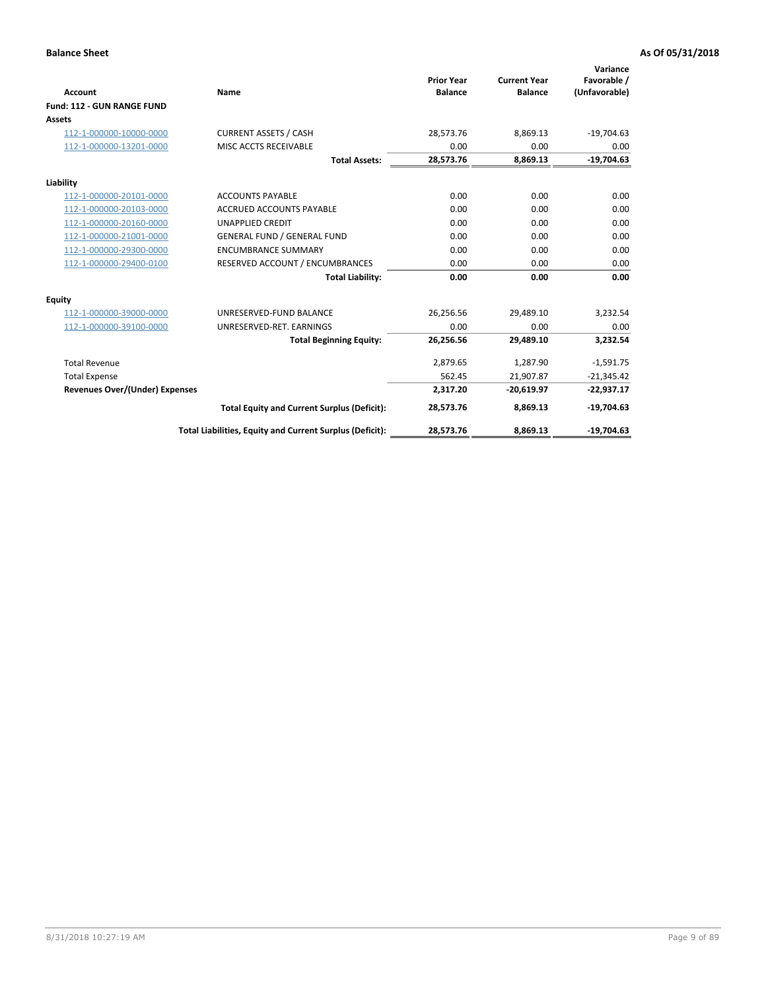|                                       |                                                          |                                     |                                       | Variance                     |
|---------------------------------------|----------------------------------------------------------|-------------------------------------|---------------------------------------|------------------------------|
| <b>Account</b>                        | Name                                                     | <b>Prior Year</b><br><b>Balance</b> | <b>Current Year</b><br><b>Balance</b> | Favorable /<br>(Unfavorable) |
| Fund: 112 - GUN RANGE FUND            |                                                          |                                     |                                       |                              |
| <b>Assets</b>                         |                                                          |                                     |                                       |                              |
| 112-1-000000-10000-0000               | <b>CURRENT ASSETS / CASH</b>                             | 28,573.76                           | 8,869.13                              | $-19,704.63$                 |
| 112-1-000000-13201-0000               | MISC ACCTS RECEIVABLE                                    | 0.00                                | 0.00                                  | 0.00                         |
|                                       | <b>Total Assets:</b>                                     | 28,573.76                           | 8,869.13                              | $-19,704.63$                 |
| Liability                             |                                                          |                                     |                                       |                              |
| 112-1-000000-20101-0000               | <b>ACCOUNTS PAYABLE</b>                                  | 0.00                                | 0.00                                  | 0.00                         |
| 112-1-000000-20103-0000               | <b>ACCRUED ACCOUNTS PAYABLE</b>                          | 0.00                                | 0.00                                  | 0.00                         |
| 112-1-000000-20160-0000               | <b>UNAPPLIED CREDIT</b>                                  | 0.00                                | 0.00                                  | 0.00                         |
| 112-1-000000-21001-0000               | <b>GENERAL FUND / GENERAL FUND</b>                       | 0.00                                | 0.00                                  | 0.00                         |
| 112-1-000000-29300-0000               | <b>ENCUMBRANCE SUMMARY</b>                               | 0.00                                | 0.00                                  | 0.00                         |
| 112-1-000000-29400-0100               | RESERVED ACCOUNT / ENCUMBRANCES                          | 0.00                                | 0.00                                  | 0.00                         |
|                                       | <b>Total Liability:</b>                                  | 0.00                                | 0.00                                  | 0.00                         |
| Equity                                |                                                          |                                     |                                       |                              |
| 112-1-000000-39000-0000               | UNRESERVED-FUND BALANCE                                  | 26,256.56                           | 29,489.10                             | 3,232.54                     |
| 112-1-000000-39100-0000               | UNRESERVED-RET. EARNINGS                                 | 0.00                                | 0.00                                  | 0.00                         |
|                                       | <b>Total Beginning Equity:</b>                           | 26,256.56                           | 29,489.10                             | 3,232.54                     |
| <b>Total Revenue</b>                  |                                                          | 2,879.65                            | 1,287.90                              | $-1,591.75$                  |
| <b>Total Expense</b>                  |                                                          | 562.45                              | 21,907.87                             | $-21,345.42$                 |
| <b>Revenues Over/(Under) Expenses</b> |                                                          | 2,317.20                            | $-20,619.97$                          | $-22,937.17$                 |
|                                       | <b>Total Equity and Current Surplus (Deficit):</b>       | 28,573.76                           | 8,869.13                              | $-19,704.63$                 |
|                                       | Total Liabilities, Equity and Current Surplus (Deficit): | 28,573.76                           | 8,869.13                              | $-19,704.63$                 |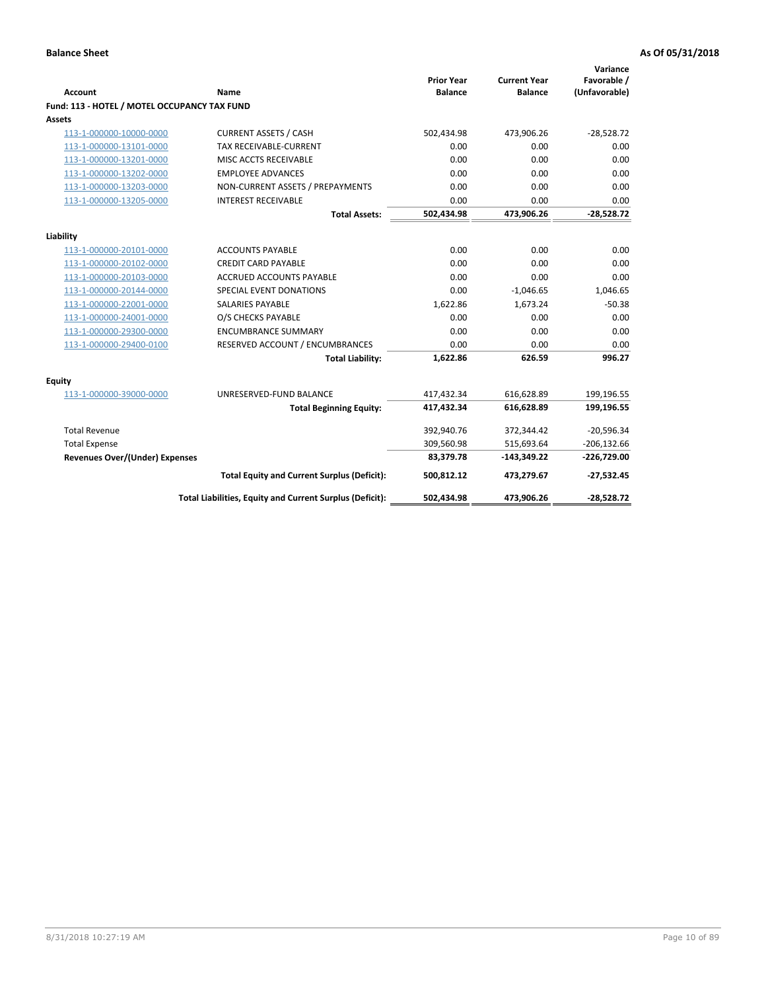| <b>Account</b>                               | Name                                                     | <b>Prior Year</b><br><b>Balance</b> | <b>Current Year</b><br><b>Balance</b> | Variance<br>Favorable /<br>(Unfavorable) |
|----------------------------------------------|----------------------------------------------------------|-------------------------------------|---------------------------------------|------------------------------------------|
| Fund: 113 - HOTEL / MOTEL OCCUPANCY TAX FUND |                                                          |                                     |                                       |                                          |
| Assets                                       |                                                          |                                     |                                       |                                          |
| 113-1-000000-10000-0000                      | <b>CURRENT ASSETS / CASH</b>                             | 502,434.98                          | 473,906.26                            | $-28,528.72$                             |
| 113-1-000000-13101-0000                      | TAX RECEIVABLE-CURRENT                                   | 0.00                                | 0.00                                  | 0.00                                     |
| 113-1-000000-13201-0000                      | MISC ACCTS RECEIVABLE                                    | 0.00                                | 0.00                                  | 0.00                                     |
| 113-1-000000-13202-0000                      | <b>EMPLOYEE ADVANCES</b>                                 | 0.00                                | 0.00                                  | 0.00                                     |
| 113-1-000000-13203-0000                      | NON-CURRENT ASSETS / PREPAYMENTS                         | 0.00                                | 0.00                                  | 0.00                                     |
| 113-1-000000-13205-0000                      | <b>INTEREST RECEIVABLE</b>                               | 0.00                                | 0.00                                  | 0.00                                     |
|                                              | <b>Total Assets:</b>                                     | 502,434.98                          | 473,906.26                            | $-28,528.72$                             |
| Liability                                    |                                                          |                                     |                                       |                                          |
| 113-1-000000-20101-0000                      | <b>ACCOUNTS PAYABLE</b>                                  | 0.00                                | 0.00                                  | 0.00                                     |
| 113-1-000000-20102-0000                      | <b>CREDIT CARD PAYABLE</b>                               | 0.00                                | 0.00                                  | 0.00                                     |
| 113-1-000000-20103-0000                      | ACCRUED ACCOUNTS PAYABLE                                 | 0.00                                | 0.00                                  | 0.00                                     |
| 113-1-000000-20144-0000                      | SPECIAL EVENT DONATIONS                                  | 0.00                                | $-1,046.65$                           | 1,046.65                                 |
| 113-1-000000-22001-0000                      | <b>SALARIES PAYABLE</b>                                  | 1,622.86                            | 1,673.24                              | $-50.38$                                 |
| 113-1-000000-24001-0000                      | O/S CHECKS PAYABLE                                       | 0.00                                | 0.00                                  | 0.00                                     |
| 113-1-000000-29300-0000                      | <b>ENCUMBRANCE SUMMARY</b>                               | 0.00                                | 0.00                                  | 0.00                                     |
| 113-1-000000-29400-0100                      | RESERVED ACCOUNT / ENCUMBRANCES                          | 0.00                                | 0.00                                  | 0.00                                     |
|                                              | <b>Total Liability:</b>                                  | 1,622.86                            | 626.59                                | 996.27                                   |
|                                              |                                                          |                                     |                                       |                                          |
| Equity<br>113-1-000000-39000-0000            | UNRESERVED-FUND BALANCE                                  | 417,432.34                          | 616,628.89                            | 199,196.55                               |
|                                              | <b>Total Beginning Equity:</b>                           | 417,432.34                          | 616,628.89                            | 199,196.55                               |
|                                              |                                                          |                                     |                                       |                                          |
| <b>Total Revenue</b>                         |                                                          | 392,940.76                          | 372,344.42                            | $-20,596.34$                             |
| <b>Total Expense</b>                         |                                                          | 309,560.98                          | 515,693.64                            | $-206, 132.66$                           |
| Revenues Over/(Under) Expenses               |                                                          | 83,379.78                           | $-143,349.22$                         | $-226,729.00$                            |
|                                              | <b>Total Equity and Current Surplus (Deficit):</b>       | 500,812.12                          | 473,279.67                            | $-27,532.45$                             |
|                                              | Total Liabilities, Equity and Current Surplus (Deficit): | 502,434.98                          | 473,906.26                            | $-28,528.72$                             |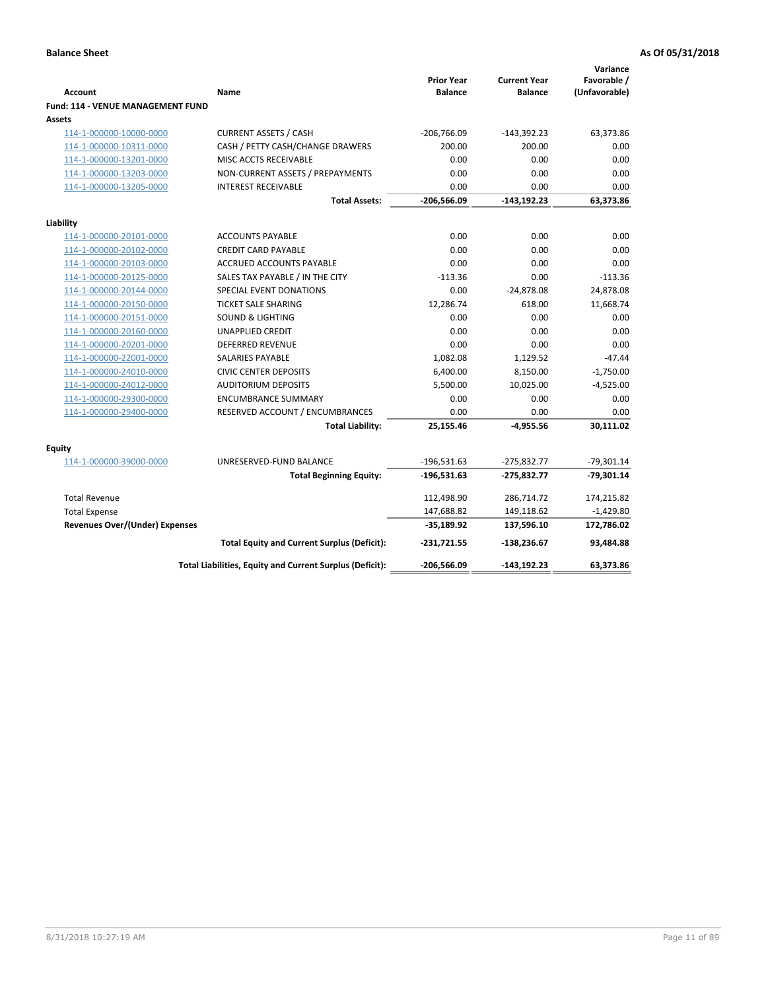| <b>Account</b>                              | Name                                                     | <b>Prior Year</b><br><b>Balance</b> | <b>Current Year</b><br><b>Balance</b> | Variance<br>Favorable /<br>(Unfavorable) |
|---------------------------------------------|----------------------------------------------------------|-------------------------------------|---------------------------------------|------------------------------------------|
| Fund: 114 - VENUE MANAGEMENT FUND<br>Assets |                                                          |                                     |                                       |                                          |
| 114-1-000000-10000-0000                     | <b>CURRENT ASSETS / CASH</b>                             | $-206,766.09$                       | $-143,392.23$                         | 63,373.86                                |
| 114-1-000000-10311-0000                     | CASH / PETTY CASH/CHANGE DRAWERS                         | 200.00                              | 200.00                                | 0.00                                     |
| 114-1-000000-13201-0000                     | MISC ACCTS RECEIVABLE                                    | 0.00                                | 0.00                                  | 0.00                                     |
| 114-1-000000-13203-0000                     | NON-CURRENT ASSETS / PREPAYMENTS                         | 0.00                                | 0.00                                  | 0.00                                     |
| 114-1-000000-13205-0000                     | <b>INTEREST RECEIVABLE</b>                               | 0.00                                | 0.00                                  | 0.00                                     |
|                                             | <b>Total Assets:</b>                                     | $-206,566.09$                       | $-143, 192.23$                        | 63,373.86                                |
| Liability                                   |                                                          |                                     |                                       |                                          |
| 114-1-000000-20101-0000                     | <b>ACCOUNTS PAYABLE</b>                                  | 0.00                                | 0.00                                  | 0.00                                     |
| 114-1-000000-20102-0000                     | <b>CREDIT CARD PAYABLE</b>                               | 0.00                                | 0.00                                  | 0.00                                     |
| 114-1-000000-20103-0000                     | <b>ACCRUED ACCOUNTS PAYABLE</b>                          | 0.00                                | 0.00                                  | 0.00                                     |
| 114-1-000000-20125-0000                     | SALES TAX PAYABLE / IN THE CITY                          | $-113.36$                           | 0.00                                  | $-113.36$                                |
| 114-1-000000-20144-0000                     | SPECIAL EVENT DONATIONS                                  | 0.00                                | $-24,878.08$                          | 24,878.08                                |
| 114-1-000000-20150-0000                     | <b>TICKET SALE SHARING</b>                               | 12,286.74                           | 618.00                                | 11,668.74                                |
| 114-1-000000-20151-0000                     | <b>SOUND &amp; LIGHTING</b>                              | 0.00                                | 0.00                                  | 0.00                                     |
| 114-1-000000-20160-0000                     | <b>UNAPPLIED CREDIT</b>                                  | 0.00                                | 0.00                                  | 0.00                                     |
| 114-1-000000-20201-0000                     | <b>DEFERRED REVENUE</b>                                  | 0.00                                | 0.00                                  | 0.00                                     |
| 114-1-000000-22001-0000                     | SALARIES PAYABLE                                         | 1,082.08                            | 1,129.52                              | $-47.44$                                 |
| 114-1-000000-24010-0000                     | <b>CIVIC CENTER DEPOSITS</b>                             | 6,400.00                            | 8,150.00                              | $-1,750.00$                              |
| 114-1-000000-24012-0000                     | <b>AUDITORIUM DEPOSITS</b>                               | 5,500.00                            | 10,025.00                             | $-4,525.00$                              |
| 114-1-000000-29300-0000                     | <b>ENCUMBRANCE SUMMARY</b>                               | 0.00                                | 0.00                                  | 0.00                                     |
| 114-1-000000-29400-0000                     | RESERVED ACCOUNT / ENCUMBRANCES                          | 0.00                                | 0.00                                  | 0.00                                     |
|                                             | <b>Total Liability:</b>                                  | 25,155.46                           | $-4,955.56$                           | 30,111.02                                |
| Equity                                      |                                                          |                                     |                                       |                                          |
| 114-1-000000-39000-0000                     | UNRESERVED-FUND BALANCE                                  | $-196,531.63$                       | $-275,832.77$                         | $-79,301.14$                             |
|                                             | <b>Total Beginning Equity:</b>                           | $-196,531.63$                       | -275,832.77                           | $-79,301.14$                             |
| <b>Total Revenue</b>                        |                                                          | 112,498.90                          | 286,714.72                            | 174,215.82                               |
| <b>Total Expense</b>                        |                                                          | 147,688.82                          | 149,118.62                            | $-1,429.80$                              |
| <b>Revenues Over/(Under) Expenses</b>       |                                                          | $-35,189.92$                        | 137,596.10                            | 172,786.02                               |
|                                             | <b>Total Equity and Current Surplus (Deficit):</b>       | $-231,721.55$                       | $-138,236.67$                         | 93,484.88                                |
|                                             | Total Liabilities, Equity and Current Surplus (Deficit): | -206,566.09                         | $-143.192.23$                         | 63,373.86                                |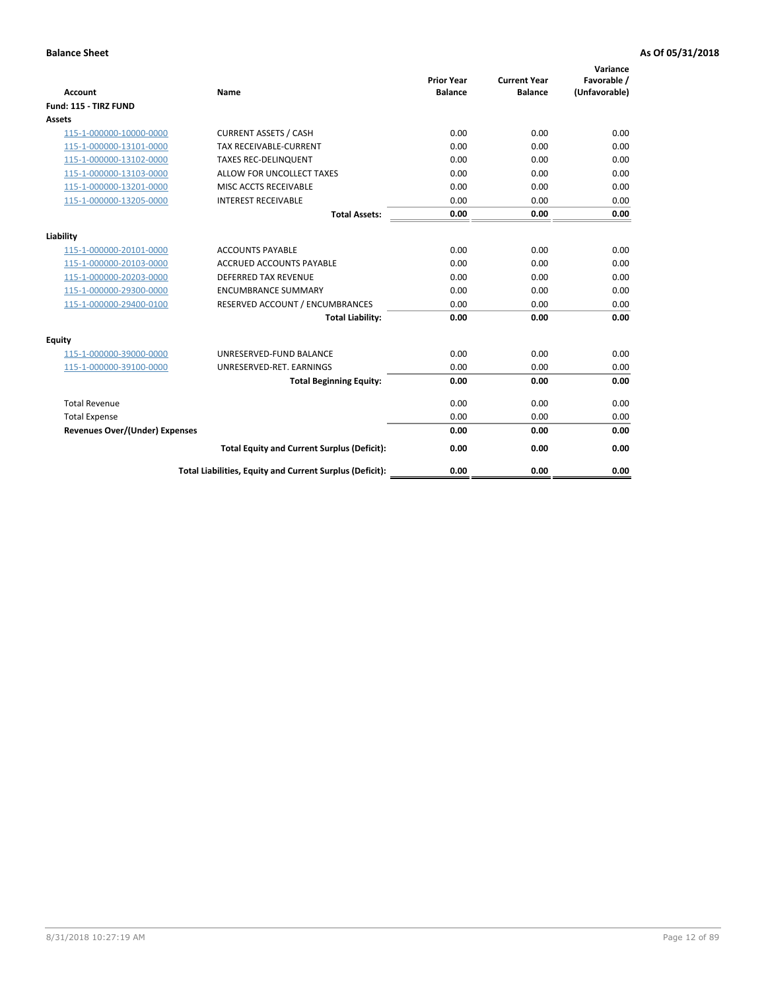| <b>Account</b>                        | <b>Name</b>                                              | <b>Prior Year</b><br><b>Balance</b> | <b>Current Year</b><br><b>Balance</b> | Variance<br>Favorable /<br>(Unfavorable) |
|---------------------------------------|----------------------------------------------------------|-------------------------------------|---------------------------------------|------------------------------------------|
| Fund: 115 - TIRZ FUND                 |                                                          |                                     |                                       |                                          |
| <b>Assets</b>                         |                                                          |                                     |                                       |                                          |
| 115-1-000000-10000-0000               | <b>CURRENT ASSETS / CASH</b>                             | 0.00                                | 0.00                                  | 0.00                                     |
| 115-1-000000-13101-0000               | <b>TAX RECEIVABLE-CURRENT</b>                            | 0.00                                | 0.00                                  | 0.00                                     |
| 115-1-000000-13102-0000               | <b>TAXES REC-DELINQUENT</b>                              | 0.00                                | 0.00                                  | 0.00                                     |
| 115-1-000000-13103-0000               | ALLOW FOR UNCOLLECT TAXES                                | 0.00                                | 0.00                                  | 0.00                                     |
| 115-1-000000-13201-0000               | MISC ACCTS RECEIVABLE                                    | 0.00                                | 0.00                                  | 0.00                                     |
| 115-1-000000-13205-0000               | <b>INTEREST RECEIVABLE</b>                               | 0.00                                | 0.00                                  | 0.00                                     |
|                                       | <b>Total Assets:</b>                                     | 0.00                                | 0.00                                  | 0.00                                     |
| Liability                             |                                                          |                                     |                                       |                                          |
| 115-1-000000-20101-0000               | <b>ACCOUNTS PAYABLE</b>                                  | 0.00                                | 0.00                                  | 0.00                                     |
| 115-1-000000-20103-0000               | <b>ACCRUED ACCOUNTS PAYABLE</b>                          | 0.00                                | 0.00                                  | 0.00                                     |
| 115-1-000000-20203-0000               | <b>DEFERRED TAX REVENUE</b>                              | 0.00                                | 0.00                                  | 0.00                                     |
| 115-1-000000-29300-0000               | <b>ENCUMBRANCE SUMMARY</b>                               | 0.00                                | 0.00                                  | 0.00                                     |
| 115-1-000000-29400-0100               | RESERVED ACCOUNT / ENCUMBRANCES                          | 0.00                                | 0.00                                  | 0.00                                     |
|                                       | <b>Total Liability:</b>                                  | 0.00                                | 0.00                                  | 0.00                                     |
| <b>Equity</b>                         |                                                          |                                     |                                       |                                          |
| 115-1-000000-39000-0000               | UNRESERVED-FUND BALANCE                                  | 0.00                                | 0.00                                  | 0.00                                     |
| 115-1-000000-39100-0000               | UNRESERVED-RET. EARNINGS                                 | 0.00                                | 0.00                                  | 0.00                                     |
|                                       | <b>Total Beginning Equity:</b>                           | 0.00                                | 0.00                                  | 0.00                                     |
| <b>Total Revenue</b>                  |                                                          | 0.00                                | 0.00                                  | 0.00                                     |
| <b>Total Expense</b>                  |                                                          | 0.00                                | 0.00                                  | 0.00                                     |
| <b>Revenues Over/(Under) Expenses</b> |                                                          | 0.00                                | 0.00                                  | 0.00                                     |
|                                       | <b>Total Equity and Current Surplus (Deficit):</b>       | 0.00                                | 0.00                                  | 0.00                                     |
|                                       | Total Liabilities, Equity and Current Surplus (Deficit): | 0.00                                | 0.00                                  | 0.00                                     |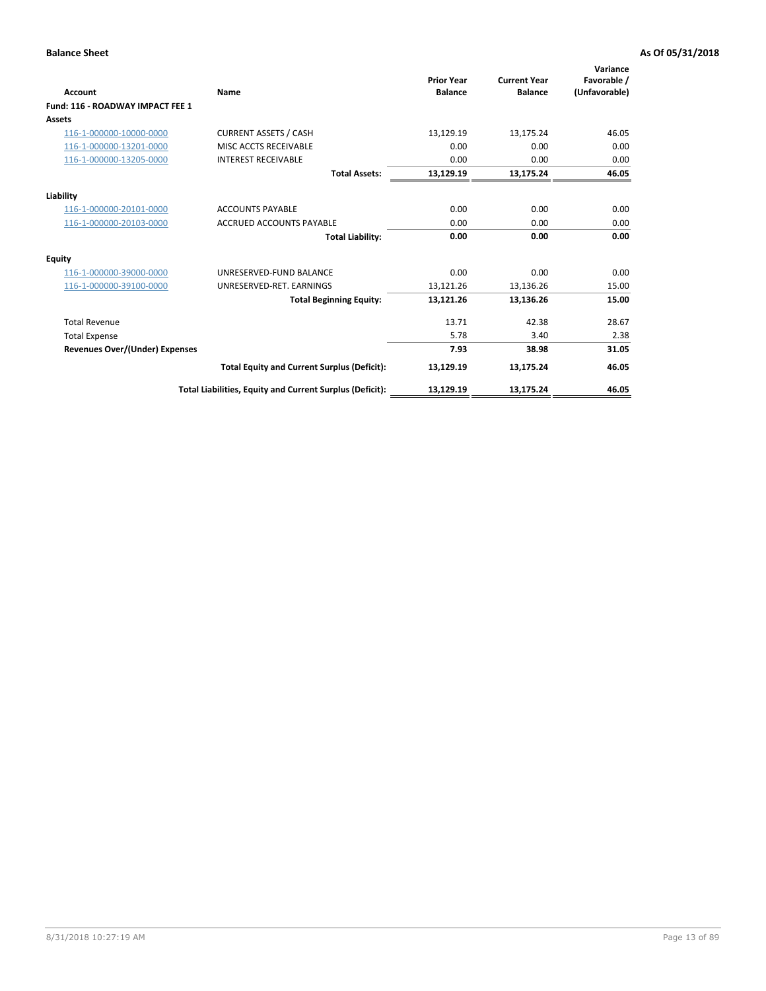| <b>Account</b>                        | Name                                                     | <b>Prior Year</b><br><b>Balance</b> | <b>Current Year</b><br><b>Balance</b> | Variance<br>Favorable /<br>(Unfavorable) |
|---------------------------------------|----------------------------------------------------------|-------------------------------------|---------------------------------------|------------------------------------------|
| Fund: 116 - ROADWAY IMPACT FEE 1      |                                                          |                                     |                                       |                                          |
| Assets                                |                                                          |                                     |                                       |                                          |
| 116-1-000000-10000-0000               | <b>CURRENT ASSETS / CASH</b>                             | 13,129.19                           | 13,175.24                             | 46.05                                    |
| 116-1-000000-13201-0000               | MISC ACCTS RECEIVABLE                                    | 0.00                                | 0.00                                  | 0.00                                     |
| 116-1-000000-13205-0000               | <b>INTEREST RECEIVABLE</b>                               | 0.00                                | 0.00                                  | 0.00                                     |
|                                       | <b>Total Assets:</b>                                     | 13,129.19                           | 13,175.24                             | 46.05                                    |
| Liability                             |                                                          |                                     |                                       |                                          |
| 116-1-000000-20101-0000               | <b>ACCOUNTS PAYABLE</b>                                  | 0.00                                | 0.00                                  | 0.00                                     |
| 116-1-000000-20103-0000               | <b>ACCRUED ACCOUNTS PAYABLE</b>                          | 0.00                                | 0.00                                  | 0.00                                     |
|                                       | <b>Total Liability:</b>                                  | 0.00                                | 0.00                                  | 0.00                                     |
| Equity                                |                                                          |                                     |                                       |                                          |
| 116-1-000000-39000-0000               | UNRESERVED-FUND BALANCE                                  | 0.00                                | 0.00                                  | 0.00                                     |
| 116-1-000000-39100-0000               | UNRESERVED-RET. EARNINGS                                 | 13,121.26                           | 13,136.26                             | 15.00                                    |
|                                       | <b>Total Beginning Equity:</b>                           | 13,121.26                           | 13,136.26                             | 15.00                                    |
| <b>Total Revenue</b>                  |                                                          | 13.71                               | 42.38                                 | 28.67                                    |
| <b>Total Expense</b>                  |                                                          | 5.78                                | 3.40                                  | 2.38                                     |
| <b>Revenues Over/(Under) Expenses</b> |                                                          | 7.93                                | 38.98                                 | 31.05                                    |
|                                       | <b>Total Equity and Current Surplus (Deficit):</b>       | 13,129.19                           | 13,175.24                             | 46.05                                    |
|                                       | Total Liabilities, Equity and Current Surplus (Deficit): | 13,129.19                           | 13,175.24                             | 46.05                                    |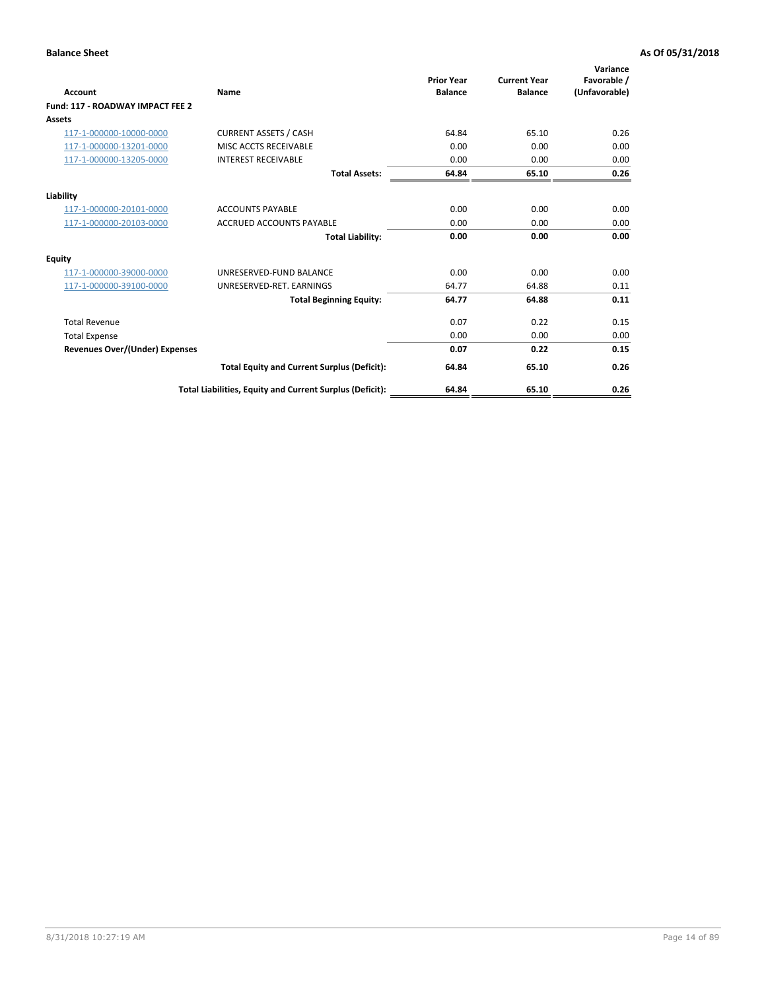| <b>Account</b>                        | Name                                                     | <b>Prior Year</b><br><b>Balance</b> | <b>Current Year</b><br><b>Balance</b> | Variance<br>Favorable /<br>(Unfavorable) |
|---------------------------------------|----------------------------------------------------------|-------------------------------------|---------------------------------------|------------------------------------------|
| Fund: 117 - ROADWAY IMPACT FEE 2      |                                                          |                                     |                                       |                                          |
| Assets                                |                                                          |                                     |                                       |                                          |
| 117-1-000000-10000-0000               | <b>CURRENT ASSETS / CASH</b>                             | 64.84                               | 65.10                                 | 0.26                                     |
| 117-1-000000-13201-0000               | MISC ACCTS RECEIVABLE                                    | 0.00                                | 0.00                                  | 0.00                                     |
| 117-1-000000-13205-0000               | <b>INTEREST RECEIVABLE</b>                               | 0.00                                | 0.00                                  | 0.00                                     |
|                                       | <b>Total Assets:</b>                                     | 64.84                               | 65.10                                 | 0.26                                     |
| Liability                             |                                                          |                                     |                                       |                                          |
| 117-1-000000-20101-0000               | <b>ACCOUNTS PAYABLE</b>                                  | 0.00                                | 0.00                                  | 0.00                                     |
| 117-1-000000-20103-0000               | <b>ACCRUED ACCOUNTS PAYABLE</b>                          | 0.00                                | 0.00                                  | 0.00                                     |
|                                       | <b>Total Liability:</b>                                  | 0.00                                | 0.00                                  | 0.00                                     |
| Equity                                |                                                          |                                     |                                       |                                          |
| 117-1-000000-39000-0000               | UNRESERVED-FUND BALANCE                                  | 0.00                                | 0.00                                  | 0.00                                     |
| 117-1-000000-39100-0000               | UNRESERVED-RET, EARNINGS                                 | 64.77                               | 64.88                                 | 0.11                                     |
|                                       | <b>Total Beginning Equity:</b>                           | 64.77                               | 64.88                                 | 0.11                                     |
| <b>Total Revenue</b>                  |                                                          | 0.07                                | 0.22                                  | 0.15                                     |
| <b>Total Expense</b>                  |                                                          | 0.00                                | 0.00                                  | 0.00                                     |
| <b>Revenues Over/(Under) Expenses</b> |                                                          | 0.07                                | 0.22                                  | 0.15                                     |
|                                       | <b>Total Equity and Current Surplus (Deficit):</b>       | 64.84                               | 65.10                                 | 0.26                                     |
|                                       | Total Liabilities, Equity and Current Surplus (Deficit): | 64.84                               | 65.10                                 | 0.26                                     |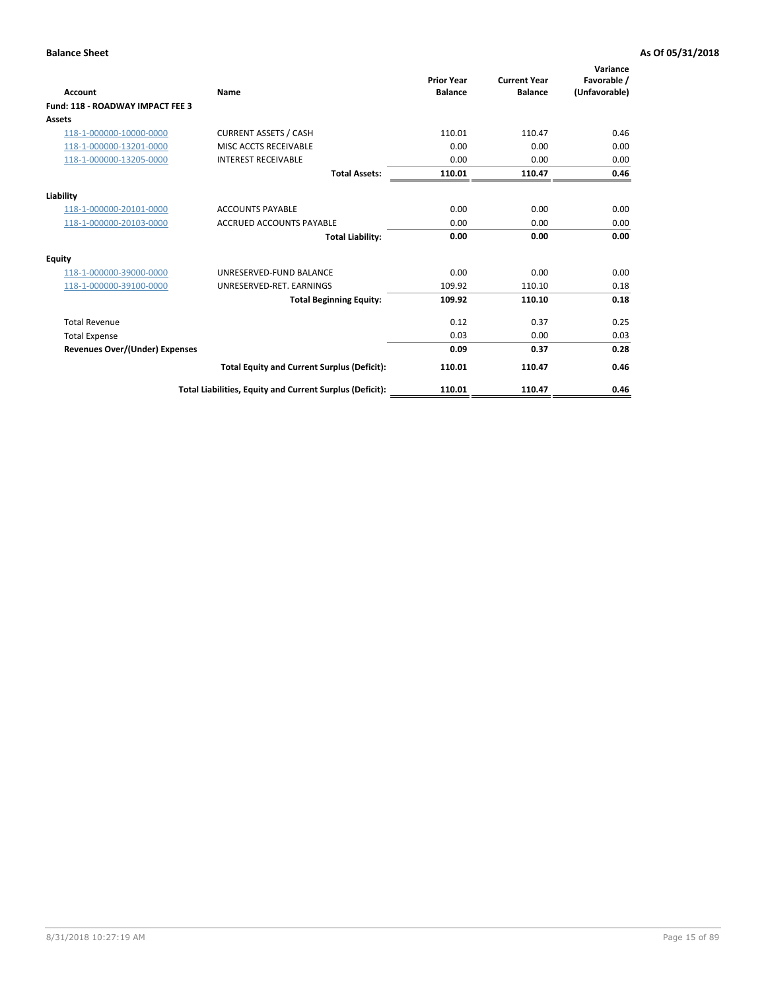| Account                               | <b>Name</b>                                              | <b>Prior Year</b><br><b>Balance</b> | <b>Current Year</b><br><b>Balance</b> | Variance<br>Favorable /<br>(Unfavorable) |
|---------------------------------------|----------------------------------------------------------|-------------------------------------|---------------------------------------|------------------------------------------|
| Fund: 118 - ROADWAY IMPACT FEE 3      |                                                          |                                     |                                       |                                          |
| Assets                                |                                                          |                                     |                                       |                                          |
| 118-1-000000-10000-0000               | <b>CURRENT ASSETS / CASH</b>                             | 110.01                              | 110.47                                | 0.46                                     |
| 118-1-000000-13201-0000               | MISC ACCTS RECEIVABLE                                    | 0.00                                | 0.00                                  | 0.00                                     |
| 118-1-000000-13205-0000               | <b>INTEREST RECEIVABLE</b>                               | 0.00                                | 0.00                                  | 0.00                                     |
|                                       | <b>Total Assets:</b>                                     | 110.01                              | 110.47                                | 0.46                                     |
| Liability                             |                                                          |                                     |                                       |                                          |
| 118-1-000000-20101-0000               | <b>ACCOUNTS PAYABLE</b>                                  | 0.00                                | 0.00                                  | 0.00                                     |
| 118-1-000000-20103-0000               | <b>ACCRUED ACCOUNTS PAYABLE</b>                          | 0.00                                | 0.00                                  | 0.00                                     |
|                                       | <b>Total Liability:</b>                                  | 0.00                                | 0.00                                  | 0.00                                     |
| Equity                                |                                                          |                                     |                                       |                                          |
| 118-1-000000-39000-0000               | UNRESERVED-FUND BALANCE                                  | 0.00                                | 0.00                                  | 0.00                                     |
| 118-1-000000-39100-0000               | UNRESERVED-RET. EARNINGS                                 | 109.92                              | 110.10                                | 0.18                                     |
|                                       | <b>Total Beginning Equity:</b>                           | 109.92                              | 110.10                                | 0.18                                     |
| <b>Total Revenue</b>                  |                                                          | 0.12                                | 0.37                                  | 0.25                                     |
| <b>Total Expense</b>                  |                                                          | 0.03                                | 0.00                                  | 0.03                                     |
| <b>Revenues Over/(Under) Expenses</b> |                                                          | 0.09                                | 0.37                                  | 0.28                                     |
|                                       | <b>Total Equity and Current Surplus (Deficit):</b>       | 110.01                              | 110.47                                | 0.46                                     |
|                                       | Total Liabilities, Equity and Current Surplus (Deficit): | 110.01                              | 110.47                                | 0.46                                     |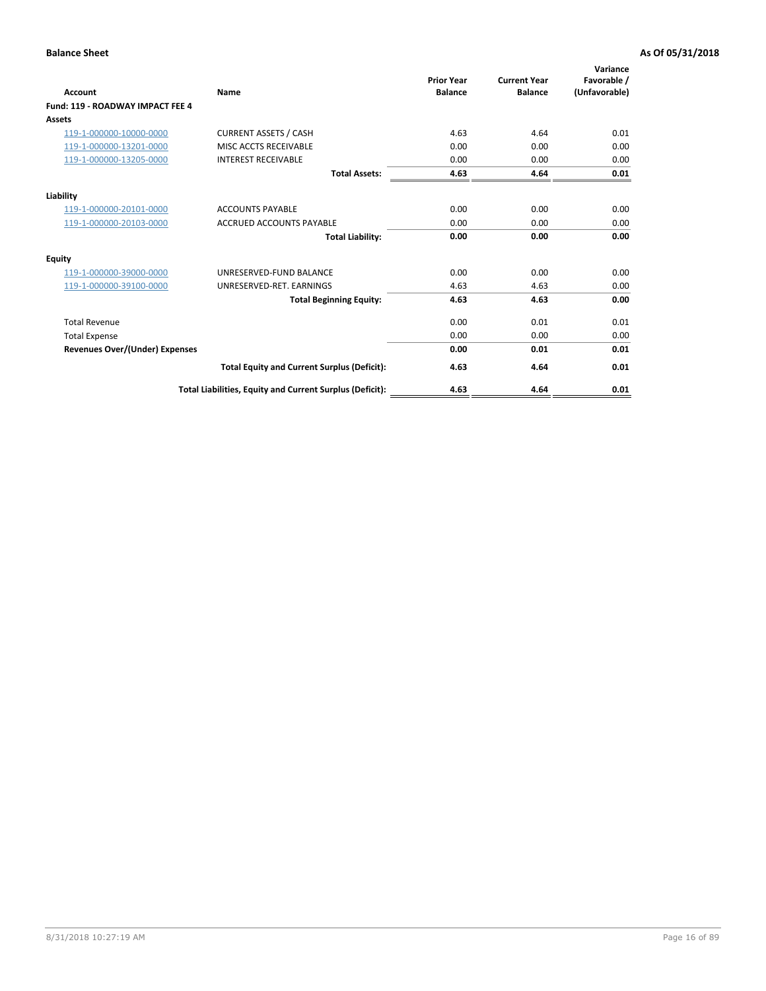| <b>Account</b>                        | Name                                                     | <b>Prior Year</b><br><b>Balance</b> | <b>Current Year</b><br><b>Balance</b> | Variance<br>Favorable /<br>(Unfavorable) |
|---------------------------------------|----------------------------------------------------------|-------------------------------------|---------------------------------------|------------------------------------------|
| Fund: 119 - ROADWAY IMPACT FEE 4      |                                                          |                                     |                                       |                                          |
| Assets                                |                                                          |                                     |                                       |                                          |
| 119-1-000000-10000-0000               | <b>CURRENT ASSETS / CASH</b>                             | 4.63                                | 4.64                                  | 0.01                                     |
| 119-1-000000-13201-0000               | MISC ACCTS RECEIVABLE                                    | 0.00                                | 0.00                                  | 0.00                                     |
| 119-1-000000-13205-0000               | <b>INTEREST RECEIVABLE</b>                               | 0.00                                | 0.00                                  | 0.00                                     |
|                                       | <b>Total Assets:</b>                                     | 4.63                                | 4.64                                  | 0.01                                     |
| Liability                             |                                                          |                                     |                                       |                                          |
| 119-1-000000-20101-0000               | <b>ACCOUNTS PAYABLE</b>                                  | 0.00                                | 0.00                                  | 0.00                                     |
| 119-1-000000-20103-0000               | <b>ACCRUED ACCOUNTS PAYABLE</b>                          | 0.00                                | 0.00                                  | 0.00                                     |
|                                       | <b>Total Liability:</b>                                  | 0.00                                | 0.00                                  | 0.00                                     |
| Equity                                |                                                          |                                     |                                       |                                          |
| 119-1-000000-39000-0000               | UNRESERVED-FUND BALANCE                                  | 0.00                                | 0.00                                  | 0.00                                     |
| 119-1-000000-39100-0000               | UNRESERVED-RET, EARNINGS                                 | 4.63                                | 4.63                                  | 0.00                                     |
|                                       | <b>Total Beginning Equity:</b>                           | 4.63                                | 4.63                                  | 0.00                                     |
| <b>Total Revenue</b>                  |                                                          | 0.00                                | 0.01                                  | 0.01                                     |
| <b>Total Expense</b>                  |                                                          | 0.00                                | 0.00                                  | 0.00                                     |
| <b>Revenues Over/(Under) Expenses</b> |                                                          | 0.00                                | 0.01                                  | 0.01                                     |
|                                       | <b>Total Equity and Current Surplus (Deficit):</b>       | 4.63                                | 4.64                                  | 0.01                                     |
|                                       | Total Liabilities, Equity and Current Surplus (Deficit): | 4.63                                | 4.64                                  | 0.01                                     |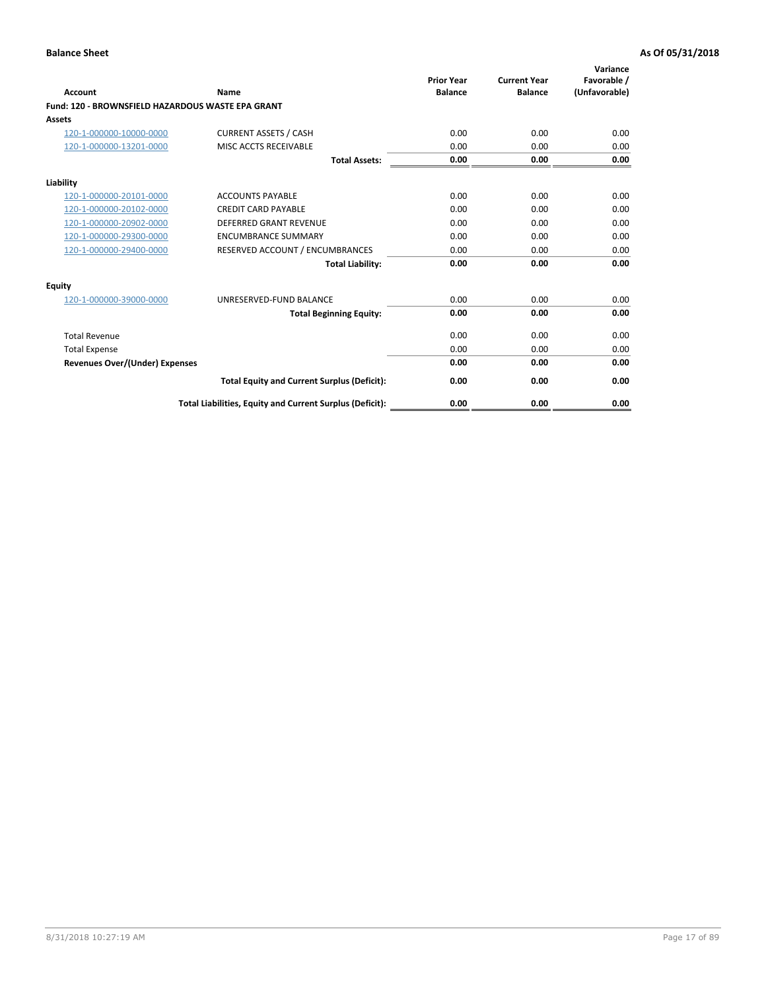|                                                   |                                                          | <b>Prior Year</b> | <b>Current Year</b> | Variance<br>Favorable / |
|---------------------------------------------------|----------------------------------------------------------|-------------------|---------------------|-------------------------|
| <b>Account</b>                                    | <b>Name</b>                                              | <b>Balance</b>    | <b>Balance</b>      | (Unfavorable)           |
| Fund: 120 - BROWNSFIELD HAZARDOUS WASTE EPA GRANT |                                                          |                   |                     |                         |
| <b>Assets</b>                                     |                                                          |                   |                     |                         |
| 120-1-000000-10000-0000                           | <b>CURRENT ASSETS / CASH</b>                             | 0.00              | 0.00                | 0.00                    |
| 120-1-000000-13201-0000                           | MISC ACCTS RECEIVABLE                                    | 0.00              | 0.00                | 0.00                    |
|                                                   | <b>Total Assets:</b>                                     | 0.00              | 0.00                | 0.00                    |
| Liability                                         |                                                          |                   |                     |                         |
| 120-1-000000-20101-0000                           | <b>ACCOUNTS PAYABLE</b>                                  | 0.00              | 0.00                | 0.00                    |
| 120-1-000000-20102-0000                           | <b>CREDIT CARD PAYABLE</b>                               | 0.00              | 0.00                | 0.00                    |
| 120-1-000000-20902-0000                           | <b>DEFERRED GRANT REVENUE</b>                            | 0.00              | 0.00                | 0.00                    |
| 120-1-000000-29300-0000                           | <b>ENCUMBRANCE SUMMARY</b>                               | 0.00              | 0.00                | 0.00                    |
| 120-1-000000-29400-0000                           | RESERVED ACCOUNT / ENCUMBRANCES                          | 0.00              | 0.00                | 0.00                    |
|                                                   | <b>Total Liability:</b>                                  | 0.00              | 0.00                | 0.00                    |
| Equity                                            |                                                          |                   |                     |                         |
| 120-1-000000-39000-0000                           | UNRESERVED-FUND BALANCE                                  | 0.00              | 0.00                | 0.00                    |
|                                                   | <b>Total Beginning Equity:</b>                           | 0.00              | 0.00                | 0.00                    |
| <b>Total Revenue</b>                              |                                                          | 0.00              | 0.00                | 0.00                    |
| <b>Total Expense</b>                              |                                                          | 0.00              | 0.00                | 0.00                    |
| <b>Revenues Over/(Under) Expenses</b>             |                                                          | 0.00              | 0.00                | 0.00                    |
|                                                   | <b>Total Equity and Current Surplus (Deficit):</b>       | 0.00              | 0.00                | 0.00                    |
|                                                   | Total Liabilities, Equity and Current Surplus (Deficit): | 0.00              | 0.00                | 0.00                    |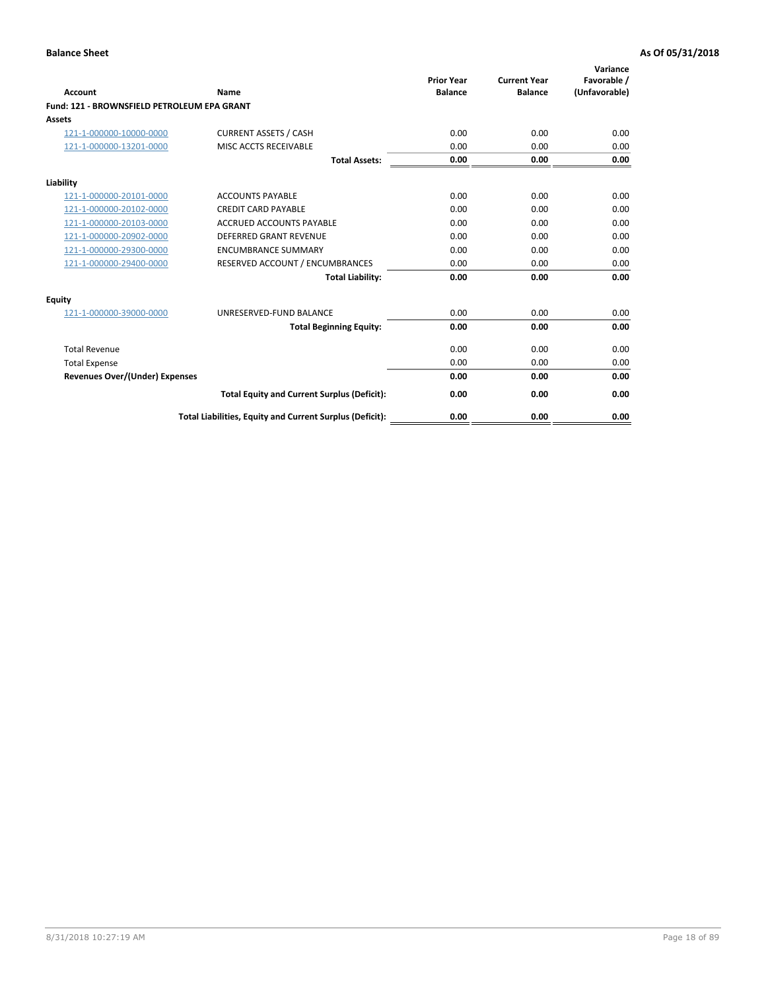| Account                                     | Name                                                     | <b>Prior Year</b><br><b>Balance</b> | <b>Current Year</b><br><b>Balance</b> | Variance<br>Favorable /<br>(Unfavorable) |
|---------------------------------------------|----------------------------------------------------------|-------------------------------------|---------------------------------------|------------------------------------------|
| Fund: 121 - BROWNSFIELD PETROLEUM EPA GRANT |                                                          |                                     |                                       |                                          |
| <b>Assets</b>                               |                                                          |                                     |                                       |                                          |
| 121-1-000000-10000-0000                     | <b>CURRENT ASSETS / CASH</b>                             | 0.00                                | 0.00                                  | 0.00                                     |
| 121-1-000000-13201-0000                     | MISC ACCTS RECEIVABLE                                    | 0.00                                | 0.00                                  | 0.00                                     |
|                                             | <b>Total Assets:</b>                                     | 0.00                                | 0.00                                  | 0.00                                     |
| Liability                                   |                                                          |                                     |                                       |                                          |
| 121-1-000000-20101-0000                     | <b>ACCOUNTS PAYABLE</b>                                  | 0.00                                | 0.00                                  | 0.00                                     |
| 121-1-000000-20102-0000                     | <b>CREDIT CARD PAYABLE</b>                               | 0.00                                | 0.00                                  | 0.00                                     |
| 121-1-000000-20103-0000                     | <b>ACCRUED ACCOUNTS PAYABLE</b>                          | 0.00                                | 0.00                                  | 0.00                                     |
| 121-1-000000-20902-0000                     | <b>DEFERRED GRANT REVENUE</b>                            | 0.00                                | 0.00                                  | 0.00                                     |
| 121-1-000000-29300-0000                     | <b>ENCUMBRANCE SUMMARY</b>                               | 0.00                                | 0.00                                  | 0.00                                     |
| 121-1-000000-29400-0000                     | RESERVED ACCOUNT / ENCUMBRANCES                          | 0.00                                | 0.00                                  | 0.00                                     |
|                                             | <b>Total Liability:</b>                                  | 0.00                                | 0.00                                  | 0.00                                     |
| <b>Equity</b>                               |                                                          |                                     |                                       |                                          |
| 121-1-000000-39000-0000                     | UNRESERVED-FUND BALANCE                                  | 0.00                                | 0.00                                  | 0.00                                     |
|                                             | <b>Total Beginning Equity:</b>                           | 0.00                                | 0.00                                  | 0.00                                     |
| <b>Total Revenue</b>                        |                                                          | 0.00                                | 0.00                                  | 0.00                                     |
| <b>Total Expense</b>                        |                                                          | 0.00                                | 0.00                                  | 0.00                                     |
| <b>Revenues Over/(Under) Expenses</b>       |                                                          | 0.00                                | 0.00                                  | 0.00                                     |
|                                             | <b>Total Equity and Current Surplus (Deficit):</b>       | 0.00                                | 0.00                                  | 0.00                                     |
|                                             | Total Liabilities, Equity and Current Surplus (Deficit): | 0.00                                | 0.00                                  | 0.00                                     |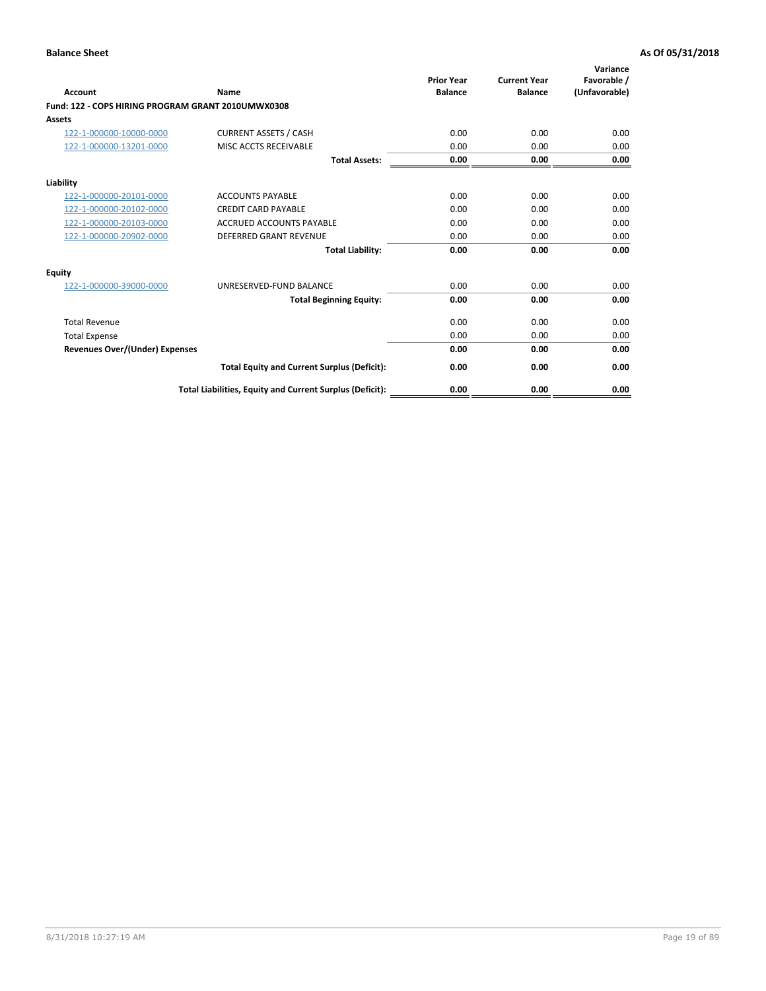| <b>Account</b>                                     | Name                                                     | <b>Prior Year</b><br><b>Balance</b> | <b>Current Year</b><br><b>Balance</b> | Variance<br>Favorable /<br>(Unfavorable) |
|----------------------------------------------------|----------------------------------------------------------|-------------------------------------|---------------------------------------|------------------------------------------|
| Fund: 122 - COPS HIRING PROGRAM GRANT 2010UMWX0308 |                                                          |                                     |                                       |                                          |
| Assets                                             |                                                          |                                     |                                       |                                          |
| 122-1-000000-10000-0000                            | <b>CURRENT ASSETS / CASH</b>                             | 0.00                                | 0.00                                  | 0.00                                     |
| 122-1-000000-13201-0000                            | MISC ACCTS RECEIVABLE                                    | 0.00                                | 0.00                                  | 0.00                                     |
|                                                    | <b>Total Assets:</b>                                     | 0.00                                | 0.00                                  | 0.00                                     |
| Liability                                          |                                                          |                                     |                                       |                                          |
| 122-1-000000-20101-0000                            | <b>ACCOUNTS PAYABLE</b>                                  | 0.00                                | 0.00                                  | 0.00                                     |
| 122-1-000000-20102-0000                            | <b>CREDIT CARD PAYABLE</b>                               | 0.00                                | 0.00                                  | 0.00                                     |
| 122-1-000000-20103-0000                            | <b>ACCRUED ACCOUNTS PAYABLE</b>                          | 0.00                                | 0.00                                  | 0.00                                     |
| 122-1-000000-20902-0000                            | <b>DEFERRED GRANT REVENUE</b>                            | 0.00                                | 0.00                                  | 0.00                                     |
|                                                    | <b>Total Liability:</b>                                  | 0.00                                | 0.00                                  | 0.00                                     |
| Equity                                             |                                                          |                                     |                                       |                                          |
| 122-1-000000-39000-0000                            | UNRESERVED-FUND BALANCE                                  | 0.00                                | 0.00                                  | 0.00                                     |
|                                                    | <b>Total Beginning Equity:</b>                           | 0.00                                | 0.00                                  | 0.00                                     |
| <b>Total Revenue</b>                               |                                                          | 0.00                                | 0.00                                  | 0.00                                     |
| <b>Total Expense</b>                               |                                                          | 0.00                                | 0.00                                  | 0.00                                     |
| <b>Revenues Over/(Under) Expenses</b>              |                                                          | 0.00                                | 0.00                                  | 0.00                                     |
|                                                    | <b>Total Equity and Current Surplus (Deficit):</b>       | 0.00                                | 0.00                                  | 0.00                                     |
|                                                    | Total Liabilities, Equity and Current Surplus (Deficit): | 0.00                                | 0.00                                  | 0.00                                     |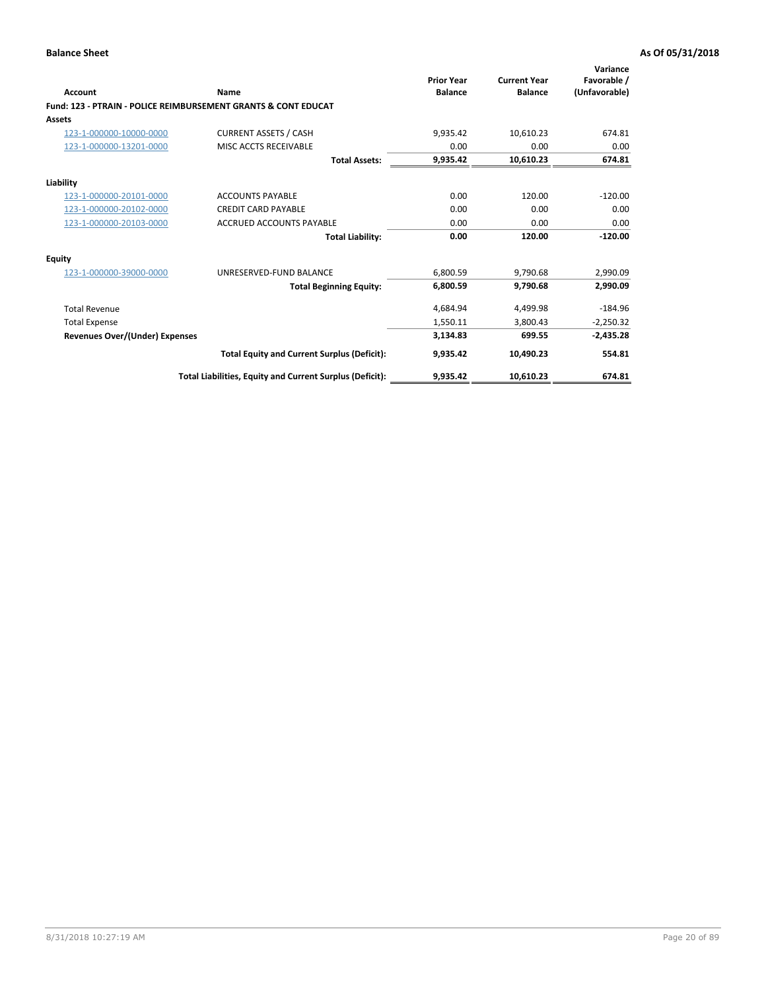|                                       |                                                                           | <b>Prior Year</b> | <b>Current Year</b> | Variance<br>Favorable / |
|---------------------------------------|---------------------------------------------------------------------------|-------------------|---------------------|-------------------------|
| <b>Account</b>                        | Name                                                                      | <b>Balance</b>    | <b>Balance</b>      | (Unfavorable)           |
|                                       | <b>Fund: 123 - PTRAIN - POLICE REIMBURSEMENT GRANTS &amp; CONT EDUCAT</b> |                   |                     |                         |
| <b>Assets</b>                         |                                                                           |                   |                     |                         |
| 123-1-000000-10000-0000               | <b>CURRENT ASSETS / CASH</b>                                              | 9,935.42          | 10,610.23           | 674.81                  |
| 123-1-000000-13201-0000               | MISC ACCTS RECEIVABLE                                                     | 0.00              | 0.00                | 0.00                    |
|                                       | <b>Total Assets:</b>                                                      | 9,935.42          | 10,610.23           | 674.81                  |
| Liability                             |                                                                           |                   |                     |                         |
| 123-1-000000-20101-0000               | <b>ACCOUNTS PAYABLE</b>                                                   | 0.00              | 120.00              | $-120.00$               |
| 123-1-000000-20102-0000               | <b>CREDIT CARD PAYABLE</b>                                                | 0.00              | 0.00                | 0.00                    |
| 123-1-000000-20103-0000               | <b>ACCRUED ACCOUNTS PAYABLE</b>                                           | 0.00              | 0.00                | 0.00                    |
|                                       | <b>Total Liability:</b>                                                   | 0.00              | 120.00              | $-120.00$               |
| <b>Equity</b>                         |                                                                           |                   |                     |                         |
| 123-1-000000-39000-0000               | UNRESERVED-FUND BALANCE                                                   | 6.800.59          | 9.790.68            | 2,990.09                |
|                                       | <b>Total Beginning Equity:</b>                                            | 6,800.59          | 9.790.68            | 2,990.09                |
| <b>Total Revenue</b>                  |                                                                           | 4,684.94          | 4,499.98            | $-184.96$               |
| <b>Total Expense</b>                  |                                                                           | 1,550.11          | 3.800.43            | $-2,250.32$             |
| <b>Revenues Over/(Under) Expenses</b> |                                                                           | 3,134.83          | 699.55              | $-2,435.28$             |
|                                       | <b>Total Equity and Current Surplus (Deficit):</b>                        | 9,935.42          | 10,490.23           | 554.81                  |
|                                       | Total Liabilities, Equity and Current Surplus (Deficit):                  | 9,935.42          | 10,610.23           | 674.81                  |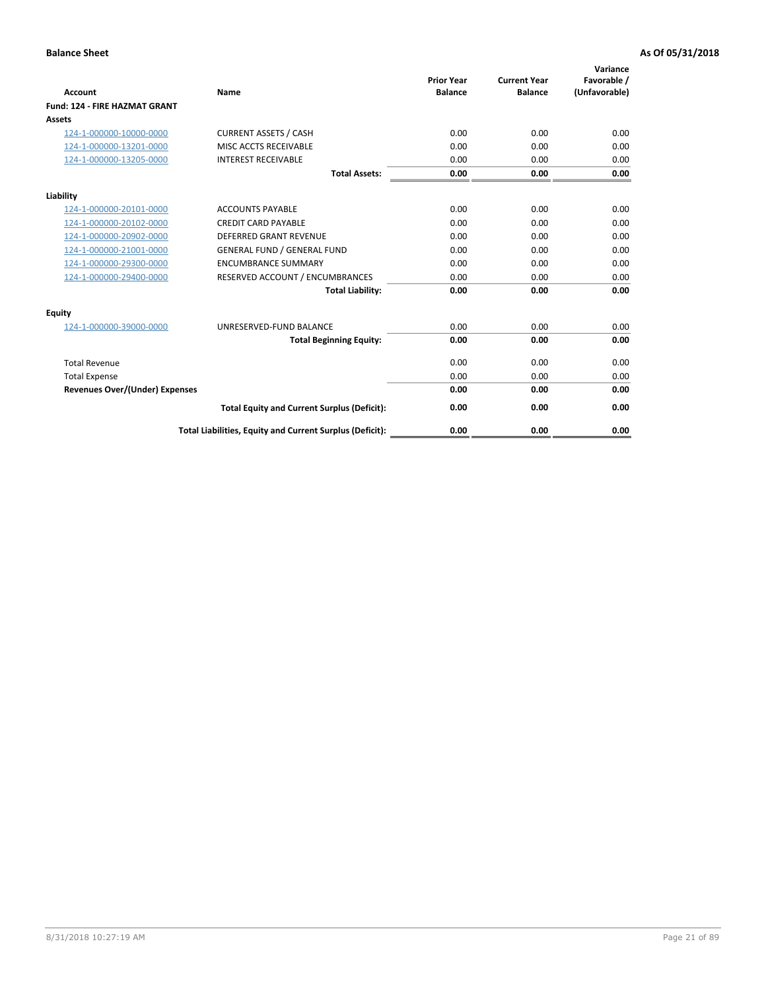| <b>Account</b>                        | Name                                                     | <b>Prior Year</b><br><b>Balance</b> | <b>Current Year</b><br><b>Balance</b> | Variance<br>Favorable /<br>(Unfavorable) |
|---------------------------------------|----------------------------------------------------------|-------------------------------------|---------------------------------------|------------------------------------------|
| Fund: 124 - FIRE HAZMAT GRANT         |                                                          |                                     |                                       |                                          |
| Assets                                |                                                          |                                     |                                       |                                          |
| 124-1-000000-10000-0000               | <b>CURRENT ASSETS / CASH</b>                             | 0.00                                | 0.00                                  | 0.00                                     |
| 124-1-000000-13201-0000               | MISC ACCTS RECEIVABLE                                    | 0.00                                | 0.00                                  | 0.00                                     |
| 124-1-000000-13205-0000               | <b>INTEREST RECEIVABLE</b>                               | 0.00                                | 0.00                                  | 0.00                                     |
|                                       | <b>Total Assets:</b>                                     | 0.00                                | 0.00                                  | 0.00                                     |
| Liability                             |                                                          |                                     |                                       |                                          |
| 124-1-000000-20101-0000               | <b>ACCOUNTS PAYABLE</b>                                  | 0.00                                | 0.00                                  | 0.00                                     |
| 124-1-000000-20102-0000               | <b>CREDIT CARD PAYABLE</b>                               | 0.00                                | 0.00                                  | 0.00                                     |
| 124-1-000000-20902-0000               | <b>DEFERRED GRANT REVENUE</b>                            | 0.00                                | 0.00                                  | 0.00                                     |
| 124-1-000000-21001-0000               | <b>GENERAL FUND / GENERAL FUND</b>                       | 0.00                                | 0.00                                  | 0.00                                     |
| 124-1-000000-29300-0000               | <b>ENCUMBRANCE SUMMARY</b>                               | 0.00                                | 0.00                                  | 0.00                                     |
| 124-1-000000-29400-0000               | RESERVED ACCOUNT / ENCUMBRANCES                          | 0.00                                | 0.00                                  | 0.00                                     |
|                                       | <b>Total Liability:</b>                                  | 0.00                                | 0.00                                  | 0.00                                     |
| Equity                                |                                                          |                                     |                                       |                                          |
| 124-1-000000-39000-0000               | UNRESERVED-FUND BALANCE                                  | 0.00                                | 0.00                                  | 0.00                                     |
|                                       | <b>Total Beginning Equity:</b>                           | 0.00                                | 0.00                                  | 0.00                                     |
| <b>Total Revenue</b>                  |                                                          | 0.00                                | 0.00                                  | 0.00                                     |
| <b>Total Expense</b>                  |                                                          | 0.00                                | 0.00                                  | 0.00                                     |
| <b>Revenues Over/(Under) Expenses</b> |                                                          | 0.00                                | 0.00                                  | 0.00                                     |
|                                       | <b>Total Equity and Current Surplus (Deficit):</b>       | 0.00                                | 0.00                                  | 0.00                                     |
|                                       | Total Liabilities, Equity and Current Surplus (Deficit): | 0.00                                | 0.00                                  | 0.00                                     |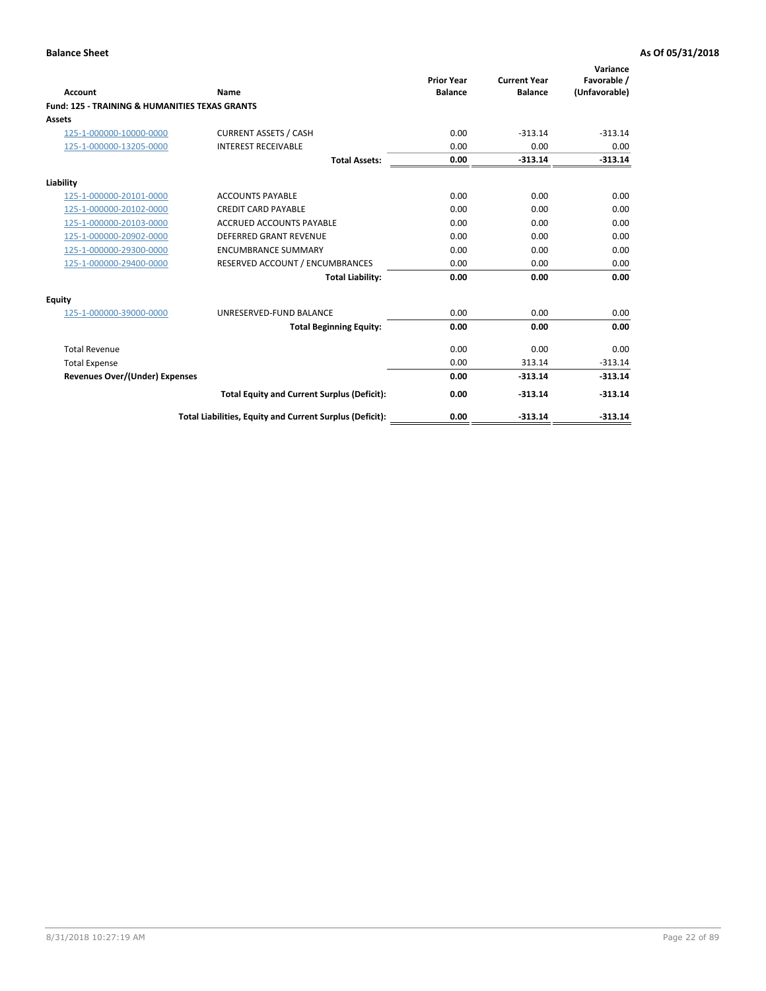|                                                           |                                                          | <b>Prior Year</b> | <b>Current Year</b> | Variance<br>Favorable / |
|-----------------------------------------------------------|----------------------------------------------------------|-------------------|---------------------|-------------------------|
| <b>Account</b>                                            | <b>Name</b>                                              | <b>Balance</b>    | <b>Balance</b>      | (Unfavorable)           |
| <b>Fund: 125 - TRAINING &amp; HUMANITIES TEXAS GRANTS</b> |                                                          |                   |                     |                         |
| <b>Assets</b>                                             |                                                          |                   |                     |                         |
| 125-1-000000-10000-0000                                   | <b>CURRENT ASSETS / CASH</b>                             | 0.00              | $-313.14$           | $-313.14$               |
| 125-1-000000-13205-0000                                   | <b>INTEREST RECEIVABLE</b>                               | 0.00              | 0.00                | 0.00                    |
|                                                           | <b>Total Assets:</b>                                     | 0.00              | $-313.14$           | $-313.14$               |
| Liability                                                 |                                                          |                   |                     |                         |
| 125-1-000000-20101-0000                                   | <b>ACCOUNTS PAYABLE</b>                                  | 0.00              | 0.00                | 0.00                    |
| 125-1-000000-20102-0000                                   | <b>CREDIT CARD PAYABLE</b>                               | 0.00              | 0.00                | 0.00                    |
| 125-1-000000-20103-0000                                   | <b>ACCRUED ACCOUNTS PAYABLE</b>                          | 0.00              | 0.00                | 0.00                    |
| 125-1-000000-20902-0000                                   | <b>DEFERRED GRANT REVENUE</b>                            | 0.00              | 0.00                | 0.00                    |
| 125-1-000000-29300-0000                                   | <b>ENCUMBRANCE SUMMARY</b>                               | 0.00              | 0.00                | 0.00                    |
| 125-1-000000-29400-0000                                   | RESERVED ACCOUNT / ENCUMBRANCES                          | 0.00              | 0.00                | 0.00                    |
|                                                           | <b>Total Liability:</b>                                  | 0.00              | 0.00                | 0.00                    |
| Equity                                                    |                                                          |                   |                     |                         |
| 125-1-000000-39000-0000                                   | UNRESERVED-FUND BALANCE                                  | 0.00              | 0.00                | 0.00                    |
|                                                           | <b>Total Beginning Equity:</b>                           | 0.00              | 0.00                | 0.00                    |
| <b>Total Revenue</b>                                      |                                                          | 0.00              | 0.00                | 0.00                    |
| <b>Total Expense</b>                                      |                                                          | 0.00              | 313.14              | $-313.14$               |
| <b>Revenues Over/(Under) Expenses</b>                     |                                                          | 0.00              | $-313.14$           | $-313.14$               |
|                                                           | <b>Total Equity and Current Surplus (Deficit):</b>       | 0.00              | $-313.14$           | $-313.14$               |
|                                                           | Total Liabilities, Equity and Current Surplus (Deficit): | 0.00              | $-313.14$           | $-313.14$               |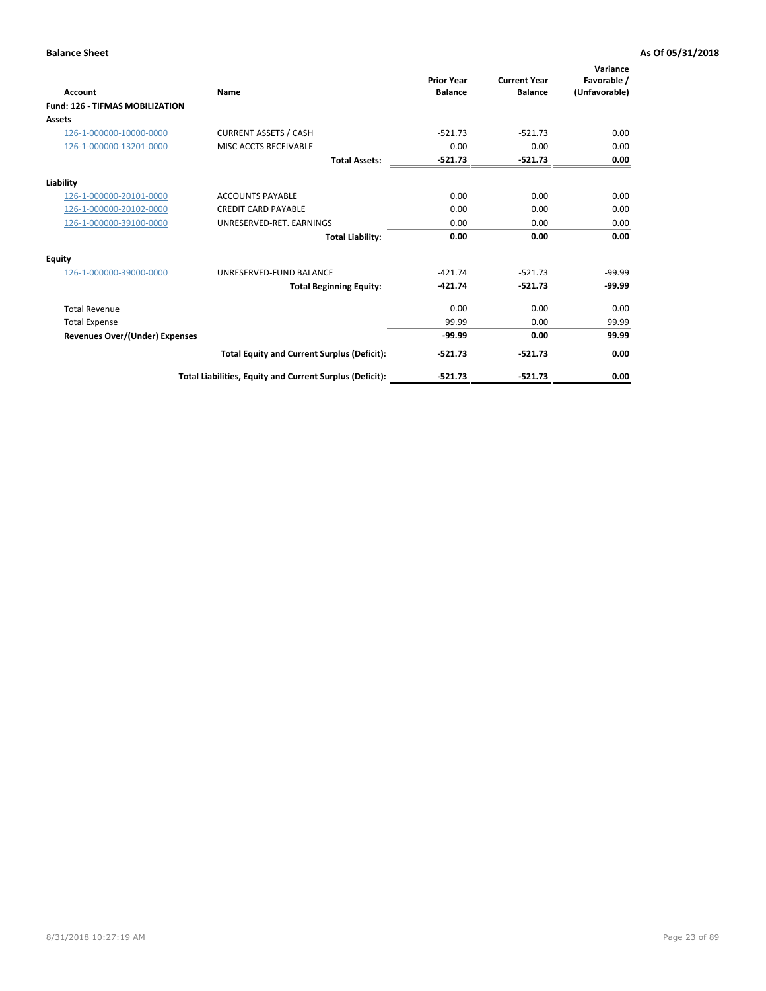| Account                                | Name                                                     | <b>Prior Year</b><br><b>Balance</b> | <b>Current Year</b><br><b>Balance</b> | Variance<br>Favorable /<br>(Unfavorable) |
|----------------------------------------|----------------------------------------------------------|-------------------------------------|---------------------------------------|------------------------------------------|
| <b>Fund: 126 - TIFMAS MOBILIZATION</b> |                                                          |                                     |                                       |                                          |
| Assets                                 |                                                          |                                     |                                       |                                          |
| 126-1-000000-10000-0000                | <b>CURRENT ASSETS / CASH</b>                             | $-521.73$                           | $-521.73$                             | 0.00                                     |
| 126-1-000000-13201-0000                | MISC ACCTS RECEIVABLE                                    | 0.00                                | 0.00                                  | 0.00                                     |
|                                        | <b>Total Assets:</b>                                     | $-521.73$                           | $-521.73$                             | 0.00                                     |
| Liability                              |                                                          |                                     |                                       |                                          |
| 126-1-000000-20101-0000                | <b>ACCOUNTS PAYABLE</b>                                  | 0.00                                | 0.00                                  | 0.00                                     |
| 126-1-000000-20102-0000                | <b>CREDIT CARD PAYABLE</b>                               | 0.00                                | 0.00                                  | 0.00                                     |
| 126-1-000000-39100-0000                | UNRESERVED-RET. EARNINGS                                 | 0.00                                | 0.00                                  | 0.00                                     |
|                                        | <b>Total Liability:</b>                                  | 0.00                                | 0.00                                  | 0.00                                     |
| Equity                                 |                                                          |                                     |                                       |                                          |
| 126-1-000000-39000-0000                | UNRESERVED-FUND BALANCE                                  | $-421.74$                           | $-521.73$                             | $-99.99$                                 |
|                                        | <b>Total Beginning Equity:</b>                           | $-421.74$                           | $-521.73$                             | $-99.99$                                 |
| <b>Total Revenue</b>                   |                                                          | 0.00                                | 0.00                                  | 0.00                                     |
| <b>Total Expense</b>                   |                                                          | 99.99                               | 0.00                                  | 99.99                                    |
| Revenues Over/(Under) Expenses         |                                                          | $-99.99$                            | 0.00                                  | 99.99                                    |
|                                        | <b>Total Equity and Current Surplus (Deficit):</b>       | $-521.73$                           | $-521.73$                             | 0.00                                     |
|                                        | Total Liabilities, Equity and Current Surplus (Deficit): | $-521.73$                           | $-521.73$                             | 0.00                                     |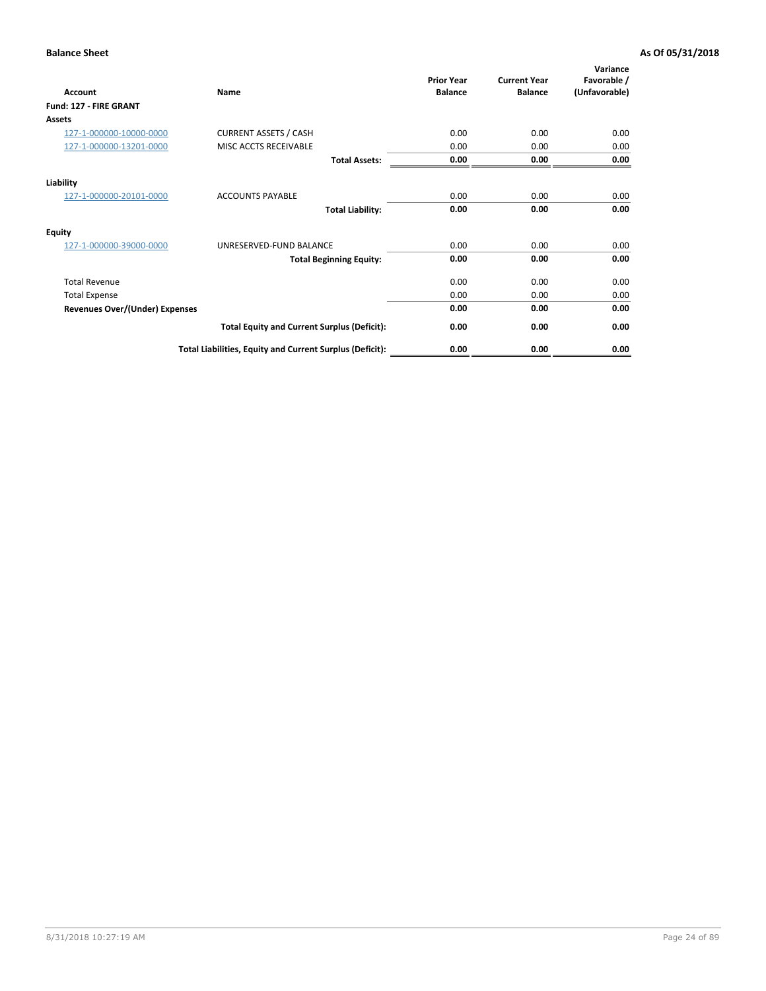| <b>Account</b>                        | Name                                                     | <b>Prior Year</b><br><b>Balance</b> | <b>Current Year</b><br><b>Balance</b> | Variance<br>Favorable /<br>(Unfavorable) |
|---------------------------------------|----------------------------------------------------------|-------------------------------------|---------------------------------------|------------------------------------------|
| Fund: 127 - FIRE GRANT                |                                                          |                                     |                                       |                                          |
| Assets                                |                                                          |                                     |                                       |                                          |
| 127-1-000000-10000-0000               | <b>CURRENT ASSETS / CASH</b>                             | 0.00                                | 0.00                                  | 0.00                                     |
| 127-1-000000-13201-0000               | MISC ACCTS RECEIVABLE                                    | 0.00                                | 0.00                                  | 0.00                                     |
|                                       | <b>Total Assets:</b>                                     | 0.00                                | 0.00                                  | 0.00                                     |
| Liability                             |                                                          |                                     |                                       |                                          |
| 127-1-000000-20101-0000               | <b>ACCOUNTS PAYABLE</b>                                  | 0.00                                | 0.00                                  | 0.00                                     |
|                                       | <b>Total Liability:</b>                                  | 0.00                                | 0.00                                  | 0.00                                     |
| Equity                                |                                                          |                                     |                                       |                                          |
| 127-1-000000-39000-0000               | UNRESERVED-FUND BALANCE                                  | 0.00                                | 0.00                                  | 0.00                                     |
|                                       | <b>Total Beginning Equity:</b>                           | 0.00                                | 0.00                                  | 0.00                                     |
| <b>Total Revenue</b>                  |                                                          | 0.00                                | 0.00                                  | 0.00                                     |
| <b>Total Expense</b>                  |                                                          | 0.00                                | 0.00                                  | 0.00                                     |
| <b>Revenues Over/(Under) Expenses</b> |                                                          | 0.00                                | 0.00                                  | 0.00                                     |
|                                       | <b>Total Equity and Current Surplus (Deficit):</b>       | 0.00                                | 0.00                                  | 0.00                                     |
|                                       | Total Liabilities, Equity and Current Surplus (Deficit): | 0.00                                | 0.00                                  | 0.00                                     |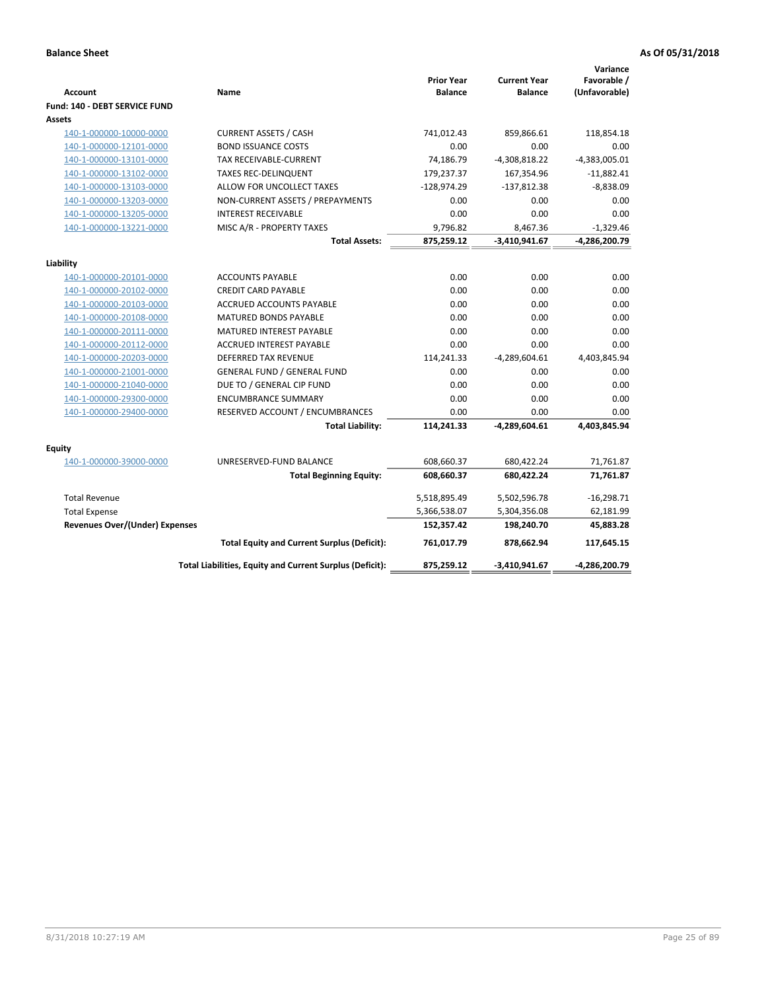| <b>Account</b>                        | Name                                                     | <b>Prior Year</b><br><b>Balance</b> | <b>Current Year</b><br><b>Balance</b> | Variance<br>Favorable /<br>(Unfavorable) |
|---------------------------------------|----------------------------------------------------------|-------------------------------------|---------------------------------------|------------------------------------------|
| Fund: 140 - DEBT SERVICE FUND         |                                                          |                                     |                                       |                                          |
| Assets                                |                                                          |                                     |                                       |                                          |
| 140-1-000000-10000-0000               | <b>CURRENT ASSETS / CASH</b>                             | 741,012.43                          | 859,866.61                            | 118,854.18                               |
| 140-1-000000-12101-0000               | <b>BOND ISSUANCE COSTS</b>                               | 0.00                                | 0.00                                  | 0.00                                     |
| 140-1-000000-13101-0000               | <b>TAX RECEIVABLE-CURRENT</b>                            | 74,186.79                           | $-4,308,818.22$                       | $-4,383,005.01$                          |
| 140-1-000000-13102-0000               | <b>TAXES REC-DELINQUENT</b>                              | 179,237.37                          | 167,354.96                            | $-11,882.41$                             |
| 140-1-000000-13103-0000               | ALLOW FOR UNCOLLECT TAXES                                | $-128,974.29$                       | $-137,812.38$                         | $-8,838.09$                              |
| 140-1-000000-13203-0000               | NON-CURRENT ASSETS / PREPAYMENTS                         | 0.00                                | 0.00                                  | 0.00                                     |
| 140-1-000000-13205-0000               | <b>INTEREST RECEIVABLE</b>                               | 0.00                                | 0.00                                  | 0.00                                     |
| 140-1-000000-13221-0000               | MISC A/R - PROPERTY TAXES                                | 9,796.82                            | 8,467.36                              | $-1,329.46$                              |
|                                       | <b>Total Assets:</b>                                     | 875,259.12                          | $-3,410,941.67$                       | -4,286,200.79                            |
| Liability                             |                                                          |                                     |                                       |                                          |
| 140-1-000000-20101-0000               | <b>ACCOUNTS PAYABLE</b>                                  | 0.00                                | 0.00                                  | 0.00                                     |
| 140-1-000000-20102-0000               | <b>CREDIT CARD PAYABLE</b>                               | 0.00                                | 0.00                                  | 0.00                                     |
| 140-1-000000-20103-0000               | ACCRUED ACCOUNTS PAYABLE                                 | 0.00                                | 0.00                                  | 0.00                                     |
| 140-1-000000-20108-0000               | <b>MATURED BONDS PAYABLE</b>                             | 0.00                                | 0.00                                  | 0.00                                     |
| 140-1-000000-20111-0000               | MATURED INTEREST PAYABLE                                 | 0.00                                | 0.00                                  | 0.00                                     |
| 140-1-000000-20112-0000               | <b>ACCRUED INTEREST PAYABLE</b>                          | 0.00                                | 0.00                                  | 0.00                                     |
| 140-1-000000-20203-0000               | <b>DEFERRED TAX REVENUE</b>                              | 114,241.33                          | $-4,289,604.61$                       | 4,403,845.94                             |
| 140-1-000000-21001-0000               | <b>GENERAL FUND / GENERAL FUND</b>                       | 0.00                                | 0.00                                  | 0.00                                     |
| 140-1-000000-21040-0000               | DUE TO / GENERAL CIP FUND                                | 0.00                                | 0.00                                  | 0.00                                     |
| 140-1-000000-29300-0000               | <b>ENCUMBRANCE SUMMARY</b>                               | 0.00                                | 0.00                                  | 0.00                                     |
| 140-1-000000-29400-0000               | RESERVED ACCOUNT / ENCUMBRANCES                          | 0.00                                | 0.00                                  | 0.00                                     |
|                                       | <b>Total Liability:</b>                                  | 114,241.33                          | $-4,289,604.61$                       | 4,403,845.94                             |
|                                       |                                                          |                                     |                                       |                                          |
| Equity<br>140-1-000000-39000-0000     | UNRESERVED-FUND BALANCE                                  | 608,660.37                          | 680,422.24                            | 71,761.87                                |
|                                       | <b>Total Beginning Equity:</b>                           | 608,660.37                          | 680,422.24                            | 71,761.87                                |
|                                       |                                                          |                                     |                                       |                                          |
| <b>Total Revenue</b>                  |                                                          | 5,518,895.49                        | 5,502,596.78                          | $-16,298.71$                             |
| <b>Total Expense</b>                  |                                                          | 5,366,538.07                        | 5,304,356.08                          | 62,181.99                                |
| <b>Revenues Over/(Under) Expenses</b> |                                                          | 152,357.42                          | 198,240.70                            | 45,883.28                                |
|                                       | <b>Total Equity and Current Surplus (Deficit):</b>       | 761,017.79                          | 878,662.94                            | 117,645.15                               |
|                                       | Total Liabilities, Equity and Current Surplus (Deficit): | 875,259.12                          | $-3,410,941.67$                       | -4,286,200.79                            |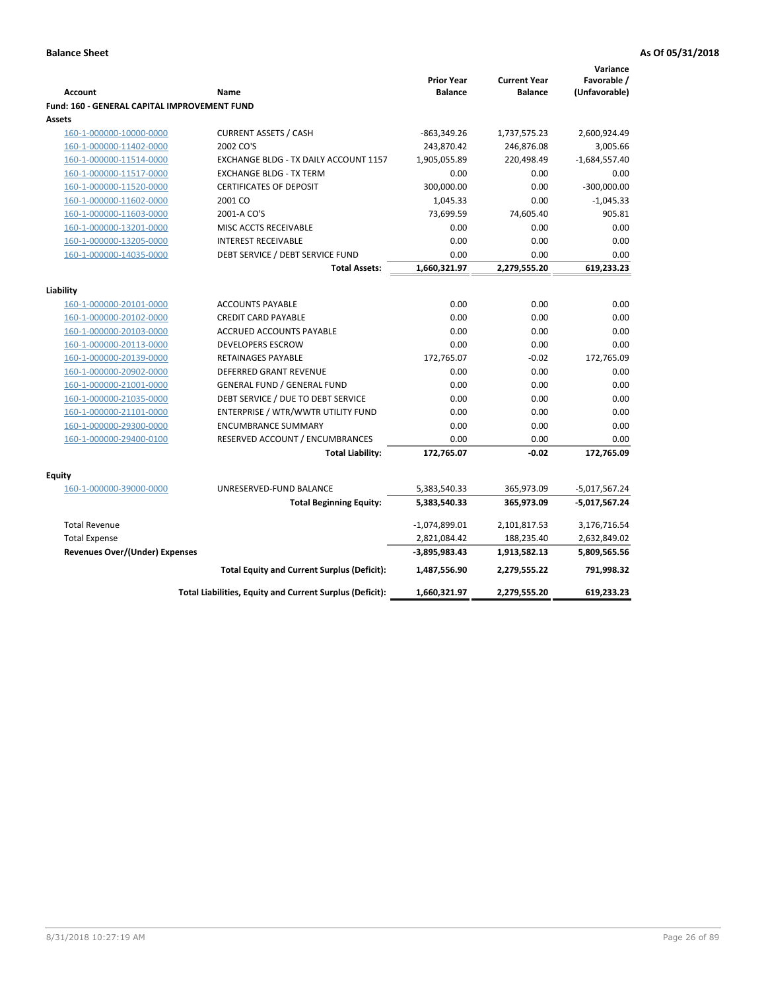|                                                     |                                                                  |                                     |                                       | Variance              |
|-----------------------------------------------------|------------------------------------------------------------------|-------------------------------------|---------------------------------------|-----------------------|
| <b>Account</b>                                      |                                                                  | <b>Prior Year</b><br><b>Balance</b> | <b>Current Year</b><br><b>Balance</b> | Favorable /           |
|                                                     | Name                                                             |                                     |                                       | (Unfavorable)         |
| <b>Fund: 160 - GENERAL CAPITAL IMPROVEMENT FUND</b> |                                                                  |                                     |                                       |                       |
| Assets                                              |                                                                  |                                     |                                       |                       |
| 160-1-000000-10000-0000                             | <b>CURRENT ASSETS / CASH</b><br>2002 CO'S                        | $-863,349.26$                       | 1,737,575.23                          | 2,600,924.49          |
| 160-1-000000-11402-0000                             |                                                                  | 243,870.42<br>1,905,055.89          | 246,876.08<br>220,498.49              | 3,005.66              |
| 160-1-000000-11514-0000                             | EXCHANGE BLDG - TX DAILY ACCOUNT 1157                            | 0.00                                | 0.00                                  | $-1,684,557.40$       |
| 160-1-000000-11517-0000                             | <b>EXCHANGE BLDG - TX TERM</b><br><b>CERTIFICATES OF DEPOSIT</b> | 300,000.00                          | 0.00                                  | 0.00<br>$-300,000.00$ |
| 160-1-000000-11520-0000                             | 2001 CO                                                          |                                     | 0.00                                  | $-1,045.33$           |
| 160-1-000000-11602-0000                             |                                                                  | 1,045.33                            |                                       |                       |
| 160-1-000000-11603-0000                             | 2001-A CO'S                                                      | 73,699.59                           | 74,605.40                             | 905.81                |
| 160-1-000000-13201-0000                             | MISC ACCTS RECEIVABLE                                            | 0.00                                | 0.00                                  | 0.00                  |
| 160-1-000000-13205-0000                             | <b>INTEREST RECEIVABLE</b>                                       | 0.00                                | 0.00                                  | 0.00                  |
| 160-1-000000-14035-0000                             | DEBT SERVICE / DEBT SERVICE FUND                                 | 0.00                                | 0.00                                  | 0.00                  |
|                                                     | <b>Total Assets:</b>                                             | 1,660,321.97                        | 2,279,555.20                          | 619,233.23            |
| Liability                                           |                                                                  |                                     |                                       |                       |
| 160-1-000000-20101-0000                             | <b>ACCOUNTS PAYABLE</b>                                          | 0.00                                | 0.00                                  | 0.00                  |
| 160-1-000000-20102-0000                             | <b>CREDIT CARD PAYABLE</b>                                       | 0.00                                | 0.00                                  | 0.00                  |
| 160-1-000000-20103-0000                             | ACCRUED ACCOUNTS PAYABLE                                         | 0.00                                | 0.00                                  | 0.00                  |
| 160-1-000000-20113-0000                             | <b>DEVELOPERS ESCROW</b>                                         | 0.00                                | 0.00                                  | 0.00                  |
| 160-1-000000-20139-0000                             | <b>RETAINAGES PAYABLE</b>                                        | 172,765.07                          | $-0.02$                               | 172,765.09            |
| 160-1-000000-20902-0000                             | <b>DEFERRED GRANT REVENUE</b>                                    | 0.00                                | 0.00                                  | 0.00                  |
| 160-1-000000-21001-0000                             | GENERAL FUND / GENERAL FUND                                      | 0.00                                | 0.00                                  | 0.00                  |
| 160-1-000000-21035-0000                             | DEBT SERVICE / DUE TO DEBT SERVICE                               | 0.00                                | 0.00                                  | 0.00                  |
| 160-1-000000-21101-0000                             | ENTERPRISE / WTR/WWTR UTILITY FUND                               | 0.00                                | 0.00                                  | 0.00                  |
| 160-1-000000-29300-0000                             | <b>ENCUMBRANCE SUMMARY</b>                                       | 0.00                                | 0.00                                  | 0.00                  |
| 160-1-000000-29400-0100                             | RESERVED ACCOUNT / ENCUMBRANCES                                  | 0.00                                | 0.00                                  | 0.00                  |
|                                                     | <b>Total Liability:</b>                                          | 172,765.07                          | $-0.02$                               | 172,765.09            |
|                                                     |                                                                  |                                     |                                       |                       |
| <b>Equity</b>                                       |                                                                  |                                     |                                       |                       |
| 160-1-000000-39000-0000                             | UNRESERVED-FUND BALANCE                                          | 5,383,540.33                        | 365,973.09                            | $-5,017,567.24$       |
|                                                     | <b>Total Beginning Equity:</b>                                   | 5,383,540.33                        | 365,973.09                            | -5,017,567.24         |
| <b>Total Revenue</b>                                |                                                                  | $-1,074,899.01$                     | 2,101,817.53                          | 3,176,716.54          |
| <b>Total Expense</b>                                |                                                                  | 2,821,084.42                        | 188,235.40                            | 2,632,849.02          |
| <b>Revenues Over/(Under) Expenses</b>               |                                                                  | $-3,895,983.43$                     | 1,913,582.13                          | 5,809,565.56          |
|                                                     | <b>Total Equity and Current Surplus (Deficit):</b>               | 1,487,556.90                        | 2,279,555.22                          | 791,998.32            |
|                                                     | Total Liabilities, Equity and Current Surplus (Deficit):         | 1,660,321.97                        | 2,279,555.20                          | 619,233.23            |
|                                                     |                                                                  |                                     |                                       |                       |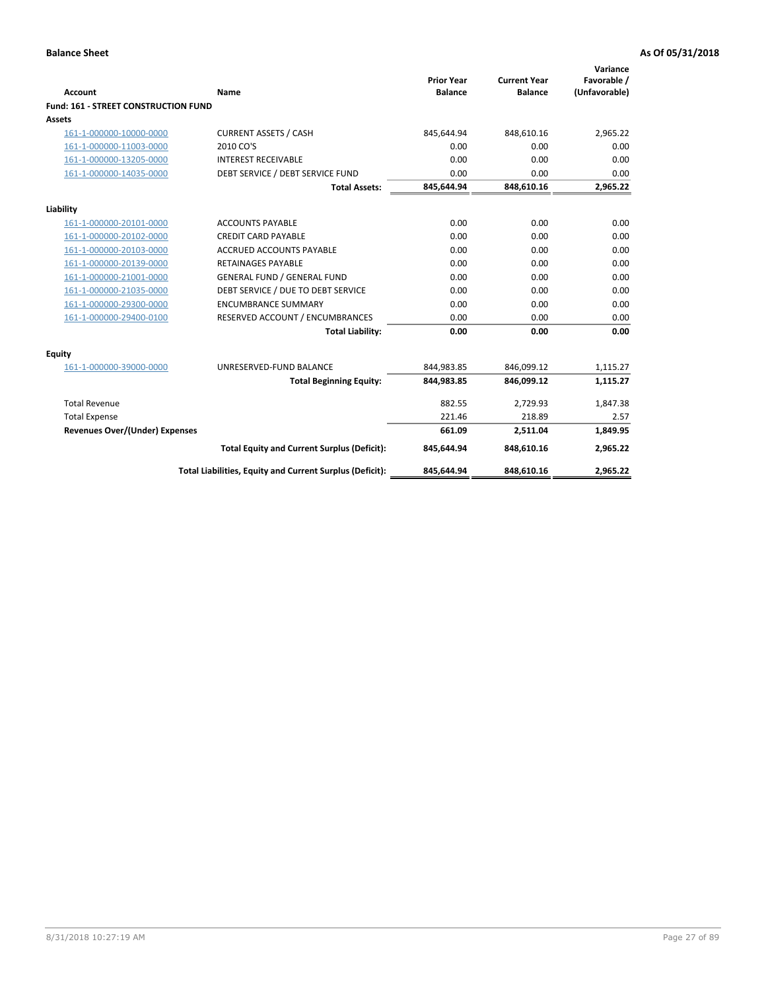| <b>Account</b>                       | <b>Name</b>                                              | <b>Prior Year</b><br><b>Balance</b> | <b>Current Year</b><br><b>Balance</b> | Variance<br>Favorable /<br>(Unfavorable) |
|--------------------------------------|----------------------------------------------------------|-------------------------------------|---------------------------------------|------------------------------------------|
| Fund: 161 - STREET CONSTRUCTION FUND |                                                          |                                     |                                       |                                          |
| <b>Assets</b>                        |                                                          |                                     |                                       |                                          |
| 161-1-000000-10000-0000              | <b>CURRENT ASSETS / CASH</b>                             | 845,644.94                          | 848,610.16                            | 2.965.22                                 |
| 161-1-000000-11003-0000              | 2010 CO'S                                                | 0.00                                | 0.00                                  | 0.00                                     |
| 161-1-000000-13205-0000              | <b>INTEREST RECEIVABLE</b>                               | 0.00                                | 0.00                                  | 0.00                                     |
| 161-1-000000-14035-0000              | DEBT SERVICE / DEBT SERVICE FUND                         | 0.00                                | 0.00                                  | 0.00                                     |
|                                      | <b>Total Assets:</b>                                     | 845,644.94                          | 848,610.16                            | 2,965.22                                 |
| Liability                            |                                                          |                                     |                                       |                                          |
| 161-1-000000-20101-0000              | <b>ACCOUNTS PAYABLE</b>                                  | 0.00                                | 0.00                                  | 0.00                                     |
| 161-1-000000-20102-0000              | <b>CREDIT CARD PAYABLE</b>                               | 0.00                                | 0.00                                  | 0.00                                     |
| 161-1-000000-20103-0000              | <b>ACCRUED ACCOUNTS PAYABLE</b>                          | 0.00                                | 0.00                                  | 0.00                                     |
| 161-1-000000-20139-0000              | <b>RETAINAGES PAYABLE</b>                                | 0.00                                | 0.00                                  | 0.00                                     |
| 161-1-000000-21001-0000              | <b>GENERAL FUND / GENERAL FUND</b>                       | 0.00                                | 0.00                                  | 0.00                                     |
| 161-1-000000-21035-0000              | DEBT SERVICE / DUE TO DEBT SERVICE                       | 0.00                                | 0.00                                  | 0.00                                     |
| 161-1-000000-29300-0000              | <b>ENCUMBRANCE SUMMARY</b>                               | 0.00                                | 0.00                                  | 0.00                                     |
| 161-1-000000-29400-0100              | RESERVED ACCOUNT / ENCUMBRANCES                          | 0.00                                | 0.00                                  | 0.00                                     |
|                                      | <b>Total Liability:</b>                                  | 0.00                                | 0.00                                  | 0.00                                     |
| <b>Equity</b>                        |                                                          |                                     |                                       |                                          |
| 161-1-000000-39000-0000              | UNRESERVED-FUND BALANCE                                  | 844,983.85                          | 846,099.12                            | 1,115.27                                 |
|                                      | <b>Total Beginning Equity:</b>                           | 844,983.85                          | 846,099.12                            | 1,115.27                                 |
| <b>Total Revenue</b>                 |                                                          | 882.55                              | 2.729.93                              | 1.847.38                                 |
| <b>Total Expense</b>                 |                                                          | 221.46                              | 218.89                                | 2.57                                     |
| Revenues Over/(Under) Expenses       |                                                          | 661.09                              | 2,511.04                              | 1,849.95                                 |
|                                      | <b>Total Equity and Current Surplus (Deficit):</b>       | 845,644.94                          | 848,610.16                            | 2.965.22                                 |
|                                      | Total Liabilities, Equity and Current Surplus (Deficit): | 845,644.94                          | 848,610.16                            | 2.965.22                                 |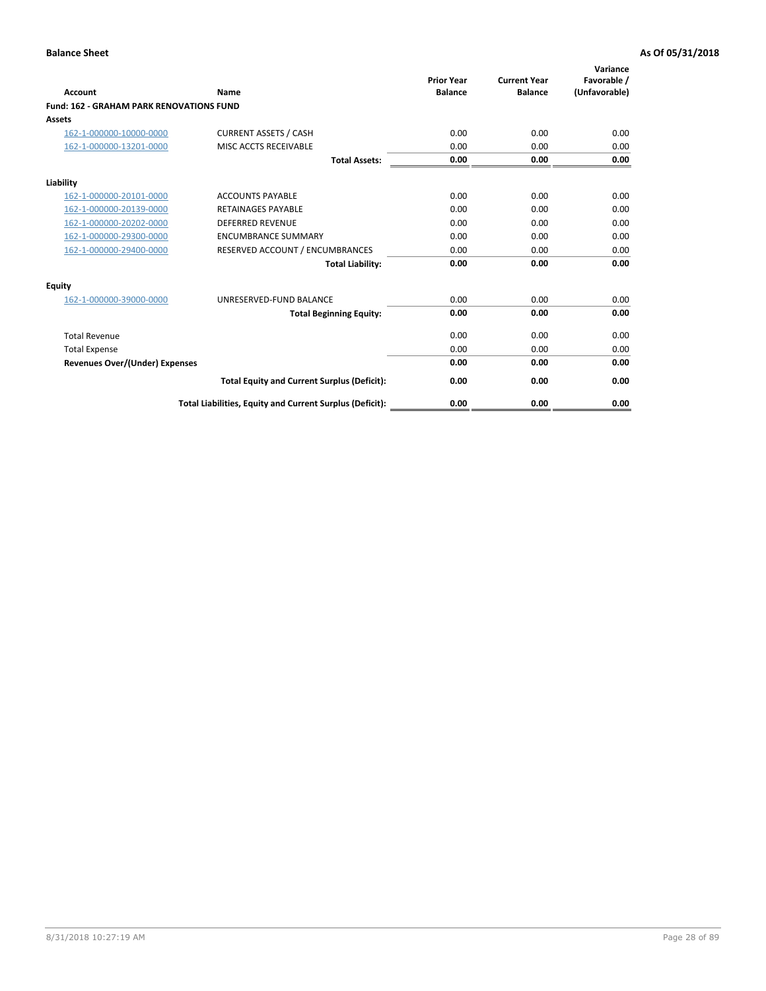| Account                                         | Name                                                     | <b>Prior Year</b><br><b>Balance</b> | <b>Current Year</b><br><b>Balance</b> | Variance<br>Favorable /<br>(Unfavorable) |
|-------------------------------------------------|----------------------------------------------------------|-------------------------------------|---------------------------------------|------------------------------------------|
| <b>Fund: 162 - GRAHAM PARK RENOVATIONS FUND</b> |                                                          |                                     |                                       |                                          |
| <b>Assets</b>                                   |                                                          |                                     |                                       |                                          |
| 162-1-000000-10000-0000                         | <b>CURRENT ASSETS / CASH</b>                             | 0.00                                | 0.00                                  | 0.00                                     |
| 162-1-000000-13201-0000                         | MISC ACCTS RECEIVABLE                                    | 0.00                                | 0.00                                  | 0.00                                     |
|                                                 | <b>Total Assets:</b>                                     | 0.00                                | 0.00                                  | 0.00                                     |
| Liability                                       |                                                          |                                     |                                       |                                          |
| 162-1-000000-20101-0000                         | <b>ACCOUNTS PAYABLE</b>                                  | 0.00                                | 0.00                                  | 0.00                                     |
| 162-1-000000-20139-0000                         | <b>RETAINAGES PAYABLE</b>                                | 0.00                                | 0.00                                  | 0.00                                     |
| 162-1-000000-20202-0000                         | <b>DEFERRED REVENUE</b>                                  | 0.00                                | 0.00                                  | 0.00                                     |
| 162-1-000000-29300-0000                         | <b>ENCUMBRANCE SUMMARY</b>                               | 0.00                                | 0.00                                  | 0.00                                     |
| 162-1-000000-29400-0000                         | RESERVED ACCOUNT / ENCUMBRANCES                          | 0.00                                | 0.00                                  | 0.00                                     |
|                                                 | <b>Total Liability:</b>                                  | 0.00                                | 0.00                                  | 0.00                                     |
| Equity                                          |                                                          |                                     |                                       |                                          |
| 162-1-000000-39000-0000                         | UNRESERVED-FUND BALANCE                                  | 0.00                                | 0.00                                  | 0.00                                     |
|                                                 | <b>Total Beginning Equity:</b>                           | 0.00                                | 0.00                                  | 0.00                                     |
| <b>Total Revenue</b>                            |                                                          | 0.00                                | 0.00                                  | 0.00                                     |
| <b>Total Expense</b>                            |                                                          | 0.00                                | 0.00                                  | 0.00                                     |
| <b>Revenues Over/(Under) Expenses</b>           |                                                          | 0.00                                | 0.00                                  | 0.00                                     |
|                                                 | <b>Total Equity and Current Surplus (Deficit):</b>       | 0.00                                | 0.00                                  | 0.00                                     |
|                                                 | Total Liabilities, Equity and Current Surplus (Deficit): | 0.00                                | 0.00                                  | 0.00                                     |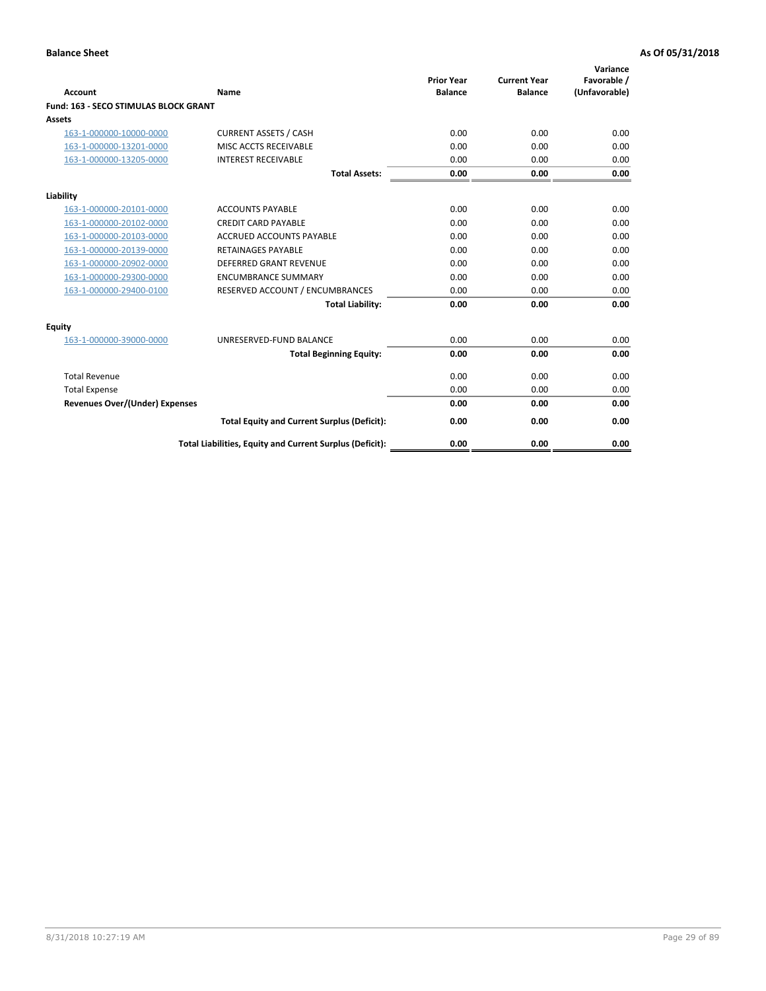| Account                               | Name                                                     | <b>Prior Year</b><br><b>Balance</b> | <b>Current Year</b><br><b>Balance</b> | Variance<br>Favorable /<br>(Unfavorable) |
|---------------------------------------|----------------------------------------------------------|-------------------------------------|---------------------------------------|------------------------------------------|
| Fund: 163 - SECO STIMULAS BLOCK GRANT |                                                          |                                     |                                       |                                          |
| <b>Assets</b>                         |                                                          |                                     |                                       |                                          |
| 163-1-000000-10000-0000               | <b>CURRENT ASSETS / CASH</b>                             | 0.00                                | 0.00                                  | 0.00                                     |
| 163-1-000000-13201-0000               | MISC ACCTS RECEIVABLE                                    | 0.00                                | 0.00                                  | 0.00                                     |
| 163-1-000000-13205-0000               | <b>INTEREST RECEIVABLE</b>                               | 0.00                                | 0.00                                  | 0.00                                     |
|                                       | <b>Total Assets:</b>                                     | 0.00                                | 0.00                                  | 0.00                                     |
| Liability                             |                                                          |                                     |                                       |                                          |
| 163-1-000000-20101-0000               | <b>ACCOUNTS PAYABLE</b>                                  | 0.00                                | 0.00                                  | 0.00                                     |
| 163-1-000000-20102-0000               | <b>CREDIT CARD PAYABLE</b>                               | 0.00                                | 0.00                                  | 0.00                                     |
| 163-1-000000-20103-0000               | <b>ACCRUED ACCOUNTS PAYABLE</b>                          | 0.00                                | 0.00                                  | 0.00                                     |
| 163-1-000000-20139-0000               | <b>RETAINAGES PAYABLE</b>                                | 0.00                                | 0.00                                  | 0.00                                     |
| 163-1-000000-20902-0000               | DEFERRED GRANT REVENUE                                   | 0.00                                | 0.00                                  | 0.00                                     |
| 163-1-000000-29300-0000               | <b>ENCUMBRANCE SUMMARY</b>                               | 0.00                                | 0.00                                  | 0.00                                     |
| 163-1-000000-29400-0100               | RESERVED ACCOUNT / ENCUMBRANCES                          | 0.00                                | 0.00                                  | 0.00                                     |
|                                       | <b>Total Liability:</b>                                  | 0.00                                | 0.00                                  | 0.00                                     |
| <b>Equity</b>                         |                                                          |                                     |                                       |                                          |
| 163-1-000000-39000-0000               | UNRESERVED-FUND BALANCE                                  | 0.00                                | 0.00                                  | 0.00                                     |
|                                       | <b>Total Beginning Equity:</b>                           | 0.00                                | 0.00                                  | 0.00                                     |
| <b>Total Revenue</b>                  |                                                          | 0.00                                | 0.00                                  | 0.00                                     |
| <b>Total Expense</b>                  |                                                          | 0.00                                | 0.00                                  | 0.00                                     |
| <b>Revenues Over/(Under) Expenses</b> |                                                          | 0.00                                | 0.00                                  | 0.00                                     |
|                                       | <b>Total Equity and Current Surplus (Deficit):</b>       | 0.00                                | 0.00                                  | 0.00                                     |
|                                       | Total Liabilities, Equity and Current Surplus (Deficit): | 0.00                                | 0.00                                  | 0.00                                     |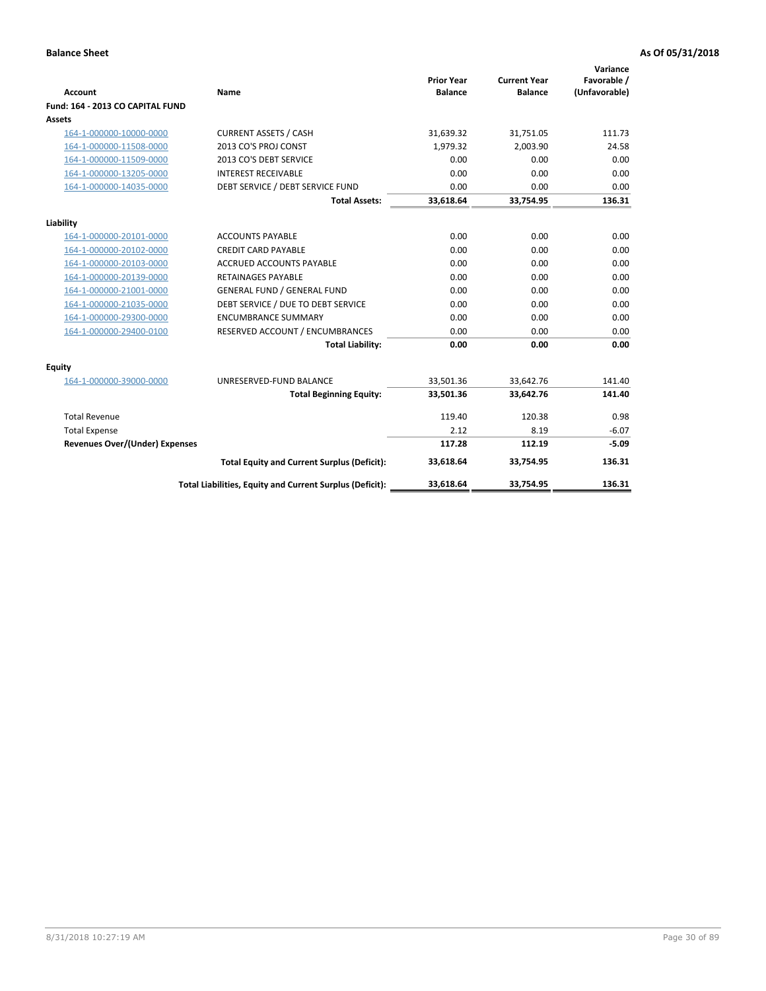| <b>Account</b>                        | <b>Name</b>                                              | <b>Prior Year</b><br><b>Balance</b> | <b>Current Year</b><br><b>Balance</b> | Variance<br>Favorable /<br>(Unfavorable) |
|---------------------------------------|----------------------------------------------------------|-------------------------------------|---------------------------------------|------------------------------------------|
| Fund: 164 - 2013 CO CAPITAL FUND      |                                                          |                                     |                                       |                                          |
| Assets                                |                                                          |                                     |                                       |                                          |
| 164-1-000000-10000-0000               | <b>CURRENT ASSETS / CASH</b>                             | 31,639.32                           | 31,751.05                             | 111.73                                   |
| 164-1-000000-11508-0000               | 2013 CO'S PROJ CONST                                     | 1,979.32                            | 2,003.90                              | 24.58                                    |
| 164-1-000000-11509-0000               | 2013 CO'S DEBT SERVICE                                   | 0.00                                | 0.00                                  | 0.00                                     |
| 164-1-000000-13205-0000               | <b>INTEREST RECEIVABLE</b>                               | 0.00                                | 0.00                                  | 0.00                                     |
| 164-1-000000-14035-0000               | DEBT SERVICE / DEBT SERVICE FUND                         | 0.00                                | 0.00                                  | 0.00                                     |
|                                       | <b>Total Assets:</b>                                     | 33,618.64                           | 33,754.95                             | 136.31                                   |
| Liability                             |                                                          |                                     |                                       |                                          |
| 164-1-000000-20101-0000               | <b>ACCOUNTS PAYABLE</b>                                  | 0.00                                | 0.00                                  | 0.00                                     |
| 164-1-000000-20102-0000               | <b>CREDIT CARD PAYABLE</b>                               | 0.00                                | 0.00                                  | 0.00                                     |
| 164-1-000000-20103-0000               | ACCRUED ACCOUNTS PAYABLE                                 | 0.00                                | 0.00                                  | 0.00                                     |
| 164-1-000000-20139-0000               | RETAINAGES PAYABLE                                       | 0.00                                | 0.00                                  | 0.00                                     |
| 164-1-000000-21001-0000               | <b>GENERAL FUND / GENERAL FUND</b>                       | 0.00                                | 0.00                                  | 0.00                                     |
| 164-1-000000-21035-0000               | DEBT SERVICE / DUE TO DEBT SERVICE                       | 0.00                                | 0.00                                  | 0.00                                     |
| 164-1-000000-29300-0000               | <b>ENCUMBRANCE SUMMARY</b>                               | 0.00                                | 0.00                                  | 0.00                                     |
| 164-1-000000-29400-0100               | RESERVED ACCOUNT / ENCUMBRANCES                          | 0.00                                | 0.00                                  | 0.00                                     |
|                                       | <b>Total Liability:</b>                                  | 0.00                                | 0.00                                  | 0.00                                     |
| Equity                                |                                                          |                                     |                                       |                                          |
| 164-1-000000-39000-0000               | UNRESERVED-FUND BALANCE                                  | 33,501.36                           | 33,642.76                             | 141.40                                   |
|                                       | <b>Total Beginning Equity:</b>                           | 33,501.36                           | 33,642.76                             | 141.40                                   |
| <b>Total Revenue</b>                  |                                                          | 119.40                              | 120.38                                | 0.98                                     |
| <b>Total Expense</b>                  |                                                          | 2.12                                | 8.19                                  | $-6.07$                                  |
| <b>Revenues Over/(Under) Expenses</b> |                                                          | 117.28                              | 112.19                                | $-5.09$                                  |
|                                       | <b>Total Equity and Current Surplus (Deficit):</b>       | 33,618.64                           | 33,754.95                             | 136.31                                   |
|                                       | Total Liabilities, Equity and Current Surplus (Deficit): | 33,618.64                           | 33,754.95                             | 136.31                                   |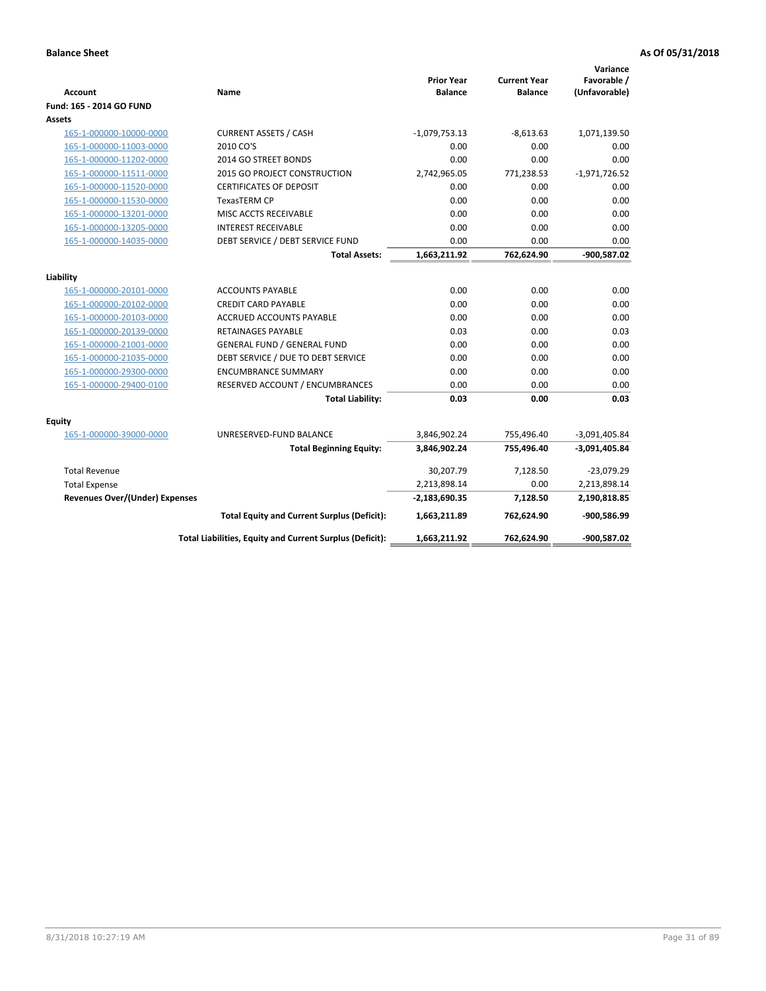| <b>Account</b>                        | Name                                                     | <b>Prior Year</b><br><b>Balance</b> | <b>Current Year</b><br><b>Balance</b> | Variance<br>Favorable /<br>(Unfavorable) |
|---------------------------------------|----------------------------------------------------------|-------------------------------------|---------------------------------------|------------------------------------------|
| Fund: 165 - 2014 GO FUND              |                                                          |                                     |                                       |                                          |
| Assets                                |                                                          |                                     |                                       |                                          |
| 165-1-000000-10000-0000               | <b>CURRENT ASSETS / CASH</b>                             | $-1,079,753.13$                     | $-8,613.63$                           | 1,071,139.50                             |
| 165-1-000000-11003-0000               | 2010 CO'S                                                | 0.00                                | 0.00                                  | 0.00                                     |
| 165-1-000000-11202-0000               | 2014 GO STREET BONDS                                     | 0.00                                | 0.00                                  | 0.00                                     |
| 165-1-000000-11511-0000               | 2015 GO PROJECT CONSTRUCTION                             | 2,742,965.05                        | 771,238.53                            | $-1,971,726.52$                          |
| 165-1-000000-11520-0000               | <b>CERTIFICATES OF DEPOSIT</b>                           | 0.00                                | 0.00                                  | 0.00                                     |
| 165-1-000000-11530-0000               | <b>TexasTERM CP</b>                                      | 0.00                                | 0.00                                  | 0.00                                     |
| 165-1-000000-13201-0000               | MISC ACCTS RECEIVABLE                                    | 0.00                                | 0.00                                  | 0.00                                     |
| 165-1-000000-13205-0000               | <b>INTEREST RECEIVABLE</b>                               | 0.00                                | 0.00                                  | 0.00                                     |
| 165-1-000000-14035-0000               | DEBT SERVICE / DEBT SERVICE FUND                         | 0.00                                | 0.00                                  | 0.00                                     |
|                                       | <b>Total Assets:</b>                                     | 1,663,211.92                        | 762,624.90                            | -900,587.02                              |
| Liability                             |                                                          |                                     |                                       |                                          |
| 165-1-000000-20101-0000               | <b>ACCOUNTS PAYABLE</b>                                  | 0.00                                | 0.00                                  | 0.00                                     |
| 165-1-000000-20102-0000               | <b>CREDIT CARD PAYABLE</b>                               | 0.00                                | 0.00                                  | 0.00                                     |
| 165-1-000000-20103-0000               | ACCRUED ACCOUNTS PAYABLE                                 | 0.00                                | 0.00                                  | 0.00                                     |
| 165-1-000000-20139-0000               | <b>RETAINAGES PAYABLE</b>                                | 0.03                                | 0.00                                  | 0.03                                     |
| 165-1-000000-21001-0000               | <b>GENERAL FUND / GENERAL FUND</b>                       | 0.00                                | 0.00                                  | 0.00                                     |
| 165-1-000000-21035-0000               | DEBT SERVICE / DUE TO DEBT SERVICE                       | 0.00                                | 0.00                                  | 0.00                                     |
| 165-1-000000-29300-0000               | <b>ENCUMBRANCE SUMMARY</b>                               | 0.00                                | 0.00                                  | 0.00                                     |
| 165-1-000000-29400-0100               | RESERVED ACCOUNT / ENCUMBRANCES                          | 0.00                                | 0.00                                  | 0.00                                     |
|                                       | <b>Total Liability:</b>                                  | 0.03                                | 0.00                                  | 0.03                                     |
| <b>Equity</b>                         |                                                          |                                     |                                       |                                          |
| 165-1-000000-39000-0000               | UNRESERVED-FUND BALANCE                                  | 3,846,902.24                        | 755,496.40                            | $-3,091,405.84$                          |
|                                       | <b>Total Beginning Equity:</b>                           | 3,846,902.24                        | 755,496.40                            | $-3,091,405.84$                          |
| <b>Total Revenue</b>                  |                                                          | 30,207.79                           | 7,128.50                              | $-23,079.29$                             |
| <b>Total Expense</b>                  |                                                          | 2,213,898.14                        | 0.00                                  | 2,213,898.14                             |
| <b>Revenues Over/(Under) Expenses</b> |                                                          | $-2,183,690.35$                     | 7,128.50                              | 2,190,818.85                             |
|                                       | <b>Total Equity and Current Surplus (Deficit):</b>       | 1,663,211.89                        | 762,624.90                            | -900,586.99                              |
|                                       | Total Liabilities, Equity and Current Surplus (Deficit): | 1,663,211.92                        | 762,624.90                            | -900,587.02                              |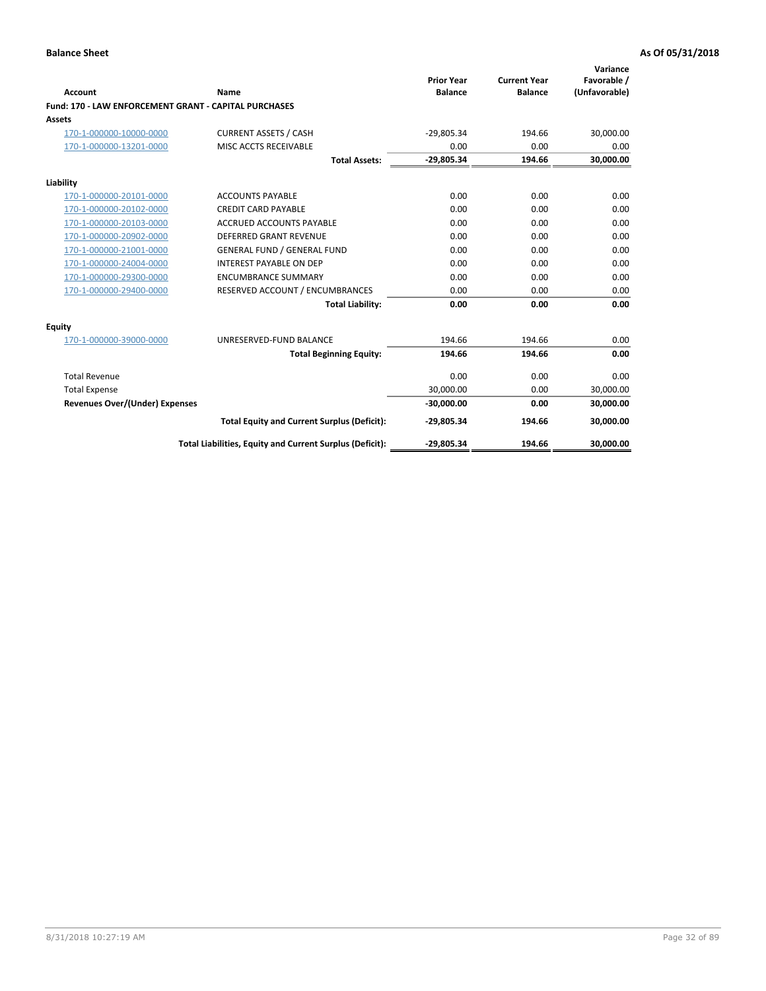| Account                                                      | Name                                                     | <b>Prior Year</b><br><b>Balance</b> | <b>Current Year</b><br><b>Balance</b> | Variance<br>Favorable /<br>(Unfavorable) |
|--------------------------------------------------------------|----------------------------------------------------------|-------------------------------------|---------------------------------------|------------------------------------------|
| <b>Fund: 170 - LAW ENFORCEMENT GRANT - CAPITAL PURCHASES</b> |                                                          |                                     |                                       |                                          |
| Assets                                                       |                                                          |                                     |                                       |                                          |
| 170-1-000000-10000-0000                                      | <b>CURRENT ASSETS / CASH</b>                             | $-29,805.34$                        | 194.66                                | 30,000.00                                |
| 170-1-000000-13201-0000                                      | MISC ACCTS RECEIVABLE                                    | 0.00                                | 0.00                                  | 0.00                                     |
|                                                              | <b>Total Assets:</b>                                     | $-29,805.34$                        | 194.66                                | 30,000.00                                |
| Liability                                                    |                                                          |                                     |                                       |                                          |
| 170-1-000000-20101-0000                                      | <b>ACCOUNTS PAYABLE</b>                                  | 0.00                                | 0.00                                  | 0.00                                     |
| 170-1-000000-20102-0000                                      | <b>CREDIT CARD PAYABLE</b>                               | 0.00                                | 0.00                                  | 0.00                                     |
| 170-1-000000-20103-0000                                      | <b>ACCRUED ACCOUNTS PAYABLE</b>                          | 0.00                                | 0.00                                  | 0.00                                     |
| 170-1-000000-20902-0000                                      | <b>DEFERRED GRANT REVENUE</b>                            | 0.00                                | 0.00                                  | 0.00                                     |
| 170-1-000000-21001-0000                                      | <b>GENERAL FUND / GENERAL FUND</b>                       | 0.00                                | 0.00                                  | 0.00                                     |
| 170-1-000000-24004-0000                                      | <b>INTEREST PAYABLE ON DEP</b>                           | 0.00                                | 0.00                                  | 0.00                                     |
| 170-1-000000-29300-0000                                      | <b>ENCUMBRANCE SUMMARY</b>                               | 0.00                                | 0.00                                  | 0.00                                     |
| 170-1-000000-29400-0000                                      | RESERVED ACCOUNT / ENCUMBRANCES                          | 0.00                                | 0.00                                  | 0.00                                     |
|                                                              | <b>Total Liability:</b>                                  | 0.00                                | 0.00                                  | 0.00                                     |
| <b>Equity</b>                                                |                                                          |                                     |                                       |                                          |
| 170-1-000000-39000-0000                                      | UNRESERVED-FUND BALANCE                                  | 194.66                              | 194.66                                | 0.00                                     |
|                                                              | <b>Total Beginning Equity:</b>                           | 194.66                              | 194.66                                | 0.00                                     |
| <b>Total Revenue</b>                                         |                                                          | 0.00                                | 0.00                                  | 0.00                                     |
| <b>Total Expense</b>                                         |                                                          | 30,000.00                           | 0.00                                  | 30,000.00                                |
| Revenues Over/(Under) Expenses                               |                                                          | $-30,000.00$                        | 0.00                                  | 30,000.00                                |
|                                                              | <b>Total Equity and Current Surplus (Deficit):</b>       | $-29,805.34$                        | 194.66                                | 30,000.00                                |
|                                                              | Total Liabilities, Equity and Current Surplus (Deficit): | $-29,805.34$                        | 194.66                                | 30,000.00                                |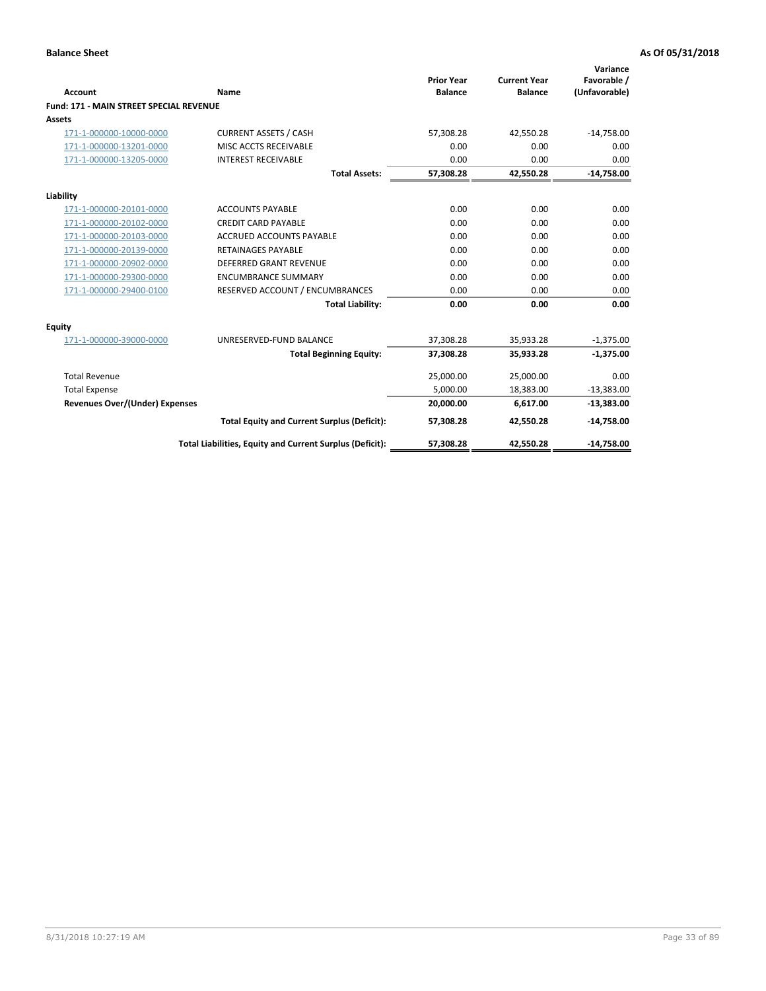| Account                                        | Name                                                     | <b>Prior Year</b><br><b>Balance</b> | <b>Current Year</b><br><b>Balance</b> | Variance<br>Favorable /<br>(Unfavorable) |
|------------------------------------------------|----------------------------------------------------------|-------------------------------------|---------------------------------------|------------------------------------------|
| <b>Fund: 171 - MAIN STREET SPECIAL REVENUE</b> |                                                          |                                     |                                       |                                          |
| Assets                                         |                                                          |                                     |                                       |                                          |
| 171-1-000000-10000-0000                        | <b>CURRENT ASSETS / CASH</b>                             | 57,308.28                           | 42,550.28                             | $-14,758.00$                             |
| 171-1-000000-13201-0000                        | MISC ACCTS RECEIVABLE                                    | 0.00                                | 0.00                                  | 0.00                                     |
| 171-1-000000-13205-0000                        | <b>INTEREST RECEIVABLE</b>                               | 0.00                                | 0.00                                  | 0.00                                     |
|                                                | <b>Total Assets:</b>                                     | 57,308.28                           | 42,550.28                             | $-14,758.00$                             |
| Liability                                      |                                                          |                                     |                                       |                                          |
| 171-1-000000-20101-0000                        | <b>ACCOUNTS PAYABLE</b>                                  | 0.00                                | 0.00                                  | 0.00                                     |
| 171-1-000000-20102-0000                        | <b>CREDIT CARD PAYABLE</b>                               | 0.00                                | 0.00                                  | 0.00                                     |
| 171-1-000000-20103-0000                        | <b>ACCRUED ACCOUNTS PAYABLE</b>                          | 0.00                                | 0.00                                  | 0.00                                     |
| 171-1-000000-20139-0000                        | <b>RETAINAGES PAYABLE</b>                                | 0.00                                | 0.00                                  | 0.00                                     |
| 171-1-000000-20902-0000                        | <b>DEFERRED GRANT REVENUE</b>                            | 0.00                                | 0.00                                  | 0.00                                     |
| 171-1-000000-29300-0000                        | <b>ENCUMBRANCE SUMMARY</b>                               | 0.00                                | 0.00                                  | 0.00                                     |
| 171-1-000000-29400-0100                        | RESERVED ACCOUNT / ENCUMBRANCES                          | 0.00                                | 0.00                                  | 0.00                                     |
|                                                | <b>Total Liability:</b>                                  | 0.00                                | 0.00                                  | 0.00                                     |
| <b>Equity</b>                                  |                                                          |                                     |                                       |                                          |
| 171-1-000000-39000-0000                        | UNRESERVED-FUND BALANCE                                  | 37,308.28                           | 35,933.28                             | $-1,375.00$                              |
|                                                | <b>Total Beginning Equity:</b>                           | 37,308.28                           | 35,933.28                             | $-1,375.00$                              |
| <b>Total Revenue</b>                           |                                                          | 25,000.00                           | 25,000.00                             | 0.00                                     |
| <b>Total Expense</b>                           |                                                          | 5,000.00                            | 18,383.00                             | $-13,383.00$                             |
| Revenues Over/(Under) Expenses                 |                                                          | 20,000.00                           | 6,617.00                              | $-13,383.00$                             |
|                                                | <b>Total Equity and Current Surplus (Deficit):</b>       | 57,308.28                           | 42,550.28                             | $-14,758.00$                             |
|                                                | Total Liabilities, Equity and Current Surplus (Deficit): | 57.308.28                           | 42.550.28                             | $-14.758.00$                             |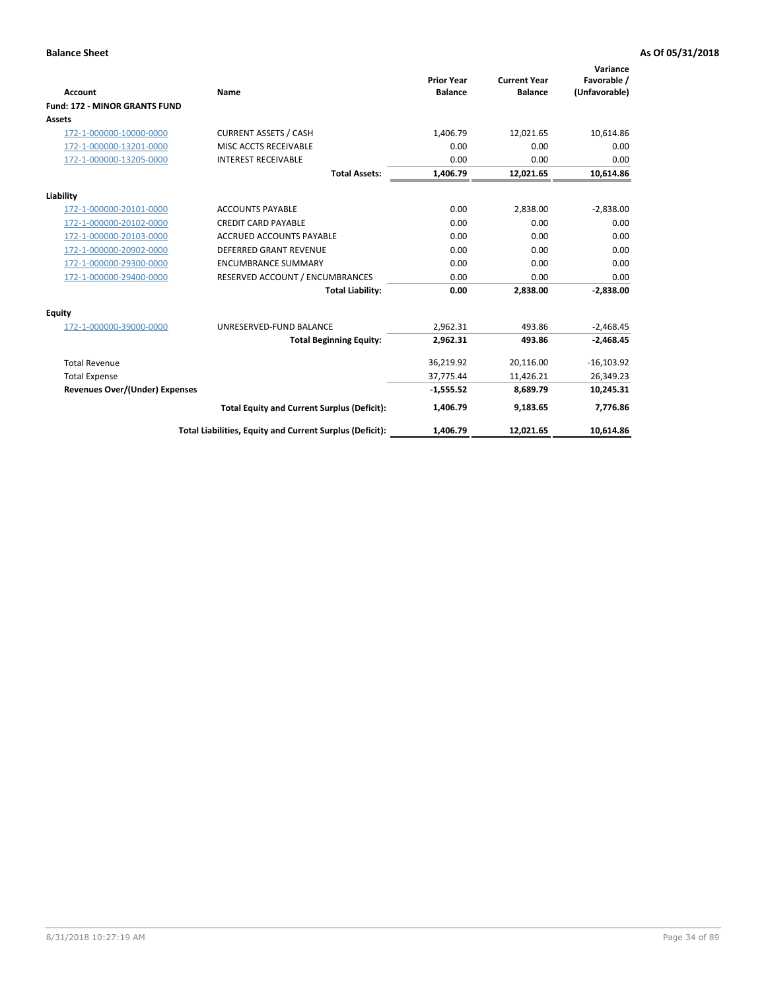|                                      |                                                          |                                     |                                       | Variance                     |
|--------------------------------------|----------------------------------------------------------|-------------------------------------|---------------------------------------|------------------------------|
| <b>Account</b>                       | <b>Name</b>                                              | <b>Prior Year</b><br><b>Balance</b> | <b>Current Year</b><br><b>Balance</b> | Favorable /<br>(Unfavorable) |
| <b>Fund: 172 - MINOR GRANTS FUND</b> |                                                          |                                     |                                       |                              |
| <b>Assets</b>                        |                                                          |                                     |                                       |                              |
| 172-1-000000-10000-0000              | <b>CURRENT ASSETS / CASH</b>                             | 1,406.79                            | 12,021.65                             | 10,614.86                    |
| 172-1-000000-13201-0000              | MISC ACCTS RECEIVABLE                                    | 0.00                                | 0.00                                  | 0.00                         |
| 172-1-000000-13205-0000              | <b>INTEREST RECEIVABLE</b>                               | 0.00                                | 0.00                                  | 0.00                         |
|                                      | <b>Total Assets:</b>                                     | 1,406.79                            | 12,021.65                             | 10,614.86                    |
| Liability                            |                                                          |                                     |                                       |                              |
| 172-1-000000-20101-0000              | <b>ACCOUNTS PAYABLE</b>                                  | 0.00                                | 2,838.00                              | $-2,838.00$                  |
| 172-1-000000-20102-0000              | <b>CREDIT CARD PAYABLE</b>                               | 0.00                                | 0.00                                  | 0.00                         |
| 172-1-000000-20103-0000              | <b>ACCRUED ACCOUNTS PAYABLE</b>                          | 0.00                                | 0.00                                  | 0.00                         |
| 172-1-000000-20902-0000              | DEFERRED GRANT REVENUE                                   | 0.00                                | 0.00                                  | 0.00                         |
| 172-1-000000-29300-0000              | <b>ENCUMBRANCE SUMMARY</b>                               | 0.00                                | 0.00                                  | 0.00                         |
| 172-1-000000-29400-0000              | RESERVED ACCOUNT / ENCUMBRANCES                          | 0.00                                | 0.00                                  | 0.00                         |
|                                      | <b>Total Liability:</b>                                  | 0.00                                | 2.838.00                              | $-2.838.00$                  |
| Equity                               |                                                          |                                     |                                       |                              |
| 172-1-000000-39000-0000              | UNRESERVED-FUND BALANCE                                  | 2,962.31                            | 493.86                                | $-2,468.45$                  |
|                                      | <b>Total Beginning Equity:</b>                           | 2,962.31                            | 493.86                                | $-2,468.45$                  |
| <b>Total Revenue</b>                 |                                                          | 36,219.92                           | 20,116.00                             | $-16,103.92$                 |
| <b>Total Expense</b>                 |                                                          | 37,775.44                           | 11,426.21                             | 26,349.23                    |
| Revenues Over/(Under) Expenses       |                                                          | $-1,555.52$                         | 8,689.79                              | 10,245.31                    |
|                                      | <b>Total Equity and Current Surplus (Deficit):</b>       | 1,406.79                            | 9,183.65                              | 7,776.86                     |
|                                      | Total Liabilities, Equity and Current Surplus (Deficit): | 1,406.79                            | 12,021.65                             | 10,614.86                    |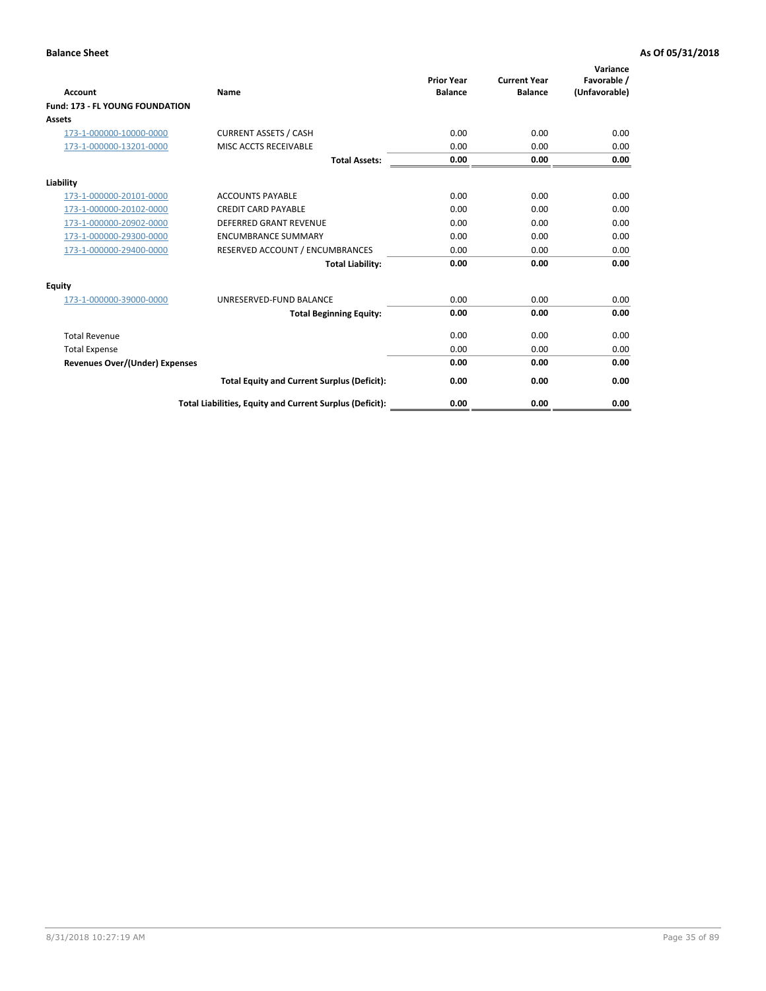| <b>Account</b>                         | Name                                                     | <b>Prior Year</b><br><b>Balance</b> | <b>Current Year</b><br><b>Balance</b> | Variance<br>Favorable /<br>(Unfavorable) |
|----------------------------------------|----------------------------------------------------------|-------------------------------------|---------------------------------------|------------------------------------------|
| <b>Fund: 173 - FL YOUNG FOUNDATION</b> |                                                          |                                     |                                       |                                          |
| Assets                                 |                                                          |                                     |                                       |                                          |
| 173-1-000000-10000-0000                | <b>CURRENT ASSETS / CASH</b>                             | 0.00                                | 0.00                                  | 0.00                                     |
| 173-1-000000-13201-0000                | MISC ACCTS RECEIVABLE                                    | 0.00                                | 0.00                                  | 0.00                                     |
|                                        | <b>Total Assets:</b>                                     | 0.00                                | 0.00                                  | 0.00                                     |
| Liability                              |                                                          |                                     |                                       |                                          |
| 173-1-000000-20101-0000                | <b>ACCOUNTS PAYABLE</b>                                  | 0.00                                | 0.00                                  | 0.00                                     |
| 173-1-000000-20102-0000                | <b>CREDIT CARD PAYABLE</b>                               | 0.00                                | 0.00                                  | 0.00                                     |
| 173-1-000000-20902-0000                | <b>DEFERRED GRANT REVENUE</b>                            | 0.00                                | 0.00                                  | 0.00                                     |
| 173-1-000000-29300-0000                | <b>ENCUMBRANCE SUMMARY</b>                               | 0.00                                | 0.00                                  | 0.00                                     |
| 173-1-000000-29400-0000                | RESERVED ACCOUNT / ENCUMBRANCES                          | 0.00                                | 0.00                                  | 0.00                                     |
|                                        | <b>Total Liability:</b>                                  | 0.00                                | 0.00                                  | 0.00                                     |
| Equity                                 |                                                          |                                     |                                       |                                          |
| 173-1-000000-39000-0000                | UNRESERVED-FUND BALANCE                                  | 0.00                                | 0.00                                  | 0.00                                     |
|                                        | <b>Total Beginning Equity:</b>                           | 0.00                                | 0.00                                  | 0.00                                     |
| <b>Total Revenue</b>                   |                                                          | 0.00                                | 0.00                                  | 0.00                                     |
| <b>Total Expense</b>                   |                                                          | 0.00                                | 0.00                                  | 0.00                                     |
| <b>Revenues Over/(Under) Expenses</b>  |                                                          | 0.00                                | 0.00                                  | 0.00                                     |
|                                        | <b>Total Equity and Current Surplus (Deficit):</b>       | 0.00                                | 0.00                                  | 0.00                                     |
|                                        | Total Liabilities, Equity and Current Surplus (Deficit): | 0.00                                | 0.00                                  | 0.00                                     |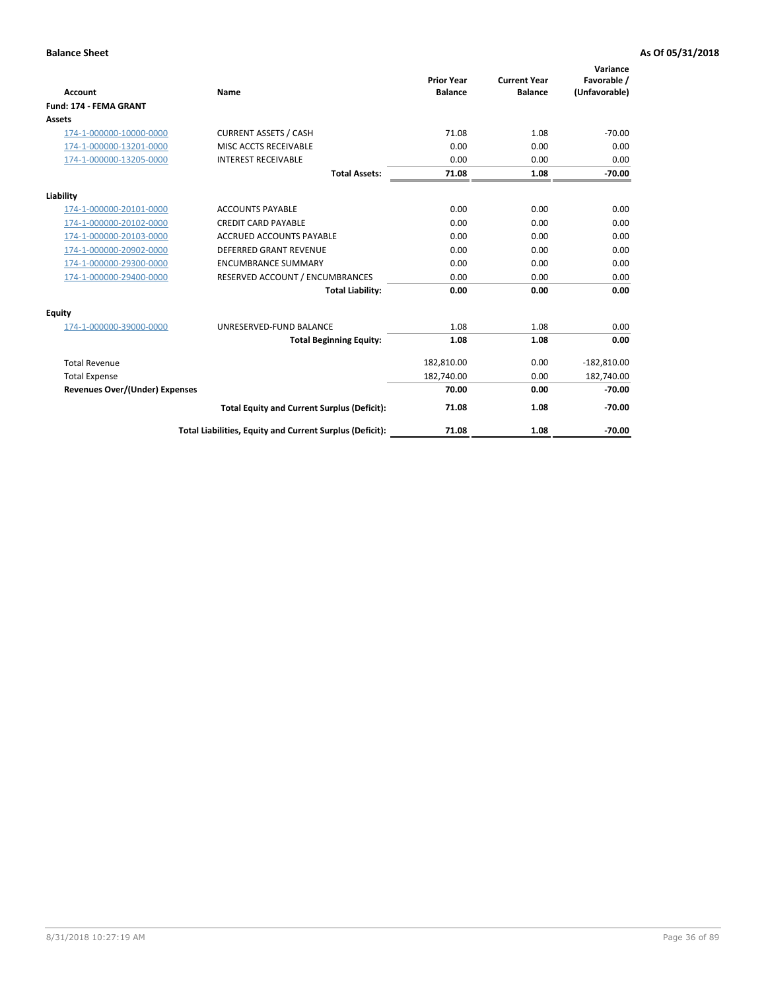|                                       |                                                          | <b>Prior Year</b> | <b>Current Year</b> | Variance<br>Favorable / |
|---------------------------------------|----------------------------------------------------------|-------------------|---------------------|-------------------------|
| <b>Account</b>                        | Name                                                     | <b>Balance</b>    | <b>Balance</b>      | (Unfavorable)           |
| Fund: 174 - FEMA GRANT                |                                                          |                   |                     |                         |
| <b>Assets</b>                         |                                                          |                   |                     |                         |
| 174-1-000000-10000-0000               | <b>CURRENT ASSETS / CASH</b>                             | 71.08             | 1.08                | $-70.00$                |
| 174-1-000000-13201-0000               | MISC ACCTS RECEIVABLE                                    | 0.00              | 0.00                | 0.00                    |
| 174-1-000000-13205-0000               | <b>INTEREST RECEIVABLE</b>                               | 0.00              | 0.00                | 0.00                    |
|                                       | <b>Total Assets:</b>                                     | 71.08             | 1.08                | $-70.00$                |
| Liability                             |                                                          |                   |                     |                         |
| 174-1-000000-20101-0000               | <b>ACCOUNTS PAYABLE</b>                                  | 0.00              | 0.00                | 0.00                    |
| 174-1-000000-20102-0000               | <b>CREDIT CARD PAYABLE</b>                               | 0.00              | 0.00                | 0.00                    |
| 174-1-000000-20103-0000               | <b>ACCRUED ACCOUNTS PAYABLE</b>                          | 0.00              | 0.00                | 0.00                    |
| 174-1-000000-20902-0000               | <b>DEFERRED GRANT REVENUE</b>                            | 0.00              | 0.00                | 0.00                    |
| 174-1-000000-29300-0000               | <b>ENCUMBRANCE SUMMARY</b>                               | 0.00              | 0.00                | 0.00                    |
| 174-1-000000-29400-0000               | RESERVED ACCOUNT / ENCUMBRANCES                          | 0.00              | 0.00                | 0.00                    |
|                                       | <b>Total Liability:</b>                                  | 0.00              | 0.00                | 0.00                    |
| Equity                                |                                                          |                   |                     |                         |
| 174-1-000000-39000-0000               | UNRESERVED-FUND BALANCE                                  | 1.08              | 1.08                | 0.00                    |
|                                       | <b>Total Beginning Equity:</b>                           | 1.08              | 1.08                | 0.00                    |
| <b>Total Revenue</b>                  |                                                          | 182,810.00        | 0.00                | $-182,810.00$           |
| <b>Total Expense</b>                  |                                                          | 182,740.00        | 0.00                | 182,740.00              |
| <b>Revenues Over/(Under) Expenses</b> |                                                          | 70.00             | 0.00                | $-70.00$                |
|                                       | <b>Total Equity and Current Surplus (Deficit):</b>       | 71.08             | 1.08                | $-70.00$                |
|                                       | Total Liabilities, Equity and Current Surplus (Deficit): | 71.08             | 1.08                | $-70.00$                |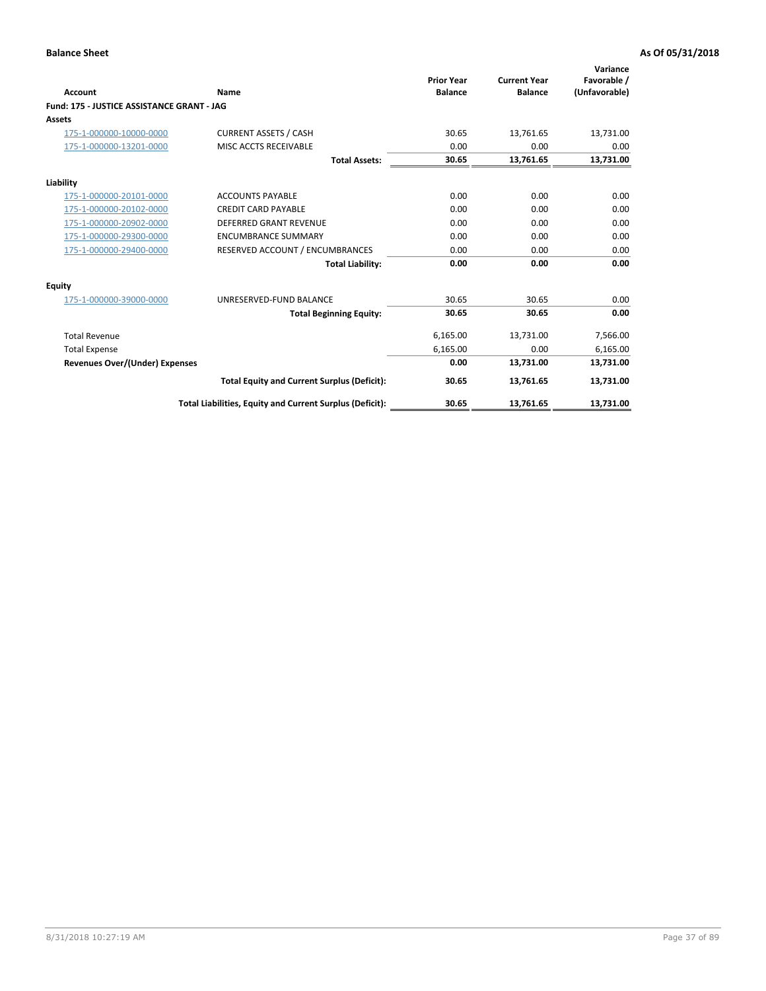| <b>Account</b>                             | Name                                                     | <b>Prior Year</b><br><b>Balance</b> | <b>Current Year</b><br><b>Balance</b> | Variance<br>Favorable /<br>(Unfavorable) |
|--------------------------------------------|----------------------------------------------------------|-------------------------------------|---------------------------------------|------------------------------------------|
| Fund: 175 - JUSTICE ASSISTANCE GRANT - JAG |                                                          |                                     |                                       |                                          |
| <b>Assets</b>                              |                                                          |                                     |                                       |                                          |
| 175-1-000000-10000-0000                    | <b>CURRENT ASSETS / CASH</b>                             | 30.65                               | 13,761.65                             | 13,731.00                                |
| 175-1-000000-13201-0000                    | MISC ACCTS RECEIVABLE                                    | 0.00                                | 0.00                                  | 0.00                                     |
|                                            | <b>Total Assets:</b>                                     | 30.65                               | 13,761.65                             | 13,731.00                                |
| Liability                                  |                                                          |                                     |                                       |                                          |
| 175-1-000000-20101-0000                    | <b>ACCOUNTS PAYABLE</b>                                  | 0.00                                | 0.00                                  | 0.00                                     |
| 175-1-000000-20102-0000                    | <b>CREDIT CARD PAYABLE</b>                               | 0.00                                | 0.00                                  | 0.00                                     |
| 175-1-000000-20902-0000                    | <b>DEFERRED GRANT REVENUE</b>                            | 0.00                                | 0.00                                  | 0.00                                     |
| 175-1-000000-29300-0000                    | <b>ENCUMBRANCE SUMMARY</b>                               | 0.00                                | 0.00                                  | 0.00                                     |
| 175-1-000000-29400-0000                    | RESERVED ACCOUNT / ENCUMBRANCES                          | 0.00                                | 0.00                                  | 0.00                                     |
|                                            | <b>Total Liability:</b>                                  | 0.00                                | 0.00                                  | 0.00                                     |
| Equity                                     |                                                          |                                     |                                       |                                          |
| 175-1-000000-39000-0000                    | UNRESERVED-FUND BALANCE                                  | 30.65                               | 30.65                                 | 0.00                                     |
|                                            | <b>Total Beginning Equity:</b>                           | 30.65                               | 30.65                                 | 0.00                                     |
| <b>Total Revenue</b>                       |                                                          | 6,165.00                            | 13,731.00                             | 7,566.00                                 |
| <b>Total Expense</b>                       |                                                          | 6,165.00                            | 0.00                                  | 6,165.00                                 |
| <b>Revenues Over/(Under) Expenses</b>      |                                                          | 0.00                                | 13,731.00                             | 13,731.00                                |
|                                            | <b>Total Equity and Current Surplus (Deficit):</b>       | 30.65                               | 13,761.65                             | 13,731.00                                |
|                                            | Total Liabilities, Equity and Current Surplus (Deficit): | 30.65                               | 13,761.65                             | 13,731.00                                |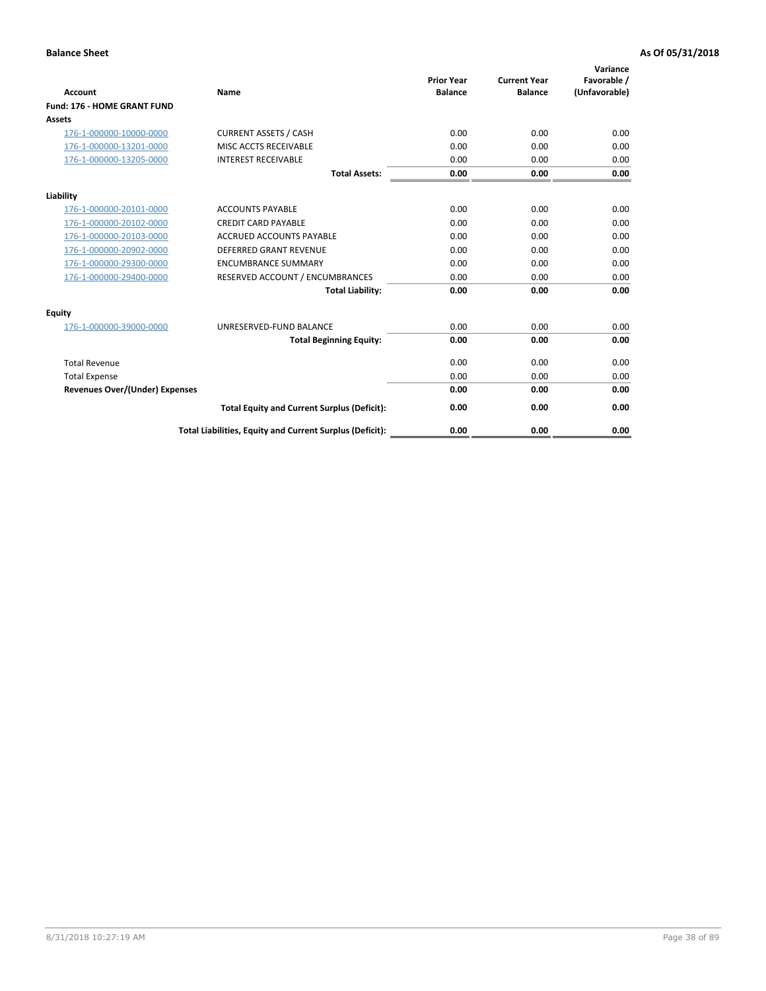| Account                               | Name                                                     | <b>Prior Year</b><br><b>Balance</b> | <b>Current Year</b><br><b>Balance</b> | Variance<br>Favorable /<br>(Unfavorable) |
|---------------------------------------|----------------------------------------------------------|-------------------------------------|---------------------------------------|------------------------------------------|
| Fund: 176 - HOME GRANT FUND           |                                                          |                                     |                                       |                                          |
| Assets                                |                                                          |                                     |                                       |                                          |
| 176-1-000000-10000-0000               | <b>CURRENT ASSETS / CASH</b>                             | 0.00                                | 0.00                                  | 0.00                                     |
| 176-1-000000-13201-0000               | MISC ACCTS RECEIVABLE                                    | 0.00                                | 0.00                                  | 0.00                                     |
| 176-1-000000-13205-0000               | <b>INTEREST RECEIVABLE</b>                               | 0.00                                | 0.00                                  | 0.00                                     |
|                                       | <b>Total Assets:</b>                                     | 0.00                                | 0.00                                  | 0.00                                     |
| Liability                             |                                                          |                                     |                                       |                                          |
| 176-1-000000-20101-0000               | <b>ACCOUNTS PAYABLE</b>                                  | 0.00                                | 0.00                                  | 0.00                                     |
| 176-1-000000-20102-0000               | <b>CREDIT CARD PAYABLE</b>                               | 0.00                                | 0.00                                  | 0.00                                     |
| 176-1-000000-20103-0000               | <b>ACCRUED ACCOUNTS PAYABLE</b>                          | 0.00                                | 0.00                                  | 0.00                                     |
| 176-1-000000-20902-0000               | <b>DEFERRED GRANT REVENUE</b>                            | 0.00                                | 0.00                                  | 0.00                                     |
| 176-1-000000-29300-0000               | <b>ENCUMBRANCE SUMMARY</b>                               | 0.00                                | 0.00                                  | 0.00                                     |
| 176-1-000000-29400-0000               | RESERVED ACCOUNT / ENCUMBRANCES                          | 0.00                                | 0.00                                  | 0.00                                     |
|                                       | <b>Total Liability:</b>                                  | 0.00                                | 0.00                                  | 0.00                                     |
| <b>Equity</b>                         |                                                          |                                     |                                       |                                          |
| 176-1-000000-39000-0000               | UNRESERVED-FUND BALANCE                                  | 0.00                                | 0.00                                  | 0.00                                     |
|                                       | <b>Total Beginning Equity:</b>                           | 0.00                                | 0.00                                  | 0.00                                     |
| <b>Total Revenue</b>                  |                                                          | 0.00                                | 0.00                                  | 0.00                                     |
| <b>Total Expense</b>                  |                                                          | 0.00                                | 0.00                                  | 0.00                                     |
| <b>Revenues Over/(Under) Expenses</b> |                                                          | 0.00                                | 0.00                                  | 0.00                                     |
|                                       | <b>Total Equity and Current Surplus (Deficit):</b>       | 0.00                                | 0.00                                  | 0.00                                     |
|                                       | Total Liabilities, Equity and Current Surplus (Deficit): | 0.00                                | 0.00                                  | 0.00                                     |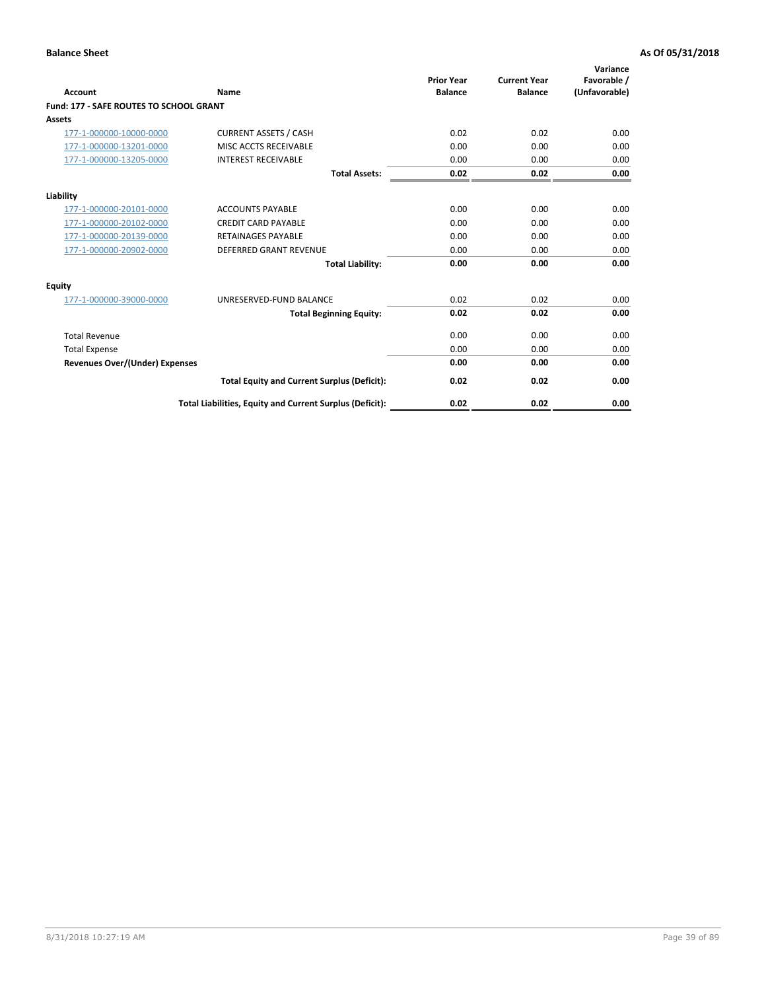| Account                                        | Name                                                     | <b>Prior Year</b><br><b>Balance</b> | <b>Current Year</b><br><b>Balance</b> | Variance<br>Favorable /<br>(Unfavorable) |
|------------------------------------------------|----------------------------------------------------------|-------------------------------------|---------------------------------------|------------------------------------------|
| <b>Fund: 177 - SAFE ROUTES TO SCHOOL GRANT</b> |                                                          |                                     |                                       |                                          |
| <b>Assets</b>                                  |                                                          |                                     |                                       |                                          |
| 177-1-000000-10000-0000                        | <b>CURRENT ASSETS / CASH</b>                             | 0.02                                | 0.02                                  | 0.00                                     |
| 177-1-000000-13201-0000                        | MISC ACCTS RECEIVABLE                                    | 0.00                                | 0.00                                  | 0.00                                     |
| 177-1-000000-13205-0000                        | <b>INTEREST RECEIVABLE</b>                               | 0.00                                | 0.00                                  | 0.00                                     |
|                                                | <b>Total Assets:</b>                                     | 0.02                                | 0.02                                  | 0.00                                     |
| Liability                                      |                                                          |                                     |                                       |                                          |
| 177-1-000000-20101-0000                        | <b>ACCOUNTS PAYABLE</b>                                  | 0.00                                | 0.00                                  | 0.00                                     |
| 177-1-000000-20102-0000                        | <b>CREDIT CARD PAYABLE</b>                               | 0.00                                | 0.00                                  | 0.00                                     |
| 177-1-000000-20139-0000                        | <b>RETAINAGES PAYABLE</b>                                | 0.00                                | 0.00                                  | 0.00                                     |
| 177-1-000000-20902-0000                        | <b>DEFERRED GRANT REVENUE</b>                            | 0.00                                | 0.00                                  | 0.00                                     |
|                                                | <b>Total Liability:</b>                                  | 0.00                                | 0.00                                  | 0.00                                     |
| Equity                                         |                                                          |                                     |                                       |                                          |
| 177-1-000000-39000-0000                        | UNRESERVED-FUND BALANCE                                  | 0.02                                | 0.02                                  | 0.00                                     |
|                                                | <b>Total Beginning Equity:</b>                           | 0.02                                | 0.02                                  | 0.00                                     |
| <b>Total Revenue</b>                           |                                                          | 0.00                                | 0.00                                  | 0.00                                     |
| <b>Total Expense</b>                           |                                                          | 0.00                                | 0.00                                  | 0.00                                     |
| <b>Revenues Over/(Under) Expenses</b>          |                                                          | 0.00                                | 0.00                                  | 0.00                                     |
|                                                | <b>Total Equity and Current Surplus (Deficit):</b>       | 0.02                                | 0.02                                  | 0.00                                     |
|                                                | Total Liabilities, Equity and Current Surplus (Deficit): | 0.02                                | 0.02                                  | 0.00                                     |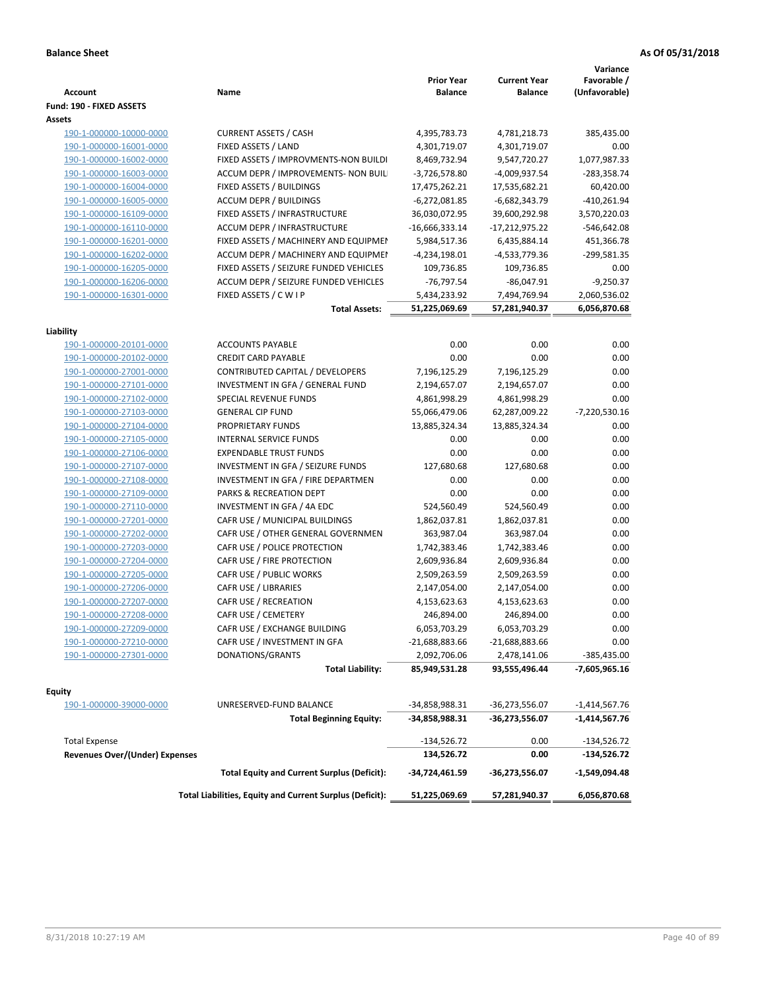| <b>Account</b>                        | Name                                                     | <b>Prior Year</b><br><b>Balance</b> | <b>Current Year</b><br><b>Balance</b> | Variance<br>Favorable /<br>(Unfavorable) |
|---------------------------------------|----------------------------------------------------------|-------------------------------------|---------------------------------------|------------------------------------------|
| Fund: 190 - FIXED ASSETS              |                                                          |                                     |                                       |                                          |
| Assets                                |                                                          |                                     |                                       |                                          |
| 190-1-000000-10000-0000               | <b>CURRENT ASSETS / CASH</b>                             | 4,395,783.73                        | 4,781,218.73                          | 385,435.00                               |
| 190-1-000000-16001-0000               | FIXED ASSETS / LAND                                      | 4,301,719.07                        | 4,301,719.07                          | 0.00                                     |
| 190-1-000000-16002-0000               | FIXED ASSETS / IMPROVMENTS-NON BUILDI                    | 8,469,732.94                        | 9,547,720.27                          | 1,077,987.33                             |
| 190-1-000000-16003-0000               | ACCUM DEPR / IMPROVEMENTS- NON BUIL                      | $-3,726,578.80$                     | -4,009,937.54                         | $-283,358.74$                            |
| 190-1-000000-16004-0000               | FIXED ASSETS / BUILDINGS                                 | 17,475,262.21                       | 17,535,682.21                         | 60,420.00                                |
| 190-1-000000-16005-0000               | <b>ACCUM DEPR / BUILDINGS</b>                            | $-6,272,081.85$                     | $-6,682,343.79$                       | $-410,261.94$                            |
| 190-1-000000-16109-0000               | FIXED ASSETS / INFRASTRUCTURE                            | 36,030,072.95                       | 39,600,292.98                         | 3,570,220.03                             |
| 190-1-000000-16110-0000               | ACCUM DEPR / INFRASTRUCTURE                              | $-16,666,333.14$                    | $-17,212,975.22$                      | $-546,642.08$                            |
| 190-1-000000-16201-0000               | FIXED ASSETS / MACHINERY AND EQUIPMEN                    | 5,984,517.36                        | 6,435,884.14                          | 451,366.78                               |
| 190-1-000000-16202-0000               | ACCUM DEPR / MACHINERY AND EQUIPMEI                      | -4,234,198.01                       | -4,533,779.36                         | -299,581.35                              |
| 190-1-000000-16205-0000               | FIXED ASSETS / SEIZURE FUNDED VEHICLES                   | 109,736.85                          | 109,736.85                            | 0.00                                     |
| 190-1-000000-16206-0000               | ACCUM DEPR / SEIZURE FUNDED VEHICLES                     | $-76,797.54$                        | $-86,047.91$                          | $-9,250.37$                              |
| 190-1-000000-16301-0000               | FIXED ASSETS / C W I P                                   | 5,434,233.92                        | 7,494,769.94                          | 2,060,536.02                             |
|                                       | <b>Total Assets:</b>                                     | 51,225,069.69                       | 57,281,940.37                         | 6,056,870.68                             |
|                                       |                                                          |                                     |                                       |                                          |
| Liability                             |                                                          |                                     |                                       |                                          |
| 190-1-000000-20101-0000               | <b>ACCOUNTS PAYABLE</b>                                  | 0.00                                | 0.00                                  | 0.00                                     |
| 190-1-000000-20102-0000               | <b>CREDIT CARD PAYABLE</b>                               | 0.00                                | 0.00                                  | 0.00                                     |
| 190-1-000000-27001-0000               | CONTRIBUTED CAPITAL / DEVELOPERS                         | 7,196,125.29                        | 7,196,125.29                          | 0.00                                     |
| 190-1-000000-27101-0000               | INVESTMENT IN GFA / GENERAL FUND                         | 2,194,657.07                        | 2,194,657.07                          | 0.00                                     |
| 190-1-000000-27102-0000               | <b>SPECIAL REVENUE FUNDS</b>                             | 4,861,998.29                        | 4,861,998.29                          | 0.00                                     |
| 190-1-000000-27103-0000               | <b>GENERAL CIP FUND</b>                                  | 55,066,479.06                       | 62,287,009.22                         | $-7,220,530.16$                          |
| 190-1-000000-27104-0000               | PROPRIETARY FUNDS                                        | 13,885,324.34                       | 13,885,324.34                         | 0.00                                     |
| 190-1-000000-27105-0000               | <b>INTERNAL SERVICE FUNDS</b>                            | 0.00                                | 0.00                                  | 0.00                                     |
| 190-1-000000-27106-0000               | <b>EXPENDABLE TRUST FUNDS</b>                            | 0.00                                | 0.00                                  | 0.00                                     |
| 190-1-000000-27107-0000               | INVESTMENT IN GFA / SEIZURE FUNDS                        | 127,680.68                          | 127,680.68                            | 0.00                                     |
| 190-1-000000-27108-0000               | INVESTMENT IN GFA / FIRE DEPARTMEN                       | 0.00                                | 0.00                                  | 0.00                                     |
| 190-1-000000-27109-0000               | PARKS & RECREATION DEPT                                  | 0.00                                | 0.00                                  | 0.00                                     |
| 190-1-000000-27110-0000               | INVESTMENT IN GFA / 4A EDC                               | 524,560.49                          | 524,560.49                            | 0.00                                     |
| 190-1-000000-27201-0000               | CAFR USE / MUNICIPAL BUILDINGS                           | 1,862,037.81                        | 1,862,037.81                          | 0.00                                     |
| 190-1-000000-27202-0000               | CAFR USE / OTHER GENERAL GOVERNMEN                       | 363,987.04                          | 363,987.04                            | 0.00                                     |
| 190-1-000000-27203-0000               | CAFR USE / POLICE PROTECTION                             | 1,742,383.46                        | 1,742,383.46                          | 0.00                                     |
| 190-1-000000-27204-0000               | CAFR USE / FIRE PROTECTION                               | 2,609,936.84                        | 2,609,936.84                          | 0.00                                     |
| 190-1-000000-27205-0000               | CAFR USE / PUBLIC WORKS                                  | 2,509,263.59                        | 2,509,263.59                          | 0.00                                     |
| 190-1-000000-27206-0000               | <b>CAFR USE / LIBRARIES</b>                              | 2,147,054.00                        | 2,147,054.00                          | 0.00                                     |
| 190-1-000000-27207-0000               | CAFR USE / RECREATION                                    | 4,153,623.63                        | 4,153,623.63                          | 0.00                                     |
| 190-1-000000-27208-0000               | CAFR USE / CEMETERY                                      | 246,894.00                          | 246,894.00                            | 0.00                                     |
| 190-1-000000-27209-0000               | CAFR USE / EXCHANGE BUILDING                             | 6,053,703.29                        | 6,053,703.29                          | 0.00                                     |
| 190-1-000000-27210-0000               | CAFR USE / INVESTMENT IN GFA                             | -21,688,883.66                      | -21,688,883.66                        | 0.00                                     |
| 190-1-000000-27301-0000               | DONATIONS/GRANTS                                         | 2,092,706.06                        | 2,478,141.06                          | -385,435.00                              |
|                                       | <b>Total Liability:</b>                                  | 85,949,531.28                       | 93,555,496.44                         | -7,605,965.16                            |
| <b>Equity</b>                         |                                                          |                                     |                                       |                                          |
| 190-1-000000-39000-0000               | UNRESERVED-FUND BALANCE                                  | -34,858,988.31                      | -36,273,556.07                        | $-1,414,567.76$                          |
|                                       | <b>Total Beginning Equity:</b>                           | -34,858,988.31                      | -36,273,556.07                        | $-1,414,567.76$                          |
| <b>Total Expense</b>                  |                                                          |                                     | 0.00                                  |                                          |
| <b>Revenues Over/(Under) Expenses</b> |                                                          | $-134,526.72$<br>134,526.72         | 0.00                                  | -134,526.72<br>-134,526.72               |
|                                       | <b>Total Equity and Current Surplus (Deficit):</b>       | -34,724,461.59                      | -36,273,556.07                        | $-1,549,094.48$                          |
|                                       | Total Liabilities, Equity and Current Surplus (Deficit): | 51,225,069.69                       | 57,281,940.37                         | 6,056,870.68                             |
|                                       |                                                          |                                     |                                       |                                          |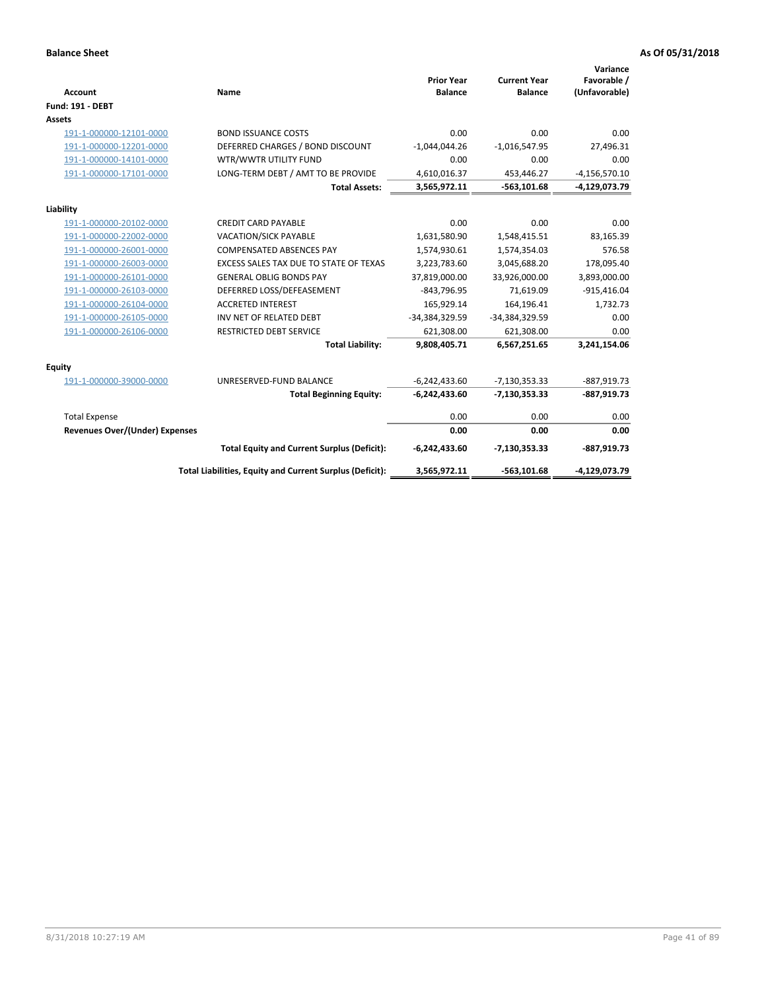| <b>Account</b>                 | Name                                                     | <b>Prior Year</b><br><b>Balance</b> | <b>Current Year</b><br><b>Balance</b> | Variance<br>Favorable /<br>(Unfavorable) |
|--------------------------------|----------------------------------------------------------|-------------------------------------|---------------------------------------|------------------------------------------|
| <b>Fund: 191 - DEBT</b>        |                                                          |                                     |                                       |                                          |
| <b>Assets</b>                  |                                                          |                                     |                                       |                                          |
| 191-1-000000-12101-0000        | <b>BOND ISSUANCE COSTS</b>                               | 0.00                                | 0.00                                  | 0.00                                     |
| 191-1-000000-12201-0000        | DEFERRED CHARGES / BOND DISCOUNT                         | $-1,044,044.26$                     | $-1,016,547.95$                       | 27,496.31                                |
| 191-1-000000-14101-0000        | WTR/WWTR UTILITY FUND                                    | 0.00                                | 0.00                                  | 0.00                                     |
| 191-1-000000-17101-0000        | LONG-TERM DEBT / AMT TO BE PROVIDE                       | 4,610,016.37                        | 453,446.27                            | $-4, 156, 570.10$                        |
|                                | <b>Total Assets:</b>                                     | 3,565,972.11                        | $-563,101.68$                         | -4,129,073.79                            |
| Liability                      |                                                          |                                     |                                       |                                          |
| 191-1-000000-20102-0000        | <b>CREDIT CARD PAYABLE</b>                               | 0.00                                | 0.00                                  | 0.00                                     |
| 191-1-000000-22002-0000        | <b>VACATION/SICK PAYABLE</b>                             | 1,631,580.90                        | 1,548,415.51                          | 83,165.39                                |
| 191-1-000000-26001-0000        | <b>COMPENSATED ABSENCES PAY</b>                          | 1,574,930.61                        | 1,574,354.03                          | 576.58                                   |
| 191-1-000000-26003-0000        | EXCESS SALES TAX DUE TO STATE OF TEXAS                   | 3,223,783.60                        | 3,045,688.20                          | 178,095.40                               |
| 191-1-000000-26101-0000        | <b>GENERAL OBLIG BONDS PAY</b>                           | 37,819,000.00                       | 33,926,000.00                         | 3,893,000.00                             |
| 191-1-000000-26103-0000        | DEFERRED LOSS/DEFEASEMENT                                | $-843,796.95$                       | 71,619.09                             | $-915,416.04$                            |
| 191-1-000000-26104-0000        | <b>ACCRETED INTEREST</b>                                 | 165,929.14                          | 164,196.41                            | 1,732.73                                 |
| 191-1-000000-26105-0000        | INV NET OF RELATED DEBT                                  | -34,384,329.59                      | -34,384,329.59                        | 0.00                                     |
| 191-1-000000-26106-0000        | <b>RESTRICTED DEBT SERVICE</b>                           | 621,308.00                          | 621,308.00                            | 0.00                                     |
|                                | <b>Total Liability:</b>                                  | 9,808,405.71                        | 6,567,251.65                          | 3,241,154.06                             |
| Equity                         |                                                          |                                     |                                       |                                          |
| 191-1-000000-39000-0000        | UNRESERVED-FUND BALANCE                                  | $-6,242,433.60$                     | $-7,130,353.33$                       | $-887,919.73$                            |
|                                | <b>Total Beginning Equity:</b>                           | $-6,242,433.60$                     | $-7,130,353.33$                       | $-887,919.73$                            |
| <b>Total Expense</b>           |                                                          | 0.00                                | 0.00                                  | 0.00                                     |
| Revenues Over/(Under) Expenses |                                                          | 0.00                                | 0.00                                  | 0.00                                     |
|                                | <b>Total Equity and Current Surplus (Deficit):</b>       | $-6,242,433.60$                     | $-7,130,353.33$                       | $-887,919.73$                            |
|                                | Total Liabilities, Equity and Current Surplus (Deficit): | 3,565,972.11                        | $-563, 101.68$                        | -4,129,073.79                            |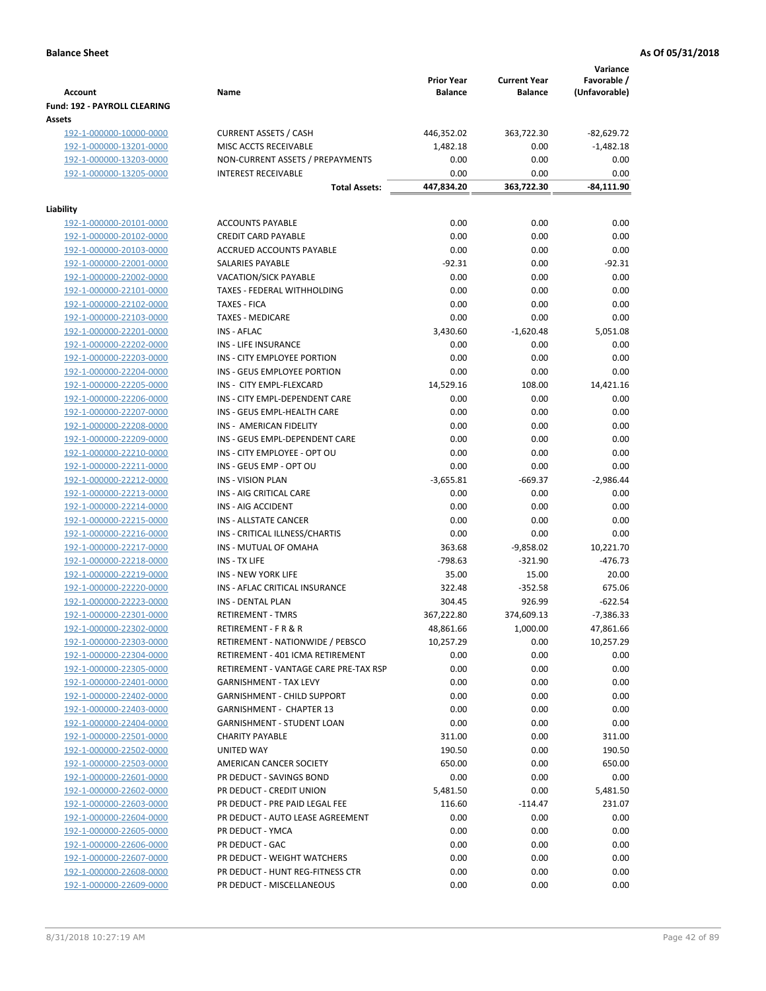| <b>Account</b><br><b>Fund: 192 - PAYROLL CLEARING</b> | Name                                                | <b>Prior Year</b><br><b>Balance</b> | <b>Current Year</b><br><b>Balance</b> | Variance<br>Favorable /<br>(Unfavorable) |
|-------------------------------------------------------|-----------------------------------------------------|-------------------------------------|---------------------------------------|------------------------------------------|
| Assets                                                |                                                     |                                     |                                       |                                          |
| 192-1-000000-10000-0000                               | <b>CURRENT ASSETS / CASH</b>                        | 446,352.02                          | 363,722.30                            | $-82,629.72$                             |
| 192-1-000000-13201-0000                               | MISC ACCTS RECEIVABLE                               | 1,482.18                            | 0.00                                  | $-1,482.18$                              |
| 192-1-000000-13203-0000                               | NON-CURRENT ASSETS / PREPAYMENTS                    | 0.00                                | 0.00                                  | 0.00                                     |
| 192-1-000000-13205-0000                               | <b>INTEREST RECEIVABLE</b>                          | 0.00                                | 0.00                                  | 0.00                                     |
|                                                       | <b>Total Assets:</b>                                | 447,834.20                          | 363,722.30                            | -84,111.90                               |
| Liability                                             |                                                     |                                     |                                       |                                          |
| 192-1-000000-20101-0000                               | <b>ACCOUNTS PAYABLE</b>                             | 0.00                                | 0.00                                  | 0.00                                     |
| 192-1-000000-20102-0000                               | <b>CREDIT CARD PAYABLE</b>                          | 0.00                                | 0.00                                  | 0.00                                     |
| 192-1-000000-20103-0000                               | ACCRUED ACCOUNTS PAYABLE                            | 0.00                                | 0.00                                  | 0.00                                     |
| 192-1-000000-22001-0000                               | SALARIES PAYABLE                                    | $-92.31$                            | 0.00                                  | $-92.31$                                 |
| 192-1-000000-22002-0000                               | <b>VACATION/SICK PAYABLE</b>                        | 0.00                                | 0.00                                  | 0.00                                     |
| 192-1-000000-22101-0000                               | TAXES - FEDERAL WITHHOLDING                         | 0.00                                | 0.00                                  | 0.00                                     |
| 192-1-000000-22102-0000                               | <b>TAXES - FICA</b>                                 | 0.00                                | 0.00                                  | 0.00                                     |
| 192-1-000000-22103-0000                               | <b>TAXES - MEDICARE</b>                             | 0.00                                | 0.00                                  | 0.00                                     |
| 192-1-000000-22201-0000                               | <b>INS - AFLAC</b>                                  | 3,430.60                            | $-1,620.48$                           | 5,051.08                                 |
| 192-1-000000-22202-0000                               | <b>INS - LIFE INSURANCE</b>                         | 0.00                                | 0.00                                  | 0.00                                     |
| 192-1-000000-22203-0000                               | INS - CITY EMPLOYEE PORTION                         | 0.00                                | 0.00                                  | 0.00                                     |
| 192-1-000000-22204-0000                               | INS - GEUS EMPLOYEE PORTION                         | 0.00                                | 0.00                                  | 0.00                                     |
| 192-1-000000-22205-0000                               | INS - CITY EMPL-FLEXCARD                            | 14,529.16                           | 108.00                                | 14,421.16                                |
| 192-1-000000-22206-0000                               | INS - CITY EMPL-DEPENDENT CARE                      | 0.00                                | 0.00                                  | 0.00                                     |
| 192-1-000000-22207-0000                               | INS - GEUS EMPL-HEALTH CARE                         | 0.00                                | 0.00                                  | 0.00                                     |
| 192-1-000000-22208-0000                               | INS - AMERICAN FIDELITY                             | 0.00                                | 0.00                                  | 0.00                                     |
| 192-1-000000-22209-0000                               | INS - GEUS EMPL-DEPENDENT CARE                      | 0.00                                | 0.00                                  | 0.00                                     |
| 192-1-000000-22210-0000                               | INS - CITY EMPLOYEE - OPT OU                        | 0.00                                | 0.00                                  | 0.00                                     |
| 192-1-000000-22211-0000                               | INS - GEUS EMP - OPT OU<br><b>INS - VISION PLAN</b> | 0.00<br>$-3,655.81$                 | 0.00                                  | 0.00<br>$-2,986.44$                      |
| 192-1-000000-22212-0000<br>192-1-000000-22213-0000    | INS - AIG CRITICAL CARE                             | 0.00                                | -669.37<br>0.00                       | 0.00                                     |
| 192-1-000000-22214-0000                               | INS - AIG ACCIDENT                                  | 0.00                                | 0.00                                  | 0.00                                     |
| 192-1-000000-22215-0000                               | INS - ALLSTATE CANCER                               | 0.00                                | 0.00                                  | 0.00                                     |
| 192-1-000000-22216-0000                               | INS - CRITICAL ILLNESS/CHARTIS                      | 0.00                                | 0.00                                  | 0.00                                     |
| 192-1-000000-22217-0000                               | INS - MUTUAL OF OMAHA                               | 363.68                              | $-9,858.02$                           | 10,221.70                                |
| 192-1-000000-22218-0000                               | INS - TX LIFE                                       | $-798.63$                           | $-321.90$                             | $-476.73$                                |
| 192-1-000000-22219-0000                               | <b>INS - NEW YORK LIFE</b>                          | 35.00                               | 15.00                                 | 20.00                                    |
| 192-1-000000-22220-0000                               | INS - AFLAC CRITICAL INSURANCE                      | 322.48                              | $-352.58$                             | 675.06                                   |
| 192-1-000000-22223-0000                               | INS - DENTAL PLAN                                   | 304.45                              | 926.99                                | $-622.54$                                |
| 192-1-000000-22301-0000                               | <b>RETIREMENT - TMRS</b>                            | 367,222.80                          | 374,609.13                            | $-7,386.33$                              |
| 192-1-000000-22302-0000                               | RETIREMENT - F R & R                                | 48,861.66                           | 1,000.00                              | 47,861.66                                |
| 192-1-000000-22303-0000                               | RETIREMENT - NATIONWIDE / PEBSCO                    | 10,257.29                           | 0.00                                  | 10,257.29                                |
| 192-1-000000-22304-0000                               | RETIREMENT - 401 ICMA RETIREMENT                    | 0.00                                | 0.00                                  | 0.00                                     |
| 192-1-000000-22305-0000                               | RETIREMENT - VANTAGE CARE PRE-TAX RSP               | 0.00                                | 0.00                                  | 0.00                                     |
| 192-1-000000-22401-0000                               | GARNISHMENT - TAX LEVY                              | 0.00                                | 0.00                                  | 0.00                                     |
| 192-1-000000-22402-0000                               | GARNISHMENT - CHILD SUPPORT                         | 0.00                                | 0.00                                  | 0.00                                     |
| 192-1-000000-22403-0000                               | GARNISHMENT - CHAPTER 13                            | 0.00                                | 0.00                                  | 0.00                                     |
| 192-1-000000-22404-0000                               | <b>GARNISHMENT - STUDENT LOAN</b>                   | 0.00                                | 0.00                                  | 0.00                                     |
| 192-1-000000-22501-0000                               | <b>CHARITY PAYABLE</b>                              | 311.00                              | 0.00                                  | 311.00                                   |
| 192-1-000000-22502-0000                               | UNITED WAY                                          | 190.50                              | 0.00                                  | 190.50                                   |
| 192-1-000000-22503-0000                               | AMERICAN CANCER SOCIETY                             | 650.00                              | 0.00                                  | 650.00                                   |
| 192-1-000000-22601-0000                               | PR DEDUCT - SAVINGS BOND                            | 0.00                                | 0.00                                  | 0.00                                     |
| 192-1-000000-22602-0000                               | PR DEDUCT - CREDIT UNION                            | 5,481.50                            | 0.00                                  | 5,481.50                                 |
| 192-1-000000-22603-0000                               | PR DEDUCT - PRE PAID LEGAL FEE                      | 116.60                              | $-114.47$                             | 231.07                                   |
| 192-1-000000-22604-0000                               | PR DEDUCT - AUTO LEASE AGREEMENT                    | 0.00                                | 0.00                                  | 0.00                                     |
| 192-1-000000-22605-0000                               | PR DEDUCT - YMCA                                    | 0.00                                | 0.00                                  | 0.00                                     |
| 192-1-000000-22606-0000                               | PR DEDUCT - GAC                                     | 0.00                                | 0.00                                  | 0.00                                     |
| 192-1-000000-22607-0000                               | PR DEDUCT - WEIGHT WATCHERS                         | 0.00                                | 0.00                                  | 0.00                                     |
| 192-1-000000-22608-0000                               | PR DEDUCT - HUNT REG-FITNESS CTR                    | 0.00                                | 0.00                                  | 0.00                                     |
| 192-1-000000-22609-0000                               | PR DEDUCT - MISCELLANEOUS                           | 0.00                                | 0.00                                  | 0.00                                     |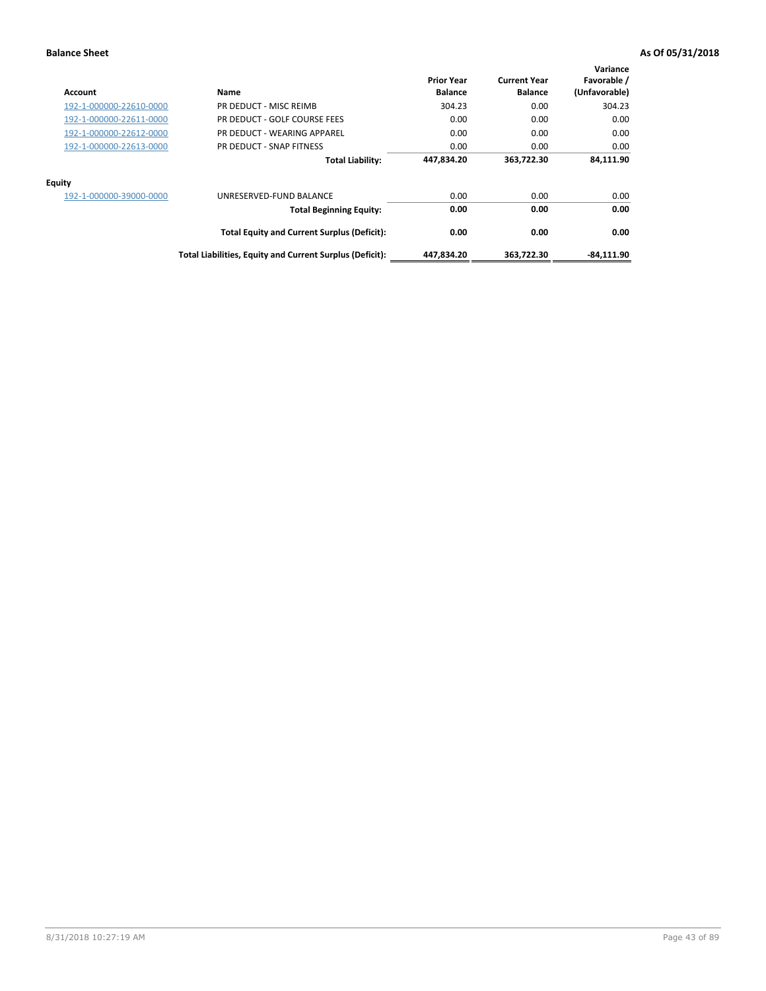| Account                 | Name                                                     | <b>Prior Year</b><br><b>Balance</b> | <b>Current Year</b><br><b>Balance</b> | Variance<br>Favorable /<br>(Unfavorable) |
|-------------------------|----------------------------------------------------------|-------------------------------------|---------------------------------------|------------------------------------------|
| 192-1-000000-22610-0000 | PR DEDUCT - MISC REIMB                                   | 304.23                              | 0.00                                  | 304.23                                   |
| 192-1-000000-22611-0000 | PR DEDUCT - GOLF COURSE FEES                             | 0.00                                | 0.00                                  | 0.00                                     |
| 192-1-000000-22612-0000 | PR DEDUCT - WEARING APPAREL                              | 0.00                                | 0.00                                  | 0.00                                     |
| 192-1-000000-22613-0000 | PR DEDUCT - SNAP FITNESS                                 | 0.00                                | 0.00                                  | 0.00                                     |
|                         | <b>Total Liability:</b>                                  | 447,834.20                          | 363.722.30                            | 84,111.90                                |
| Equity                  |                                                          |                                     |                                       |                                          |
| 192-1-000000-39000-0000 | UNRESERVED-FUND BALANCE                                  | 0.00                                | 0.00                                  | 0.00                                     |
|                         | <b>Total Beginning Equity:</b>                           | 0.00                                | 0.00                                  | 0.00                                     |
|                         | <b>Total Equity and Current Surplus (Deficit):</b>       | 0.00                                | 0.00                                  | 0.00                                     |
|                         | Total Liabilities, Equity and Current Surplus (Deficit): | 447,834.20                          | 363,722.30                            | $-84,111.90$                             |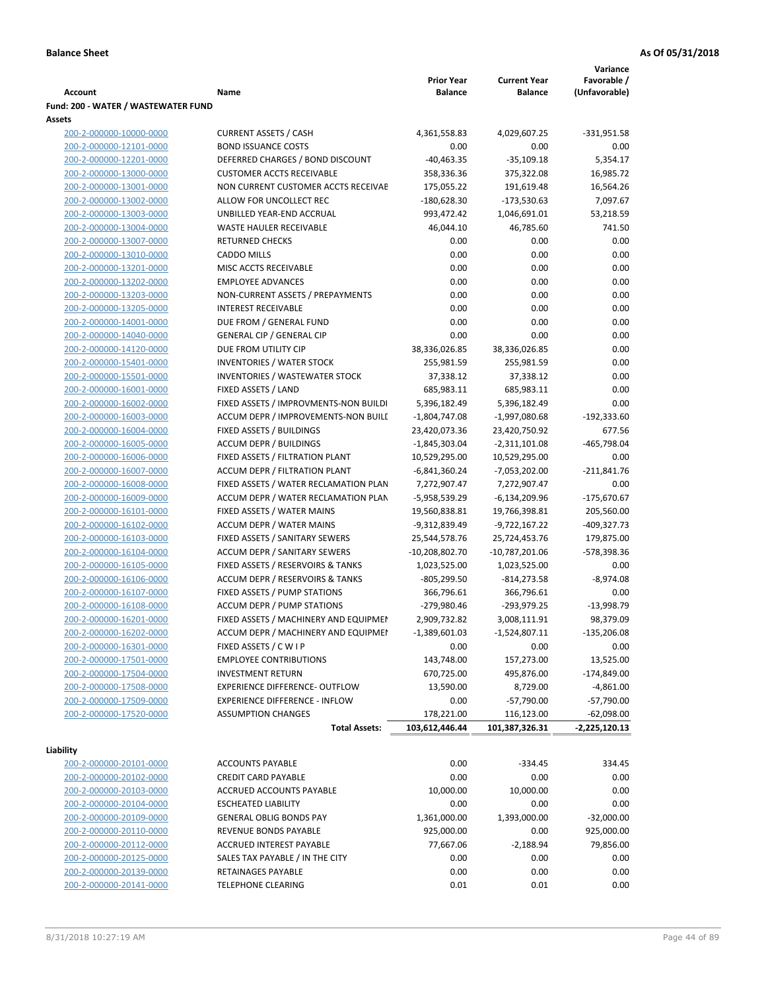|                                     |                                       |                   |                     | Variance      |
|-------------------------------------|---------------------------------------|-------------------|---------------------|---------------|
|                                     |                                       | <b>Prior Year</b> | <b>Current Year</b> | Favorable /   |
| Account                             | Name                                  | <b>Balance</b>    | <b>Balance</b>      | (Unfavorable) |
| Fund: 200 - WATER / WASTEWATER FUND |                                       |                   |                     |               |
| Assets                              |                                       |                   |                     |               |
| 200-2-000000-10000-0000             | <b>CURRENT ASSETS / CASH</b>          | 4,361,558.83      | 4,029,607.25        | $-331,951.58$ |
| 200-2-000000-12101-0000             | <b>BOND ISSUANCE COSTS</b>            | 0.00              | 0.00                | 0.00          |
| 200-2-000000-12201-0000             | DEFERRED CHARGES / BOND DISCOUNT      | $-40,463.35$      | $-35,109.18$        | 5,354.17      |
| 200-2-000000-13000-0000             | <b>CUSTOMER ACCTS RECEIVABLE</b>      | 358,336.36        | 375,322.08          | 16,985.72     |
| 200-2-000000-13001-0000             | NON CURRENT CUSTOMER ACCTS RECEIVAE   | 175,055.22        | 191,619.48          | 16,564.26     |
| 200-2-000000-13002-0000             | ALLOW FOR UNCOLLECT REC               | $-180,628.30$     | $-173,530.63$       | 7,097.67      |
| 200-2-000000-13003-0000             | UNBILLED YEAR-END ACCRUAL             | 993,472.42        | 1,046,691.01        | 53,218.59     |
| 200-2-000000-13004-0000             | <b>WASTE HAULER RECEIVABLE</b>        | 46,044.10         | 46,785.60           | 741.50        |
| 200-2-000000-13007-0000             | <b>RETURNED CHECKS</b>                | 0.00              | 0.00                | 0.00          |
| 200-2-000000-13010-0000             | <b>CADDO MILLS</b>                    | 0.00              | 0.00                | 0.00          |
| 200-2-000000-13201-0000             | MISC ACCTS RECEIVABLE                 | 0.00              | 0.00                | 0.00          |
| 200-2-000000-13202-0000             | <b>EMPLOYEE ADVANCES</b>              | 0.00              | 0.00                | 0.00          |
| 200-2-000000-13203-0000             | NON-CURRENT ASSETS / PREPAYMENTS      | 0.00              | 0.00                | 0.00          |
| 200-2-000000-13205-0000             | <b>INTEREST RECEIVABLE</b>            | 0.00              | 0.00                | 0.00          |
| 200-2-000000-14001-0000             | DUE FROM / GENERAL FUND               | 0.00              | 0.00                | 0.00          |
| 200-2-000000-14040-0000             | <b>GENERAL CIP / GENERAL CIP</b>      | 0.00              | 0.00                | 0.00          |
| 200-2-000000-14120-0000             | DUE FROM UTILITY CIP                  | 38,336,026.85     | 38,336,026.85       | 0.00          |
| 200-2-000000-15401-0000             | <b>INVENTORIES / WATER STOCK</b>      | 255,981.59        | 255,981.59          | 0.00          |
| 200-2-000000-15501-0000             | <b>INVENTORIES / WASTEWATER STOCK</b> | 37,338.12         | 37,338.12           | 0.00          |
| 200-2-000000-16001-0000             | FIXED ASSETS / LAND                   | 685,983.11        | 685,983.11          | 0.00          |
| 200-2-000000-16002-0000             | FIXED ASSETS / IMPROVMENTS-NON BUILDI | 5,396,182.49      | 5,396,182.49        | 0.00          |
| 200-2-000000-16003-0000             | ACCUM DEPR / IMPROVEMENTS-NON BUILI   | $-1,804,747.08$   | $-1,997,080.68$     | $-192,333.60$ |
| 200-2-000000-16004-0000             | FIXED ASSETS / BUILDINGS              | 23,420,073.36     | 23,420,750.92       | 677.56        |
| 200-2-000000-16005-0000             | <b>ACCUM DEPR / BUILDINGS</b>         | $-1,845,303.04$   | $-2,311,101.08$     | $-465,798.04$ |
| 200-2-000000-16006-0000             | FIXED ASSETS / FILTRATION PLANT       | 10,529,295.00     | 10,529,295.00       | 0.00          |
| 200-2-000000-16007-0000             | ACCUM DEPR / FILTRATION PLANT         | -6,841,360.24     | $-7,053,202.00$     | $-211,841.76$ |
| 200-2-000000-16008-0000             | FIXED ASSETS / WATER RECLAMATION PLAN | 7,272,907.47      | 7,272,907.47        | 0.00          |
| 200-2-000000-16009-0000             | ACCUM DEPR / WATER RECLAMATION PLAN   | -5,958,539.29     | $-6,134,209.96$     | -175,670.67   |
| 200-2-000000-16101-0000             | FIXED ASSETS / WATER MAINS            | 19,560,838.81     | 19,766,398.81       | 205,560.00    |
| 200-2-000000-16102-0000             | <b>ACCUM DEPR / WATER MAINS</b>       | -9,312,839.49     | -9,722,167.22       | -409,327.73   |
| 200-2-000000-16103-0000             | FIXED ASSETS / SANITARY SEWERS        | 25,544,578.76     | 25,724,453.76       | 179,875.00    |
| 200-2-000000-16104-0000             | <b>ACCUM DEPR / SANITARY SEWERS</b>   | $-10,208,802.70$  | $-10,787,201.06$    | -578,398.36   |
| 200-2-000000-16105-0000             | FIXED ASSETS / RESERVOIRS & TANKS     | 1,023,525.00      | 1,023,525.00        | 0.00          |
| 200-2-000000-16106-0000             | ACCUM DEPR / RESERVOIRS & TANKS       | $-805,299.50$     | $-814,273.58$       | $-8,974.08$   |
| 200-2-000000-16107-0000             | FIXED ASSETS / PUMP STATIONS          | 366,796.61        | 366,796.61          | 0.00          |
| 200-2-000000-16108-0000             | <b>ACCUM DEPR / PUMP STATIONS</b>     | -279,980.46       | -293,979.25         | $-13,998.79$  |
| 200-2-000000-16201-0000             | FIXED ASSETS / MACHINERY AND EQUIPMEN | 2,909,732.82      | 3,008,111.91        | 98,379.09     |
| 200-2-000000-16202-0000             | ACCUM DEPR / MACHINERY AND EQUIPMEI   | $-1,389,601.03$   | $-1,524,807.11$     | $-135,206.08$ |
| 200-2-000000-16301-0000             | FIXED ASSETS / C W I P                | 0.00              | 0.00                | 0.00          |
| 200-2-000000-17501-0000             | <b>EMPLOYEE CONTRIBUTIONS</b>         | 143,748.00        | 157,273.00          | 13,525.00     |
| 200-2-000000-17504-0000             | <b>INVESTMENT RETURN</b>              | 670,725.00        | 495,876.00          | $-174,849.00$ |
| 200-2-000000-17508-0000             | <b>EXPERIENCE DIFFERENCE- OUTFLOW</b> | 13,590.00         | 8,729.00            | $-4,861.00$   |
| 200-2-000000-17509-0000             | <b>EXPERIENCE DIFFERENCE - INFLOW</b> | 0.00              | $-57,790.00$        | $-57,790.00$  |
| 200-2-000000-17520-0000             | <b>ASSUMPTION CHANGES</b>             | 178,221.00        | 116,123.00          | $-62,098.00$  |
|                                     | <b>Total Assets:</b>                  | 103,612,446.44    | 101,387,326.31      | -2,225,120.13 |
|                                     |                                       |                   |                     |               |
| Liability                           |                                       |                   |                     |               |
| 200-2-000000-20101-0000             | <b>ACCOUNTS PAYABLE</b>               | 0.00              | $-334.45$           | 334.45        |
| 200-2-000000-20102-0000             | <b>CREDIT CARD PAYABLE</b>            | 0.00              | 0.00                | 0.00          |
| 200-2-000000-20103-0000             | ACCRUED ACCOUNTS PAYABLE              | 10,000.00         | 10,000.00           | 0.00          |
| 200-2-000000-20104-0000             | <b>ESCHEATED LIABILITY</b>            | 0.00              | 0.00                | 0.00          |
| 200-2-000000-20109-0000             | <b>GENERAL OBLIG BONDS PAY</b>        | 1,361,000.00      | 1,393,000.00        | $-32,000.00$  |
| 200-2-000000-20110-0000             | REVENUE BONDS PAYABLE                 | 925,000.00        | 0.00                | 925,000.00    |
| 200-2-000000-20112-0000             | ACCRUED INTEREST PAYABLE              | 77,667.06         | $-2,188.94$         | 79,856.00     |
| 200-2-000000-20125-0000             | SALES TAX PAYABLE / IN THE CITY       | 0.00              | 0.00                | 0.00          |
| 200-2-000000-20139-0000             | RETAINAGES PAYABLE                    | 0.00              | 0.00                | 0.00          |
| 200-2-000000-20141-0000             | <b>TELEPHONE CLEARING</b>             | 0.01              | 0.01                | 0.00          |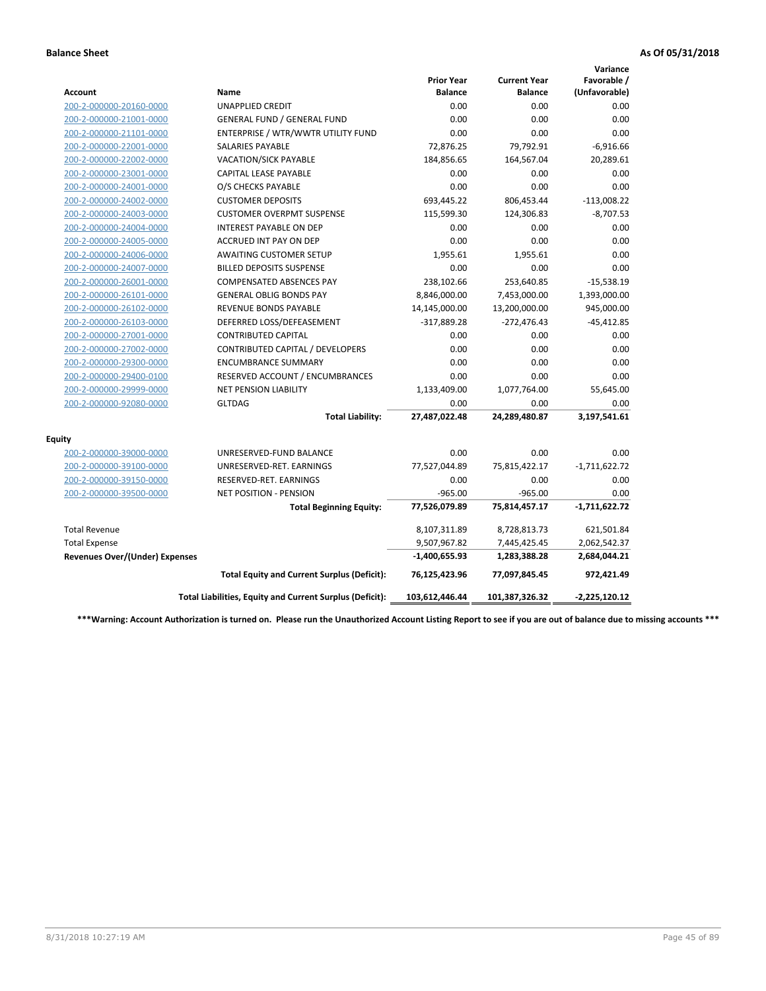|                                       |                                                          |                                     |                                       | Variance                     |
|---------------------------------------|----------------------------------------------------------|-------------------------------------|---------------------------------------|------------------------------|
| <b>Account</b>                        | Name                                                     | <b>Prior Year</b><br><b>Balance</b> | <b>Current Year</b><br><b>Balance</b> | Favorable /<br>(Unfavorable) |
| 200-2-000000-20160-0000               | <b>UNAPPLIED CREDIT</b>                                  | 0.00                                | 0.00                                  | 0.00                         |
| 200-2-000000-21001-0000               | <b>GENERAL FUND / GENERAL FUND</b>                       | 0.00                                | 0.00                                  | 0.00                         |
| 200-2-000000-21101-0000               | ENTERPRISE / WTR/WWTR UTILITY FUND                       | 0.00                                | 0.00                                  | 0.00                         |
| 200-2-000000-22001-0000               | <b>SALARIES PAYABLE</b>                                  | 72,876.25                           | 79,792.91                             | $-6,916.66$                  |
| 200-2-000000-22002-0000               | VACATION/SICK PAYABLE                                    | 184,856.65                          | 164,567.04                            | 20,289.61                    |
| 200-2-000000-23001-0000               | <b>CAPITAL LEASE PAYABLE</b>                             | 0.00                                | 0.00                                  | 0.00                         |
| 200-2-000000-24001-0000               | O/S CHECKS PAYABLE                                       | 0.00                                | 0.00                                  | 0.00                         |
| 200-2-000000-24002-0000               | <b>CUSTOMER DEPOSITS</b>                                 | 693,445.22                          | 806,453.44                            | $-113,008.22$                |
| 200-2-000000-24003-0000               | <b>CUSTOMER OVERPMT SUSPENSE</b>                         | 115,599.30                          | 124,306.83                            | $-8,707.53$                  |
| 200-2-000000-24004-0000               | <b>INTEREST PAYABLE ON DEP</b>                           | 0.00                                | 0.00                                  | 0.00                         |
| 200-2-000000-24005-0000               | <b>ACCRUED INT PAY ON DEP</b>                            | 0.00                                | 0.00                                  | 0.00                         |
| 200-2-000000-24006-0000               | <b>AWAITING CUSTOMER SETUP</b>                           | 1,955.61                            | 1,955.61                              | 0.00                         |
| 200-2-000000-24007-0000               | <b>BILLED DEPOSITS SUSPENSE</b>                          | 0.00                                | 0.00                                  | 0.00                         |
| 200-2-000000-26001-0000               | <b>COMPENSATED ABSENCES PAY</b>                          | 238,102.66                          | 253,640.85                            | $-15,538.19$                 |
| 200-2-000000-26101-0000               | <b>GENERAL OBLIG BONDS PAY</b>                           | 8,846,000.00                        | 7,453,000.00                          | 1,393,000.00                 |
| 200-2-000000-26102-0000               | REVENUE BONDS PAYABLE                                    | 14,145,000.00                       | 13,200,000.00                         | 945,000.00                   |
| 200-2-000000-26103-0000               | DEFERRED LOSS/DEFEASEMENT                                | $-317,889.28$                       | $-272,476.43$                         | $-45,412.85$                 |
| 200-2-000000-27001-0000               | <b>CONTRIBUTED CAPITAL</b>                               | 0.00                                | 0.00                                  | 0.00                         |
| 200-2-000000-27002-0000               | CONTRIBUTED CAPITAL / DEVELOPERS                         | 0.00                                | 0.00                                  | 0.00                         |
| 200-2-000000-29300-0000               | <b>ENCUMBRANCE SUMMARY</b>                               | 0.00                                | 0.00                                  | 0.00                         |
| 200-2-000000-29400-0100               | RESERVED ACCOUNT / ENCUMBRANCES                          | 0.00                                | 0.00                                  | 0.00                         |
| 200-2-000000-29999-0000               | NET PENSION LIABILITY                                    | 1,133,409.00                        | 1,077,764.00                          | 55,645.00                    |
| 200-2-000000-92080-0000               | <b>GLTDAG</b>                                            | 0.00                                | 0.00                                  | 0.00                         |
|                                       | <b>Total Liability:</b>                                  | 27,487,022.48                       | 24,289,480.87                         | 3,197,541.61                 |
| <b>Equity</b>                         |                                                          |                                     |                                       |                              |
| 200-2-000000-39000-0000               | UNRESERVED-FUND BALANCE                                  | 0.00                                | 0.00                                  | 0.00                         |
| 200-2-000000-39100-0000               | UNRESERVED-RET. EARNINGS                                 | 77,527,044.89                       | 75,815,422.17                         | $-1,711,622.72$              |
| 200-2-000000-39150-0000               | RESERVED-RET. EARNINGS                                   | 0.00                                | 0.00                                  | 0.00                         |
| 200-2-000000-39500-0000               | <b>NET POSITION - PENSION</b>                            | $-965.00$                           | $-965.00$                             | 0.00                         |
|                                       | <b>Total Beginning Equity:</b>                           | 77,526,079.89                       | 75,814,457.17                         | $-1,711,622.72$              |
| <b>Total Revenue</b>                  |                                                          | 8,107,311.89                        | 8,728,813.73                          | 621,501.84                   |
| <b>Total Expense</b>                  |                                                          | 9,507,967.82                        | 7,445,425.45                          | 2,062,542.37                 |
| <b>Revenues Over/(Under) Expenses</b> |                                                          | $-1,400,655.93$                     | 1,283,388.28                          | 2,684,044.21                 |
|                                       | <b>Total Equity and Current Surplus (Deficit):</b>       | 76,125,423.96                       | 77,097,845.45                         | 972,421.49                   |
|                                       | Total Liabilities, Equity and Current Surplus (Deficit): | 103,612,446.44                      | 101,387,326.32                        | $-2,225,120.12$              |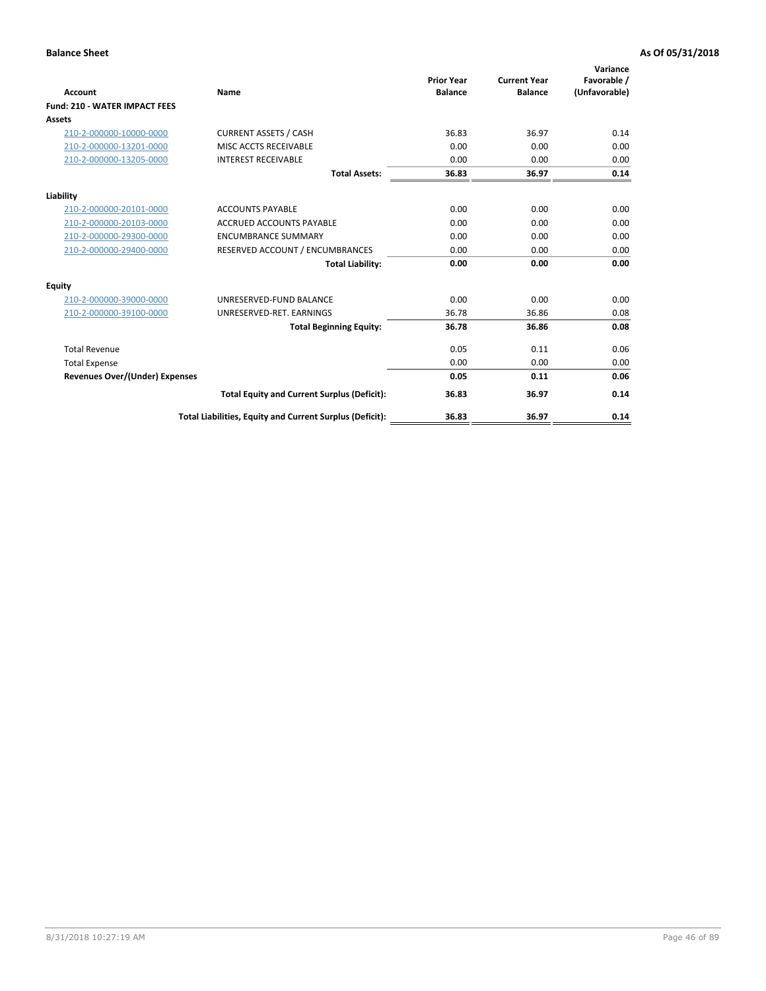| <b>Account</b>                        | <b>Name</b>                                              | <b>Prior Year</b><br><b>Balance</b> | <b>Current Year</b><br><b>Balance</b> | Variance<br>Favorable /<br>(Unfavorable) |
|---------------------------------------|----------------------------------------------------------|-------------------------------------|---------------------------------------|------------------------------------------|
| <b>Fund: 210 - WATER IMPACT FEES</b>  |                                                          |                                     |                                       |                                          |
| <b>Assets</b>                         |                                                          |                                     |                                       |                                          |
| 210-2-000000-10000-0000               | <b>CURRENT ASSETS / CASH</b>                             | 36.83                               | 36.97                                 | 0.14                                     |
| 210-2-000000-13201-0000               | MISC ACCTS RECEIVABLE                                    | 0.00                                | 0.00                                  | 0.00                                     |
| 210-2-000000-13205-0000               | <b>INTEREST RECEIVABLE</b>                               | 0.00                                | 0.00                                  | 0.00                                     |
|                                       | <b>Total Assets:</b>                                     | 36.83                               | 36.97                                 | 0.14                                     |
| Liability                             |                                                          |                                     |                                       |                                          |
| 210-2-000000-20101-0000               | <b>ACCOUNTS PAYABLE</b>                                  | 0.00                                | 0.00                                  | 0.00                                     |
| 210-2-000000-20103-0000               | <b>ACCRUED ACCOUNTS PAYABLE</b>                          | 0.00                                | 0.00                                  | 0.00                                     |
| 210-2-000000-29300-0000               | <b>ENCUMBRANCE SUMMARY</b>                               | 0.00                                | 0.00                                  | 0.00                                     |
| 210-2-000000-29400-0000               | RESERVED ACCOUNT / ENCUMBRANCES                          | 0.00                                | 0.00                                  | 0.00                                     |
|                                       | <b>Total Liability:</b>                                  | 0.00                                | 0.00                                  | 0.00                                     |
| Equity                                |                                                          |                                     |                                       |                                          |
| 210-2-000000-39000-0000               | UNRESERVED-FUND BALANCE                                  | 0.00                                | 0.00                                  | 0.00                                     |
| 210-2-000000-39100-0000               | UNRESERVED-RET. EARNINGS                                 | 36.78                               | 36.86                                 | 0.08                                     |
|                                       | <b>Total Beginning Equity:</b>                           | 36.78                               | 36.86                                 | 0.08                                     |
| <b>Total Revenue</b>                  |                                                          | 0.05                                | 0.11                                  | 0.06                                     |
| <b>Total Expense</b>                  |                                                          | 0.00                                | 0.00                                  | 0.00                                     |
| <b>Revenues Over/(Under) Expenses</b> |                                                          | 0.05                                | 0.11                                  | 0.06                                     |
|                                       | <b>Total Equity and Current Surplus (Deficit):</b>       | 36.83                               | 36.97                                 | 0.14                                     |
|                                       | Total Liabilities, Equity and Current Surplus (Deficit): | 36.83                               | 36.97                                 | 0.14                                     |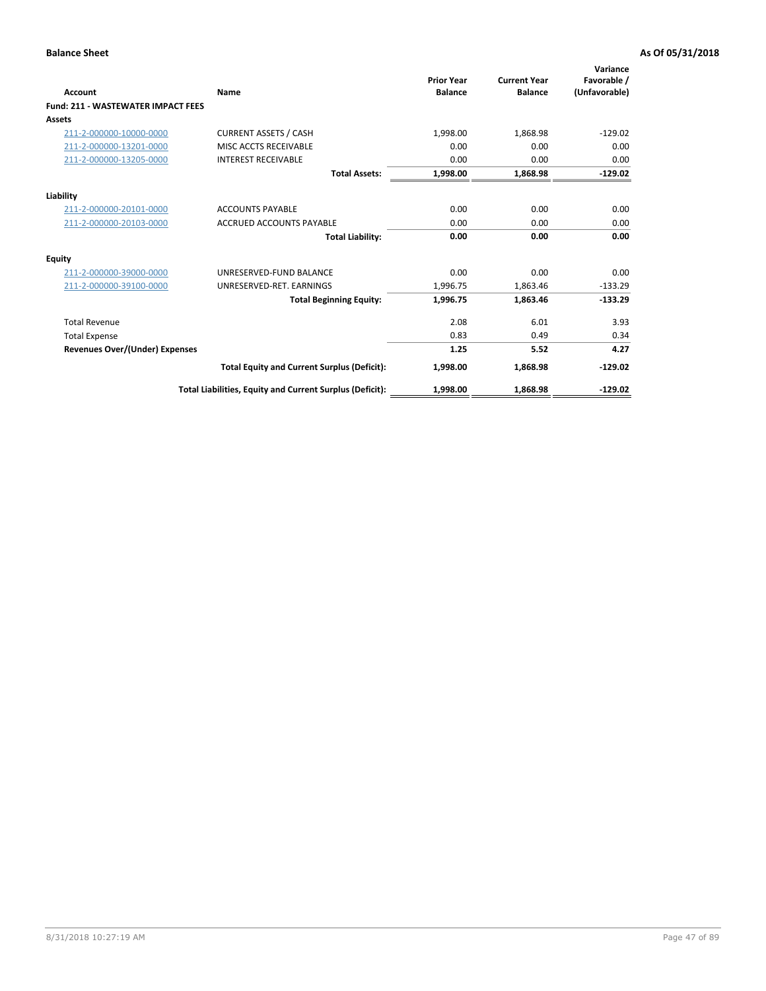| <b>Account</b>                            | Name                                                     | <b>Prior Year</b><br><b>Balance</b> | <b>Current Year</b><br><b>Balance</b> | Variance<br>Favorable /<br>(Unfavorable) |
|-------------------------------------------|----------------------------------------------------------|-------------------------------------|---------------------------------------|------------------------------------------|
| <b>Fund: 211 - WASTEWATER IMPACT FEES</b> |                                                          |                                     |                                       |                                          |
| <b>Assets</b>                             |                                                          |                                     |                                       |                                          |
| 211-2-000000-10000-0000                   | <b>CURRENT ASSETS / CASH</b>                             | 1,998.00                            | 1,868.98                              | $-129.02$                                |
| 211-2-000000-13201-0000                   | MISC ACCTS RECEIVABLE                                    | 0.00                                | 0.00                                  | 0.00                                     |
| 211-2-000000-13205-0000                   | <b>INTEREST RECEIVABLE</b>                               | 0.00                                | 0.00                                  | 0.00                                     |
|                                           | <b>Total Assets:</b>                                     | 1,998.00                            | 1,868.98                              | $-129.02$                                |
| Liability                                 |                                                          |                                     |                                       |                                          |
| 211-2-000000-20101-0000                   | <b>ACCOUNTS PAYABLE</b>                                  | 0.00                                | 0.00                                  | 0.00                                     |
| 211-2-000000-20103-0000                   | <b>ACCRUED ACCOUNTS PAYABLE</b>                          | 0.00                                | 0.00                                  | 0.00                                     |
|                                           | <b>Total Liability:</b>                                  | 0.00                                | 0.00                                  | 0.00                                     |
| <b>Equity</b>                             |                                                          |                                     |                                       |                                          |
| 211-2-000000-39000-0000                   | UNRESERVED-FUND BALANCE                                  | 0.00                                | 0.00                                  | 0.00                                     |
| 211-2-000000-39100-0000                   | UNRESERVED-RET. EARNINGS                                 | 1,996.75                            | 1,863.46                              | $-133.29$                                |
|                                           | <b>Total Beginning Equity:</b>                           | 1,996.75                            | 1.863.46                              | $-133.29$                                |
| <b>Total Revenue</b>                      |                                                          | 2.08                                | 6.01                                  | 3.93                                     |
| <b>Total Expense</b>                      |                                                          | 0.83                                | 0.49                                  | 0.34                                     |
| <b>Revenues Over/(Under) Expenses</b>     |                                                          | 1.25                                | 5.52                                  | 4.27                                     |
|                                           | <b>Total Equity and Current Surplus (Deficit):</b>       | 1,998.00                            | 1,868.98                              | $-129.02$                                |
|                                           | Total Liabilities, Equity and Current Surplus (Deficit): | 1,998.00                            | 1,868.98                              | $-129.02$                                |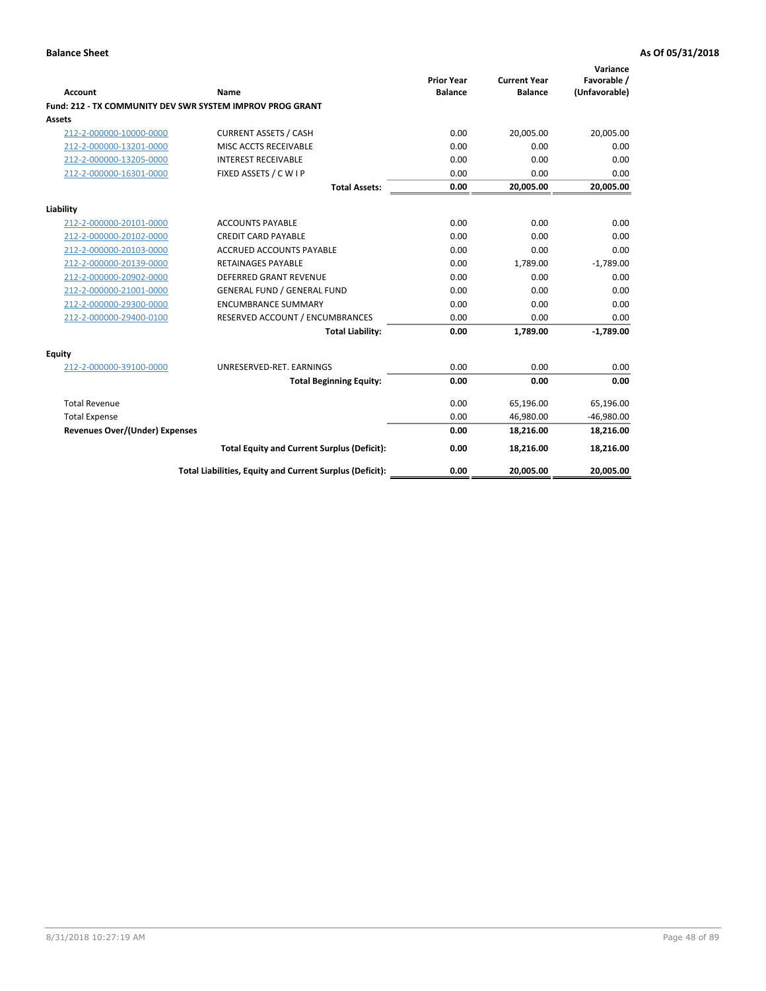| <b>Account</b>                        | Name                                                             | <b>Prior Year</b><br><b>Balance</b> | <b>Current Year</b><br><b>Balance</b> | Variance<br>Favorable /<br>(Unfavorable) |
|---------------------------------------|------------------------------------------------------------------|-------------------------------------|---------------------------------------|------------------------------------------|
|                                       | <b>Fund: 212 - TX COMMUNITY DEV SWR SYSTEM IMPROV PROG GRANT</b> |                                     |                                       |                                          |
| Assets                                |                                                                  |                                     |                                       |                                          |
| 212-2-000000-10000-0000               | <b>CURRENT ASSETS / CASH</b>                                     | 0.00                                | 20,005.00                             | 20,005.00                                |
| 212-2-000000-13201-0000               | MISC ACCTS RECEIVABLE                                            | 0.00                                | 0.00                                  | 0.00                                     |
| 212-2-000000-13205-0000               | <b>INTEREST RECEIVABLE</b>                                       | 0.00                                | 0.00                                  | 0.00                                     |
| 212-2-000000-16301-0000               | FIXED ASSETS / C W I P                                           | 0.00                                | 0.00                                  | 0.00                                     |
|                                       | <b>Total Assets:</b>                                             | 0.00                                | 20,005.00                             | 20,005.00                                |
| Liability                             |                                                                  |                                     |                                       |                                          |
| 212-2-000000-20101-0000               | <b>ACCOUNTS PAYABLE</b>                                          | 0.00                                | 0.00                                  | 0.00                                     |
| 212-2-000000-20102-0000               | <b>CREDIT CARD PAYABLE</b>                                       | 0.00                                | 0.00                                  | 0.00                                     |
| 212-2-000000-20103-0000               | <b>ACCRUED ACCOUNTS PAYABLE</b>                                  | 0.00                                | 0.00                                  | 0.00                                     |
| 212-2-000000-20139-0000               | <b>RETAINAGES PAYABLE</b>                                        | 0.00                                | 1,789.00                              | $-1,789.00$                              |
| 212-2-000000-20902-0000               | <b>DEFERRED GRANT REVENUE</b>                                    | 0.00                                | 0.00                                  | 0.00                                     |
| 212-2-000000-21001-0000               | <b>GENERAL FUND / GENERAL FUND</b>                               | 0.00                                | 0.00                                  | 0.00                                     |
| 212-2-000000-29300-0000               | <b>ENCUMBRANCE SUMMARY</b>                                       | 0.00                                | 0.00                                  | 0.00                                     |
| 212-2-000000-29400-0100               | RESERVED ACCOUNT / ENCUMBRANCES                                  | 0.00                                | 0.00                                  | 0.00                                     |
|                                       | <b>Total Liability:</b>                                          | 0.00                                | 1,789.00                              | $-1,789.00$                              |
| <b>Equity</b>                         |                                                                  |                                     |                                       |                                          |
| 212-2-000000-39100-0000               | UNRESERVED-RET. EARNINGS                                         | 0.00                                | 0.00                                  | 0.00                                     |
|                                       | <b>Total Beginning Equity:</b>                                   | 0.00                                | 0.00                                  | 0.00                                     |
| <b>Total Revenue</b>                  |                                                                  | 0.00                                | 65,196.00                             | 65,196.00                                |
| <b>Total Expense</b>                  |                                                                  | 0.00                                | 46,980.00                             | $-46,980.00$                             |
| <b>Revenues Over/(Under) Expenses</b> |                                                                  | 0.00                                | 18,216.00                             | 18,216.00                                |
|                                       | <b>Total Equity and Current Surplus (Deficit):</b>               | 0.00                                | 18,216.00                             | 18,216.00                                |
|                                       | Total Liabilities, Equity and Current Surplus (Deficit):         | 0.00                                | 20,005.00                             | 20,005.00                                |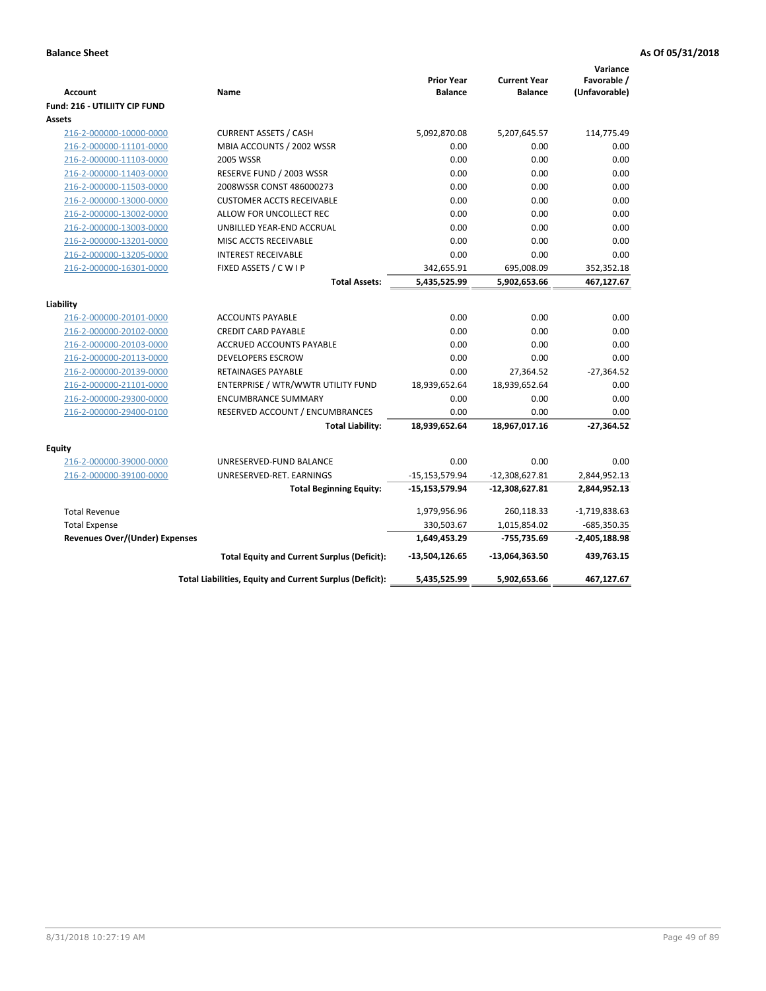|                                       |                                                          |                    |                     | Variance        |
|---------------------------------------|----------------------------------------------------------|--------------------|---------------------|-----------------|
|                                       |                                                          | <b>Prior Year</b>  | <b>Current Year</b> | Favorable /     |
| <b>Account</b>                        | Name                                                     | <b>Balance</b>     | <b>Balance</b>      | (Unfavorable)   |
| <b>Fund: 216 - UTILIITY CIP FUND</b>  |                                                          |                    |                     |                 |
| Assets                                |                                                          |                    |                     |                 |
| 216-2-000000-10000-0000               | <b>CURRENT ASSETS / CASH</b>                             | 5,092,870.08       | 5,207,645.57        | 114,775.49      |
| 216-2-000000-11101-0000               | MBIA ACCOUNTS / 2002 WSSR                                | 0.00               | 0.00                | 0.00            |
| 216-2-000000-11103-0000               | <b>2005 WSSR</b>                                         | 0.00               | 0.00                | 0.00            |
| 216-2-000000-11403-0000               | RESERVE FUND / 2003 WSSR                                 | 0.00               | 0.00                | 0.00            |
| 216-2-000000-11503-0000               | 2008WSSR CONST 486000273                                 | 0.00               | 0.00                | 0.00            |
| 216-2-000000-13000-0000               | <b>CUSTOMER ACCTS RECEIVABLE</b>                         | 0.00               | 0.00                | 0.00            |
| 216-2-000000-13002-0000               | ALLOW FOR UNCOLLECT REC                                  | 0.00               | 0.00                | 0.00            |
| 216-2-000000-13003-0000               | UNBILLED YEAR-END ACCRUAL                                | 0.00               | 0.00                | 0.00            |
| 216-2-000000-13201-0000               | MISC ACCTS RECEIVABLE                                    | 0.00               | 0.00                | 0.00            |
| 216-2-000000-13205-0000               | <b>INTEREST RECEIVABLE</b>                               | 0.00               | 0.00                | 0.00            |
| 216-2-000000-16301-0000               | FIXED ASSETS / C W I P                                   | 342,655.91         | 695,008.09          | 352,352.18      |
|                                       | <b>Total Assets:</b>                                     | 5,435,525.99       | 5,902,653.66        | 467,127.67      |
| Liability                             |                                                          |                    |                     |                 |
| 216-2-000000-20101-0000               | <b>ACCOUNTS PAYABLE</b>                                  | 0.00               | 0.00                | 0.00            |
| 216-2-000000-20102-0000               | <b>CREDIT CARD PAYABLE</b>                               | 0.00               | 0.00                | 0.00            |
| 216-2-000000-20103-0000               | ACCRUED ACCOUNTS PAYABLE                                 | 0.00               | 0.00                | 0.00            |
| 216-2-000000-20113-0000               | <b>DEVELOPERS ESCROW</b>                                 | 0.00               | 0.00                | 0.00            |
| 216-2-000000-20139-0000               | <b>RETAINAGES PAYABLE</b>                                | 0.00               | 27,364.52           | $-27,364.52$    |
| 216-2-000000-21101-0000               | ENTERPRISE / WTR/WWTR UTILITY FUND                       | 18,939,652.64      | 18,939,652.64       | 0.00            |
| 216-2-000000-29300-0000               | <b>ENCUMBRANCE SUMMARY</b>                               | 0.00               | 0.00                | 0.00            |
| 216-2-000000-29400-0100               | RESERVED ACCOUNT / ENCUMBRANCES                          | 0.00               | 0.00                | 0.00            |
|                                       | <b>Total Liability:</b>                                  | 18,939,652.64      | 18,967,017.16       | $-27,364.52$    |
| <b>Equity</b>                         |                                                          |                    |                     |                 |
| 216-2-000000-39000-0000               | UNRESERVED-FUND BALANCE                                  | 0.00               | 0.00                | 0.00            |
| 216-2-000000-39100-0000               | UNRESERVED-RET. EARNINGS                                 | $-15, 153, 579.94$ | $-12,308,627.81$    | 2,844,952.13    |
|                                       | <b>Total Beginning Equity:</b>                           | -15,153,579.94     | $-12,308,627.81$    | 2,844,952.13    |
|                                       |                                                          |                    |                     |                 |
| <b>Total Revenue</b>                  |                                                          | 1,979,956.96       | 260,118.33          | $-1,719,838.63$ |
| <b>Total Expense</b>                  |                                                          | 330,503.67         | 1,015,854.02        | $-685,350.35$   |
| <b>Revenues Over/(Under) Expenses</b> |                                                          | 1,649,453.29       | $-755,735.69$       | $-2,405,188.98$ |
|                                       | <b>Total Equity and Current Surplus (Deficit):</b>       | -13,504,126.65     | $-13,064,363.50$    | 439,763.15      |
|                                       | Total Liabilities, Equity and Current Surplus (Deficit): | 5,435,525.99       | 5,902,653.66        | 467,127.67      |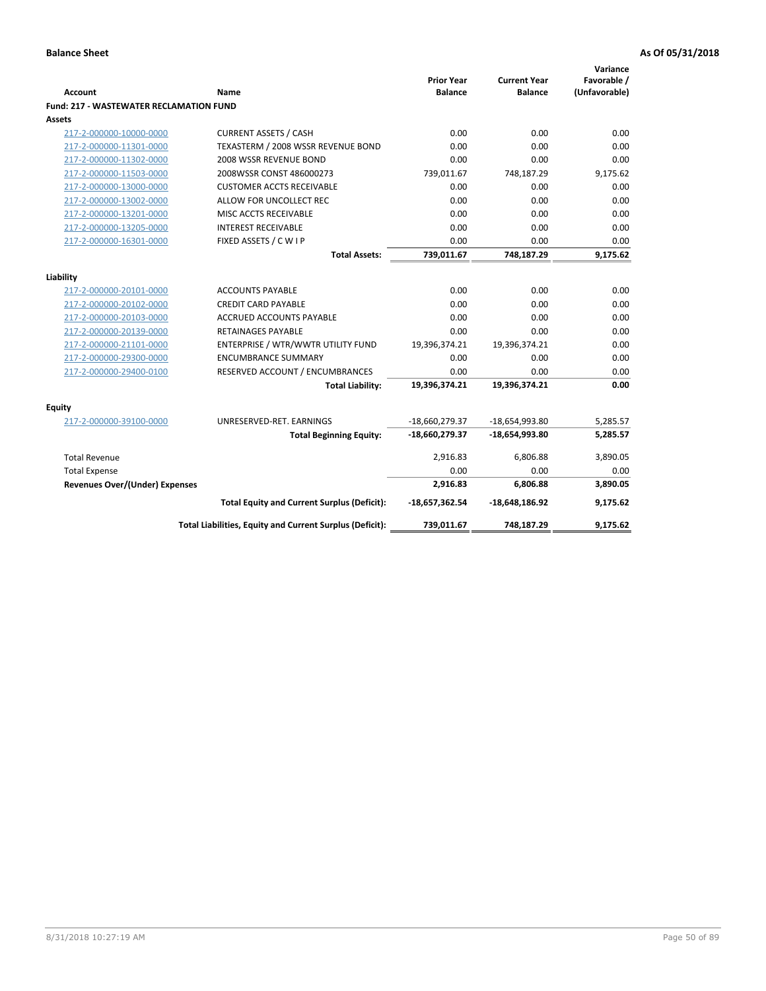| Account                                        | Name                                                     | <b>Prior Year</b><br><b>Balance</b> | <b>Current Year</b><br><b>Balance</b> | Variance<br>Favorable /<br>(Unfavorable) |
|------------------------------------------------|----------------------------------------------------------|-------------------------------------|---------------------------------------|------------------------------------------|
| <b>Fund: 217 - WASTEWATER RECLAMATION FUND</b> |                                                          |                                     |                                       |                                          |
| <b>Assets</b>                                  |                                                          |                                     |                                       |                                          |
| 217-2-000000-10000-0000                        | <b>CURRENT ASSETS / CASH</b>                             | 0.00                                | 0.00                                  | 0.00                                     |
| 217-2-000000-11301-0000                        | TEXASTERM / 2008 WSSR REVENUE BOND                       | 0.00                                | 0.00                                  | 0.00                                     |
| 217-2-000000-11302-0000                        | 2008 WSSR REVENUE BOND                                   | 0.00                                | 0.00                                  | 0.00                                     |
| 217-2-000000-11503-0000                        | 2008WSSR CONST 486000273                                 | 739,011.67                          | 748,187.29                            | 9,175.62                                 |
| 217-2-000000-13000-0000                        | <b>CUSTOMER ACCTS RECEIVABLE</b>                         | 0.00                                | 0.00                                  | 0.00                                     |
| 217-2-000000-13002-0000                        | ALLOW FOR UNCOLLECT REC                                  | 0.00                                | 0.00                                  | 0.00                                     |
| 217-2-000000-13201-0000                        | MISC ACCTS RECEIVABLE                                    | 0.00                                | 0.00                                  | 0.00                                     |
| 217-2-000000-13205-0000                        | <b>INTEREST RECEIVABLE</b>                               | 0.00                                | 0.00                                  | 0.00                                     |
| 217-2-000000-16301-0000                        | FIXED ASSETS / C W I P                                   | 0.00                                | 0.00                                  | 0.00                                     |
|                                                | <b>Total Assets:</b>                                     | 739,011.67                          | 748,187.29                            | 9,175.62                                 |
|                                                |                                                          |                                     |                                       |                                          |
| Liability<br>217-2-000000-20101-0000           | <b>ACCOUNTS PAYABLE</b>                                  | 0.00                                | 0.00                                  | 0.00                                     |
| 217-2-000000-20102-0000                        | <b>CREDIT CARD PAYABLE</b>                               | 0.00                                | 0.00                                  | 0.00                                     |
| 217-2-000000-20103-0000                        | <b>ACCRUED ACCOUNTS PAYABLE</b>                          | 0.00                                | 0.00                                  | 0.00                                     |
| 217-2-000000-20139-0000                        | RETAINAGES PAYABLE                                       | 0.00                                | 0.00                                  | 0.00                                     |
| 217-2-000000-21101-0000                        | ENTERPRISE / WTR/WWTR UTILITY FUND                       | 19,396,374.21                       | 19,396,374.21                         | 0.00                                     |
| 217-2-000000-29300-0000                        | <b>ENCUMBRANCE SUMMARY</b>                               | 0.00                                | 0.00                                  | 0.00                                     |
| 217-2-000000-29400-0100                        | RESERVED ACCOUNT / ENCUMBRANCES                          | 0.00                                | 0.00                                  | 0.00                                     |
|                                                | <b>Total Liability:</b>                                  | 19,396,374.21                       | 19,396,374.21                         | 0.00                                     |
|                                                |                                                          |                                     |                                       |                                          |
| <b>Equity</b>                                  |                                                          |                                     |                                       |                                          |
| 217-2-000000-39100-0000                        | UNRESERVED-RET. EARNINGS                                 | $-18,660,279.37$                    | -18,654,993.80                        | 5,285.57                                 |
|                                                | <b>Total Beginning Equity:</b>                           | -18,660,279.37                      | $-18,654,993.80$                      | 5,285.57                                 |
| <b>Total Revenue</b>                           |                                                          | 2,916.83                            | 6,806.88                              | 3,890.05                                 |
| <b>Total Expense</b>                           |                                                          | 0.00                                | 0.00                                  | 0.00                                     |
| <b>Revenues Over/(Under) Expenses</b>          |                                                          | 2,916.83                            | 6,806.88                              | 3,890.05                                 |
|                                                | <b>Total Equity and Current Surplus (Deficit):</b>       | $-18,657,362.54$                    | $-18,648,186.92$                      | 9,175.62                                 |
|                                                | Total Liabilities, Equity and Current Surplus (Deficit): | 739,011.67                          | 748,187.29                            | 9,175.62                                 |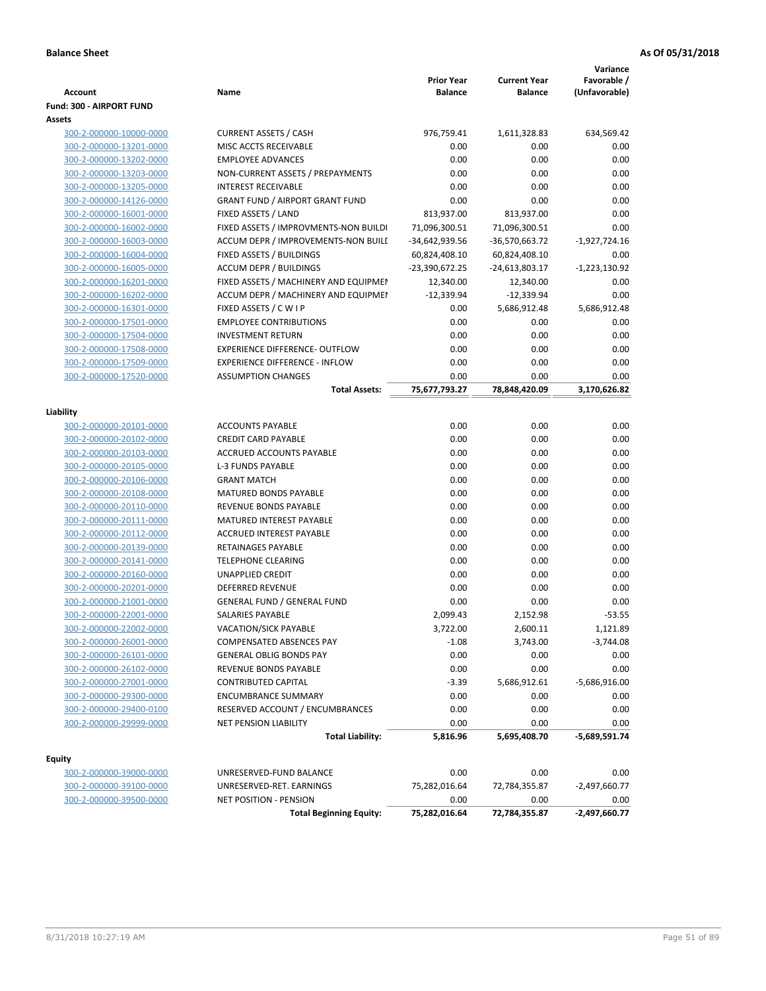|                                                    |                                                                              | <b>Prior Year</b>               | <b>Current Year</b>             | Variance<br>Favorable / |
|----------------------------------------------------|------------------------------------------------------------------------------|---------------------------------|---------------------------------|-------------------------|
| Account                                            | Name                                                                         | <b>Balance</b>                  | <b>Balance</b>                  | (Unfavorable)           |
| Fund: 300 - AIRPORT FUND                           |                                                                              |                                 |                                 |                         |
| Assets<br>300-2-000000-10000-0000                  |                                                                              |                                 |                                 |                         |
| 300-2-000000-13201-0000                            | <b>CURRENT ASSETS / CASH</b><br>MISC ACCTS RECEIVABLE                        | 976,759.41                      | 1,611,328.83                    | 634,569.42              |
|                                                    | <b>EMPLOYEE ADVANCES</b>                                                     | 0.00<br>0.00                    | 0.00                            | 0.00                    |
| 300-2-000000-13202-0000                            |                                                                              | 0.00                            | 0.00<br>0.00                    | 0.00<br>0.00            |
| 300-2-000000-13203-0000<br>300-2-000000-13205-0000 | NON-CURRENT ASSETS / PREPAYMENTS<br><b>INTEREST RECEIVABLE</b>               | 0.00                            | 0.00                            | 0.00                    |
| 300-2-000000-14126-0000                            | <b>GRANT FUND / AIRPORT GRANT FUND</b>                                       | 0.00                            | 0.00                            | 0.00                    |
| 300-2-000000-16001-0000                            | FIXED ASSETS / LAND                                                          | 813,937.00                      | 813,937.00                      | 0.00                    |
|                                                    |                                                                              |                                 |                                 | 0.00                    |
| 300-2-000000-16002-0000                            | FIXED ASSETS / IMPROVMENTS-NON BUILDI<br>ACCUM DEPR / IMPROVEMENTS-NON BUILL | 71,096,300.51                   | 71,096,300.51                   |                         |
| 300-2-000000-16003-0000<br>300-2-000000-16004-0000 | FIXED ASSETS / BUILDINGS                                                     | -34,642,939.56<br>60,824,408.10 | -36,570,663.72<br>60,824,408.10 | $-1,927,724.16$<br>0.00 |
|                                                    | <b>ACCUM DEPR / BUILDINGS</b>                                                | -23,390,672.25                  |                                 |                         |
| 300-2-000000-16005-0000<br>300-2-000000-16201-0000 | FIXED ASSETS / MACHINERY AND EQUIPMEN                                        | 12,340.00                       | -24,613,803.17                  | $-1,223,130.92$         |
| 300-2-000000-16202-0000                            | ACCUM DEPR / MACHINERY AND EQUIPMEI                                          | $-12,339.94$                    | 12,340.00<br>$-12,339.94$       | 0.00<br>0.00            |
|                                                    |                                                                              | 0.00                            |                                 |                         |
| 300-2-000000-16301-0000<br>300-2-000000-17501-0000 | FIXED ASSETS / C W I P<br><b>EMPLOYEE CONTRIBUTIONS</b>                      | 0.00                            | 5,686,912.48<br>0.00            | 5,686,912.48<br>0.00    |
|                                                    | <b>INVESTMENT RETURN</b>                                                     | 0.00                            |                                 | 0.00                    |
| 300-2-000000-17504-0000                            | EXPERIENCE DIFFERENCE- OUTFLOW                                               | 0.00                            | 0.00                            |                         |
| 300-2-000000-17508-0000                            |                                                                              |                                 | 0.00                            | 0.00                    |
| 300-2-000000-17509-0000                            | <b>EXPERIENCE DIFFERENCE - INFLOW</b>                                        | 0.00                            | 0.00                            | 0.00                    |
| 300-2-000000-17520-0000                            | <b>ASSUMPTION CHANGES</b>                                                    | 0.00<br>75,677,793.27           | 0.00<br>78,848,420.09           | 0.00<br>3,170,626.82    |
|                                                    | <b>Total Assets:</b>                                                         |                                 |                                 |                         |
| Liability                                          |                                                                              |                                 |                                 |                         |
| 300-2-000000-20101-0000                            | <b>ACCOUNTS PAYABLE</b>                                                      | 0.00                            | 0.00                            | 0.00                    |
| 300-2-000000-20102-0000                            | <b>CREDIT CARD PAYABLE</b>                                                   | 0.00                            | 0.00                            | 0.00                    |
| 300-2-000000-20103-0000                            | ACCRUED ACCOUNTS PAYABLE                                                     | 0.00                            | 0.00                            | 0.00                    |
| 300-2-000000-20105-0000                            | <b>L-3 FUNDS PAYABLE</b>                                                     | 0.00                            | 0.00                            | 0.00                    |
| 300-2-000000-20106-0000                            | <b>GRANT MATCH</b>                                                           | 0.00                            | 0.00                            | 0.00                    |
| 300-2-000000-20108-0000                            | MATURED BONDS PAYABLE                                                        | 0.00                            | 0.00                            | 0.00                    |
| 300-2-000000-20110-0000                            | REVENUE BONDS PAYABLE                                                        | 0.00                            | 0.00                            | 0.00                    |
| 300-2-000000-20111-0000                            | MATURED INTEREST PAYABLE                                                     | 0.00                            | 0.00                            | 0.00                    |
| 300-2-000000-20112-0000                            | <b>ACCRUED INTEREST PAYABLE</b>                                              | 0.00                            | 0.00                            | 0.00                    |
| 300-2-000000-20139-0000                            | <b>RETAINAGES PAYABLE</b>                                                    | 0.00                            | 0.00                            | 0.00                    |
| 300-2-000000-20141-0000                            | <b>TELEPHONE CLEARING</b>                                                    | 0.00                            | 0.00                            | 0.00                    |
| 300-2-000000-20160-0000                            | <b>UNAPPLIED CREDIT</b>                                                      | 0.00                            | 0.00                            | 0.00                    |
| 300-2-000000-20201-0000                            | <b>DEFERRED REVENUE</b>                                                      | 0.00                            | 0.00                            | 0.00                    |
| 300-2-000000-21001-0000                            | <b>GENERAL FUND / GENERAL FUND</b>                                           | 0.00                            | 0.00                            | 0.00                    |
| 300-2-000000-22001-0000                            | SALARIES PAYABLE                                                             | 2,099.43                        | 2,152.98                        | $-53.55$                |
| 300-2-000000-22002-0000                            | VACATION/SICK PAYABLE                                                        | 3,722.00                        | 2,600.11                        | 1,121.89                |
| 300-2-000000-26001-0000                            | <b>COMPENSATED ABSENCES PAY</b>                                              | $-1.08$                         | 3,743.00                        | $-3,744.08$             |
| 300-2-000000-26101-0000                            | <b>GENERAL OBLIG BONDS PAY</b>                                               | 0.00                            | 0.00                            | 0.00                    |
| 300-2-000000-26102-0000                            | REVENUE BONDS PAYABLE                                                        | 0.00                            | 0.00                            | 0.00                    |
| 300-2-000000-27001-0000                            | <b>CONTRIBUTED CAPITAL</b>                                                   | $-3.39$                         | 5,686,912.61                    | $-5,686,916.00$         |
| 300-2-000000-29300-0000                            | <b>ENCUMBRANCE SUMMARY</b>                                                   | 0.00                            | 0.00                            | 0.00                    |
| 300-2-000000-29400-0100                            | RESERVED ACCOUNT / ENCUMBRANCES                                              | 0.00                            | 0.00                            | 0.00                    |
| 300-2-000000-29999-0000                            | NET PENSION LIABILITY                                                        | 0.00                            | 0.00                            | 0.00                    |
|                                                    | <b>Total Liability:</b>                                                      | 5,816.96                        | 5,695,408.70                    | -5,689,591.74           |
|                                                    |                                                                              |                                 |                                 |                         |
| Equity                                             |                                                                              |                                 |                                 |                         |
| 300-2-000000-39000-0000                            | UNRESERVED-FUND BALANCE                                                      | 0.00                            | 0.00                            | 0.00                    |
| 300-2-000000-39100-0000                            | UNRESERVED-RET. EARNINGS                                                     | 75,282,016.64                   | 72,784,355.87                   | $-2,497,660.77$         |
| 300-2-000000-39500-0000                            | NET POSITION - PENSION                                                       | 0.00                            | 0.00                            | 0.00                    |
|                                                    | <b>Total Beginning Equity:</b>                                               | 75,282,016.64                   | 72,784,355.87                   | $-2,497,660.77$         |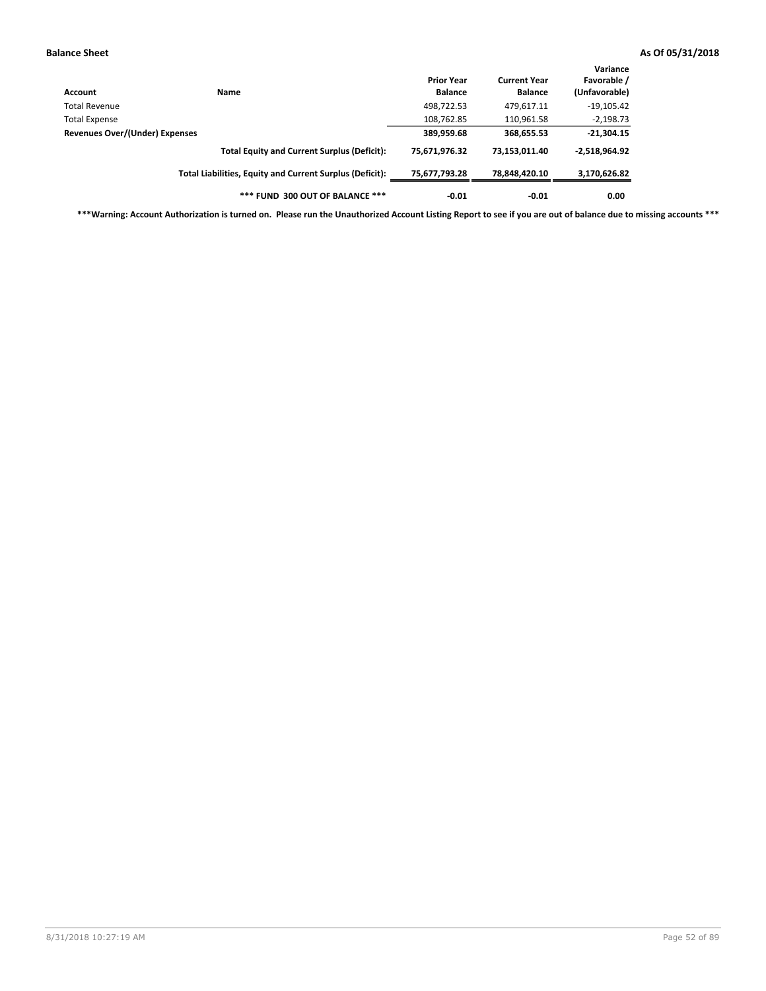| Account                               | Name                                                     | <b>Prior Year</b><br><b>Balance</b> | <b>Current Year</b><br><b>Balance</b> | Variance<br>Favorable /<br>(Unfavorable) |
|---------------------------------------|----------------------------------------------------------|-------------------------------------|---------------------------------------|------------------------------------------|
| Total Revenue                         |                                                          | 498,722.53                          | 479,617.11                            | $-19,105.42$                             |
| <b>Total Expense</b>                  |                                                          | 108,762.85                          | 110,961.58                            | $-2,198.73$                              |
| <b>Revenues Over/(Under) Expenses</b> |                                                          | 389,959.68                          | 368,655.53                            | $-21,304.15$                             |
|                                       | <b>Total Equity and Current Surplus (Deficit):</b>       | 75,671,976.32                       | 73,153,011.40                         | $-2,518,964.92$                          |
|                                       | Total Liabilities, Equity and Current Surplus (Deficit): | 75,677,793.28                       | 78,848,420.10                         | 3,170,626.82                             |
|                                       | *** FUND 300 OUT OF BALANCE ***                          | $-0.01$                             | $-0.01$                               | 0.00                                     |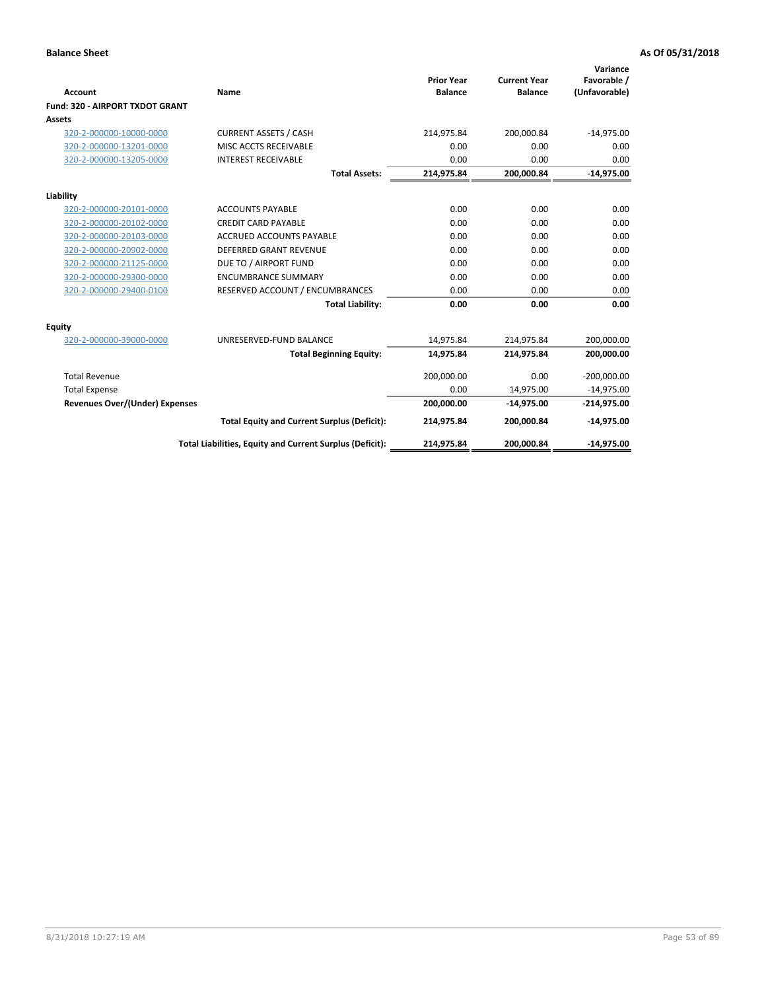|                                 |                                                          |                                     |                                       | Variance                     |
|---------------------------------|----------------------------------------------------------|-------------------------------------|---------------------------------------|------------------------------|
| Account                         | Name                                                     | <b>Prior Year</b><br><b>Balance</b> | <b>Current Year</b><br><b>Balance</b> | Favorable /<br>(Unfavorable) |
| Fund: 320 - AIRPORT TXDOT GRANT |                                                          |                                     |                                       |                              |
| Assets                          |                                                          |                                     |                                       |                              |
| 320-2-000000-10000-0000         | <b>CURRENT ASSETS / CASH</b>                             | 214,975.84                          | 200,000.84                            | $-14,975.00$                 |
| 320-2-000000-13201-0000         | MISC ACCTS RECEIVABLE                                    | 0.00                                | 0.00                                  | 0.00                         |
| 320-2-000000-13205-0000         | <b>INTEREST RECEIVABLE</b>                               | 0.00                                | 0.00                                  | 0.00                         |
|                                 | <b>Total Assets:</b>                                     | 214,975.84                          | 200,000.84                            | $-14,975.00$                 |
| Liability                       |                                                          |                                     |                                       |                              |
| 320-2-000000-20101-0000         | <b>ACCOUNTS PAYABLE</b>                                  | 0.00                                | 0.00                                  | 0.00                         |
| 320-2-000000-20102-0000         | <b>CREDIT CARD PAYABLE</b>                               | 0.00                                | 0.00                                  | 0.00                         |
| 320-2-000000-20103-0000         | <b>ACCRUED ACCOUNTS PAYABLE</b>                          | 0.00                                | 0.00                                  | 0.00                         |
| 320-2-000000-20902-0000         | <b>DEFERRED GRANT REVENUE</b>                            | 0.00                                | 0.00                                  | 0.00                         |
| 320-2-000000-21125-0000         | DUE TO / AIRPORT FUND                                    | 0.00                                | 0.00                                  | 0.00                         |
| 320-2-000000-29300-0000         | <b>ENCUMBRANCE SUMMARY</b>                               | 0.00                                | 0.00                                  | 0.00                         |
| 320-2-000000-29400-0100         | RESERVED ACCOUNT / ENCUMBRANCES                          | 0.00                                | 0.00                                  | 0.00                         |
|                                 | <b>Total Liability:</b>                                  | 0.00                                | 0.00                                  | 0.00                         |
| <b>Equity</b>                   |                                                          |                                     |                                       |                              |
| 320-2-000000-39000-0000         | UNRESERVED-FUND BALANCE                                  | 14,975.84                           | 214,975.84                            | 200,000.00                   |
|                                 | <b>Total Beginning Equity:</b>                           | 14,975.84                           | 214,975.84                            | 200,000.00                   |
| <b>Total Revenue</b>            |                                                          | 200,000.00                          | 0.00                                  | $-200,000.00$                |
| <b>Total Expense</b>            |                                                          | 0.00                                | 14,975.00                             | $-14,975.00$                 |
| Revenues Over/(Under) Expenses  |                                                          | 200,000.00                          | $-14,975.00$                          | $-214,975.00$                |
|                                 | <b>Total Equity and Current Surplus (Deficit):</b>       | 214,975.84                          | 200,000.84                            | $-14,975.00$                 |
|                                 | Total Liabilities, Equity and Current Surplus (Deficit): | 214,975.84                          | 200,000.84                            | $-14,975.00$                 |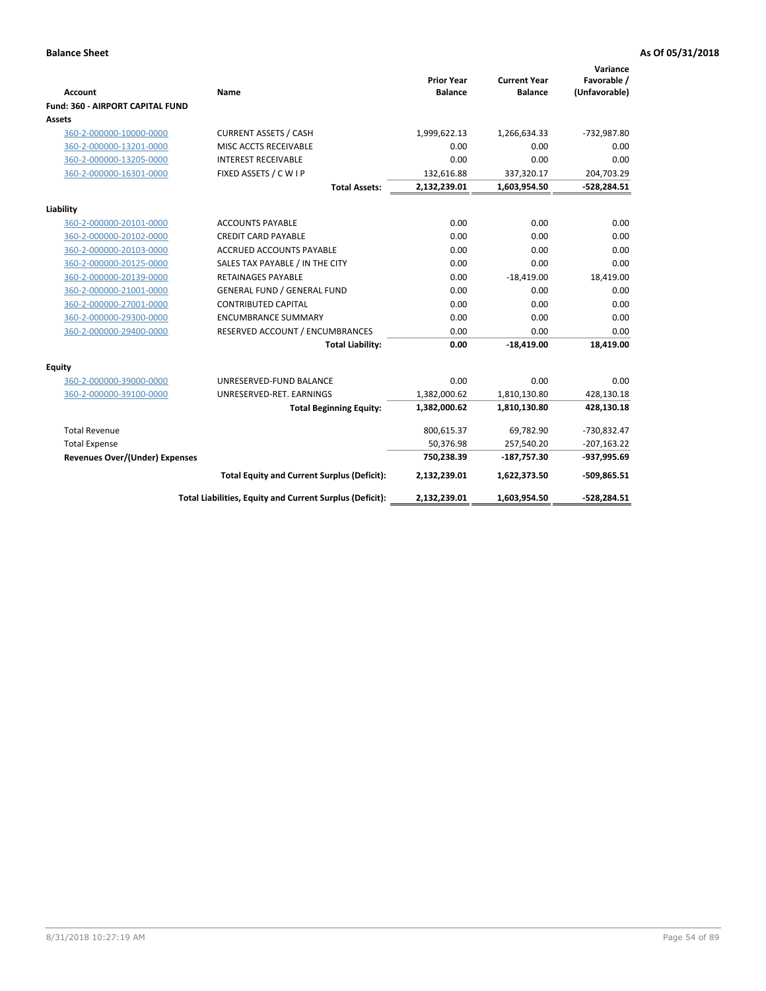| <b>Account</b>                          | Name                                                     | <b>Prior Year</b><br><b>Balance</b> | <b>Current Year</b><br><b>Balance</b> | Variance<br>Favorable /<br>(Unfavorable) |
|-----------------------------------------|----------------------------------------------------------|-------------------------------------|---------------------------------------|------------------------------------------|
| <b>Fund: 360 - AIRPORT CAPITAL FUND</b> |                                                          |                                     |                                       |                                          |
| Assets                                  |                                                          |                                     |                                       |                                          |
| 360-2-000000-10000-0000                 | <b>CURRENT ASSETS / CASH</b>                             | 1,999,622.13                        | 1,266,634.33                          | -732,987.80                              |
| 360-2-000000-13201-0000                 | MISC ACCTS RECEIVABLE                                    | 0.00                                | 0.00                                  | 0.00                                     |
| 360-2-000000-13205-0000                 | <b>INTEREST RECEIVABLE</b>                               | 0.00                                | 0.00                                  | 0.00                                     |
| 360-2-000000-16301-0000                 | FIXED ASSETS / C W I P                                   | 132,616.88                          | 337,320.17                            | 204,703.29                               |
|                                         | <b>Total Assets:</b>                                     | 2,132,239.01                        | 1,603,954.50                          | $-528,284.51$                            |
| Liability                               |                                                          |                                     |                                       |                                          |
| 360-2-000000-20101-0000                 | <b>ACCOUNTS PAYABLE</b>                                  | 0.00                                | 0.00                                  | 0.00                                     |
| 360-2-000000-20102-0000                 | <b>CREDIT CARD PAYABLE</b>                               | 0.00                                | 0.00                                  | 0.00                                     |
| 360-2-000000-20103-0000                 | ACCRUED ACCOUNTS PAYABLE                                 | 0.00                                | 0.00                                  | 0.00                                     |
| 360-2-000000-20125-0000                 | SALES TAX PAYABLE / IN THE CITY                          | 0.00                                | 0.00                                  | 0.00                                     |
| 360-2-000000-20139-0000                 | <b>RETAINAGES PAYABLE</b>                                | 0.00                                | $-18,419.00$                          | 18,419.00                                |
| 360-2-000000-21001-0000                 | <b>GENERAL FUND / GENERAL FUND</b>                       | 0.00                                | 0.00                                  | 0.00                                     |
| 360-2-000000-27001-0000                 | <b>CONTRIBUTED CAPITAL</b>                               | 0.00                                | 0.00                                  | 0.00                                     |
| 360-2-000000-29300-0000                 | <b>ENCUMBRANCE SUMMARY</b>                               | 0.00                                | 0.00                                  | 0.00                                     |
| 360-2-000000-29400-0000                 | RESERVED ACCOUNT / ENCUMBRANCES                          | 0.00                                | 0.00                                  | 0.00                                     |
|                                         | <b>Total Liability:</b>                                  | 0.00                                | $-18,419.00$                          | 18,419.00                                |
| <b>Equity</b>                           |                                                          |                                     |                                       |                                          |
| 360-2-000000-39000-0000                 | UNRESERVED-FUND BALANCE                                  | 0.00                                | 0.00                                  | 0.00                                     |
| 360-2-000000-39100-0000                 | UNRESERVED-RET. EARNINGS                                 | 1,382,000.62                        | 1,810,130.80                          | 428,130.18                               |
|                                         | <b>Total Beginning Equity:</b>                           | 1,382,000.62                        | 1,810,130.80                          | 428,130.18                               |
|                                         |                                                          |                                     |                                       |                                          |
| <b>Total Revenue</b>                    |                                                          | 800,615.37                          | 69,782.90                             | -730,832.47                              |
| <b>Total Expense</b>                    |                                                          | 50,376.98                           | 257,540.20                            | $-207,163.22$                            |
| <b>Revenues Over/(Under) Expenses</b>   |                                                          | 750,238.39                          | $-187,757.30$                         | -937,995.69                              |
|                                         | <b>Total Equity and Current Surplus (Deficit):</b>       | 2,132,239.01                        | 1,622,373.50                          | $-509,865.51$                            |
|                                         | Total Liabilities, Equity and Current Surplus (Deficit): | 2,132,239.01                        | 1,603,954.50                          | $-528,284.51$                            |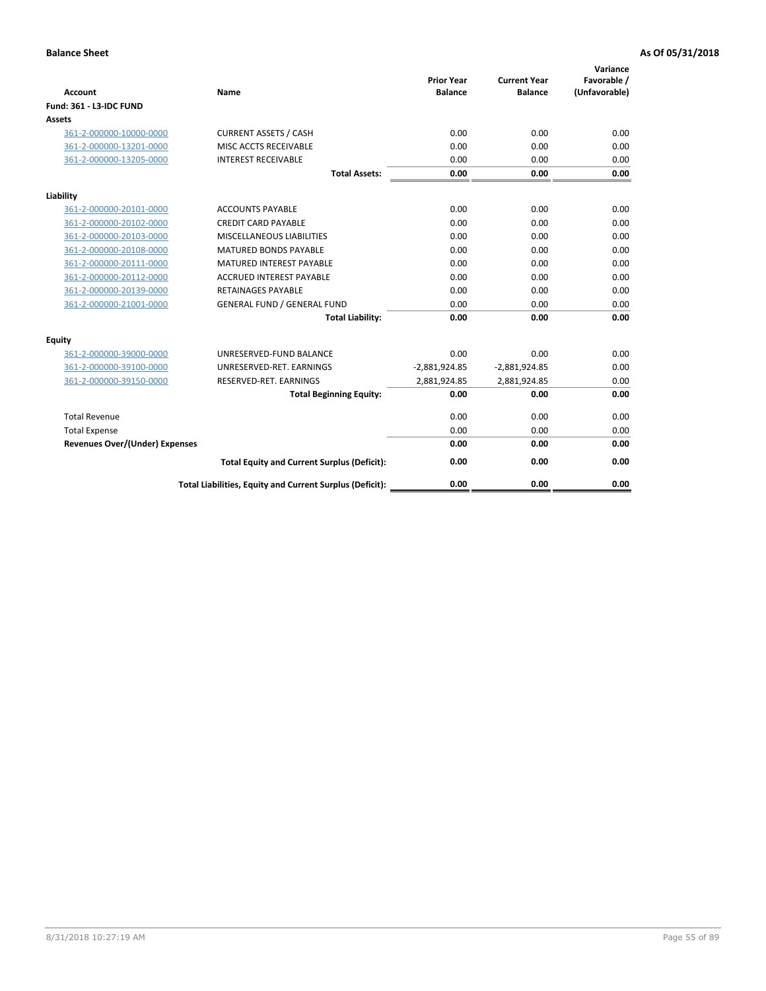| <b>Account</b>                        | <b>Name</b>                                              | <b>Prior Year</b><br><b>Balance</b> | <b>Current Year</b><br><b>Balance</b> | Variance<br>Favorable /<br>(Unfavorable) |
|---------------------------------------|----------------------------------------------------------|-------------------------------------|---------------------------------------|------------------------------------------|
| <b>Fund: 361 - L3-IDC FUND</b>        |                                                          |                                     |                                       |                                          |
| Assets                                |                                                          |                                     |                                       |                                          |
| 361-2-000000-10000-0000               | <b>CURRENT ASSETS / CASH</b>                             | 0.00                                | 0.00                                  | 0.00                                     |
| 361-2-000000-13201-0000               | MISC ACCTS RECEIVABLE                                    | 0.00                                | 0.00                                  | 0.00                                     |
| 361-2-000000-13205-0000               | <b>INTEREST RECEIVABLE</b>                               | 0.00                                | 0.00                                  | 0.00                                     |
|                                       | <b>Total Assets:</b>                                     | 0.00                                | 0.00                                  | 0.00                                     |
| Liability                             |                                                          |                                     |                                       |                                          |
| 361-2-000000-20101-0000               | <b>ACCOUNTS PAYABLE</b>                                  | 0.00                                | 0.00                                  | 0.00                                     |
| 361-2-000000-20102-0000               | <b>CREDIT CARD PAYABLE</b>                               | 0.00                                | 0.00                                  | 0.00                                     |
| 361-2-000000-20103-0000               | <b>MISCELLANEOUS LIABILITIES</b>                         | 0.00                                | 0.00                                  | 0.00                                     |
| 361-2-000000-20108-0000               | <b>MATURED BONDS PAYABLE</b>                             | 0.00                                | 0.00                                  | 0.00                                     |
| 361-2-000000-20111-0000               | <b>MATURED INTEREST PAYABLE</b>                          | 0.00                                | 0.00                                  | 0.00                                     |
| 361-2-000000-20112-0000               | <b>ACCRUED INTEREST PAYABLE</b>                          | 0.00                                | 0.00                                  | 0.00                                     |
| 361-2-000000-20139-0000               | <b>RETAINAGES PAYABLE</b>                                | 0.00                                | 0.00                                  | 0.00                                     |
| 361-2-000000-21001-0000               | <b>GENERAL FUND / GENERAL FUND</b>                       | 0.00                                | 0.00                                  | 0.00                                     |
|                                       | <b>Total Liability:</b>                                  | 0.00                                | 0.00                                  | 0.00                                     |
| Equity                                |                                                          |                                     |                                       |                                          |
| 361-2-000000-39000-0000               | UNRESERVED-FUND BALANCE                                  | 0.00                                | 0.00                                  | 0.00                                     |
| 361-2-000000-39100-0000               | UNRESERVED-RET. EARNINGS                                 | $-2,881,924.85$                     | $-2,881,924.85$                       | 0.00                                     |
| 361-2-000000-39150-0000               | RESERVED-RET. EARNINGS                                   | 2,881,924.85                        | 2,881,924.85                          | 0.00                                     |
|                                       | <b>Total Beginning Equity:</b>                           | 0.00                                | 0.00                                  | 0.00                                     |
| <b>Total Revenue</b>                  |                                                          | 0.00                                | 0.00                                  | 0.00                                     |
| <b>Total Expense</b>                  |                                                          | 0.00                                | 0.00                                  | 0.00                                     |
| <b>Revenues Over/(Under) Expenses</b> |                                                          | 0.00                                | 0.00                                  | 0.00                                     |
|                                       | <b>Total Equity and Current Surplus (Deficit):</b>       | 0.00                                | 0.00                                  | 0.00                                     |
|                                       | Total Liabilities, Equity and Current Surplus (Deficit): | 0.00                                | 0.00                                  | 0.00                                     |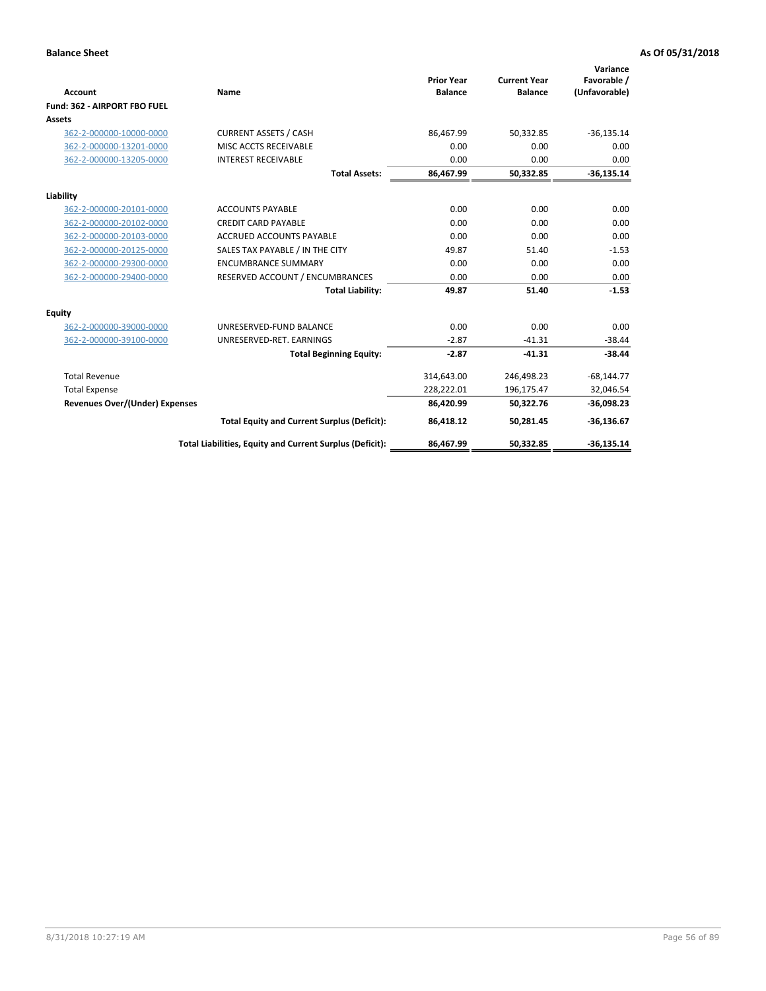|                                       |                                                          |                                     |                                       | Variance                     |
|---------------------------------------|----------------------------------------------------------|-------------------------------------|---------------------------------------|------------------------------|
| <b>Account</b>                        | Name                                                     | <b>Prior Year</b><br><b>Balance</b> | <b>Current Year</b><br><b>Balance</b> | Favorable /<br>(Unfavorable) |
| Fund: 362 - AIRPORT FBO FUEL          |                                                          |                                     |                                       |                              |
| Assets                                |                                                          |                                     |                                       |                              |
| 362-2-000000-10000-0000               | <b>CURRENT ASSETS / CASH</b>                             | 86.467.99                           | 50,332.85                             | $-36,135.14$                 |
| 362-2-000000-13201-0000               | MISC ACCTS RECEIVABLE                                    | 0.00                                | 0.00                                  | 0.00                         |
| 362-2-000000-13205-0000               | <b>INTEREST RECEIVABLE</b>                               | 0.00                                | 0.00                                  | 0.00                         |
|                                       | <b>Total Assets:</b>                                     | 86,467.99                           | 50,332.85                             | $-36,135.14$                 |
| Liability                             |                                                          |                                     |                                       |                              |
| 362-2-000000-20101-0000               | <b>ACCOUNTS PAYABLE</b>                                  | 0.00                                | 0.00                                  | 0.00                         |
| 362-2-000000-20102-0000               | <b>CREDIT CARD PAYABLE</b>                               | 0.00                                | 0.00                                  | 0.00                         |
| 362-2-000000-20103-0000               | <b>ACCRUED ACCOUNTS PAYABLE</b>                          | 0.00                                | 0.00                                  | 0.00                         |
| 362-2-000000-20125-0000               | SALES TAX PAYABLE / IN THE CITY                          | 49.87                               | 51.40                                 | $-1.53$                      |
| 362-2-000000-29300-0000               | <b>ENCUMBRANCE SUMMARY</b>                               | 0.00                                | 0.00                                  | 0.00                         |
| 362-2-000000-29400-0000               | RESERVED ACCOUNT / ENCUMBRANCES                          | 0.00                                | 0.00                                  | 0.00                         |
|                                       | <b>Total Liability:</b>                                  | 49.87                               | 51.40                                 | $-1.53$                      |
| <b>Equity</b>                         |                                                          |                                     |                                       |                              |
| 362-2-000000-39000-0000               | UNRESERVED-FUND BALANCE                                  | 0.00                                | 0.00                                  | 0.00                         |
| 362-2-000000-39100-0000               | UNRESERVED-RET. EARNINGS                                 | $-2.87$                             | $-41.31$                              | $-38.44$                     |
|                                       | <b>Total Beginning Equity:</b>                           | $-2.87$                             | $-41.31$                              | $-38.44$                     |
| <b>Total Revenue</b>                  |                                                          | 314,643.00                          | 246,498.23                            | $-68,144.77$                 |
| <b>Total Expense</b>                  |                                                          | 228,222.01                          | 196,175.47                            | 32,046.54                    |
| <b>Revenues Over/(Under) Expenses</b> |                                                          | 86,420.99                           | 50,322.76                             | $-36,098.23$                 |
|                                       | <b>Total Equity and Current Surplus (Deficit):</b>       | 86,418.12                           | 50,281.45                             | $-36,136.67$                 |
|                                       | Total Liabilities, Equity and Current Surplus (Deficit): | 86,467.99                           | 50,332.85                             | $-36,135.14$                 |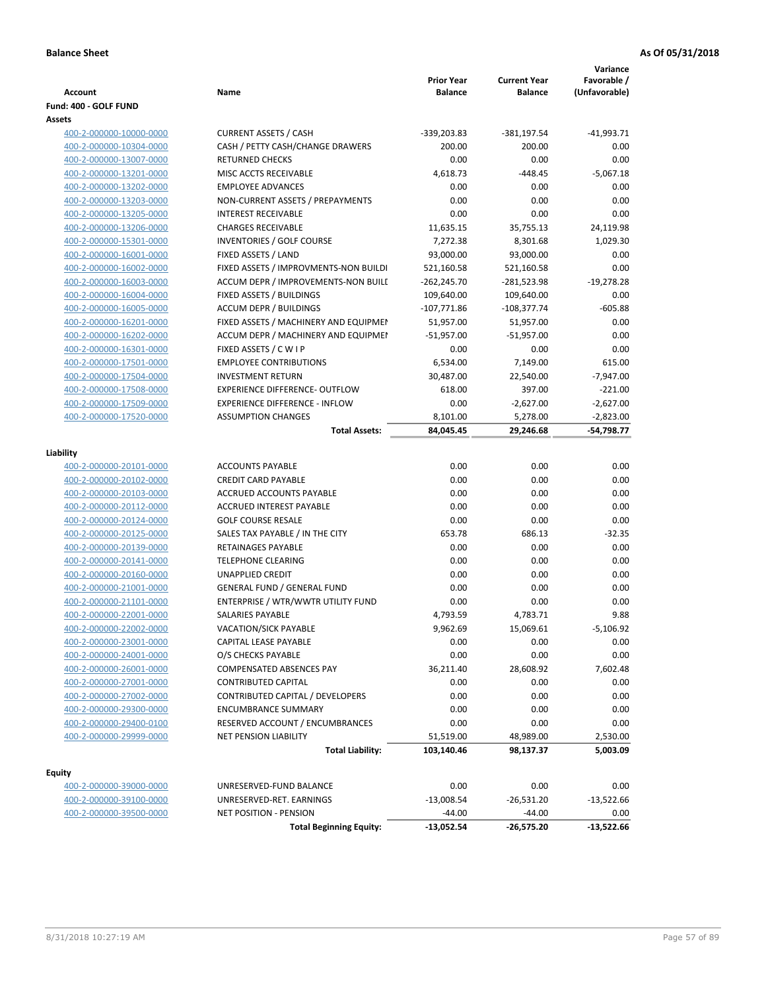| Account                                            | Name                                                                     | <b>Prior Year</b><br><b>Balance</b> | <b>Current Year</b><br><b>Balance</b> | Variance<br>Favorable /<br>(Unfavorable) |
|----------------------------------------------------|--------------------------------------------------------------------------|-------------------------------------|---------------------------------------|------------------------------------------|
| Fund: 400 - GOLF FUND                              |                                                                          |                                     |                                       |                                          |
| Assets                                             |                                                                          |                                     |                                       |                                          |
| 400-2-000000-10000-0000                            | <b>CURRENT ASSETS / CASH</b>                                             | $-339,203.83$                       | -381,197.54                           | $-41,993.71$                             |
| 400-2-000000-10304-0000                            | CASH / PETTY CASH/CHANGE DRAWERS                                         | 200.00                              | 200.00                                | 0.00                                     |
| 400-2-000000-13007-0000                            | <b>RETURNED CHECKS</b>                                                   | 0.00                                | 0.00                                  | 0.00                                     |
| 400-2-000000-13201-0000                            | MISC ACCTS RECEIVABLE                                                    | 4,618.73                            | $-448.45$                             | $-5,067.18$                              |
| 400-2-000000-13202-0000                            | <b>EMPLOYEE ADVANCES</b>                                                 | 0.00                                | 0.00                                  | 0.00                                     |
| 400-2-000000-13203-0000                            | NON-CURRENT ASSETS / PREPAYMENTS                                         | 0.00                                | 0.00                                  | 0.00                                     |
| 400-2-000000-13205-0000                            | <b>INTEREST RECEIVABLE</b>                                               | 0.00                                | 0.00                                  | 0.00                                     |
| 400-2-000000-13206-0000                            | <b>CHARGES RECEIVABLE</b>                                                | 11,635.15                           | 35,755.13                             | 24,119.98                                |
| 400-2-000000-15301-0000                            | INVENTORIES / GOLF COURSE                                                | 7,272.38                            | 8,301.68                              | 1,029.30                                 |
| 400-2-000000-16001-0000                            | FIXED ASSETS / LAND                                                      | 93,000.00                           | 93,000.00                             | 0.00                                     |
| 400-2-000000-16002-0000                            | FIXED ASSETS / IMPROVMENTS-NON BUILDI                                    | 521,160.58                          | 521,160.58                            | 0.00                                     |
| 400-2-000000-16003-0000                            | ACCUM DEPR / IMPROVEMENTS-NON BUILI                                      | $-262,245.70$                       | -281,523.98                           | $-19,278.28$                             |
| 400-2-000000-16004-0000                            | FIXED ASSETS / BUILDINGS                                                 | 109,640.00                          | 109,640.00                            | 0.00                                     |
| 400-2-000000-16005-0000                            | <b>ACCUM DEPR / BUILDINGS</b>                                            | $-107,771.86$                       | $-108,377.74$                         | $-605.88$                                |
| 400-2-000000-16201-0000                            | FIXED ASSETS / MACHINERY AND EQUIPMEN                                    | 51,957.00                           | 51,957.00                             | 0.00                                     |
| 400-2-000000-16202-0000                            | ACCUM DEPR / MACHINERY AND EQUIPMEI                                      | $-51,957.00$                        | $-51,957.00$                          | 0.00                                     |
| 400-2-000000-16301-0000                            | FIXED ASSETS / C W I P                                                   | 0.00                                | 0.00                                  | 0.00                                     |
| 400-2-000000-17501-0000                            | <b>EMPLOYEE CONTRIBUTIONS</b>                                            | 6,534.00                            | 7,149.00                              | 615.00                                   |
| 400-2-000000-17504-0000                            | <b>INVESTMENT RETURN</b>                                                 | 30,487.00                           | 22,540.00                             | $-7,947.00$                              |
| 400-2-000000-17508-0000                            | <b>EXPERIENCE DIFFERENCE- OUTFLOW</b>                                    | 618.00                              | 397.00                                | $-221.00$                                |
| 400-2-000000-17509-0000                            | <b>EXPERIENCE DIFFERENCE - INFLOW</b>                                    | 0.00                                | $-2,627.00$                           | -2,627.00                                |
| 400-2-000000-17520-0000                            | <b>ASSUMPTION CHANGES</b>                                                | 8,101.00                            | 5,278.00                              | -2,823.00                                |
|                                                    | <b>Total Assets:</b>                                                     | 84,045.45                           | 29,246.68                             | -54,798.77                               |
|                                                    |                                                                          |                                     |                                       |                                          |
| Liability                                          |                                                                          |                                     |                                       |                                          |
| 400-2-000000-20101-0000                            | <b>ACCOUNTS PAYABLE</b>                                                  | 0.00                                | 0.00                                  | 0.00                                     |
| 400-2-000000-20102-0000                            | <b>CREDIT CARD PAYABLE</b>                                               | 0.00                                | 0.00                                  | 0.00                                     |
| 400-2-000000-20103-0000                            | ACCRUED ACCOUNTS PAYABLE                                                 | 0.00                                | 0.00                                  | 0.00                                     |
| 400-2-000000-20112-0000                            | <b>ACCRUED INTEREST PAYABLE</b>                                          | 0.00                                | 0.00                                  | 0.00                                     |
| 400-2-000000-20124-0000                            | <b>GOLF COURSE RESALE</b>                                                | 0.00                                | 0.00                                  | 0.00                                     |
| 400-2-000000-20125-0000                            | SALES TAX PAYABLE / IN THE CITY<br><b>RETAINAGES PAYABLE</b>             | 653.78                              | 686.13                                | $-32.35$                                 |
| 400-2-000000-20139-0000                            |                                                                          | 0.00                                | 0.00                                  | 0.00                                     |
| 400-2-000000-20141-0000                            | <b>TELEPHONE CLEARING</b>                                                | 0.00                                | 0.00                                  | 0.00                                     |
| 400-2-000000-20160-0000                            | <b>UNAPPLIED CREDIT</b>                                                  | 0.00                                | 0.00                                  | 0.00                                     |
| 400-2-000000-21001-0000                            | <b>GENERAL FUND / GENERAL FUND</b><br>ENTERPRISE / WTR/WWTR UTILITY FUND | 0.00                                | 0.00                                  | 0.00<br>0.00                             |
| 400-2-000000-21101-0000                            | SALARIES PAYABLE                                                         | 0.00                                | 0.00<br>4,783.71                      | 9.88                                     |
| 400-2-000000-22001-0000<br>400-2-000000-22002-0000 | VACATION/SICK PAYABLE                                                    | 4,793.59<br>9,962.69                | 15,069.61                             | $-5,106.92$                              |
| 400-2-000000-23001-0000                            | CAPITAL LEASE PAYABLE                                                    | 0.00                                | 0.00                                  | 0.00                                     |
| 400-2-000000-24001-0000                            | O/S CHECKS PAYABLE                                                       | 0.00                                | 0.00                                  | 0.00                                     |
| 400-2-000000-26001-0000                            | COMPENSATED ABSENCES PAY                                                 | 36,211.40                           | 28,608.92                             | 7,602.48                                 |
| 400-2-000000-27001-0000                            | <b>CONTRIBUTED CAPITAL</b>                                               | 0.00                                | 0.00                                  | 0.00                                     |
| 400-2-000000-27002-0000                            | <b>CONTRIBUTED CAPITAL / DEVELOPERS</b>                                  | 0.00                                | 0.00                                  | 0.00                                     |
| 400-2-000000-29300-0000                            | <b>ENCUMBRANCE SUMMARY</b>                                               | 0.00                                | 0.00                                  | 0.00                                     |
| 400-2-000000-29400-0100                            | RESERVED ACCOUNT / ENCUMBRANCES                                          | 0.00                                | 0.00                                  | 0.00                                     |
| 400-2-000000-29999-0000                            | <b>NET PENSION LIABILITY</b>                                             | 51,519.00                           | 48,989.00                             | 2,530.00                                 |
|                                                    | <b>Total Liability:</b>                                                  | 103,140.46                          | 98,137.37                             | 5,003.09                                 |
|                                                    |                                                                          |                                     |                                       |                                          |
| <b>Equity</b>                                      |                                                                          |                                     |                                       |                                          |
| 400-2-000000-39000-0000                            | UNRESERVED-FUND BALANCE                                                  | 0.00                                | 0.00                                  | 0.00                                     |
| 400-2-000000-39100-0000                            | UNRESERVED-RET. EARNINGS                                                 | $-13,008.54$                        | $-26,531.20$                          | $-13,522.66$                             |
| 400-2-000000-39500-0000                            | NET POSITION - PENSION                                                   | $-44.00$                            | $-44.00$                              | 0.00                                     |
|                                                    | <b>Total Beginning Equity:</b>                                           | -13,052.54                          | -26,575.20                            | $-13,522.66$                             |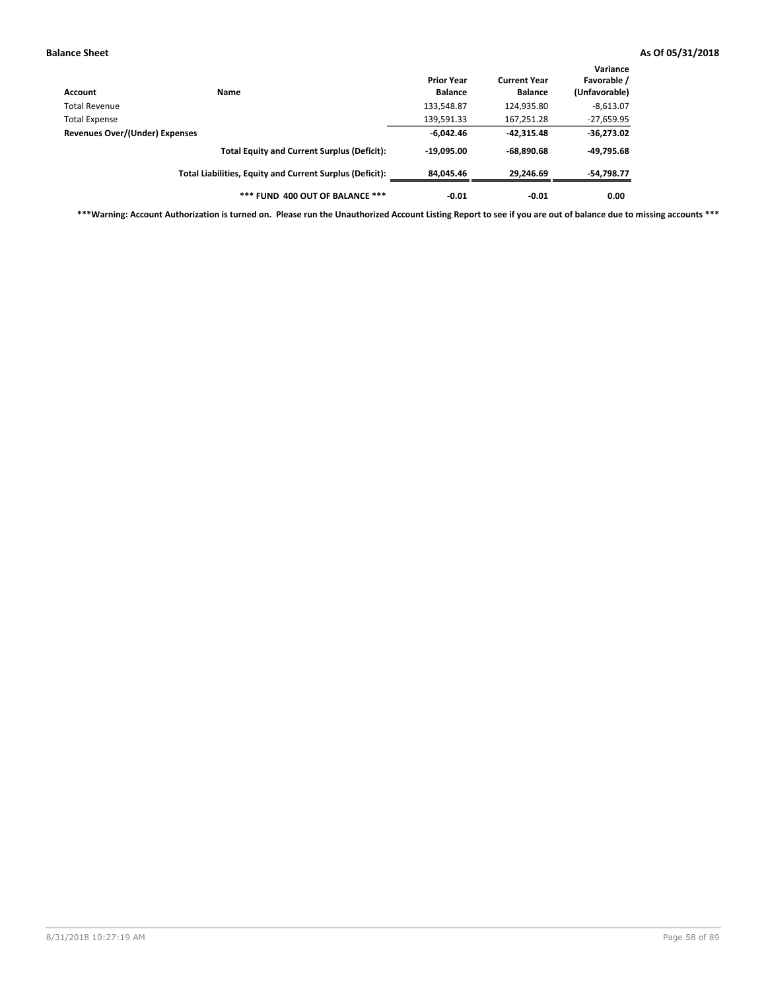| Account                        | Name                                                     | <b>Prior Year</b><br><b>Balance</b> | <b>Current Year</b><br><b>Balance</b> | Variance<br>Favorable /<br>(Unfavorable) |
|--------------------------------|----------------------------------------------------------|-------------------------------------|---------------------------------------|------------------------------------------|
| Total Revenue                  |                                                          | 133,548.87                          | 124,935.80                            | $-8,613.07$                              |
| <b>Total Expense</b>           |                                                          | 139,591.33                          | 167,251.28                            | $-27,659.95$                             |
| Revenues Over/(Under) Expenses |                                                          | $-6.042.46$                         | $-42.315.48$                          | $-36,273.02$                             |
|                                | <b>Total Equity and Current Surplus (Deficit):</b>       | $-19.095.00$                        | $-68.890.68$                          | -49,795.68                               |
|                                | Total Liabilities, Equity and Current Surplus (Deficit): | 84,045.46                           | 29.246.69                             | -54,798.77                               |
|                                | *** FUND 400 OUT OF BALANCE ***                          | $-0.01$                             | $-0.01$                               | 0.00                                     |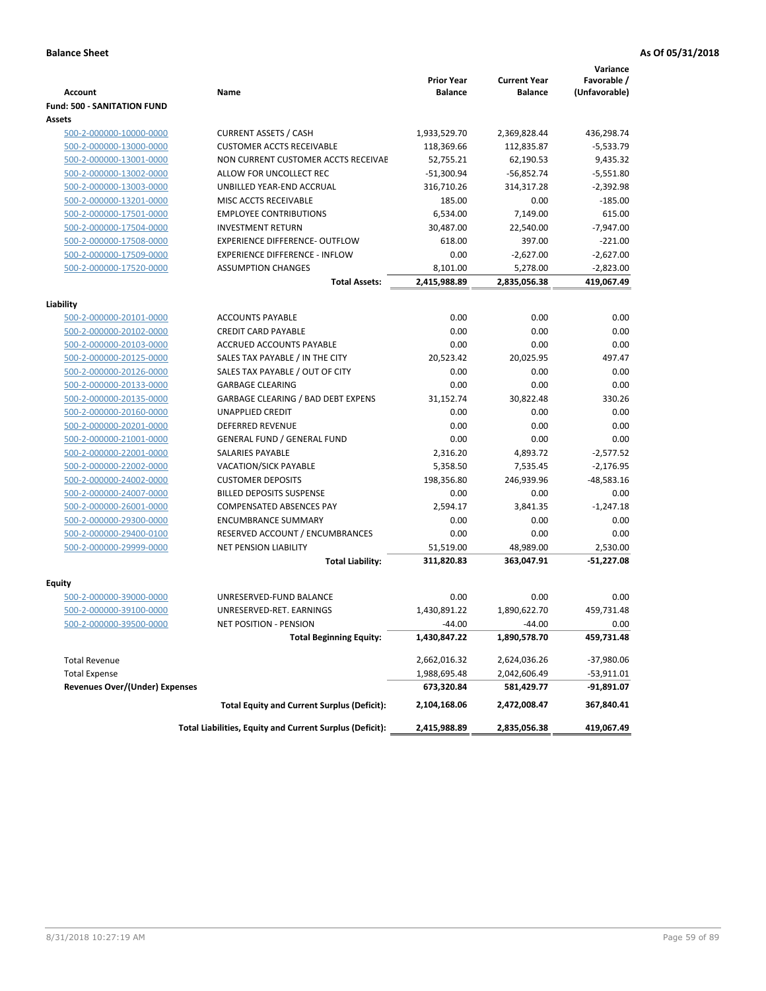|                                       |                                                          | <b>Prior Year</b> | <b>Current Year</b> | Variance<br>Favorable / |
|---------------------------------------|----------------------------------------------------------|-------------------|---------------------|-------------------------|
| <b>Account</b>                        | Name                                                     | <b>Balance</b>    | <b>Balance</b>      | (Unfavorable)           |
| <b>Fund: 500 - SANITATION FUND</b>    |                                                          |                   |                     |                         |
| Assets                                |                                                          |                   |                     |                         |
| 500-2-000000-10000-0000               | <b>CURRENT ASSETS / CASH</b>                             | 1,933,529.70      | 2,369,828.44        | 436,298.74              |
| 500-2-000000-13000-0000               | <b>CUSTOMER ACCTS RECEIVABLE</b>                         | 118,369.66        | 112,835.87          | $-5,533.79$             |
| 500-2-000000-13001-0000               | NON CURRENT CUSTOMER ACCTS RECEIVAE                      | 52,755.21         | 62,190.53           | 9,435.32                |
| 500-2-000000-13002-0000               | ALLOW FOR UNCOLLECT REC                                  | $-51,300.94$      | $-56,852.74$        | $-5,551.80$             |
| 500-2-000000-13003-0000               | UNBILLED YEAR-END ACCRUAL                                | 316,710.26        | 314,317.28          | $-2,392.98$             |
| 500-2-000000-13201-0000               | MISC ACCTS RECEIVABLE                                    | 185.00            | 0.00                | $-185.00$               |
| 500-2-000000-17501-0000               | <b>EMPLOYEE CONTRIBUTIONS</b>                            | 6.534.00          | 7,149.00            | 615.00                  |
| 500-2-000000-17504-0000               | <b>INVESTMENT RETURN</b>                                 | 30,487.00         | 22,540.00           | $-7.947.00$             |
| 500-2-000000-17508-0000               | <b>EXPERIENCE DIFFERENCE- OUTFLOW</b>                    | 618.00            | 397.00              | $-221.00$               |
| 500-2-000000-17509-0000               | <b>EXPERIENCE DIFFERENCE - INFLOW</b>                    | 0.00              | $-2,627.00$         | $-2,627.00$             |
| 500-2-000000-17520-0000               | <b>ASSUMPTION CHANGES</b>                                | 8,101.00          | 5,278.00            | $-2,823.00$             |
|                                       | <b>Total Assets:</b>                                     | 2,415,988.89      | 2,835,056.38        | 419,067.49              |
|                                       |                                                          |                   |                     |                         |
| Liability                             |                                                          |                   |                     |                         |
| 500-2-000000-20101-0000               | <b>ACCOUNTS PAYABLE</b>                                  | 0.00              | 0.00                | 0.00                    |
| 500-2-000000-20102-0000               | <b>CREDIT CARD PAYABLE</b>                               | 0.00              | 0.00                | 0.00                    |
| 500-2-000000-20103-0000               | ACCRUED ACCOUNTS PAYABLE                                 | 0.00              | 0.00                | 0.00                    |
| 500-2-000000-20125-0000               | SALES TAX PAYABLE / IN THE CITY                          | 20,523.42         | 20,025.95           | 497.47                  |
| 500-2-000000-20126-0000               | SALES TAX PAYABLE / OUT OF CITY                          | 0.00              | 0.00                | 0.00                    |
| 500-2-000000-20133-0000               | <b>GARBAGE CLEARING</b>                                  | 0.00              | 0.00                | 0.00                    |
| 500-2-000000-20135-0000               | <b>GARBAGE CLEARING / BAD DEBT EXPENS</b>                | 31,152.74         | 30,822.48           | 330.26                  |
| 500-2-000000-20160-0000               | UNAPPLIED CREDIT                                         | 0.00              | 0.00                | 0.00                    |
| 500-2-000000-20201-0000               | <b>DEFERRED REVENUE</b>                                  | 0.00              | 0.00                | 0.00                    |
| 500-2-000000-21001-0000               | <b>GENERAL FUND / GENERAL FUND</b>                       | 0.00              | 0.00                | 0.00                    |
| 500-2-000000-22001-0000               | <b>SALARIES PAYABLE</b>                                  | 2,316.20          | 4,893.72            | $-2,577.52$             |
| 500-2-000000-22002-0000               | <b>VACATION/SICK PAYABLE</b>                             | 5,358.50          | 7,535.45            | $-2,176.95$             |
| 500-2-000000-24002-0000               | <b>CUSTOMER DEPOSITS</b>                                 | 198,356.80        | 246,939.96          | $-48,583.16$            |
| 500-2-000000-24007-0000               | <b>BILLED DEPOSITS SUSPENSE</b>                          | 0.00              | 0.00                | 0.00                    |
| 500-2-000000-26001-0000               | <b>COMPENSATED ABSENCES PAY</b>                          | 2,594.17          | 3,841.35            | $-1,247.18$             |
| 500-2-000000-29300-0000               | <b>ENCUMBRANCE SUMMARY</b>                               | 0.00              | 0.00                | 0.00                    |
| 500-2-000000-29400-0100               | RESERVED ACCOUNT / ENCUMBRANCES                          | 0.00              | 0.00                | 0.00                    |
| 500-2-000000-29999-0000               | <b>NET PENSION LIABILITY</b>                             | 51,519.00         | 48,989.00           | 2,530.00                |
|                                       | <b>Total Liability:</b>                                  | 311,820.83        | 363,047.91          | $-51,227.08$            |
| Equity                                |                                                          |                   |                     |                         |
| 500-2-000000-39000-0000               | UNRESERVED-FUND BALANCE                                  | 0.00              | 0.00                | 0.00                    |
| 500-2-000000-39100-0000               | UNRESERVED-RET. EARNINGS                                 | 1,430,891.22      | 1,890,622.70        | 459,731.48              |
| 500-2-000000-39500-0000               | NET POSITION - PENSION                                   | $-44.00$          | $-44.00$            | 0.00                    |
|                                       | <b>Total Beginning Equity:</b>                           | 1,430,847.22      | 1,890,578.70        | 459,731.48              |
|                                       |                                                          |                   |                     |                         |
| <b>Total Revenue</b>                  |                                                          | 2,662,016.32      | 2,624,036.26        | $-37,980.06$            |
| <b>Total Expense</b>                  |                                                          | 1,988,695.48      | 2,042,606.49        | -53,911.01              |
| <b>Revenues Over/(Under) Expenses</b> |                                                          | 673,320.84        | 581,429.77          | -91,891.07              |
|                                       | <b>Total Equity and Current Surplus (Deficit):</b>       | 2,104,168.06      | 2,472,008.47        | 367,840.41              |
|                                       | Total Liabilities, Equity and Current Surplus (Deficit): | 2,415,988.89      | 2,835,056.38        | 419,067.49              |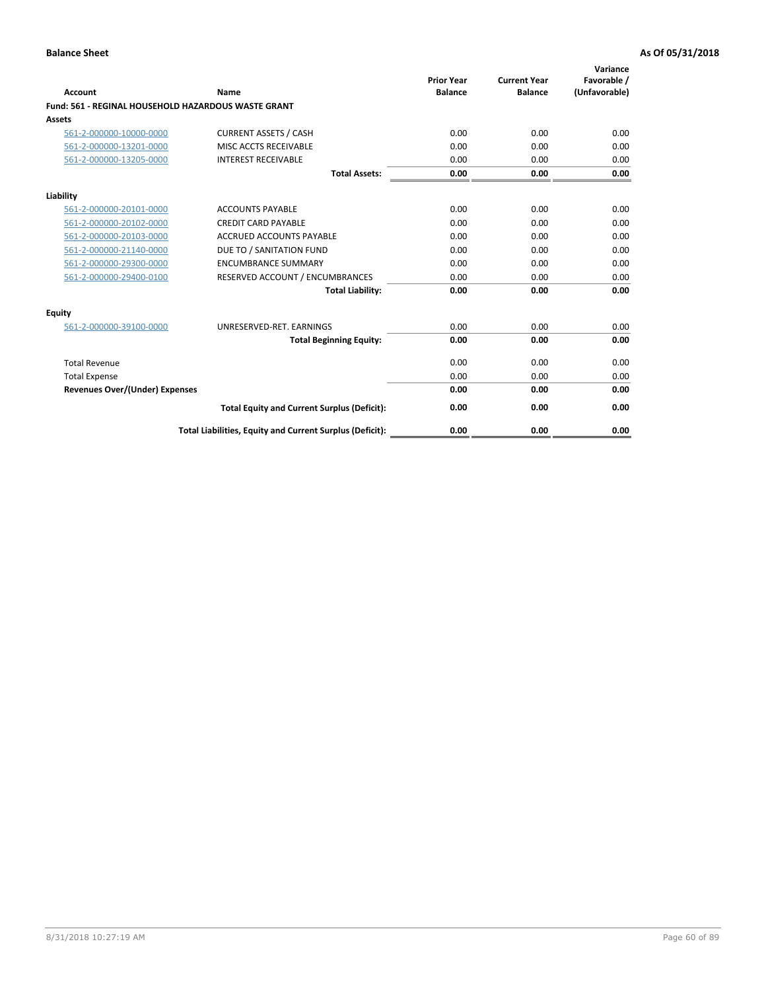| <b>Account</b>                        | Name                                                       | <b>Prior Year</b><br><b>Balance</b> | <b>Current Year</b><br><b>Balance</b> | Variance<br>Favorable /<br>(Unfavorable) |
|---------------------------------------|------------------------------------------------------------|-------------------------------------|---------------------------------------|------------------------------------------|
|                                       | <b>Fund: 561 - REGINAL HOUSEHOLD HAZARDOUS WASTE GRANT</b> |                                     |                                       |                                          |
| Assets                                |                                                            |                                     |                                       |                                          |
| 561-2-000000-10000-0000               | <b>CURRENT ASSETS / CASH</b>                               | 0.00                                | 0.00                                  | 0.00                                     |
| 561-2-000000-13201-0000               | MISC ACCTS RECEIVABLE                                      | 0.00                                | 0.00                                  | 0.00                                     |
| 561-2-000000-13205-0000               | <b>INTEREST RECEIVABLE</b>                                 | 0.00                                | 0.00                                  | 0.00                                     |
|                                       | <b>Total Assets:</b>                                       | 0.00                                | 0.00                                  | 0.00                                     |
| Liability                             |                                                            |                                     |                                       |                                          |
| 561-2-000000-20101-0000               | <b>ACCOUNTS PAYABLE</b>                                    | 0.00                                | 0.00                                  | 0.00                                     |
| 561-2-000000-20102-0000               | <b>CREDIT CARD PAYABLE</b>                                 | 0.00                                | 0.00                                  | 0.00                                     |
| 561-2-000000-20103-0000               | <b>ACCRUED ACCOUNTS PAYABLE</b>                            | 0.00                                | 0.00                                  | 0.00                                     |
| 561-2-000000-21140-0000               | DUE TO / SANITATION FUND                                   | 0.00                                | 0.00                                  | 0.00                                     |
| 561-2-000000-29300-0000               | <b>ENCUMBRANCE SUMMARY</b>                                 | 0.00                                | 0.00                                  | 0.00                                     |
| 561-2-000000-29400-0100               | RESERVED ACCOUNT / ENCUMBRANCES                            | 0.00                                | 0.00                                  | 0.00                                     |
|                                       | <b>Total Liability:</b>                                    | 0.00                                | 0.00                                  | 0.00                                     |
| <b>Equity</b>                         |                                                            |                                     |                                       |                                          |
| 561-2-000000-39100-0000               | UNRESERVED-RET. EARNINGS                                   | 0.00                                | 0.00                                  | 0.00                                     |
|                                       | <b>Total Beginning Equity:</b>                             | 0.00                                | 0.00                                  | 0.00                                     |
| <b>Total Revenue</b>                  |                                                            | 0.00                                | 0.00                                  | 0.00                                     |
| <b>Total Expense</b>                  |                                                            | 0.00                                | 0.00                                  | 0.00                                     |
| <b>Revenues Over/(Under) Expenses</b> |                                                            | 0.00                                | 0.00                                  | 0.00                                     |
|                                       | <b>Total Equity and Current Surplus (Deficit):</b>         | 0.00                                | 0.00                                  | 0.00                                     |
|                                       | Total Liabilities, Equity and Current Surplus (Deficit):   | 0.00                                | 0.00                                  | 0.00                                     |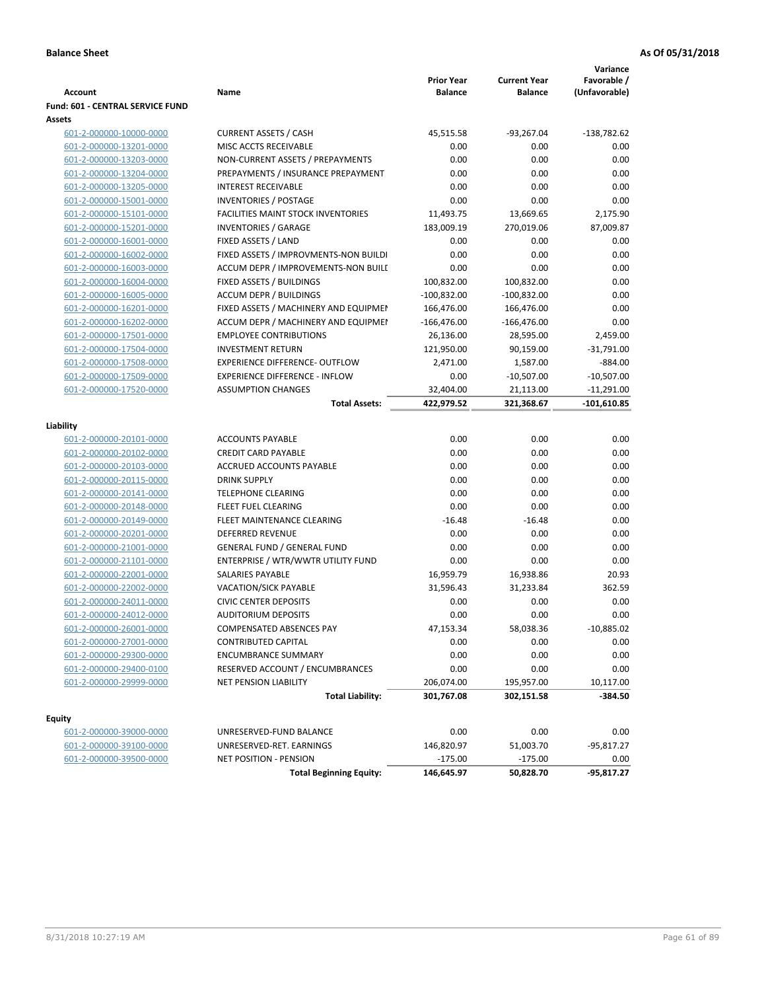| <b>Account</b>                          | Name                                      | <b>Prior Year</b><br><b>Balance</b> | <b>Current Year</b><br><b>Balance</b> | Variance<br>Favorable /<br>(Unfavorable) |
|-----------------------------------------|-------------------------------------------|-------------------------------------|---------------------------------------|------------------------------------------|
| <b>Fund: 601 - CENTRAL SERVICE FUND</b> |                                           |                                     |                                       |                                          |
| Assets                                  |                                           |                                     |                                       |                                          |
| 601-2-000000-10000-0000                 | <b>CURRENT ASSETS / CASH</b>              | 45,515.58                           | $-93,267.04$                          | $-138,782.62$                            |
| 601-2-000000-13201-0000                 | MISC ACCTS RECEIVABLE                     | 0.00                                | 0.00                                  | 0.00                                     |
| 601-2-000000-13203-0000                 | NON-CURRENT ASSETS / PREPAYMENTS          | 0.00                                | 0.00                                  | 0.00                                     |
| 601-2-000000-13204-0000                 | PREPAYMENTS / INSURANCE PREPAYMENT        | 0.00                                | 0.00                                  | 0.00                                     |
| 601-2-000000-13205-0000                 | <b>INTEREST RECEIVABLE</b>                | 0.00                                | 0.00                                  | 0.00                                     |
| 601-2-000000-15001-0000                 | <b>INVENTORIES / POSTAGE</b>              | 0.00                                | 0.00                                  | 0.00                                     |
| 601-2-000000-15101-0000                 | <b>FACILITIES MAINT STOCK INVENTORIES</b> | 11,493.75                           | 13,669.65                             | 2,175.90                                 |
| 601-2-000000-15201-0000                 | <b>INVENTORIES / GARAGE</b>               | 183,009.19                          | 270,019.06                            | 87,009.87                                |
| 601-2-000000-16001-0000                 | FIXED ASSETS / LAND                       | 0.00                                | 0.00                                  | 0.00                                     |
| 601-2-000000-16002-0000                 | FIXED ASSETS / IMPROVMENTS-NON BUILDI     | 0.00                                | 0.00                                  | 0.00                                     |
| 601-2-000000-16003-0000                 | ACCUM DEPR / IMPROVEMENTS-NON BUILI       | 0.00                                | 0.00                                  | 0.00                                     |
| 601-2-000000-16004-0000                 | FIXED ASSETS / BUILDINGS                  | 100,832.00                          | 100,832.00                            | 0.00                                     |
| 601-2-000000-16005-0000                 | <b>ACCUM DEPR / BUILDINGS</b>             | $-100,832.00$                       | $-100,832.00$                         | 0.00                                     |
| 601-2-000000-16201-0000                 | FIXED ASSETS / MACHINERY AND EQUIPMEN     | 166,476.00                          | 166,476.00                            | 0.00                                     |
| 601-2-000000-16202-0000                 | ACCUM DEPR / MACHINERY AND EQUIPMEI       | $-166,476.00$                       | $-166,476.00$                         | 0.00                                     |
| 601-2-000000-17501-0000                 | <b>EMPLOYEE CONTRIBUTIONS</b>             | 26,136.00                           | 28,595.00                             | 2,459.00                                 |
| 601-2-000000-17504-0000                 | <b>INVESTMENT RETURN</b>                  | 121,950.00                          | 90,159.00                             | $-31,791.00$                             |
| 601-2-000000-17508-0000                 | <b>EXPERIENCE DIFFERENCE- OUTFLOW</b>     | 2,471.00                            | 1,587.00                              | $-884.00$                                |
| 601-2-000000-17509-0000                 | <b>EXPERIENCE DIFFERENCE - INFLOW</b>     | 0.00                                | $-10,507.00$                          | $-10,507.00$                             |
| 601-2-000000-17520-0000                 | <b>ASSUMPTION CHANGES</b>                 | 32,404.00                           | 21,113.00                             | $-11,291.00$                             |
|                                         | <b>Total Assets:</b>                      | 422,979.52                          | 321,368.67                            | $-101,610.85$                            |
|                                         |                                           |                                     |                                       |                                          |
| Liability                               |                                           |                                     |                                       |                                          |
| 601-2-000000-20101-0000                 | <b>ACCOUNTS PAYABLE</b>                   | 0.00                                | 0.00                                  | 0.00                                     |
| 601-2-000000-20102-0000                 | <b>CREDIT CARD PAYABLE</b>                | 0.00                                | 0.00                                  | 0.00                                     |
| 601-2-000000-20103-0000                 | ACCRUED ACCOUNTS PAYABLE                  | 0.00                                | 0.00                                  | 0.00                                     |
| 601-2-000000-20115-0000                 | <b>DRINK SUPPLY</b>                       | 0.00                                | 0.00                                  | 0.00                                     |
| 601-2-000000-20141-0000                 | <b>TELEPHONE CLEARING</b>                 | 0.00                                | 0.00                                  | 0.00                                     |
| 601-2-000000-20148-0000                 | <b>FLEET FUEL CLEARING</b>                | 0.00                                | 0.00                                  | 0.00                                     |
| 601-2-000000-20149-0000                 | FLEET MAINTENANCE CLEARING                | $-16.48$                            | $-16.48$                              | 0.00                                     |
| 601-2-000000-20201-0000                 | <b>DEFERRED REVENUE</b>                   | 0.00                                | 0.00                                  | 0.00                                     |
| 601-2-000000-21001-0000                 | <b>GENERAL FUND / GENERAL FUND</b>        | 0.00                                | 0.00                                  | 0.00                                     |
| 601-2-000000-21101-0000                 | ENTERPRISE / WTR/WWTR UTILITY FUND        | 0.00                                | 0.00                                  | 0.00                                     |
| 601-2-000000-22001-0000                 | SALARIES PAYABLE                          | 16,959.79                           | 16,938.86                             | 20.93                                    |
| 601-2-000000-22002-0000                 | <b>VACATION/SICK PAYABLE</b>              | 31,596.43                           | 31,233.84                             | 362.59                                   |
| 601-2-000000-24011-0000                 | <b>CIVIC CENTER DEPOSITS</b>              | 0.00                                | 0.00                                  | 0.00                                     |
| 601-2-000000-24012-0000                 | <b>AUDITORIUM DEPOSITS</b>                | 0.00                                | 0.00                                  | 0.00                                     |
| 601-2-000000-26001-0000                 | COMPENSATED ABSENCES PAY                  | 47,153.34                           | 58,038.36                             | $-10,885.02$                             |
| 601-2-000000-27001-0000                 | <b>CONTRIBUTED CAPITAL</b>                | 0.00                                | 0.00                                  | 0.00                                     |
| 601-2-000000-29300-0000                 | <b>ENCUMBRANCE SUMMARY</b>                | 0.00                                | 0.00                                  | 0.00                                     |
| 601-2-000000-29400-0100                 | RESERVED ACCOUNT / ENCUMBRANCES           | 0.00                                | 0.00                                  | 0.00                                     |
| 601-2-000000-29999-0000                 | NET PENSION LIABILITY                     | 206,074.00                          | 195,957.00                            | 10,117.00                                |
|                                         | <b>Total Liability:</b>                   | 301,767.08                          | 302,151.58                            | -384.50                                  |
|                                         |                                           |                                     |                                       |                                          |
| <b>Equity</b>                           |                                           |                                     |                                       |                                          |
| 601-2-000000-39000-0000                 | UNRESERVED-FUND BALANCE                   | 0.00                                | 0.00                                  | 0.00                                     |
| 601-2-000000-39100-0000                 | UNRESERVED-RET. EARNINGS                  | 146,820.97                          | 51,003.70                             | -95,817.27                               |
| 601-2-000000-39500-0000                 | NET POSITION - PENSION                    | $-175.00$                           | $-175.00$                             | 0.00<br>$-95,817.27$                     |
|                                         | <b>Total Beginning Equity:</b>            | 146,645.97                          | 50,828.70                             |                                          |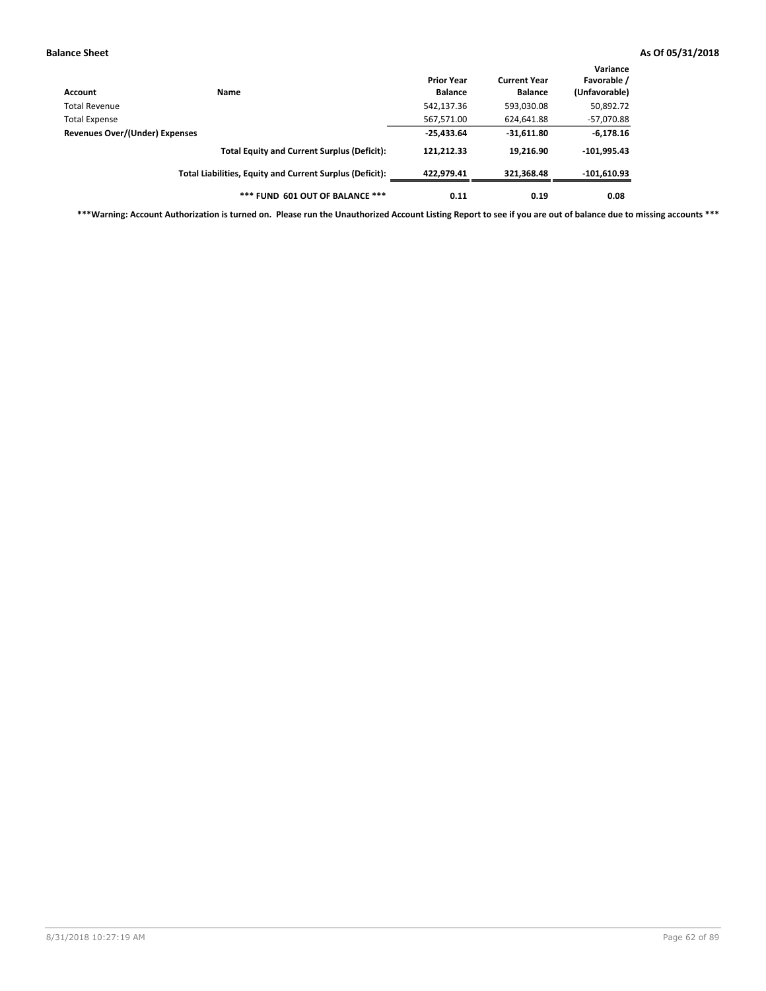| Account                                                                                               | Name                                                     | <b>Prior Year</b><br><b>Balance</b> | <b>Current Year</b><br><b>Balance</b> | Variance<br>Favorable /<br>(Unfavorable) |
|-------------------------------------------------------------------------------------------------------|----------------------------------------------------------|-------------------------------------|---------------------------------------|------------------------------------------|
| Total Revenue                                                                                         |                                                          | 542,137.36                          | 593,030.08                            | 50,892.72                                |
|                                                                                                       |                                                          | 567,571.00                          | 624,641.88                            | $-57,070.88$                             |
| Total Expense<br>Revenues Over/(Under) Expenses<br><b>Total Equity and Current Surplus (Deficit):</b> | $-25,433.64$                                             | $-31,611.80$                        | $-6,178.16$                           |                                          |
|                                                                                                       |                                                          | 121,212.33                          | 19,216.90                             | $-101,995.43$                            |
|                                                                                                       | Total Liabilities, Equity and Current Surplus (Deficit): | 422.979.41                          | 321.368.48                            | $-101,610.93$                            |
|                                                                                                       | *** FUND 601 OUT OF BALANCE ***                          | 0.11                                | 0.19                                  | 0.08                                     |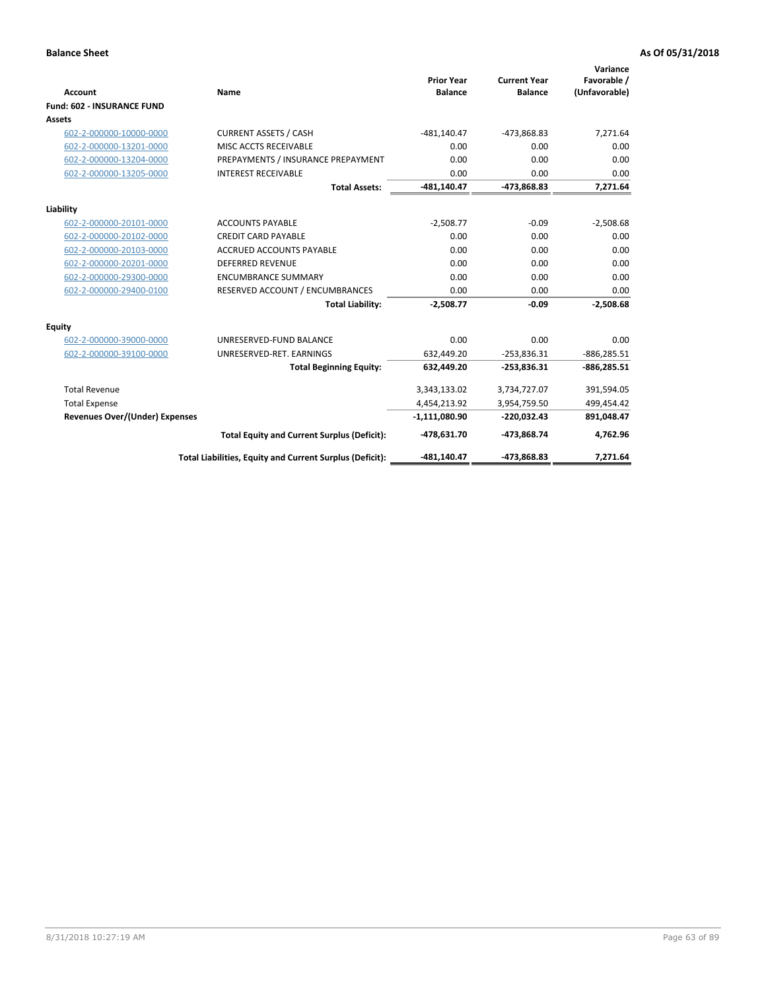|                                       |                                                          |                                     |                                       | Variance                     |
|---------------------------------------|----------------------------------------------------------|-------------------------------------|---------------------------------------|------------------------------|
| <b>Account</b>                        | <b>Name</b>                                              | <b>Prior Year</b><br><b>Balance</b> | <b>Current Year</b><br><b>Balance</b> | Favorable /<br>(Unfavorable) |
| <b>Fund: 602 - INSURANCE FUND</b>     |                                                          |                                     |                                       |                              |
| <b>Assets</b>                         |                                                          |                                     |                                       |                              |
| 602-2-000000-10000-0000               | <b>CURRENT ASSETS / CASH</b>                             | $-481,140.47$                       | -473,868.83                           | 7,271.64                     |
| 602-2-000000-13201-0000               | MISC ACCTS RECEIVABLE                                    | 0.00                                | 0.00                                  | 0.00                         |
| 602-2-000000-13204-0000               | PREPAYMENTS / INSURANCE PREPAYMENT                       | 0.00                                | 0.00                                  | 0.00                         |
| 602-2-000000-13205-0000               | <b>INTEREST RECEIVABLE</b>                               | 0.00                                | 0.00                                  | 0.00                         |
|                                       | <b>Total Assets:</b>                                     | $-481,140.47$                       | -473,868.83                           | 7,271.64                     |
| Liability                             |                                                          |                                     |                                       |                              |
| 602-2-000000-20101-0000               | <b>ACCOUNTS PAYABLE</b>                                  | $-2,508.77$                         | $-0.09$                               | $-2,508.68$                  |
| 602-2-000000-20102-0000               | <b>CREDIT CARD PAYABLE</b>                               | 0.00                                | 0.00                                  | 0.00                         |
| 602-2-000000-20103-0000               | <b>ACCRUED ACCOUNTS PAYABLE</b>                          | 0.00                                | 0.00                                  | 0.00                         |
| 602-2-000000-20201-0000               | <b>DEFERRED REVENUE</b>                                  | 0.00                                | 0.00                                  | 0.00                         |
| 602-2-000000-29300-0000               | <b>ENCUMBRANCE SUMMARY</b>                               | 0.00                                | 0.00                                  | 0.00                         |
| 602-2-000000-29400-0100               | RESERVED ACCOUNT / ENCUMBRANCES                          | 0.00                                | 0.00                                  | 0.00                         |
|                                       | <b>Total Liability:</b>                                  | $-2,508.77$                         | $-0.09$                               | $-2,508.68$                  |
| <b>Equity</b>                         |                                                          |                                     |                                       |                              |
| 602-2-000000-39000-0000               | UNRESERVED-FUND BALANCE                                  | 0.00                                | 0.00                                  | 0.00                         |
| 602-2-000000-39100-0000               | UNRESERVED-RET. EARNINGS                                 | 632,449.20                          | $-253,836.31$                         | $-886, 285.51$               |
|                                       | <b>Total Beginning Equity:</b>                           | 632,449.20                          | $-253,836.31$                         | $-886,285.51$                |
| <b>Total Revenue</b>                  |                                                          | 3,343,133.02                        | 3,734,727.07                          | 391,594.05                   |
| <b>Total Expense</b>                  |                                                          | 4,454,213.92                        | 3,954,759.50                          | 499,454.42                   |
| <b>Revenues Over/(Under) Expenses</b> |                                                          | $-1,111,080.90$                     | $-220,032.43$                         | 891,048.47                   |
|                                       | <b>Total Equity and Current Surplus (Deficit):</b>       | -478,631.70                         | -473,868.74                           | 4,762.96                     |
|                                       | Total Liabilities, Equity and Current Surplus (Deficit): | -481,140.47                         | -473,868.83                           | 7.271.64                     |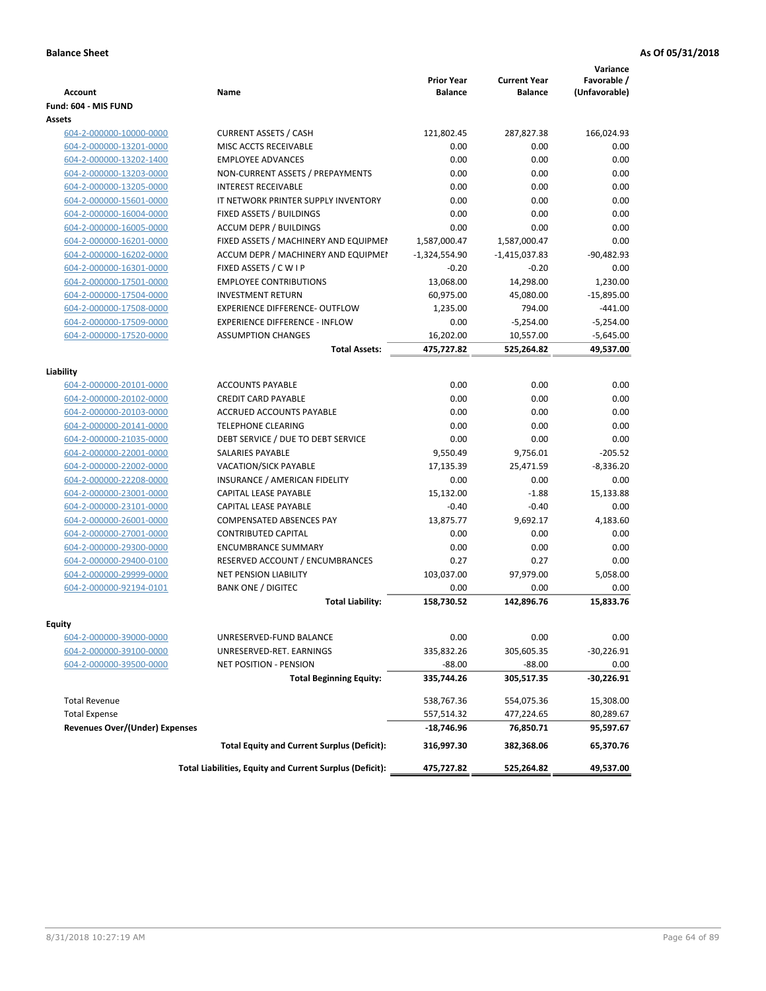| <b>Account</b>                        | Name                                                     | <b>Prior Year</b><br><b>Balance</b> | <b>Current Year</b><br><b>Balance</b> | Variance<br>Favorable /<br>(Unfavorable) |
|---------------------------------------|----------------------------------------------------------|-------------------------------------|---------------------------------------|------------------------------------------|
| Fund: 604 - MIS FUND                  |                                                          |                                     |                                       |                                          |
| Assets                                |                                                          |                                     |                                       |                                          |
| 604-2-000000-10000-0000               | <b>CURRENT ASSETS / CASH</b>                             | 121,802.45                          | 287,827.38                            | 166,024.93                               |
| 604-2-000000-13201-0000               | MISC ACCTS RECEIVABLE                                    | 0.00                                | 0.00                                  | 0.00                                     |
| 604-2-000000-13202-1400               | <b>EMPLOYEE ADVANCES</b>                                 | 0.00                                | 0.00                                  | 0.00                                     |
| 604-2-000000-13203-0000               | NON-CURRENT ASSETS / PREPAYMENTS                         | 0.00                                | 0.00                                  | 0.00                                     |
| 604-2-000000-13205-0000               | <b>INTEREST RECEIVABLE</b>                               | 0.00                                | 0.00                                  | 0.00                                     |
| 604-2-000000-15601-0000               | IT NETWORK PRINTER SUPPLY INVENTORY                      | 0.00                                | 0.00                                  | 0.00                                     |
| 604-2-000000-16004-0000               | FIXED ASSETS / BUILDINGS                                 | 0.00                                | 0.00                                  | 0.00                                     |
| 604-2-000000-16005-0000               | <b>ACCUM DEPR / BUILDINGS</b>                            | 0.00                                | 0.00                                  | 0.00                                     |
| 604-2-000000-16201-0000               | FIXED ASSETS / MACHINERY AND EQUIPMEN                    | 1,587,000.47                        | 1,587,000.47                          | 0.00                                     |
| 604-2-000000-16202-0000               | ACCUM DEPR / MACHINERY AND EQUIPMEI                      | $-1,324,554.90$                     | $-1,415,037.83$                       | $-90,482.93$                             |
| 604-2-000000-16301-0000               | FIXED ASSETS / C W I P                                   | $-0.20$                             | $-0.20$                               | 0.00                                     |
| 604-2-000000-17501-0000               | <b>EMPLOYEE CONTRIBUTIONS</b>                            | 13,068.00                           | 14,298.00                             | 1,230.00                                 |
| 604-2-000000-17504-0000               | <b>INVESTMENT RETURN</b>                                 | 60,975.00                           | 45,080.00                             | $-15,895.00$                             |
| 604-2-000000-17508-0000               | EXPERIENCE DIFFERENCE- OUTFLOW                           | 1,235.00                            | 794.00                                | $-441.00$                                |
| 604-2-000000-17509-0000               | <b>EXPERIENCE DIFFERENCE - INFLOW</b>                    | 0.00                                | $-5,254.00$                           | $-5,254.00$                              |
| 604-2-000000-17520-0000               | <b>ASSUMPTION CHANGES</b>                                | 16,202.00                           | 10,557.00                             | $-5,645.00$                              |
|                                       | <b>Total Assets:</b>                                     | 475,727.82                          | 525,264.82                            | 49,537.00                                |
|                                       |                                                          |                                     |                                       |                                          |
| Liability                             |                                                          |                                     |                                       |                                          |
| 604-2-000000-20101-0000               | <b>ACCOUNTS PAYABLE</b>                                  | 0.00                                | 0.00                                  | 0.00                                     |
| 604-2-000000-20102-0000               | <b>CREDIT CARD PAYABLE</b>                               | 0.00                                | 0.00                                  | 0.00                                     |
| 604-2-000000-20103-0000               | ACCRUED ACCOUNTS PAYABLE                                 | 0.00                                | 0.00                                  | 0.00                                     |
| 604-2-000000-20141-0000               | <b>TELEPHONE CLEARING</b>                                | 0.00                                | 0.00                                  | 0.00                                     |
| 604-2-000000-21035-0000               | DEBT SERVICE / DUE TO DEBT SERVICE                       | 0.00                                | 0.00                                  | 0.00                                     |
| 604-2-000000-22001-0000               | SALARIES PAYABLE                                         | 9,550.49                            | 9,756.01                              | $-205.52$                                |
| 604-2-000000-22002-0000               | VACATION/SICK PAYABLE                                    | 17,135.39                           | 25,471.59                             | $-8,336.20$                              |
| 604-2-000000-22208-0000               | INSURANCE / AMERICAN FIDELITY                            | 0.00                                | 0.00                                  | 0.00                                     |
| 604-2-000000-23001-0000               | CAPITAL LEASE PAYABLE                                    | 15,132.00                           | $-1.88$                               | 15,133.88                                |
| 604-2-000000-23101-0000               | CAPITAL LEASE PAYABLE                                    | $-0.40$                             | $-0.40$                               | 0.00                                     |
| 604-2-000000-26001-0000               | <b>COMPENSATED ABSENCES PAY</b>                          | 13,875.77                           | 9,692.17                              | 4,183.60                                 |
| 604-2-000000-27001-0000               | <b>CONTRIBUTED CAPITAL</b>                               | 0.00                                | 0.00                                  | 0.00                                     |
| 604-2-000000-29300-0000               | <b>ENCUMBRANCE SUMMARY</b>                               | 0.00                                | 0.00                                  | 0.00                                     |
| 604-2-000000-29400-0100               | RESERVED ACCOUNT / ENCUMBRANCES                          | 0.27                                | 0.27                                  | 0.00                                     |
| 604-2-000000-29999-0000               | <b>NET PENSION LIABILITY</b>                             | 103,037.00                          | 97,979.00                             | 5.058.00                                 |
| 604-2-000000-92194-0101               | <b>BANK ONE / DIGITEC</b>                                | 0.00                                | 0.00                                  | 0.00                                     |
|                                       | <b>Total Liability:</b>                                  | 158,730.52                          | 142.896.76                            | 15,833.76                                |
|                                       |                                                          |                                     |                                       |                                          |
| Equity                                |                                                          |                                     |                                       |                                          |
| 604-2-000000-39000-0000               | UNRESERVED-FUND BALANCE                                  | 0.00                                | 0.00                                  | 0.00                                     |
| 604-2-000000-39100-0000               | UNRESERVED-RET. EARNINGS                                 | 335,832.26                          | 305,605.35                            | $-30,226.91$                             |
| 604-2-000000-39500-0000               | <b>NET POSITION - PENSION</b>                            | $-88.00$                            | $-88.00$                              | 0.00                                     |
|                                       | <b>Total Beginning Equity:</b>                           | 335,744.26                          | 305,517.35                            | -30,226.91                               |
| <b>Total Revenue</b>                  |                                                          | 538,767.36                          | 554,075.36                            | 15,308.00                                |
| <b>Total Expense</b>                  |                                                          | 557,514.32                          | 477,224.65                            | 80,289.67                                |
| <b>Revenues Over/(Under) Expenses</b> |                                                          | $-18,746.96$                        | 76,850.71                             | 95,597.67                                |
|                                       | <b>Total Equity and Current Surplus (Deficit):</b>       | 316,997.30                          | 382,368.06                            | 65,370.76                                |
|                                       | Total Liabilities, Equity and Current Surplus (Deficit): | 475,727.82                          | 525,264.82                            | 49,537.00                                |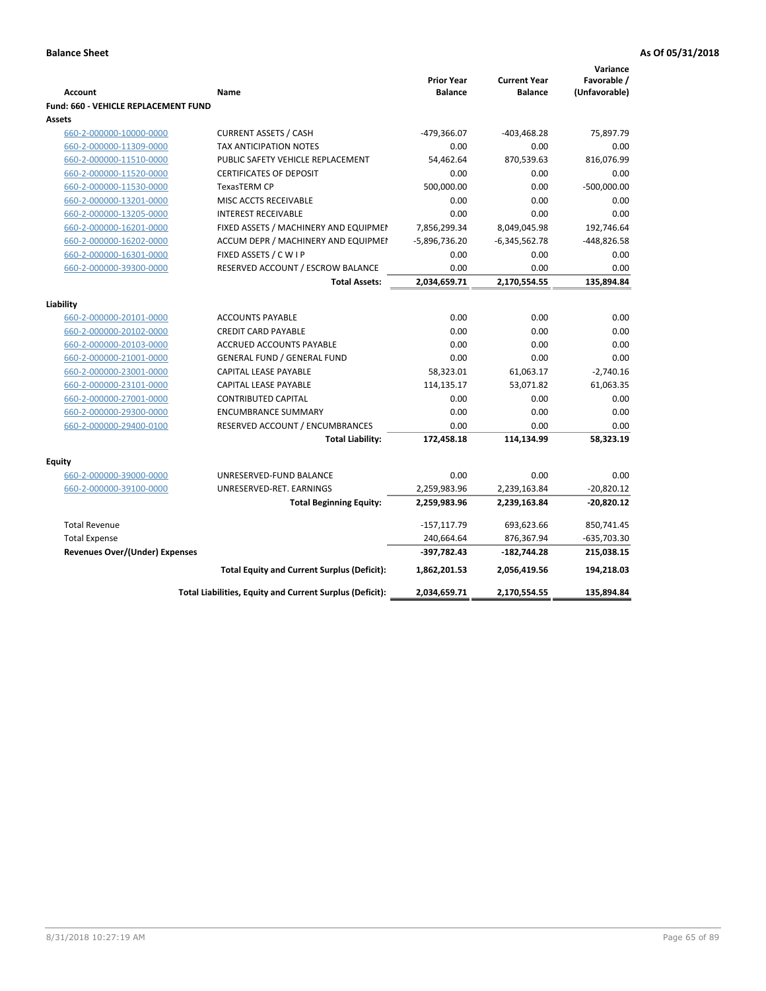|                                             |                                                           |                                     |                                       | Variance                     |
|---------------------------------------------|-----------------------------------------------------------|-------------------------------------|---------------------------------------|------------------------------|
| <b>Account</b>                              | <b>Name</b>                                               | <b>Prior Year</b><br><b>Balance</b> | <b>Current Year</b><br><b>Balance</b> | Favorable /<br>(Unfavorable) |
| <b>Fund: 660 - VEHICLE REPLACEMENT FUND</b> |                                                           |                                     |                                       |                              |
| Assets                                      |                                                           |                                     |                                       |                              |
| 660-2-000000-10000-0000                     | <b>CURRENT ASSETS / CASH</b>                              | -479,366.07                         | $-403,468.28$                         | 75,897.79                    |
| 660-2-000000-11309-0000                     | <b>TAX ANTICIPATION NOTES</b>                             | 0.00                                | 0.00                                  | 0.00                         |
| 660-2-000000-11510-0000                     | PUBLIC SAFETY VEHICLE REPLACEMENT                         | 54,462.64                           | 870,539.63                            | 816,076.99                   |
|                                             | <b>CERTIFICATES OF DEPOSIT</b>                            | 0.00                                |                                       |                              |
| 660-2-000000-11520-0000                     | TexasTERM CP                                              |                                     | 0.00<br>0.00                          | 0.00                         |
| 660-2-000000-11530-0000                     |                                                           | 500,000.00                          |                                       | $-500,000.00$                |
| 660-2-000000-13201-0000                     | MISC ACCTS RECEIVABLE                                     | 0.00                                | 0.00                                  | 0.00                         |
| 660-2-000000-13205-0000                     | <b>INTEREST RECEIVABLE</b>                                | 0.00                                | 0.00                                  | 0.00                         |
| 660-2-000000-16201-0000                     | FIXED ASSETS / MACHINERY AND EQUIPMEN                     | 7,856,299.34                        | 8,049,045.98                          | 192,746.64                   |
| 660-2-000000-16202-0000                     | ACCUM DEPR / MACHINERY AND EQUIPMEI                       | $-5,896,736.20$                     | $-6,345,562.78$                       | -448,826.58                  |
| 660-2-000000-16301-0000                     | FIXED ASSETS / C W I P                                    | 0.00<br>0.00                        | 0.00<br>0.00                          | 0.00<br>0.00                 |
| 660-2-000000-39300-0000                     | RESERVED ACCOUNT / ESCROW BALANCE<br><b>Total Assets:</b> | 2,034,659.71                        | 2,170,554.55                          | 135,894.84                   |
|                                             |                                                           |                                     |                                       |                              |
| Liability                                   |                                                           |                                     |                                       |                              |
| 660-2-000000-20101-0000                     | <b>ACCOUNTS PAYABLE</b>                                   | 0.00                                | 0.00                                  | 0.00                         |
| 660-2-000000-20102-0000                     | <b>CREDIT CARD PAYABLE</b>                                | 0.00                                | 0.00                                  | 0.00                         |
| 660-2-000000-20103-0000                     | <b>ACCRUED ACCOUNTS PAYABLE</b>                           | 0.00                                | 0.00                                  | 0.00                         |
| 660-2-000000-21001-0000                     | <b>GENERAL FUND / GENERAL FUND</b>                        | 0.00                                | 0.00                                  | 0.00                         |
| 660-2-000000-23001-0000                     | CAPITAL LEASE PAYABLE                                     | 58,323.01                           | 61,063.17                             | $-2,740.16$                  |
| 660-2-000000-23101-0000                     | <b>CAPITAL LEASE PAYABLE</b>                              | 114,135.17                          | 53,071.82                             | 61,063.35                    |
| 660-2-000000-27001-0000                     | <b>CONTRIBUTED CAPITAL</b>                                | 0.00                                | 0.00                                  | 0.00                         |
| 660-2-000000-29300-0000                     | <b>ENCUMBRANCE SUMMARY</b>                                | 0.00                                | 0.00                                  | 0.00                         |
| 660-2-000000-29400-0100                     | RESERVED ACCOUNT / ENCUMBRANCES                           | 0.00                                | 0.00                                  | 0.00                         |
|                                             | <b>Total Liability:</b>                                   | 172,458.18                          | 114,134.99                            | 58,323.19                    |
|                                             |                                                           |                                     |                                       |                              |
| <b>Equity</b>                               |                                                           |                                     |                                       |                              |
| 660-2-000000-39000-0000                     | UNRESERVED-FUND BALANCE                                   | 0.00                                | 0.00                                  | 0.00                         |
| 660-2-000000-39100-0000                     | UNRESERVED-RET. EARNINGS                                  | 2,259,983.96                        | 2,239,163.84                          | $-20,820.12$                 |
|                                             | <b>Total Beginning Equity:</b>                            | 2,259,983.96                        | 2,239,163.84                          | $-20,820.12$                 |
| <b>Total Revenue</b>                        |                                                           | $-157, 117.79$                      | 693,623.66                            | 850,741.45                   |
| <b>Total Expense</b>                        |                                                           | 240,664.64                          | 876,367.94                            | $-635,703.30$                |
| Revenues Over/(Under) Expenses              |                                                           | $-397,782.43$                       | $-182,744.28$                         | 215,038.15                   |
|                                             | <b>Total Equity and Current Surplus (Deficit):</b>        | 1,862,201.53                        | 2,056,419.56                          | 194,218.03                   |
|                                             | Total Liabilities, Equity and Current Surplus (Deficit):  | 2,034,659.71                        | 2,170,554.55                          | 135,894.84                   |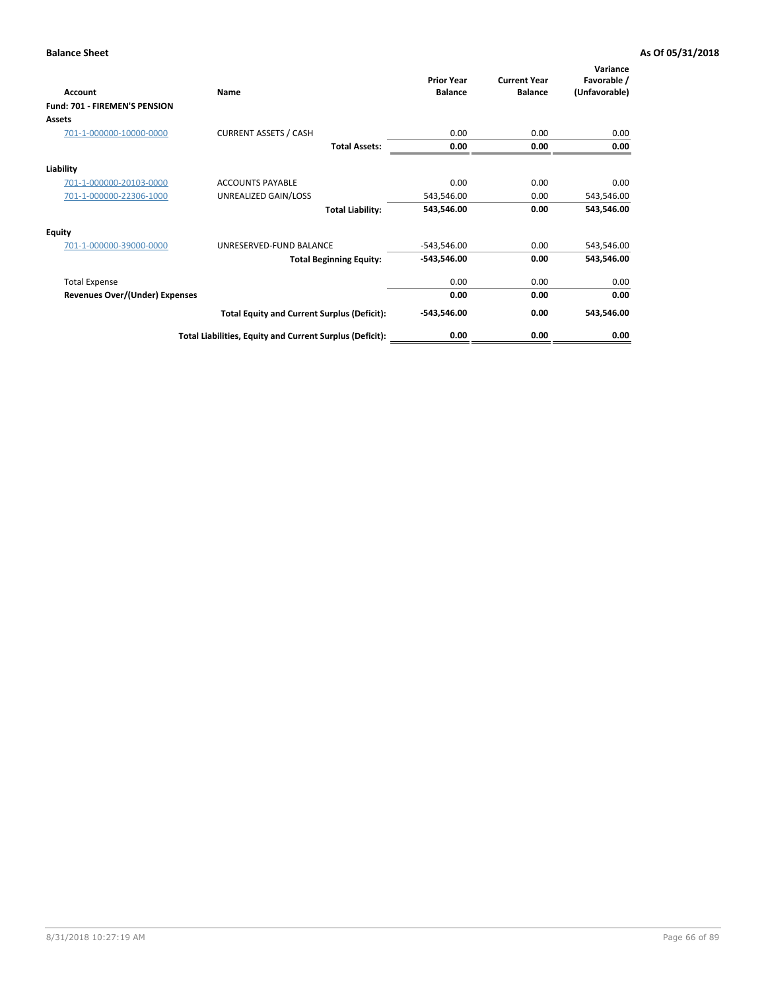| Account                               | Name                                                     | <b>Prior Year</b><br><b>Balance</b> | <b>Current Year</b><br><b>Balance</b> | Variance<br>Favorable /<br>(Unfavorable) |
|---------------------------------------|----------------------------------------------------------|-------------------------------------|---------------------------------------|------------------------------------------|
| <b>Fund: 701 - FIREMEN'S PENSION</b>  |                                                          |                                     |                                       |                                          |
| <b>Assets</b>                         |                                                          |                                     |                                       |                                          |
| 701-1-000000-10000-0000               | <b>CURRENT ASSETS / CASH</b>                             | 0.00                                | 0.00                                  | 0.00                                     |
|                                       | <b>Total Assets:</b>                                     | 0.00                                | 0.00                                  | 0.00                                     |
| Liability                             |                                                          |                                     |                                       |                                          |
| 701-1-000000-20103-0000               | <b>ACCOUNTS PAYABLE</b>                                  | 0.00                                | 0.00                                  | 0.00                                     |
| 701-1-000000-22306-1000               | UNREALIZED GAIN/LOSS                                     | 543,546.00                          | 0.00                                  | 543,546.00                               |
|                                       | <b>Total Liability:</b>                                  | 543,546.00                          | 0.00                                  | 543,546.00                               |
| <b>Equity</b>                         |                                                          |                                     |                                       |                                          |
| 701-1-000000-39000-0000               | UNRESERVED-FUND BALANCE                                  | $-543,546.00$                       | 0.00                                  | 543,546.00                               |
|                                       | <b>Total Beginning Equity:</b>                           | $-543,546.00$                       | 0.00                                  | 543,546.00                               |
| <b>Total Expense</b>                  |                                                          | 0.00                                | 0.00                                  | 0.00                                     |
| <b>Revenues Over/(Under) Expenses</b> |                                                          | 0.00                                | 0.00                                  | 0.00                                     |
|                                       | <b>Total Equity and Current Surplus (Deficit):</b>       | $-543,546.00$                       | 0.00                                  | 543,546.00                               |
|                                       | Total Liabilities, Equity and Current Surplus (Deficit): | 0.00                                | 0.00                                  | 0.00                                     |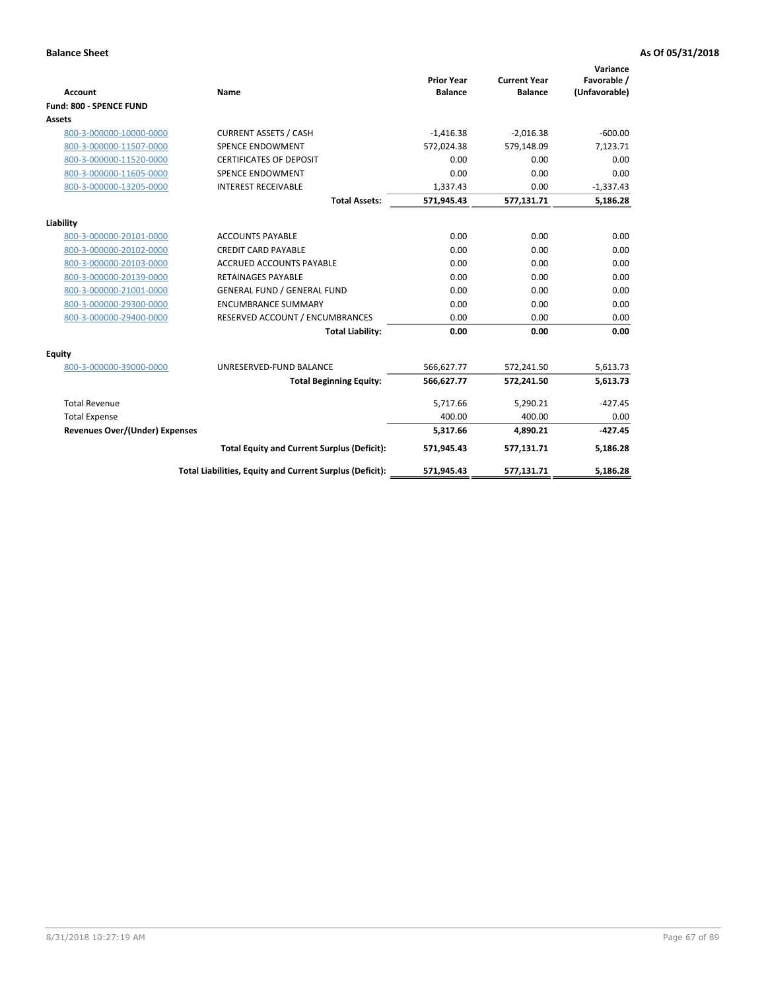|                                       |                                                          |                                     |                                       | Variance                     |
|---------------------------------------|----------------------------------------------------------|-------------------------------------|---------------------------------------|------------------------------|
| <b>Account</b>                        | <b>Name</b>                                              | <b>Prior Year</b><br><b>Balance</b> | <b>Current Year</b><br><b>Balance</b> | Favorable /<br>(Unfavorable) |
| Fund: 800 - SPENCE FUND               |                                                          |                                     |                                       |                              |
| <b>Assets</b>                         |                                                          |                                     |                                       |                              |
| 800-3-000000-10000-0000               | <b>CURRENT ASSETS / CASH</b>                             | $-1,416.38$                         | $-2,016.38$                           | $-600.00$                    |
| 800-3-000000-11507-0000               | <b>SPENCE ENDOWMENT</b>                                  | 572,024.38                          | 579,148.09                            | 7,123.71                     |
| 800-3-000000-11520-0000               | <b>CERTIFICATES OF DEPOSIT</b>                           | 0.00                                | 0.00                                  | 0.00                         |
| 800-3-000000-11605-0000               | <b>SPENCE ENDOWMENT</b>                                  | 0.00                                | 0.00                                  | 0.00                         |
| 800-3-000000-13205-0000               | <b>INTEREST RECEIVABLE</b>                               | 1,337.43                            | 0.00                                  | $-1,337.43$                  |
|                                       | <b>Total Assets:</b>                                     | 571,945.43                          | 577,131.71                            | 5,186.28                     |
| Liability                             |                                                          |                                     |                                       |                              |
| 800-3-000000-20101-0000               | <b>ACCOUNTS PAYABLE</b>                                  | 0.00                                | 0.00                                  | 0.00                         |
| 800-3-000000-20102-0000               | <b>CREDIT CARD PAYABLE</b>                               | 0.00                                | 0.00                                  | 0.00                         |
| 800-3-000000-20103-0000               | <b>ACCRUED ACCOUNTS PAYABLE</b>                          | 0.00                                | 0.00                                  | 0.00                         |
| 800-3-000000-20139-0000               | <b>RETAINAGES PAYABLE</b>                                | 0.00                                | 0.00                                  | 0.00                         |
| 800-3-000000-21001-0000               | <b>GENERAL FUND / GENERAL FUND</b>                       | 0.00                                | 0.00                                  | 0.00                         |
| 800-3-000000-29300-0000               | <b>ENCUMBRANCE SUMMARY</b>                               | 0.00                                | 0.00                                  | 0.00                         |
| 800-3-000000-29400-0000               | RESERVED ACCOUNT / ENCUMBRANCES                          | 0.00                                | 0.00                                  | 0.00                         |
|                                       | <b>Total Liability:</b>                                  | 0.00                                | 0.00                                  | 0.00                         |
| <b>Equity</b>                         |                                                          |                                     |                                       |                              |
| 800-3-000000-39000-0000               | UNRESERVED-FUND BALANCE                                  | 566,627.77                          | 572,241.50                            | 5,613.73                     |
|                                       | <b>Total Beginning Equity:</b>                           | 566,627.77                          | 572,241.50                            | 5,613.73                     |
| <b>Total Revenue</b>                  |                                                          | 5,717.66                            | 5,290.21                              | $-427.45$                    |
| <b>Total Expense</b>                  |                                                          | 400.00                              | 400.00                                | 0.00                         |
| <b>Revenues Over/(Under) Expenses</b> |                                                          | 5,317.66                            | 4,890.21                              | $-427.45$                    |
|                                       | <b>Total Equity and Current Surplus (Deficit):</b>       | 571,945.43                          | 577,131.71                            | 5,186.28                     |
|                                       | Total Liabilities, Equity and Current Surplus (Deficit): | 571,945.43                          | 577,131.71                            | 5,186.28                     |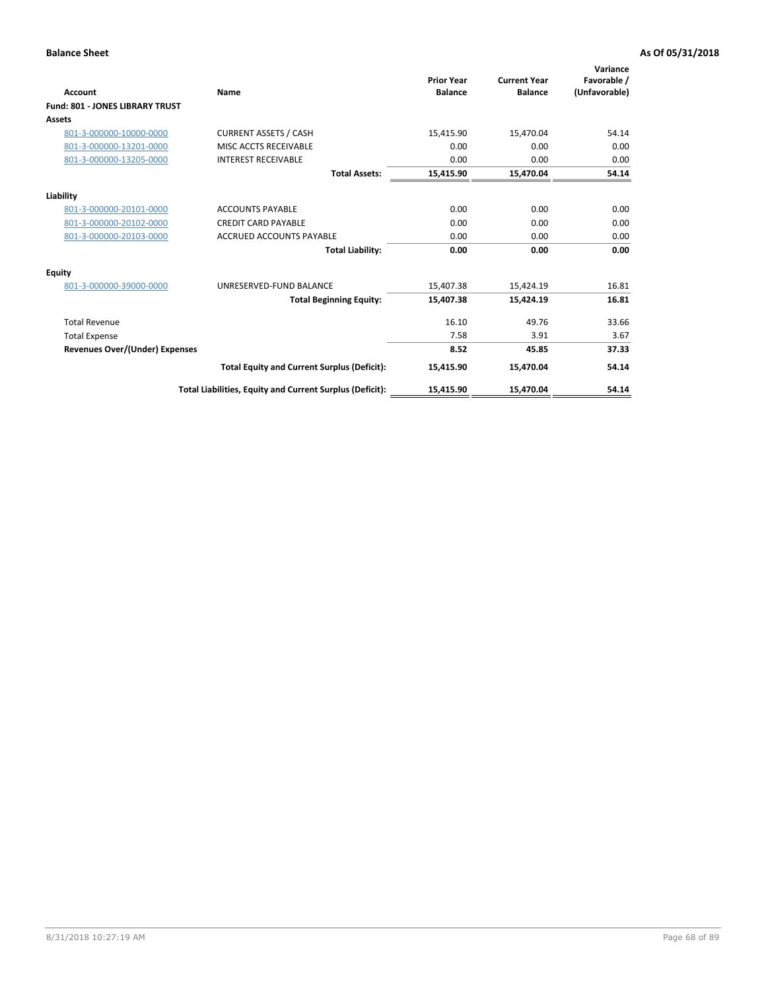| <b>Account</b>                         | Name                                                     | <b>Prior Year</b><br><b>Balance</b> | <b>Current Year</b><br><b>Balance</b> | Variance<br>Favorable /<br>(Unfavorable) |
|----------------------------------------|----------------------------------------------------------|-------------------------------------|---------------------------------------|------------------------------------------|
| <b>Fund: 801 - JONES LIBRARY TRUST</b> |                                                          |                                     |                                       |                                          |
| Assets                                 |                                                          |                                     |                                       |                                          |
| 801-3-000000-10000-0000                | <b>CURRENT ASSETS / CASH</b>                             | 15,415.90                           | 15,470.04                             | 54.14                                    |
| 801-3-000000-13201-0000                | MISC ACCTS RECEIVABLE                                    | 0.00                                | 0.00                                  | 0.00                                     |
| 801-3-000000-13205-0000                | <b>INTEREST RECEIVABLE</b>                               | 0.00                                | 0.00                                  | 0.00                                     |
|                                        | <b>Total Assets:</b>                                     | 15,415.90                           | 15,470.04                             | 54.14                                    |
| Liability                              |                                                          |                                     |                                       |                                          |
| 801-3-000000-20101-0000                | <b>ACCOUNTS PAYABLE</b>                                  | 0.00                                | 0.00                                  | 0.00                                     |
| 801-3-000000-20102-0000                | <b>CREDIT CARD PAYABLE</b>                               | 0.00                                | 0.00                                  | 0.00                                     |
| 801-3-000000-20103-0000                | <b>ACCRUED ACCOUNTS PAYABLE</b>                          | 0.00                                | 0.00                                  | 0.00                                     |
|                                        | <b>Total Liability:</b>                                  | 0.00                                | 0.00                                  | 0.00                                     |
| Equity                                 |                                                          |                                     |                                       |                                          |
| 801-3-000000-39000-0000                | UNRESERVED-FUND BALANCE                                  | 15,407.38                           | 15,424.19                             | 16.81                                    |
|                                        | <b>Total Beginning Equity:</b>                           | 15,407.38                           | 15,424.19                             | 16.81                                    |
| <b>Total Revenue</b>                   |                                                          | 16.10                               | 49.76                                 | 33.66                                    |
| <b>Total Expense</b>                   |                                                          | 7.58                                | 3.91                                  | 3.67                                     |
| <b>Revenues Over/(Under) Expenses</b>  |                                                          | 8.52                                | 45.85                                 | 37.33                                    |
|                                        | <b>Total Equity and Current Surplus (Deficit):</b>       | 15,415.90                           | 15,470.04                             | 54.14                                    |
|                                        | Total Liabilities, Equity and Current Surplus (Deficit): | 15,415.90                           | 15,470.04                             | 54.14                                    |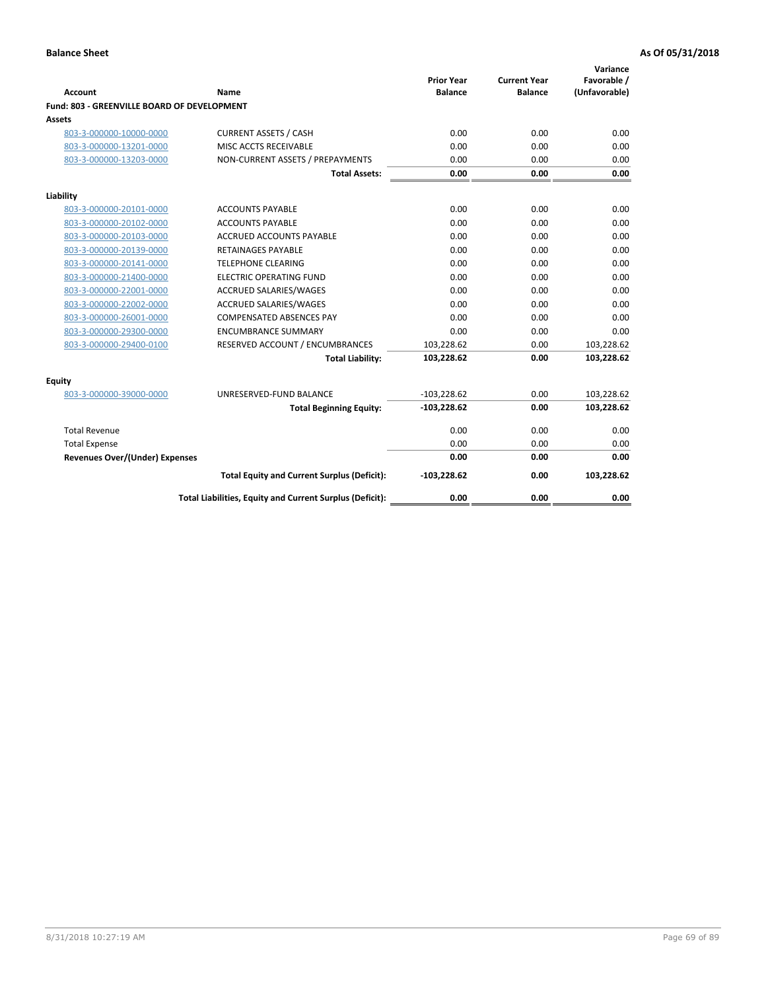| <b>Account</b>                              | Name                                                     | <b>Prior Year</b><br><b>Balance</b> | <b>Current Year</b><br><b>Balance</b> | Variance<br>Favorable /<br>(Unfavorable) |
|---------------------------------------------|----------------------------------------------------------|-------------------------------------|---------------------------------------|------------------------------------------|
| Fund: 803 - GREENVILLE BOARD OF DEVELOPMENT |                                                          |                                     |                                       |                                          |
| Assets                                      |                                                          |                                     |                                       |                                          |
| 803-3-000000-10000-0000                     | <b>CURRENT ASSETS / CASH</b>                             | 0.00                                | 0.00                                  | 0.00                                     |
| 803-3-000000-13201-0000                     | MISC ACCTS RECEIVABLE                                    | 0.00                                | 0.00                                  | 0.00                                     |
| 803-3-000000-13203-0000                     | NON-CURRENT ASSETS / PREPAYMENTS                         | 0.00                                | 0.00                                  | 0.00                                     |
|                                             | <b>Total Assets:</b>                                     | 0.00                                | 0.00                                  | 0.00                                     |
| Liability                                   |                                                          |                                     |                                       |                                          |
| 803-3-000000-20101-0000                     | <b>ACCOUNTS PAYABLE</b>                                  | 0.00                                | 0.00                                  | 0.00                                     |
| 803-3-000000-20102-0000                     | <b>ACCOUNTS PAYABLE</b>                                  | 0.00                                | 0.00                                  | 0.00                                     |
| 803-3-000000-20103-0000                     | ACCRUED ACCOUNTS PAYABLE                                 | 0.00                                | 0.00                                  | 0.00                                     |
| 803-3-000000-20139-0000                     | RETAINAGES PAYABLE                                       | 0.00                                | 0.00                                  | 0.00                                     |
| 803-3-000000-20141-0000                     | <b>TELEPHONE CLEARING</b>                                | 0.00                                | 0.00                                  | 0.00                                     |
| 803-3-000000-21400-0000                     | <b>ELECTRIC OPERATING FUND</b>                           | 0.00                                | 0.00                                  | 0.00                                     |
| 803-3-000000-22001-0000                     | <b>ACCRUED SALARIES/WAGES</b>                            | 0.00                                | 0.00                                  | 0.00                                     |
| 803-3-000000-22002-0000                     | <b>ACCRUED SALARIES/WAGES</b>                            | 0.00                                | 0.00                                  | 0.00                                     |
| 803-3-000000-26001-0000                     | <b>COMPENSATED ABSENCES PAY</b>                          | 0.00                                | 0.00                                  | 0.00                                     |
| 803-3-000000-29300-0000                     | <b>ENCUMBRANCE SUMMARY</b>                               | 0.00                                | 0.00                                  | 0.00                                     |
| 803-3-000000-29400-0100                     | RESERVED ACCOUNT / ENCUMBRANCES                          | 103,228.62                          | 0.00                                  | 103,228.62                               |
|                                             | <b>Total Liability:</b>                                  | 103,228.62                          | 0.00                                  | 103,228.62                               |
| <b>Equity</b>                               |                                                          |                                     |                                       |                                          |
| 803-3-000000-39000-0000                     | UNRESERVED-FUND BALANCE                                  | $-103,228.62$                       | 0.00                                  | 103,228.62                               |
|                                             | <b>Total Beginning Equity:</b>                           | $-103,228.62$                       | 0.00                                  | 103,228.62                               |
| <b>Total Revenue</b>                        |                                                          | 0.00                                | 0.00                                  | 0.00                                     |
| <b>Total Expense</b>                        |                                                          | 0.00                                | 0.00                                  | 0.00                                     |
| <b>Revenues Over/(Under) Expenses</b>       |                                                          | 0.00                                | 0.00                                  | 0.00                                     |
|                                             | <b>Total Equity and Current Surplus (Deficit):</b>       | $-103,228.62$                       | 0.00                                  | 103,228.62                               |
|                                             | Total Liabilities, Equity and Current Surplus (Deficit): | 0.00                                | 0.00                                  | 0.00                                     |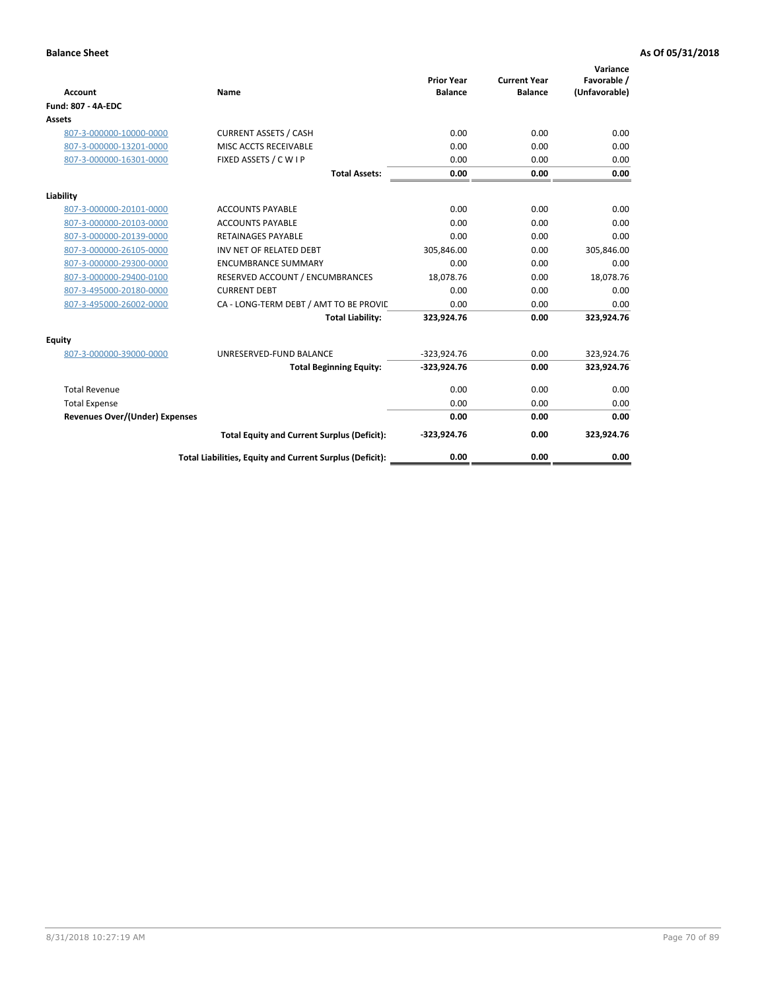| <b>Account</b>                        | Name                                                     | <b>Prior Year</b><br><b>Balance</b> | <b>Current Year</b><br><b>Balance</b> | Variance<br>Favorable /<br>(Unfavorable) |
|---------------------------------------|----------------------------------------------------------|-------------------------------------|---------------------------------------|------------------------------------------|
| <b>Fund: 807 - 4A-EDC</b>             |                                                          |                                     |                                       |                                          |
| <b>Assets</b>                         |                                                          |                                     |                                       |                                          |
| 807-3-000000-10000-0000               | <b>CURRENT ASSETS / CASH</b>                             | 0.00                                | 0.00                                  | 0.00                                     |
| 807-3-000000-13201-0000               | MISC ACCTS RECEIVABLE                                    | 0.00                                | 0.00                                  | 0.00                                     |
| 807-3-000000-16301-0000               | FIXED ASSETS / C W I P                                   | 0.00                                | 0.00                                  | 0.00                                     |
|                                       | <b>Total Assets:</b>                                     | 0.00                                | 0.00                                  | 0.00                                     |
| Liability                             |                                                          |                                     |                                       |                                          |
| 807-3-000000-20101-0000               | <b>ACCOUNTS PAYABLE</b>                                  | 0.00                                | 0.00                                  | 0.00                                     |
| 807-3-000000-20103-0000               | <b>ACCOUNTS PAYABLE</b>                                  | 0.00                                | 0.00                                  | 0.00                                     |
| 807-3-000000-20139-0000               | <b>RETAINAGES PAYABLE</b>                                | 0.00                                | 0.00                                  | 0.00                                     |
| 807-3-000000-26105-0000               | INV NET OF RELATED DEBT                                  | 305,846.00                          | 0.00                                  | 305,846.00                               |
| 807-3-000000-29300-0000               | <b>ENCUMBRANCE SUMMARY</b>                               | 0.00                                | 0.00                                  | 0.00                                     |
| 807-3-000000-29400-0100               | RESERVED ACCOUNT / ENCUMBRANCES                          | 18,078.76                           | 0.00                                  | 18,078.76                                |
| 807-3-495000-20180-0000               | <b>CURRENT DEBT</b>                                      | 0.00                                | 0.00                                  | 0.00                                     |
| 807-3-495000-26002-0000               | CA - LONG-TERM DEBT / AMT TO BE PROVIL                   | 0.00                                | 0.00                                  | 0.00                                     |
|                                       | <b>Total Liability:</b>                                  | 323,924.76                          | 0.00                                  | 323,924.76                               |
| Equity                                |                                                          |                                     |                                       |                                          |
| 807-3-000000-39000-0000               | UNRESERVED-FUND BALANCE                                  | $-323,924.76$                       | 0.00                                  | 323,924.76                               |
|                                       | <b>Total Beginning Equity:</b>                           | $-323,924.76$                       | 0.00                                  | 323,924.76                               |
| <b>Total Revenue</b>                  |                                                          | 0.00                                | 0.00                                  | 0.00                                     |
| <b>Total Expense</b>                  |                                                          | 0.00                                | 0.00                                  | 0.00                                     |
| <b>Revenues Over/(Under) Expenses</b> |                                                          | 0.00                                | 0.00                                  | 0.00                                     |
|                                       | <b>Total Equity and Current Surplus (Deficit):</b>       | $-323,924.76$                       | 0.00                                  | 323,924.76                               |
|                                       | Total Liabilities, Equity and Current Surplus (Deficit): | 0.00                                | 0.00                                  | 0.00                                     |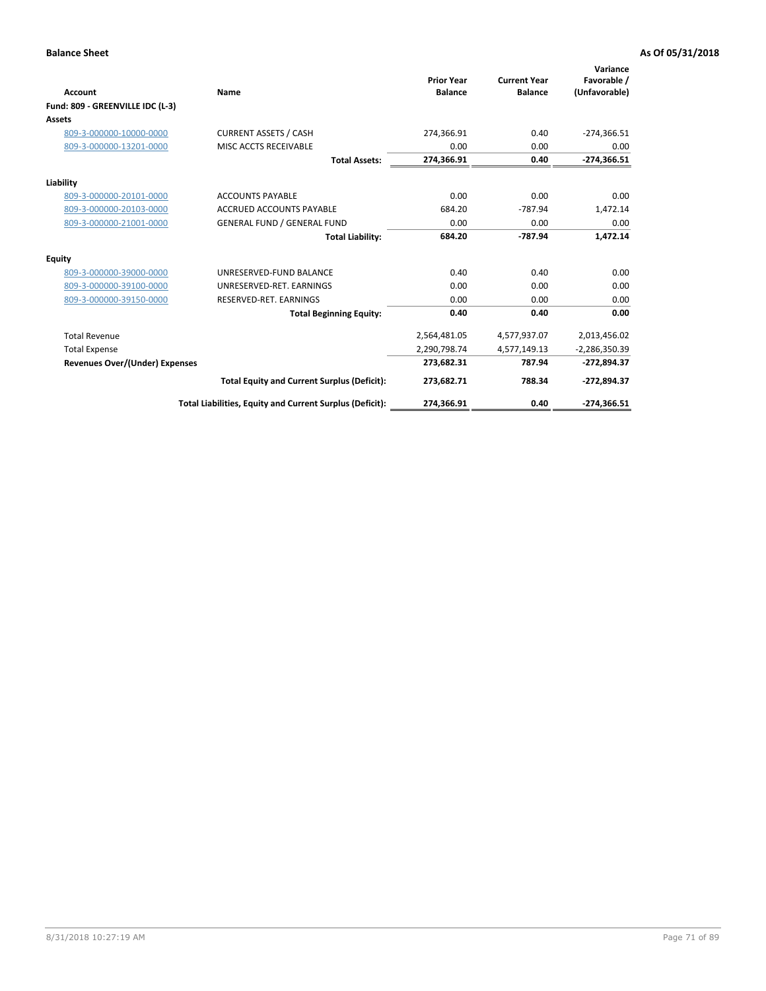| <b>Account</b>                        | Name                                                     | <b>Prior Year</b><br><b>Balance</b> | <b>Current Year</b><br><b>Balance</b> | Variance<br>Favorable /<br>(Unfavorable) |
|---------------------------------------|----------------------------------------------------------|-------------------------------------|---------------------------------------|------------------------------------------|
| Fund: 809 - GREENVILLE IDC (L-3)      |                                                          |                                     |                                       |                                          |
| Assets                                |                                                          |                                     |                                       |                                          |
| 809-3-000000-10000-0000               | <b>CURRENT ASSETS / CASH</b>                             | 274,366.91                          | 0.40                                  | $-274,366.51$                            |
| 809-3-000000-13201-0000               | MISC ACCTS RECEIVABLE                                    | 0.00                                | 0.00                                  | 0.00                                     |
|                                       | <b>Total Assets:</b>                                     | 274,366.91                          | 0.40                                  | $-274,366.51$                            |
| Liability                             |                                                          |                                     |                                       |                                          |
| 809-3-000000-20101-0000               | <b>ACCOUNTS PAYABLE</b>                                  | 0.00                                | 0.00                                  | 0.00                                     |
| 809-3-000000-20103-0000               | <b>ACCRUED ACCOUNTS PAYABLE</b>                          | 684.20                              | $-787.94$                             | 1,472.14                                 |
| 809-3-000000-21001-0000               | <b>GENERAL FUND / GENERAL FUND</b>                       | 0.00                                | 0.00                                  | 0.00                                     |
|                                       | <b>Total Liability:</b>                                  | 684.20                              | $-787.94$                             | 1,472.14                                 |
| Equity                                |                                                          |                                     |                                       |                                          |
| 809-3-000000-39000-0000               | UNRESERVED-FUND BALANCE                                  | 0.40                                | 0.40                                  | 0.00                                     |
| 809-3-000000-39100-0000               | UNRESERVED-RET. EARNINGS                                 | 0.00                                | 0.00                                  | 0.00                                     |
| 809-3-000000-39150-0000               | RESERVED-RET. EARNINGS                                   | 0.00                                | 0.00                                  | 0.00                                     |
|                                       | <b>Total Beginning Equity:</b>                           | 0.40                                | 0.40                                  | 0.00                                     |
| <b>Total Revenue</b>                  |                                                          | 2,564,481.05                        | 4,577,937.07                          | 2,013,456.02                             |
| <b>Total Expense</b>                  |                                                          | 2,290,798.74                        | 4,577,149.13                          | $-2,286,350.39$                          |
| <b>Revenues Over/(Under) Expenses</b> |                                                          | 273,682.31                          | 787.94                                | $-272,894.37$                            |
|                                       | <b>Total Equity and Current Surplus (Deficit):</b>       | 273,682.71                          | 788.34                                | $-272,894.37$                            |
|                                       | Total Liabilities, Equity and Current Surplus (Deficit): | 274,366.91                          | 0.40                                  | $-274,366.51$                            |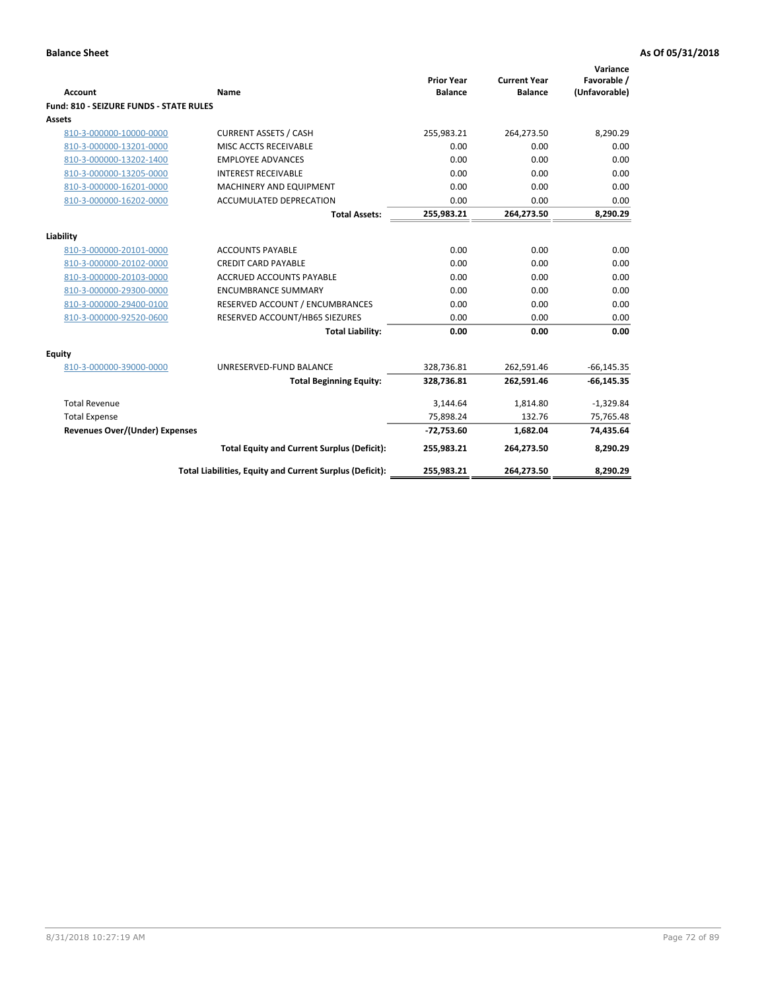| <b>Account</b>                                 | Name                                                     | <b>Prior Year</b><br><b>Balance</b> | <b>Current Year</b><br><b>Balance</b> | Variance<br>Favorable /<br>(Unfavorable) |
|------------------------------------------------|----------------------------------------------------------|-------------------------------------|---------------------------------------|------------------------------------------|
| <b>Fund: 810 - SEIZURE FUNDS - STATE RULES</b> |                                                          |                                     |                                       |                                          |
| Assets                                         |                                                          |                                     |                                       |                                          |
| 810-3-000000-10000-0000                        | <b>CURRENT ASSETS / CASH</b>                             | 255,983.21                          | 264,273.50                            | 8,290.29                                 |
| 810-3-000000-13201-0000                        | MISC ACCTS RECEIVABLE                                    | 0.00                                | 0.00                                  | 0.00                                     |
| 810-3-000000-13202-1400                        | <b>EMPLOYEE ADVANCES</b>                                 | 0.00                                | 0.00                                  | 0.00                                     |
| 810-3-000000-13205-0000                        | <b>INTEREST RECEIVABLE</b>                               | 0.00                                | 0.00                                  | 0.00                                     |
| 810-3-000000-16201-0000                        | <b>MACHINERY AND EQUIPMENT</b>                           | 0.00                                | 0.00                                  | 0.00                                     |
| 810-3-000000-16202-0000                        | ACCUMULATED DEPRECATION                                  | 0.00                                | 0.00                                  | 0.00                                     |
|                                                | <b>Total Assets:</b>                                     | 255,983.21                          | 264,273.50                            | 8,290.29                                 |
|                                                |                                                          |                                     |                                       |                                          |
| Liability                                      |                                                          |                                     |                                       |                                          |
| 810-3-000000-20101-0000                        | <b>ACCOUNTS PAYABLE</b>                                  | 0.00                                | 0.00                                  | 0.00                                     |
| 810-3-000000-20102-0000                        | <b>CREDIT CARD PAYABLE</b>                               | 0.00                                | 0.00                                  | 0.00                                     |
| 810-3-000000-20103-0000                        | <b>ACCRUED ACCOUNTS PAYABLE</b>                          | 0.00                                | 0.00                                  | 0.00                                     |
| 810-3-000000-29300-0000                        | <b>ENCUMBRANCE SUMMARY</b>                               | 0.00                                | 0.00                                  | 0.00                                     |
| 810-3-000000-29400-0100                        | RESERVED ACCOUNT / ENCUMBRANCES                          | 0.00                                | 0.00                                  | 0.00                                     |
| 810-3-000000-92520-0600                        | RESERVED ACCOUNT/HB65 SIEZURES                           | 0.00                                | 0.00                                  | 0.00                                     |
|                                                | <b>Total Liability:</b>                                  | 0.00                                | 0.00                                  | 0.00                                     |
| <b>Equity</b>                                  |                                                          |                                     |                                       |                                          |
| 810-3-000000-39000-0000                        | UNRESERVED-FUND BALANCE                                  | 328,736.81                          | 262,591.46                            | $-66, 145.35$                            |
|                                                | <b>Total Beginning Equity:</b>                           | 328,736.81                          | 262,591.46                            | $-66, 145.35$                            |
| <b>Total Revenue</b>                           |                                                          | 3,144.64                            | 1,814.80                              | $-1,329.84$                              |
| <b>Total Expense</b>                           |                                                          | 75,898.24                           | 132.76                                | 75,765.48                                |
| Revenues Over/(Under) Expenses                 |                                                          | $-72,753.60$                        | 1,682.04                              | 74,435.64                                |
|                                                | <b>Total Equity and Current Surplus (Deficit):</b>       | 255,983.21                          | 264,273.50                            | 8,290.29                                 |
|                                                | Total Liabilities, Equity and Current Surplus (Deficit): | 255,983.21                          | 264,273.50                            | 8,290.29                                 |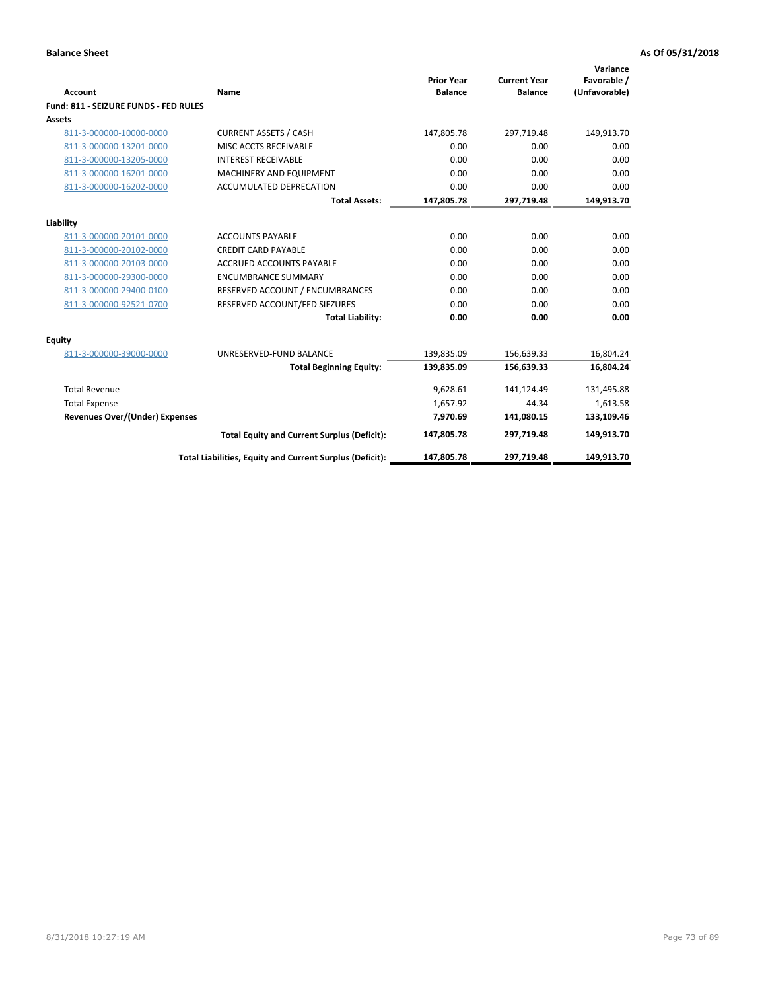| <b>Account</b>                        | Name                                                     | <b>Prior Year</b><br><b>Balance</b> | <b>Current Year</b><br><b>Balance</b> | Variance<br>Favorable /<br>(Unfavorable) |
|---------------------------------------|----------------------------------------------------------|-------------------------------------|---------------------------------------|------------------------------------------|
| Fund: 811 - SEIZURE FUNDS - FED RULES |                                                          |                                     |                                       |                                          |
| <b>Assets</b>                         |                                                          |                                     |                                       |                                          |
| 811-3-000000-10000-0000               | <b>CURRENT ASSETS / CASH</b>                             | 147,805.78                          | 297,719.48                            | 149,913.70                               |
| 811-3-000000-13201-0000               | MISC ACCTS RECEIVABLE                                    | 0.00                                | 0.00                                  | 0.00                                     |
| 811-3-000000-13205-0000               | <b>INTEREST RECEIVABLE</b>                               | 0.00                                | 0.00                                  | 0.00                                     |
| 811-3-000000-16201-0000               | <b>MACHINERY AND EQUIPMENT</b>                           | 0.00                                | 0.00                                  | 0.00                                     |
| 811-3-000000-16202-0000               | <b>ACCUMULATED DEPRECATION</b>                           | 0.00                                | 0.00                                  | 0.00                                     |
|                                       | <b>Total Assets:</b>                                     | 147,805.78                          | 297,719.48                            | 149,913.70                               |
| Liability                             |                                                          |                                     |                                       |                                          |
| 811-3-000000-20101-0000               | <b>ACCOUNTS PAYABLE</b>                                  | 0.00                                | 0.00                                  | 0.00                                     |
| 811-3-000000-20102-0000               | <b>CREDIT CARD PAYABLE</b>                               | 0.00                                | 0.00                                  | 0.00                                     |
| 811-3-000000-20103-0000               | <b>ACCRUED ACCOUNTS PAYABLE</b>                          | 0.00                                | 0.00                                  | 0.00                                     |
| 811-3-000000-29300-0000               | <b>ENCUMBRANCE SUMMARY</b>                               | 0.00                                | 0.00                                  | 0.00                                     |
| 811-3-000000-29400-0100               | RESERVED ACCOUNT / ENCUMBRANCES                          | 0.00                                | 0.00                                  | 0.00                                     |
| 811-3-000000-92521-0700               | RESERVED ACCOUNT/FED SIEZURES                            | 0.00                                | 0.00                                  | 0.00                                     |
|                                       | <b>Total Liability:</b>                                  | 0.00                                | 0.00                                  | 0.00                                     |
|                                       |                                                          |                                     |                                       |                                          |
| Equity<br>811-3-000000-39000-0000     | UNRESERVED-FUND BALANCE                                  | 139,835.09                          | 156,639.33                            | 16,804.24                                |
|                                       | <b>Total Beginning Equity:</b>                           | 139,835.09                          | 156,639.33                            | 16,804.24                                |
|                                       |                                                          |                                     |                                       |                                          |
| <b>Total Revenue</b>                  |                                                          | 9,628.61                            | 141,124.49                            | 131,495.88                               |
| <b>Total Expense</b>                  |                                                          | 1,657.92                            | 44.34                                 | 1,613.58                                 |
| Revenues Over/(Under) Expenses        |                                                          | 7,970.69                            | 141,080.15                            | 133,109.46                               |
|                                       | <b>Total Equity and Current Surplus (Deficit):</b>       | 147,805.78                          | 297,719.48                            | 149,913.70                               |
|                                       | Total Liabilities, Equity and Current Surplus (Deficit): | 147,805.78                          | 297,719.48                            | 149.913.70                               |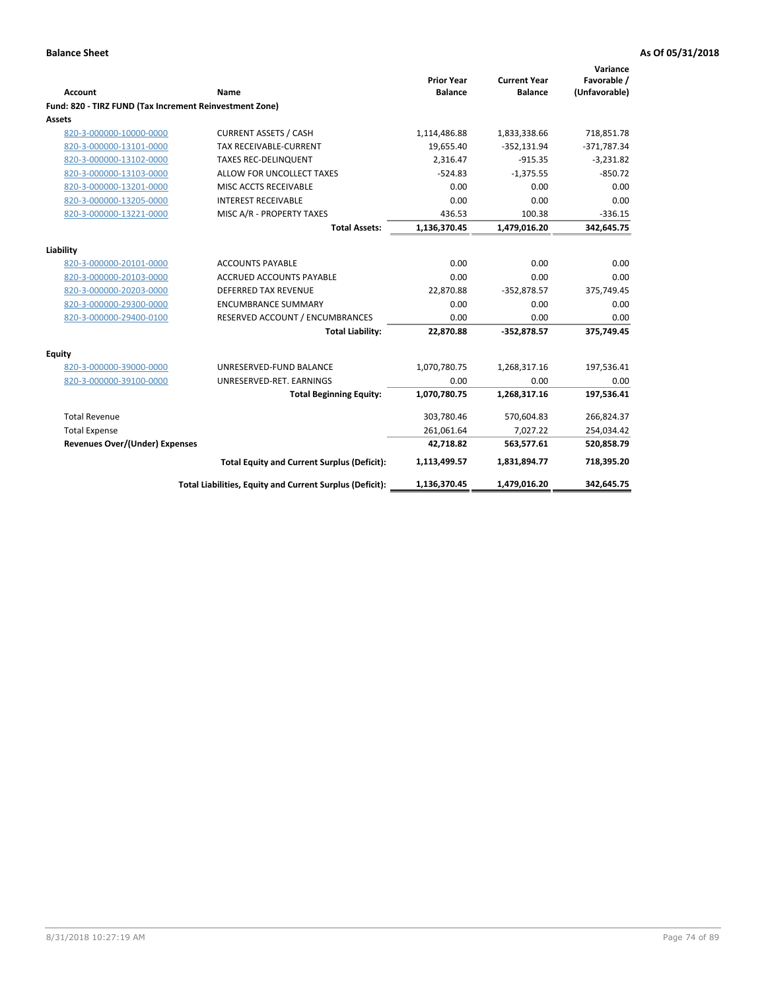| Account                                                 | Name                                                     | <b>Prior Year</b><br><b>Balance</b> | <b>Current Year</b><br><b>Balance</b> | Variance<br>Favorable /<br>(Unfavorable) |
|---------------------------------------------------------|----------------------------------------------------------|-------------------------------------|---------------------------------------|------------------------------------------|
| Fund: 820 - TIRZ FUND (Tax Increment Reinvestment Zone) |                                                          |                                     |                                       |                                          |
| Assets                                                  |                                                          |                                     |                                       |                                          |
| 820-3-000000-10000-0000                                 | <b>CURRENT ASSETS / CASH</b>                             | 1,114,486.88                        | 1,833,338.66                          | 718,851.78                               |
| 820-3-000000-13101-0000                                 | <b>TAX RECEIVABLE-CURRENT</b>                            | 19,655.40                           | $-352,131.94$                         | $-371,787.34$                            |
| 820-3-000000-13102-0000                                 | <b>TAXES REC-DELINQUENT</b>                              | 2,316.47                            | $-915.35$                             | $-3,231.82$                              |
| 820-3-000000-13103-0000                                 | ALLOW FOR UNCOLLECT TAXES                                | $-524.83$                           | $-1,375.55$                           | $-850.72$                                |
| 820-3-000000-13201-0000                                 | MISC ACCTS RECEIVABLE                                    | 0.00                                | 0.00                                  | 0.00                                     |
| 820-3-000000-13205-0000                                 | <b>INTEREST RECEIVABLE</b>                               | 0.00                                | 0.00                                  | 0.00                                     |
| 820-3-000000-13221-0000                                 | MISC A/R - PROPERTY TAXES                                | 436.53                              | 100.38                                | $-336.15$                                |
|                                                         | <b>Total Assets:</b>                                     | 1,136,370.45                        | 1,479,016.20                          | 342,645.75                               |
| Liability                                               |                                                          |                                     |                                       |                                          |
| 820-3-000000-20101-0000                                 | <b>ACCOUNTS PAYABLE</b>                                  | 0.00                                | 0.00                                  | 0.00                                     |
| 820-3-000000-20103-0000                                 | <b>ACCRUED ACCOUNTS PAYABLE</b>                          | 0.00                                | 0.00                                  | 0.00                                     |
| 820-3-000000-20203-0000                                 | <b>DEFERRED TAX REVENUE</b>                              | 22,870.88                           | $-352,878.57$                         | 375,749.45                               |
| 820-3-000000-29300-0000                                 | <b>ENCUMBRANCE SUMMARY</b>                               | 0.00                                | 0.00                                  | 0.00                                     |
| 820-3-000000-29400-0100                                 | RESERVED ACCOUNT / ENCUMBRANCES                          | 0.00                                | 0.00                                  | 0.00                                     |
|                                                         | <b>Total Liability:</b>                                  | 22,870.88                           | $-352,878.57$                         | 375,749.45                               |
| Equity                                                  |                                                          |                                     |                                       |                                          |
| 820-3-000000-39000-0000                                 | UNRESERVED-FUND BALANCE                                  | 1,070,780.75                        | 1,268,317.16                          | 197,536.41                               |
| 820-3-000000-39100-0000                                 | UNRESERVED-RET. EARNINGS                                 | 0.00                                | 0.00                                  | 0.00                                     |
|                                                         | <b>Total Beginning Equity:</b>                           | 1,070,780.75                        | 1,268,317.16                          | 197,536.41                               |
| <b>Total Revenue</b>                                    |                                                          | 303,780.46                          | 570,604.83                            | 266,824.37                               |
| <b>Total Expense</b>                                    |                                                          | 261,061.64                          | 7,027.22                              | 254,034.42                               |
| <b>Revenues Over/(Under) Expenses</b>                   |                                                          | 42,718.82                           | 563,577.61                            | 520,858.79                               |
|                                                         | <b>Total Equity and Current Surplus (Deficit):</b>       | 1,113,499.57                        | 1,831,894.77                          | 718,395.20                               |
|                                                         | Total Liabilities, Equity and Current Surplus (Deficit): | 1,136,370.45                        | 1,479,016.20                          | 342,645.75                               |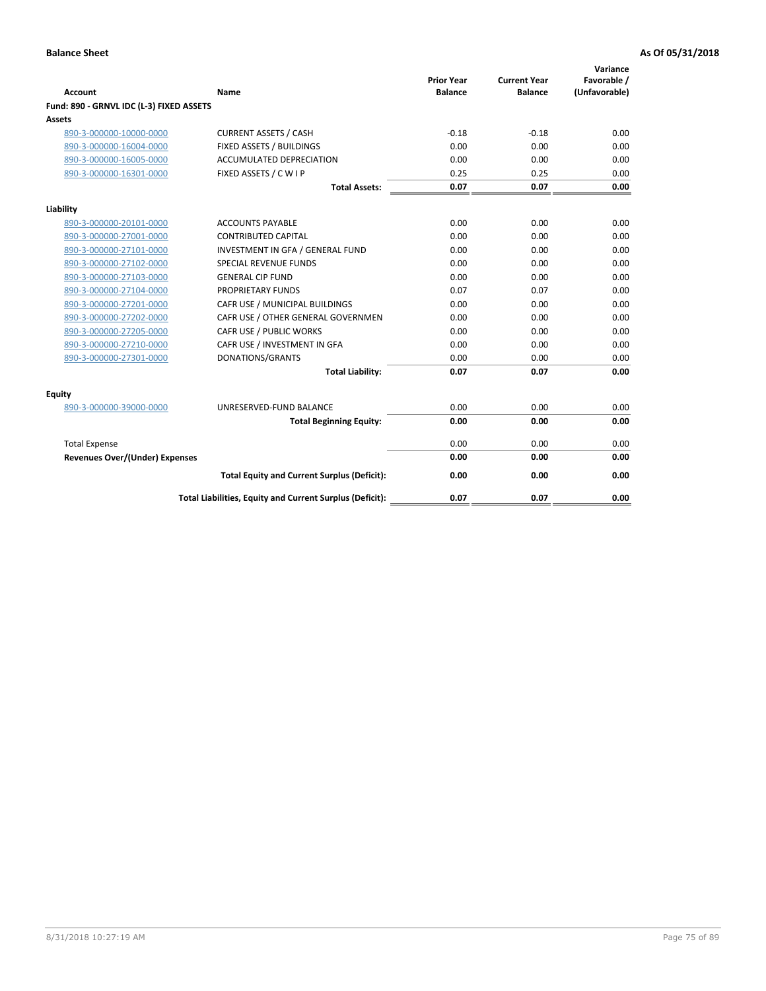| <b>Account</b>                           | Name                                                     | <b>Prior Year</b><br><b>Balance</b> | <b>Current Year</b><br><b>Balance</b> | Variance<br>Favorable /<br>(Unfavorable) |
|------------------------------------------|----------------------------------------------------------|-------------------------------------|---------------------------------------|------------------------------------------|
| Fund: 890 - GRNVL IDC (L-3) FIXED ASSETS |                                                          |                                     |                                       |                                          |
| <b>Assets</b>                            |                                                          |                                     |                                       |                                          |
| 890-3-000000-10000-0000                  | <b>CURRENT ASSETS / CASH</b>                             | $-0.18$                             | $-0.18$                               | 0.00                                     |
| 890-3-000000-16004-0000                  | FIXED ASSETS / BUILDINGS                                 | 0.00                                | 0.00                                  | 0.00                                     |
| 890-3-000000-16005-0000                  | <b>ACCUMULATED DEPRECIATION</b>                          | 0.00                                | 0.00                                  | 0.00                                     |
| 890-3-000000-16301-0000                  | FIXED ASSETS / C W I P                                   | 0.25                                | 0.25                                  | 0.00                                     |
|                                          | <b>Total Assets:</b>                                     | 0.07                                | 0.07                                  | 0.00                                     |
| Liability                                |                                                          |                                     |                                       |                                          |
| 890-3-000000-20101-0000                  | <b>ACCOUNTS PAYABLE</b>                                  | 0.00                                | 0.00                                  | 0.00                                     |
| 890-3-000000-27001-0000                  | <b>CONTRIBUTED CAPITAL</b>                               | 0.00                                | 0.00                                  | 0.00                                     |
| 890-3-000000-27101-0000                  | INVESTMENT IN GFA / GENERAL FUND                         | 0.00                                | 0.00                                  | 0.00                                     |
| 890-3-000000-27102-0000                  | SPECIAL REVENUE FUNDS                                    | 0.00                                | 0.00                                  | 0.00                                     |
| 890-3-000000-27103-0000                  | <b>GENERAL CIP FUND</b>                                  | 0.00                                | 0.00                                  | 0.00                                     |
| 890-3-000000-27104-0000                  | PROPRIETARY FUNDS                                        | 0.07                                | 0.07                                  | 0.00                                     |
| 890-3-000000-27201-0000                  | CAFR USE / MUNICIPAL BUILDINGS                           | 0.00                                | 0.00                                  | 0.00                                     |
| 890-3-000000-27202-0000                  | CAFR USE / OTHER GENERAL GOVERNMEN                       | 0.00                                | 0.00                                  | 0.00                                     |
| 890-3-000000-27205-0000                  | CAFR USE / PUBLIC WORKS                                  | 0.00                                | 0.00                                  | 0.00                                     |
| 890-3-000000-27210-0000                  | CAFR USE / INVESTMENT IN GFA                             | 0.00                                | 0.00                                  | 0.00                                     |
| 890-3-000000-27301-0000                  | DONATIONS/GRANTS                                         | 0.00                                | 0.00                                  | 0.00                                     |
|                                          | <b>Total Liability:</b>                                  | 0.07                                | 0.07                                  | 0.00                                     |
| Equity                                   |                                                          |                                     |                                       |                                          |
| 890-3-000000-39000-0000                  | UNRESERVED-FUND BALANCE                                  | 0.00                                | 0.00                                  | 0.00                                     |
|                                          | <b>Total Beginning Equity:</b>                           | 0.00                                | 0.00                                  | 0.00                                     |
| <b>Total Expense</b>                     |                                                          | 0.00                                | 0.00                                  | 0.00                                     |
| Revenues Over/(Under) Expenses           |                                                          | 0.00                                | 0.00                                  | 0.00                                     |
|                                          | <b>Total Equity and Current Surplus (Deficit):</b>       | 0.00                                | 0.00                                  | 0.00                                     |
|                                          | Total Liabilities, Equity and Current Surplus (Deficit): | 0.07                                | 0.07                                  | 0.00                                     |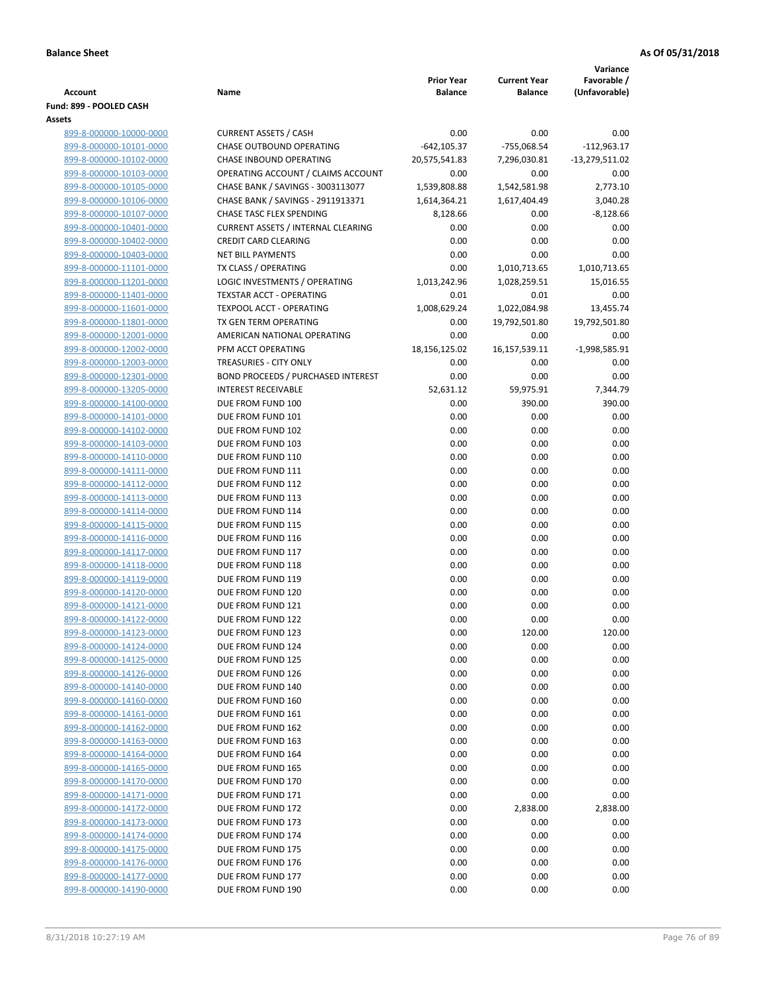|                                                    |                                                         |                                     |                                       | Variance                     |
|----------------------------------------------------|---------------------------------------------------------|-------------------------------------|---------------------------------------|------------------------------|
| <b>Account</b>                                     | Name                                                    | <b>Prior Year</b><br><b>Balance</b> | <b>Current Year</b><br><b>Balance</b> | Favorable /<br>(Unfavorable) |
| Fund: 899 - POOLED CASH                            |                                                         |                                     |                                       |                              |
| Assets                                             |                                                         |                                     |                                       |                              |
| 899-8-000000-10000-0000                            | <b>CURRENT ASSETS / CASH</b>                            | 0.00                                | 0.00                                  | 0.00                         |
| 899-8-000000-10101-0000                            | CHASE OUTBOUND OPERATING                                | $-642, 105.37$                      | -755,068.54                           | $-112,963.17$                |
| 899-8-000000-10102-0000                            | <b>CHASE INBOUND OPERATING</b>                          | 20,575,541.83                       | 7,296,030.81                          | -13,279,511.02               |
| 899-8-000000-10103-0000                            | OPERATING ACCOUNT / CLAIMS ACCOUNT                      | 0.00                                | 0.00                                  | 0.00                         |
| 899-8-000000-10105-0000                            | CHASE BANK / SAVINGS - 3003113077                       | 1,539,808.88                        | 1,542,581.98                          | 2,773.10                     |
| 899-8-000000-10106-0000                            | CHASE BANK / SAVINGS - 2911913371                       | 1,614,364.21                        | 1,617,404.49                          | 3,040.28                     |
| 899-8-000000-10107-0000                            | CHASE TASC FLEX SPENDING                                | 8,128.66                            | 0.00                                  | $-8,128.66$                  |
| 899-8-000000-10401-0000                            | <b>CURRENT ASSETS / INTERNAL CLEARING</b>               | 0.00                                | 0.00                                  | 0.00                         |
| 899-8-000000-10402-0000                            | <b>CREDIT CARD CLEARING</b><br><b>NET BILL PAYMENTS</b> | 0.00<br>0.00                        | 0.00<br>0.00                          | 0.00<br>0.00                 |
| 899-8-000000-10403-0000<br>899-8-000000-11101-0000 | TX CLASS / OPERATING                                    | 0.00                                | 1,010,713.65                          | 1,010,713.65                 |
| 899-8-000000-11201-0000                            | LOGIC INVESTMENTS / OPERATING                           | 1,013,242.96                        | 1,028,259.51                          | 15,016.55                    |
| 899-8-000000-11401-0000                            | <b>TEXSTAR ACCT - OPERATING</b>                         | 0.01                                | 0.01                                  | 0.00                         |
| 899-8-000000-11601-0000                            | TEXPOOL ACCT - OPERATING                                | 1,008,629.24                        | 1,022,084.98                          | 13,455.74                    |
| 899-8-000000-11801-0000                            | TX GEN TERM OPERATING                                   | 0.00                                | 19,792,501.80                         | 19,792,501.80                |
| 899-8-000000-12001-0000                            | AMERICAN NATIONAL OPERATING                             | 0.00                                | 0.00                                  | 0.00                         |
| 899-8-000000-12002-0000                            | PFM ACCT OPERATING                                      | 18,156,125.02                       | 16,157,539.11                         | $-1,998,585.91$              |
| 899-8-000000-12003-0000                            | TREASURIES - CITY ONLY                                  | 0.00                                | 0.00                                  | 0.00                         |
| 899-8-000000-12301-0000                            | <b>BOND PROCEEDS / PURCHASED INTEREST</b>               | 0.00                                | 0.00                                  | 0.00                         |
| 899-8-000000-13205-0000                            | <b>INTEREST RECEIVABLE</b>                              | 52,631.12                           | 59,975.91                             | 7,344.79                     |
| 899-8-000000-14100-0000                            | DUE FROM FUND 100                                       | 0.00                                | 390.00                                | 390.00                       |
| 899-8-000000-14101-0000                            | DUE FROM FUND 101                                       | 0.00                                | 0.00                                  | 0.00                         |
| 899-8-000000-14102-0000                            | DUE FROM FUND 102                                       | 0.00                                | 0.00                                  | 0.00                         |
| 899-8-000000-14103-0000                            | DUE FROM FUND 103                                       | 0.00                                | 0.00                                  | 0.00                         |
| 899-8-000000-14110-0000                            | DUE FROM FUND 110                                       | 0.00                                | 0.00                                  | 0.00                         |
| 899-8-000000-14111-0000                            | DUE FROM FUND 111                                       | 0.00                                | 0.00                                  | 0.00                         |
| 899-8-000000-14112-0000<br>899-8-000000-14113-0000 | DUE FROM FUND 112<br>DUE FROM FUND 113                  | 0.00<br>0.00                        | 0.00<br>0.00                          | 0.00<br>0.00                 |
| 899-8-000000-14114-0000                            | DUE FROM FUND 114                                       | 0.00                                | 0.00                                  | 0.00                         |
| 899-8-000000-14115-0000                            | DUE FROM FUND 115                                       | 0.00                                | 0.00                                  | 0.00                         |
| 899-8-000000-14116-0000                            | DUE FROM FUND 116                                       | 0.00                                | 0.00                                  | 0.00                         |
| 899-8-000000-14117-0000                            | DUE FROM FUND 117                                       | 0.00                                | 0.00                                  | 0.00                         |
| 899-8-000000-14118-0000                            | DUE FROM FUND 118                                       | 0.00                                | 0.00                                  | 0.00                         |
| 899-8-000000-14119-0000                            | DUE FROM FUND 119                                       | 0.00                                | 0.00                                  | 0.00                         |
| 899-8-000000-14120-0000                            | DUE FROM FUND 120                                       | 0.00                                | 0.00                                  | 0.00                         |
| 899-8-000000-14121-0000                            | DUE FROM FUND 121                                       | 0.00                                | 0.00                                  | 0.00                         |
| 899-8-000000-14122-0000                            | DUE FROM FUND 122                                       | 0.00                                | 0.00                                  | 0.00                         |
| 899-8-000000-14123-0000                            | DUE FROM FUND 123                                       | 0.00                                | 120.00                                | 120.00                       |
| 899-8-000000-14124-0000                            | DUE FROM FUND 124                                       | 0.00                                | 0.00                                  | 0.00                         |
| 899-8-000000-14125-0000                            | DUE FROM FUND 125                                       | 0.00                                | 0.00                                  | 0.00                         |
| 899-8-000000-14126-0000                            | DUE FROM FUND 126                                       | 0.00                                | 0.00                                  | 0.00                         |
| 899-8-000000-14140-0000                            | DUE FROM FUND 140                                       | 0.00                                | 0.00                                  | 0.00                         |
| 899-8-000000-14160-0000                            | DUE FROM FUND 160                                       | 0.00                                | 0.00                                  | 0.00                         |
| 899-8-000000-14161-0000<br>899-8-000000-14162-0000 | DUE FROM FUND 161<br>DUE FROM FUND 162                  | 0.00<br>0.00                        | 0.00<br>0.00                          | 0.00<br>0.00                 |
| 899-8-000000-14163-0000                            | DUE FROM FUND 163                                       | 0.00                                | 0.00                                  | 0.00                         |
| 899-8-000000-14164-0000                            | DUE FROM FUND 164                                       | 0.00                                | 0.00                                  | 0.00                         |
| 899-8-000000-14165-0000                            | DUE FROM FUND 165                                       | 0.00                                | 0.00                                  | 0.00                         |
| 899-8-000000-14170-0000                            | DUE FROM FUND 170                                       | 0.00                                | 0.00                                  | 0.00                         |
| 899-8-000000-14171-0000                            | DUE FROM FUND 171                                       | 0.00                                | 0.00                                  | 0.00                         |
| 899-8-000000-14172-0000                            | DUE FROM FUND 172                                       | 0.00                                | 2,838.00                              | 2,838.00                     |
| 899-8-000000-14173-0000                            | DUE FROM FUND 173                                       | 0.00                                | 0.00                                  | 0.00                         |
| 899-8-000000-14174-0000                            | DUE FROM FUND 174                                       | 0.00                                | 0.00                                  | 0.00                         |
| 899-8-000000-14175-0000                            | DUE FROM FUND 175                                       | 0.00                                | 0.00                                  | 0.00                         |
| 899-8-000000-14176-0000                            | DUE FROM FUND 176                                       | 0.00                                | 0.00                                  | 0.00                         |
| 899-8-000000-14177-0000                            | DUE FROM FUND 177                                       | 0.00                                | 0.00                                  | 0.00                         |
| 899-8-000000-14190-0000                            | DUE FROM FUND 190                                       | 0.00                                | 0.00                                  | 0.00                         |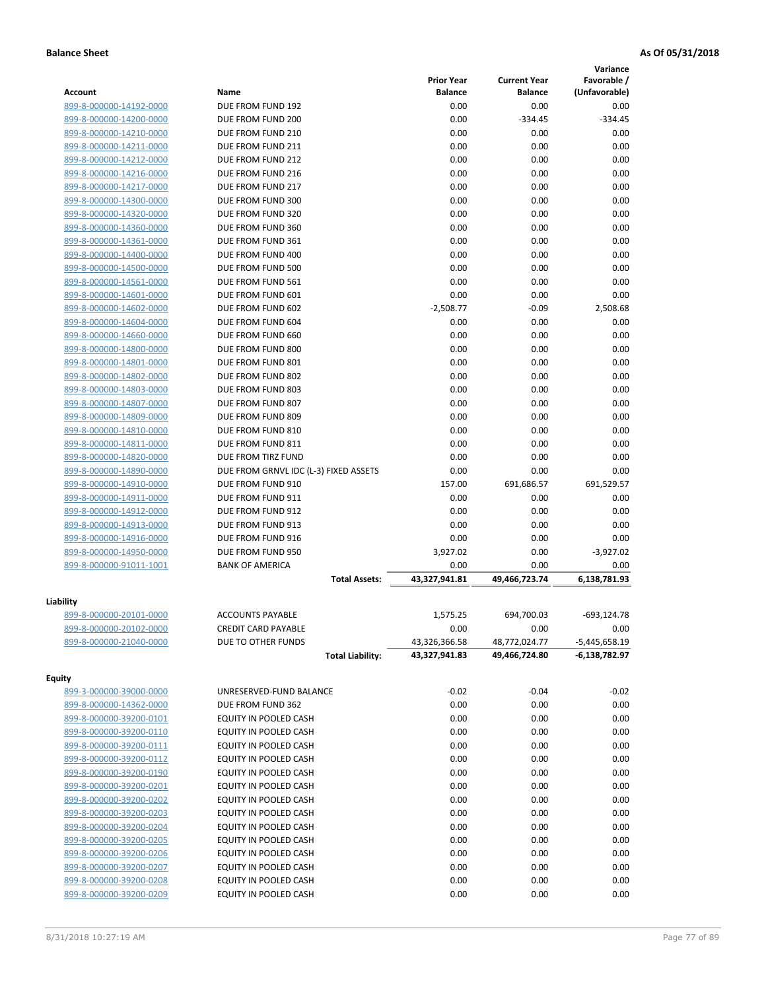|                         |                                       |                   |                     | Variance       |
|-------------------------|---------------------------------------|-------------------|---------------------|----------------|
|                         |                                       | <b>Prior Year</b> | <b>Current Year</b> | Favorable /    |
| <b>Account</b>          | Name                                  | <b>Balance</b>    | <b>Balance</b>      | (Unfavorable)  |
| 899-8-000000-14192-0000 | DUE FROM FUND 192                     | 0.00              | 0.00                | 0.00           |
| 899-8-000000-14200-0000 | DUE FROM FUND 200                     | 0.00              | $-334.45$           | $-334.45$      |
| 899-8-000000-14210-0000 | DUE FROM FUND 210                     | 0.00              | 0.00                | 0.00           |
| 899-8-000000-14211-0000 | DUE FROM FUND 211                     | 0.00              | 0.00                | 0.00           |
| 899-8-000000-14212-0000 | DUE FROM FUND 212                     | 0.00              | 0.00                | 0.00           |
| 899-8-000000-14216-0000 | DUE FROM FUND 216                     | 0.00              | 0.00                | 0.00           |
| 899-8-000000-14217-0000 | DUE FROM FUND 217                     | 0.00              | 0.00                | 0.00           |
| 899-8-000000-14300-0000 | DUE FROM FUND 300                     | 0.00              | 0.00                | 0.00           |
| 899-8-000000-14320-0000 | DUE FROM FUND 320                     | 0.00              | 0.00                | 0.00           |
| 899-8-000000-14360-0000 | DUE FROM FUND 360                     | 0.00              | 0.00                | 0.00           |
| 899-8-000000-14361-0000 | DUE FROM FUND 361                     | 0.00              | 0.00                | 0.00           |
| 899-8-000000-14400-0000 | DUE FROM FUND 400                     | 0.00              | 0.00                | 0.00           |
| 899-8-000000-14500-0000 | DUE FROM FUND 500                     | 0.00              | 0.00                | 0.00           |
| 899-8-000000-14561-0000 | DUE FROM FUND 561                     | 0.00              | 0.00                | 0.00           |
| 899-8-000000-14601-0000 | DUE FROM FUND 601                     | 0.00              | 0.00                | 0.00           |
| 899-8-000000-14602-0000 | DUE FROM FUND 602                     | $-2.508.77$       | $-0.09$             | 2,508.68       |
| 899-8-000000-14604-0000 | DUE FROM FUND 604                     | 0.00              | 0.00                | 0.00           |
| 899-8-000000-14660-0000 | DUE FROM FUND 660                     | 0.00              | 0.00                | 0.00           |
| 899-8-000000-14800-0000 | DUE FROM FUND 800                     | 0.00              | 0.00                | 0.00           |
| 899-8-000000-14801-0000 | DUE FROM FUND 801                     | 0.00              | 0.00                | 0.00           |
| 899-8-000000-14802-0000 | DUE FROM FUND 802                     | 0.00              | 0.00                | 0.00           |
| 899-8-000000-14803-0000 | DUE FROM FUND 803                     | 0.00              | 0.00                | 0.00           |
| 899-8-000000-14807-0000 | DUE FROM FUND 807                     | 0.00              | 0.00                | 0.00           |
| 899-8-000000-14809-0000 | DUE FROM FUND 809                     | 0.00              | 0.00                | 0.00           |
| 899-8-000000-14810-0000 | DUE FROM FUND 810                     | 0.00              | 0.00                | 0.00           |
| 899-8-000000-14811-0000 | DUE FROM FUND 811                     | 0.00              | 0.00                | 0.00           |
| 899-8-000000-14820-0000 | DUE FROM TIRZ FUND                    | 0.00              | 0.00                | 0.00           |
| 899-8-000000-14890-0000 | DUE FROM GRNVL IDC (L-3) FIXED ASSETS | 0.00              | 0.00                | 0.00           |
| 899-8-000000-14910-0000 | DUE FROM FUND 910                     | 157.00            | 691,686.57          | 691,529.57     |
| 899-8-000000-14911-0000 | DUE FROM FUND 911                     | 0.00              | 0.00                | 0.00           |
| 899-8-000000-14912-0000 | DUE FROM FUND 912                     | 0.00              | 0.00                | 0.00           |
| 899-8-000000-14913-0000 | DUE FROM FUND 913                     | 0.00              | 0.00                | 0.00           |
| 899-8-000000-14916-0000 | DUE FROM FUND 916                     | 0.00              | 0.00                | 0.00           |
| 899-8-000000-14950-0000 | DUE FROM FUND 950                     | 3,927.02          | 0.00                | $-3,927.02$    |
| 899-8-000000-91011-1001 | <b>BANK OF AMERICA</b>                | 0.00              | 0.00                | 0.00           |
|                         | <b>Total Assets:</b>                  | 43,327,941.81     | 49,466,723.74       | 6,138,781.93   |
|                         |                                       |                   |                     |                |
| Liability               |                                       |                   |                     |                |
| 899-8-000000-20101-0000 | <b>ACCOUNTS PAYABLE</b>               | 1,575.25          | 694,700.03          | $-693, 124.78$ |
| 899-8-000000-20102-0000 | <b>CREDIT CARD PAYABLE</b>            | 0.00              | 0.00                | 0.00           |
| 899-8-000000-21040-0000 | DUE TO OTHER FUNDS                    | 43,326,366.58     | 48,772,024.77       | -5,445,658.19  |
|                         | <b>Total Liability:</b>               | 43,327,941.83     | 49,466,724.80       | -6,138,782.97  |
|                         |                                       |                   |                     |                |
| <b>Equity</b>           |                                       |                   |                     |                |
| 899-3-000000-39000-0000 | UNRESERVED-FUND BALANCE               | $-0.02$           | $-0.04$             | $-0.02$        |
| 899-8-000000-14362-0000 | DUE FROM FUND 362                     | 0.00              | 0.00                | 0.00           |
| 899-8-000000-39200-0101 | EQUITY IN POOLED CASH                 | 0.00              | 0.00                | 0.00           |
| 899-8-000000-39200-0110 | EQUITY IN POOLED CASH                 | 0.00              | 0.00                | 0.00           |
| 899-8-000000-39200-0111 | EQUITY IN POOLED CASH                 | 0.00              | 0.00                | 0.00           |
| 899-8-000000-39200-0112 | EQUITY IN POOLED CASH                 | 0.00              | 0.00                | 0.00           |
| 899-8-000000-39200-0190 | EQUITY IN POOLED CASH                 | 0.00              | 0.00                | 0.00           |
| 899-8-000000-39200-0201 | EQUITY IN POOLED CASH                 | 0.00              | 0.00                | 0.00           |
| 899-8-000000-39200-0202 | EQUITY IN POOLED CASH                 | 0.00              | 0.00                | 0.00           |
| 899-8-000000-39200-0203 | EQUITY IN POOLED CASH                 | 0.00              | 0.00                | 0.00           |
| 899-8-000000-39200-0204 | EQUITY IN POOLED CASH                 | 0.00              | 0.00                | 0.00           |
| 899-8-000000-39200-0205 | EQUITY IN POOLED CASH                 | 0.00              | 0.00                | 0.00           |
| 899-8-000000-39200-0206 | EQUITY IN POOLED CASH                 | 0.00              | 0.00                | 0.00           |
| 899-8-000000-39200-0207 | EQUITY IN POOLED CASH                 | 0.00              | 0.00                | 0.00           |
| 899-8-000000-39200-0208 | EQUITY IN POOLED CASH                 | 0.00              | 0.00                | 0.00           |
| 899-8-000000-39200-0209 | EQUITY IN POOLED CASH                 | 0.00              | 0.00                | 0.00           |
|                         |                                       |                   |                     |                |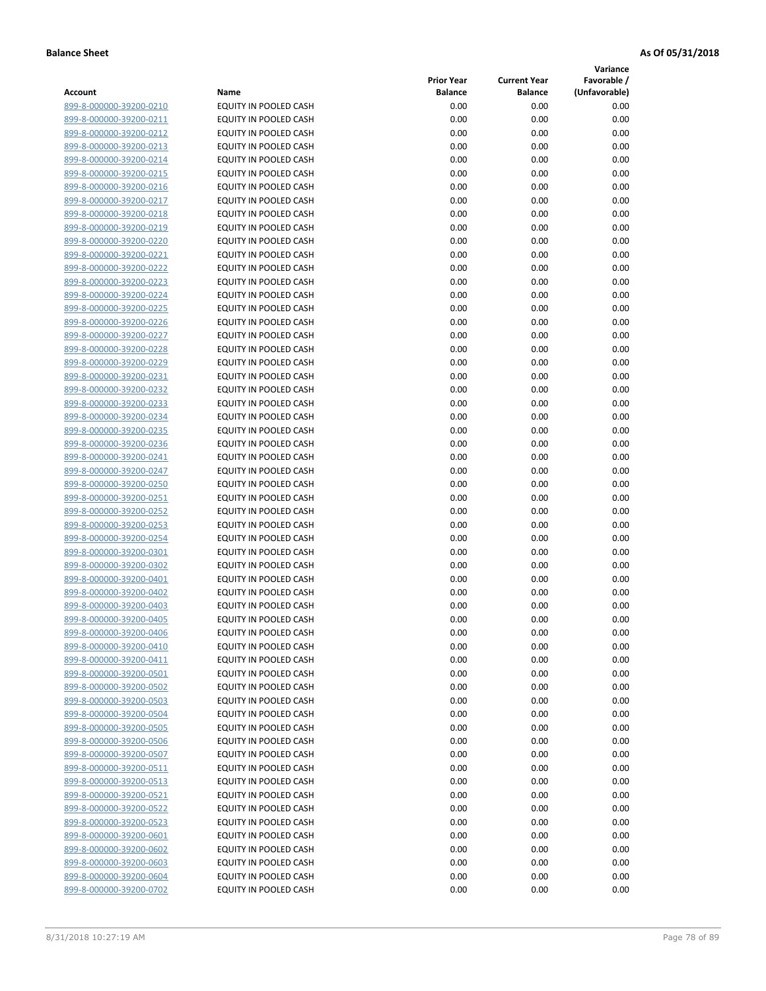**Variance**

| Account                                            | Name                                           | <b>Prior Year</b><br><b>Balance</b> | <b>Current Year</b><br><b>Balance</b> | Favorable /<br>(Unfavorable) |
|----------------------------------------------------|------------------------------------------------|-------------------------------------|---------------------------------------|------------------------------|
| 899-8-000000-39200-0210                            | EQUITY IN POOLED CASH                          | 0.00                                | 0.00                                  | 0.00                         |
| 899-8-000000-39200-0211                            | EQUITY IN POOLED CASH                          | 0.00                                | 0.00                                  | 0.00                         |
| 899-8-000000-39200-0212                            | EQUITY IN POOLED CASH                          | 0.00                                | 0.00                                  | 0.00                         |
| 899-8-000000-39200-0213                            | EQUITY IN POOLED CASH                          | 0.00                                | 0.00                                  | 0.00                         |
| 899-8-000000-39200-0214                            | <b>EQUITY IN POOLED CASH</b>                   | 0.00                                | 0.00                                  | 0.00                         |
| 899-8-000000-39200-0215                            | EQUITY IN POOLED CASH                          | 0.00                                | 0.00                                  | 0.00                         |
| 899-8-000000-39200-0216                            | EQUITY IN POOLED CASH                          | 0.00                                | 0.00                                  | 0.00                         |
| 899-8-000000-39200-0217                            | EQUITY IN POOLED CASH                          | 0.00                                | 0.00                                  | 0.00                         |
| 899-8-000000-39200-0218                            | EQUITY IN POOLED CASH                          | 0.00                                | 0.00                                  | 0.00                         |
| 899-8-000000-39200-0219                            | EQUITY IN POOLED CASH                          | 0.00                                | 0.00                                  | 0.00                         |
| 899-8-000000-39200-0220                            | EQUITY IN POOLED CASH                          | 0.00                                | 0.00                                  | 0.00                         |
| 899-8-000000-39200-0221                            | EQUITY IN POOLED CASH                          | 0.00                                | 0.00                                  | 0.00                         |
| 899-8-000000-39200-0222                            | EQUITY IN POOLED CASH                          | 0.00                                | 0.00                                  | 0.00                         |
| 899-8-000000-39200-0223                            | EQUITY IN POOLED CASH                          | 0.00                                | 0.00                                  | 0.00                         |
| 899-8-000000-39200-0224                            | EQUITY IN POOLED CASH                          | 0.00                                | 0.00                                  | 0.00                         |
| 899-8-000000-39200-0225                            | EQUITY IN POOLED CASH                          | 0.00                                | 0.00                                  | 0.00                         |
| 899-8-000000-39200-0226                            | EQUITY IN POOLED CASH                          | 0.00                                | 0.00                                  | 0.00                         |
| 899-8-000000-39200-0227                            | EQUITY IN POOLED CASH                          | 0.00                                | 0.00                                  | 0.00                         |
| 899-8-000000-39200-0228                            | EQUITY IN POOLED CASH                          | 0.00                                | 0.00                                  | 0.00                         |
| 899-8-000000-39200-0229                            | <b>EQUITY IN POOLED CASH</b>                   | 0.00                                | 0.00                                  | 0.00                         |
| 899-8-000000-39200-0231                            | <b>EQUITY IN POOLED CASH</b>                   | 0.00                                | 0.00                                  | 0.00                         |
| 899-8-000000-39200-0232                            | EQUITY IN POOLED CASH                          | 0.00                                | 0.00                                  | 0.00                         |
| 899-8-000000-39200-0233                            | <b>EQUITY IN POOLED CASH</b>                   | 0.00                                | 0.00                                  | 0.00                         |
| 899-8-000000-39200-0234                            | EQUITY IN POOLED CASH                          | 0.00                                | 0.00                                  | 0.00                         |
| 899-8-000000-39200-0235                            | EQUITY IN POOLED CASH                          | 0.00                                | 0.00                                  | 0.00                         |
| 899-8-000000-39200-0236                            | EQUITY IN POOLED CASH                          | 0.00                                | 0.00                                  | 0.00                         |
| 899-8-000000-39200-0241                            | EQUITY IN POOLED CASH                          | 0.00                                | 0.00                                  | 0.00                         |
| 899-8-000000-39200-0247                            | EQUITY IN POOLED CASH                          | 0.00                                | 0.00                                  | 0.00                         |
| 899-8-000000-39200-0250                            | EQUITY IN POOLED CASH                          | 0.00                                | 0.00                                  | 0.00                         |
| 899-8-000000-39200-0251                            | EQUITY IN POOLED CASH                          | 0.00                                | 0.00                                  | 0.00                         |
| 899-8-000000-39200-0252                            | EQUITY IN POOLED CASH                          | 0.00                                | 0.00                                  | 0.00                         |
| 899-8-000000-39200-0253                            | EQUITY IN POOLED CASH                          | 0.00                                | 0.00                                  | 0.00                         |
| 899-8-000000-39200-0254                            | EQUITY IN POOLED CASH                          | 0.00                                | 0.00                                  | 0.00                         |
| 899-8-000000-39200-0301<br>899-8-000000-39200-0302 | EQUITY IN POOLED CASH                          | 0.00<br>0.00                        | 0.00                                  | 0.00                         |
| 899-8-000000-39200-0401                            | EQUITY IN POOLED CASH<br>EQUITY IN POOLED CASH | 0.00                                | 0.00<br>0.00                          | 0.00<br>0.00                 |
| 899-8-000000-39200-0402                            | EQUITY IN POOLED CASH                          | 0.00                                | 0.00                                  | 0.00                         |
| 899-8-000000-39200-0403                            | EQUITY IN POOLED CASH                          | 0.00                                | 0.00                                  | 0.00                         |
| 899-8-000000-39200-0405                            | <b>EQUITY IN POOLED CASH</b>                   | 0.00                                | 0.00                                  | 0.00                         |
| 899-8-000000-39200-0406                            | EQUITY IN POOLED CASH                          | 0.00                                | 0.00                                  | 0.00                         |
| 899-8-000000-39200-0410                            | <b>EQUITY IN POOLED CASH</b>                   | 0.00                                | 0.00                                  | 0.00                         |
| 899-8-000000-39200-0411                            | EQUITY IN POOLED CASH                          | 0.00                                | 0.00                                  | 0.00                         |
| 899-8-000000-39200-0501                            | EQUITY IN POOLED CASH                          | 0.00                                | 0.00                                  | 0.00                         |
| 899-8-000000-39200-0502                            | EQUITY IN POOLED CASH                          | 0.00                                | 0.00                                  | 0.00                         |
| 899-8-000000-39200-0503                            | EQUITY IN POOLED CASH                          | 0.00                                | 0.00                                  | 0.00                         |
| 899-8-000000-39200-0504                            | <b>EQUITY IN POOLED CASH</b>                   | 0.00                                | 0.00                                  | 0.00                         |
| 899-8-000000-39200-0505                            | EQUITY IN POOLED CASH                          | 0.00                                | 0.00                                  | 0.00                         |
| 899-8-000000-39200-0506                            | EQUITY IN POOLED CASH                          | 0.00                                | 0.00                                  | 0.00                         |
| 899-8-000000-39200-0507                            | EQUITY IN POOLED CASH                          | 0.00                                | 0.00                                  | 0.00                         |
| 899-8-000000-39200-0511                            | <b>EQUITY IN POOLED CASH</b>                   | 0.00                                | 0.00                                  | 0.00                         |
| 899-8-000000-39200-0513                            | EQUITY IN POOLED CASH                          | 0.00                                | 0.00                                  | 0.00                         |
| 899-8-000000-39200-0521                            | EQUITY IN POOLED CASH                          | 0.00                                | 0.00                                  | 0.00                         |
| 899-8-000000-39200-0522                            | EQUITY IN POOLED CASH                          | 0.00                                | 0.00                                  | 0.00                         |
| 899-8-000000-39200-0523                            | EQUITY IN POOLED CASH                          | 0.00                                | 0.00                                  | 0.00                         |
| 899-8-000000-39200-0601                            | EQUITY IN POOLED CASH                          | 0.00                                | 0.00                                  | 0.00                         |
| 899-8-000000-39200-0602                            | EQUITY IN POOLED CASH                          | 0.00                                | 0.00                                  | 0.00                         |
| 899-8-000000-39200-0603                            | EQUITY IN POOLED CASH                          | 0.00                                | 0.00                                  | 0.00                         |
| 899-8-000000-39200-0604                            | EQUITY IN POOLED CASH                          | 0.00                                | 0.00                                  | 0.00                         |
| 899-8-000000-39200-0702                            | EQUITY IN POOLED CASH                          | 0.00                                | 0.00                                  | 0.00                         |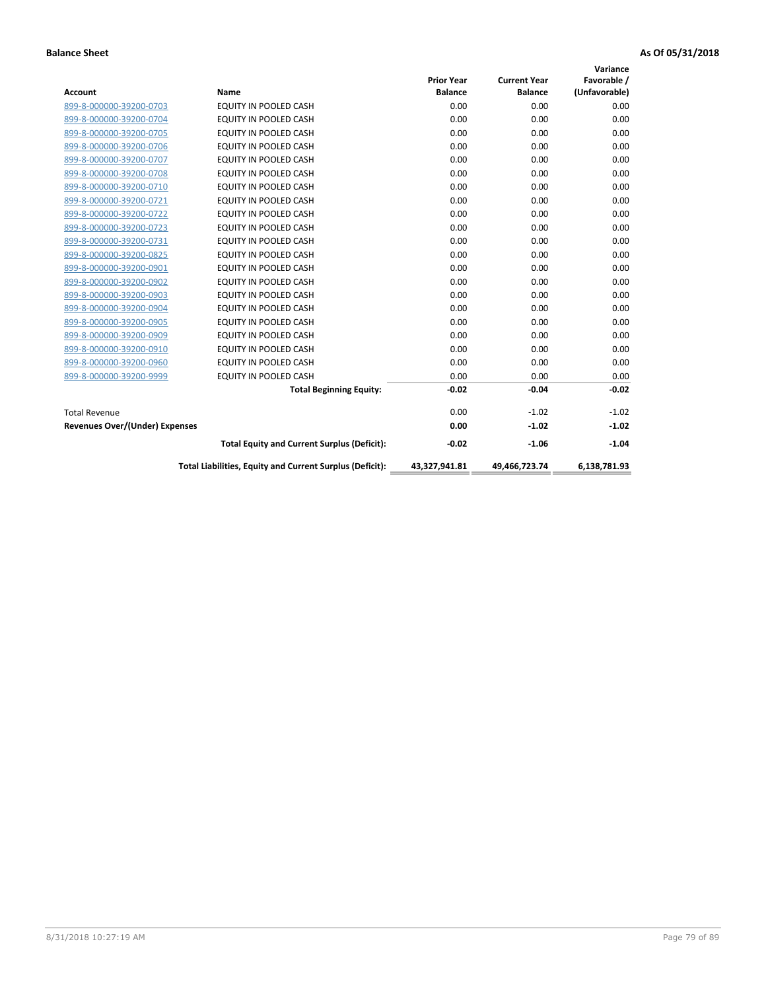|                                       |                                                          |                   |                     | Variance      |
|---------------------------------------|----------------------------------------------------------|-------------------|---------------------|---------------|
|                                       |                                                          | <b>Prior Year</b> | <b>Current Year</b> | Favorable /   |
| <b>Account</b>                        | <b>Name</b>                                              | <b>Balance</b>    | <b>Balance</b>      | (Unfavorable) |
| 899-8-000000-39200-0703               | EQUITY IN POOLED CASH                                    | 0.00              | 0.00                | 0.00          |
| 899-8-000000-39200-0704               | EQUITY IN POOLED CASH                                    | 0.00              | 0.00                | 0.00          |
| 899-8-000000-39200-0705               | <b>EQUITY IN POOLED CASH</b>                             | 0.00              | 0.00                | 0.00          |
| 899-8-000000-39200-0706               | <b>EQUITY IN POOLED CASH</b>                             | 0.00              | 0.00                | 0.00          |
| 899-8-000000-39200-0707               | <b>EQUITY IN POOLED CASH</b>                             | 0.00              | 0.00                | 0.00          |
| 899-8-000000-39200-0708               | <b>EQUITY IN POOLED CASH</b>                             | 0.00              | 0.00                | 0.00          |
| 899-8-000000-39200-0710               | <b>EQUITY IN POOLED CASH</b>                             | 0.00              | 0.00                | 0.00          |
| 899-8-000000-39200-0721               | <b>EQUITY IN POOLED CASH</b>                             | 0.00              | 0.00                | 0.00          |
| 899-8-000000-39200-0722               | <b>EQUITY IN POOLED CASH</b>                             | 0.00              | 0.00                | 0.00          |
| 899-8-000000-39200-0723               | <b>EQUITY IN POOLED CASH</b>                             | 0.00              | 0.00                | 0.00          |
| 899-8-000000-39200-0731               | <b>EQUITY IN POOLED CASH</b>                             | 0.00              | 0.00                | 0.00          |
| 899-8-000000-39200-0825               | EQUITY IN POOLED CASH                                    | 0.00              | 0.00                | 0.00          |
| 899-8-000000-39200-0901               | EQUITY IN POOLED CASH                                    | 0.00              | 0.00                | 0.00          |
| 899-8-000000-39200-0902               | <b>EQUITY IN POOLED CASH</b>                             | 0.00              | 0.00                | 0.00          |
| 899-8-000000-39200-0903               | <b>EQUITY IN POOLED CASH</b>                             | 0.00              | 0.00                | 0.00          |
| 899-8-000000-39200-0904               | <b>EQUITY IN POOLED CASH</b>                             | 0.00              | 0.00                | 0.00          |
| 899-8-000000-39200-0905               | EQUITY IN POOLED CASH                                    | 0.00              | 0.00                | 0.00          |
| 899-8-000000-39200-0909               | EQUITY IN POOLED CASH                                    | 0.00              | 0.00                | 0.00          |
| 899-8-000000-39200-0910               | <b>EQUITY IN POOLED CASH</b>                             | 0.00              | 0.00                | 0.00          |
| 899-8-000000-39200-0960               | <b>EQUITY IN POOLED CASH</b>                             | 0.00              | 0.00                | 0.00          |
| 899-8-000000-39200-9999               | EQUITY IN POOLED CASH                                    | 0.00              | 0.00                | 0.00          |
|                                       | <b>Total Beginning Equity:</b>                           | $-0.02$           | $-0.04$             | $-0.02$       |
| <b>Total Revenue</b>                  |                                                          | 0.00              | $-1.02$             | $-1.02$       |
| <b>Revenues Over/(Under) Expenses</b> |                                                          | 0.00              | $-1.02$             | $-1.02$       |
|                                       | <b>Total Equity and Current Surplus (Deficit):</b>       | $-0.02$           | $-1.06$             | $-1.04$       |
|                                       | Total Liabilities, Equity and Current Surplus (Deficit): | 43,327,941.81     | 49,466,723.74       | 6,138,781.93  |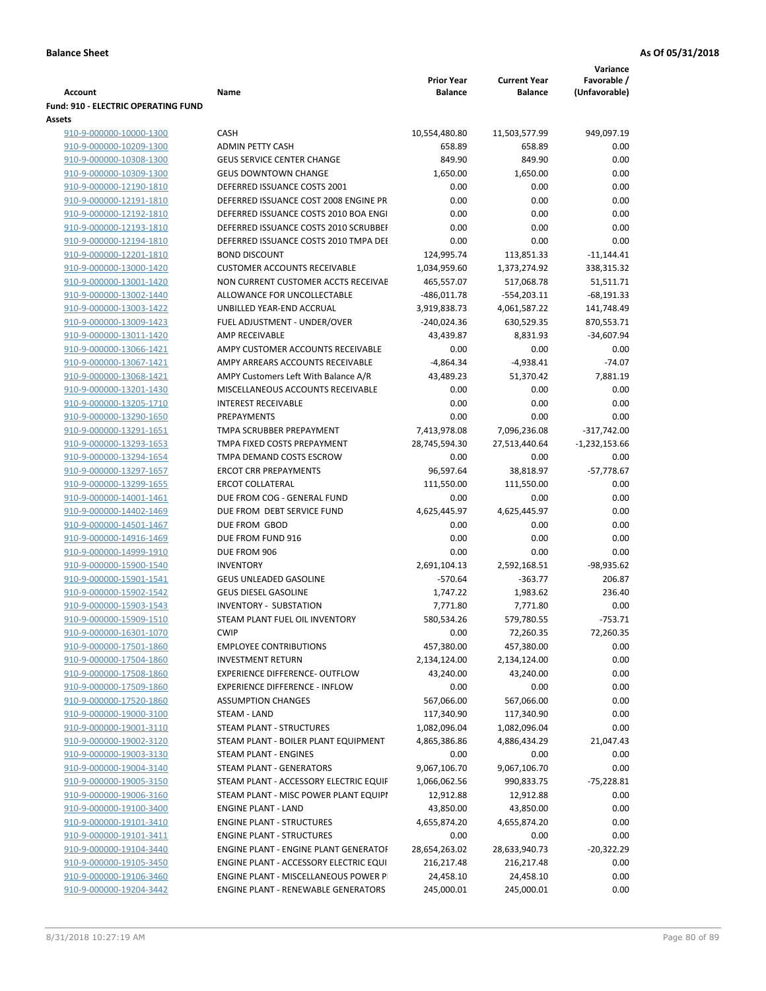| <b>Account</b>                                     | Name                                         | <b>Prior Year</b><br><b>Balance</b> | <b>Current Year</b><br><b>Balance</b> | Variance<br>Favorable /<br>(Unfavorable) |
|----------------------------------------------------|----------------------------------------------|-------------------------------------|---------------------------------------|------------------------------------------|
| <b>Fund: 910 - ELECTRIC OPERATING FUND</b>         |                                              |                                     |                                       |                                          |
| Assets                                             |                                              |                                     |                                       |                                          |
| 910-9-000000-10000-1300                            | CASH                                         | 10,554,480.80                       | 11,503,577.99                         | 949,097.19                               |
| 910-9-000000-10209-1300                            | <b>ADMIN PETTY CASH</b>                      | 658.89                              | 658.89                                | 0.00                                     |
| 910-9-000000-10308-1300                            | <b>GEUS SERVICE CENTER CHANGE</b>            | 849.90                              | 849.90                                | 0.00                                     |
| 910-9-000000-10309-1300                            | <b>GEUS DOWNTOWN CHANGE</b>                  | 1,650.00                            | 1,650.00                              | 0.00                                     |
| 910-9-000000-12190-1810                            | DEFERRED ISSUANCE COSTS 2001                 | 0.00                                | 0.00                                  | 0.00                                     |
| 910-9-000000-12191-1810                            | DEFERRED ISSUANCE COST 2008 ENGINE PR        | 0.00                                | 0.00                                  | 0.00                                     |
| 910-9-000000-12192-1810                            | DEFERRED ISSUANCE COSTS 2010 BOA ENGI        | 0.00                                | 0.00                                  | 0.00                                     |
| 910-9-000000-12193-1810                            | DEFERRED ISSUANCE COSTS 2010 SCRUBBEH        | 0.00                                | 0.00                                  | 0.00                                     |
| 910-9-000000-12194-1810                            | DEFERRED ISSUANCE COSTS 2010 TMPA DEI        | 0.00                                | 0.00                                  | 0.00                                     |
| 910-9-000000-12201-1810                            | <b>BOND DISCOUNT</b>                         | 124,995.74                          | 113,851.33                            | $-11,144.41$                             |
| 910-9-000000-13000-1420                            | <b>CUSTOMER ACCOUNTS RECEIVABLE</b>          | 1,034,959.60                        | 1,373,274.92                          | 338,315.32                               |
| 910-9-000000-13001-1420                            | NON CURRENT CUSTOMER ACCTS RECEIVAE          | 465,557.07                          | 517,068.78                            | 51,511.71                                |
| 910-9-000000-13002-1440                            | ALLOWANCE FOR UNCOLLECTABLE                  | $-486,011.78$                       | $-554,203.11$                         | $-68,191.33$                             |
| 910-9-000000-13003-1422                            | UNBILLED YEAR-END ACCRUAL                    | 3,919,838.73                        | 4,061,587.22                          | 141,748.49                               |
| 910-9-000000-13009-1423                            | FUEL ADJUSTMENT - UNDER/OVER                 | $-240,024.36$                       | 630,529.35                            | 870,553.71                               |
| 910-9-000000-13011-1420                            | AMP RECEIVABLE                               | 43,439.87                           | 8,831.93                              | $-34,607.94$                             |
| 910-9-000000-13066-1421                            | AMPY CUSTOMER ACCOUNTS RECEIVABLE            | 0.00                                | 0.00                                  | 0.00                                     |
| 910-9-000000-13067-1421                            | AMPY ARREARS ACCOUNTS RECEIVABLE             | $-4,864.34$                         | $-4,938.41$                           | $-74.07$                                 |
| 910-9-000000-13068-1421                            | AMPY Customers Left With Balance A/R         | 43,489.23                           | 51,370.42                             | 7,881.19                                 |
| 910-9-000000-13201-1430                            | MISCELLANEOUS ACCOUNTS RECEIVABLE            | 0.00                                | 0.00                                  | 0.00                                     |
| 910-9-000000-13205-1710                            | <b>INTEREST RECEIVABLE</b>                   | 0.00                                | 0.00                                  | 0.00                                     |
| 910-9-000000-13290-1650                            | PREPAYMENTS<br>TMPA SCRUBBER PREPAYMENT      | 0.00                                | 0.00                                  | 0.00                                     |
| 910-9-000000-13291-1651<br>910-9-000000-13293-1653 | TMPA FIXED COSTS PREPAYMENT                  | 7,413,978.08<br>28,745,594.30       | 7,096,236.08                          | $-317,742.00$                            |
| 910-9-000000-13294-1654                            | TMPA DEMAND COSTS ESCROW                     | 0.00                                | 27,513,440.64<br>0.00                 | $-1,232,153.66$<br>0.00                  |
| 910-9-000000-13297-1657                            | <b>ERCOT CRR PREPAYMENTS</b>                 | 96,597.64                           | 38,818.97                             | $-57,778.67$                             |
| 910-9-000000-13299-1655                            | <b>ERCOT COLLATERAL</b>                      | 111,550.00                          | 111,550.00                            | 0.00                                     |
| 910-9-000000-14001-1461                            | DUE FROM COG - GENERAL FUND                  | 0.00                                | 0.00                                  | 0.00                                     |
| 910-9-000000-14402-1469                            | DUE FROM DEBT SERVICE FUND                   | 4,625,445.97                        | 4,625,445.97                          | 0.00                                     |
| 910-9-000000-14501-1467                            | DUE FROM GBOD                                | 0.00                                | 0.00                                  | 0.00                                     |
| 910-9-000000-14916-1469                            | DUE FROM FUND 916                            | 0.00                                | 0.00                                  | 0.00                                     |
| 910-9-000000-14999-1910                            | DUE FROM 906                                 | 0.00                                | 0.00                                  | 0.00                                     |
| 910-9-000000-15900-1540                            | <b>INVENTORY</b>                             | 2,691,104.13                        | 2,592,168.51                          | $-98,935.62$                             |
| 910-9-000000-15901-1541                            | GEUS UNLEADED GASOLINE                       | $-570.64$                           | $-363.77$                             | 206.87                                   |
| 910-9-000000-15902-1542                            | <b>GEUS DIESEL GASOLINE</b>                  | 1,747.22                            | 1,983.62                              | 236.40                                   |
| 910-9-000000-15903-1543                            | <b>INVENTORY - SUBSTATION</b>                | 7,771.80                            | 7,771.80                              | 0.00                                     |
| 910-9-000000-15909-1510                            | STEAM PLANT FUEL OIL INVENTORY               | 580,534.26                          | 579,780.55                            | $-753.71$                                |
| 910-9-000000-16301-1070                            | <b>CWIP</b>                                  | 0.00                                | 72,260.35                             | 72,260.35                                |
| 910-9-000000-17501-1860                            | <b>EMPLOYEE CONTRIBUTIONS</b>                | 457,380.00                          | 457,380.00                            | 0.00                                     |
| 910-9-000000-17504-1860                            | <b>INVESTMENT RETURN</b>                     | 2,134,124.00                        | 2,134,124.00                          | 0.00                                     |
| 910-9-000000-17508-1860                            | EXPERIENCE DIFFERENCE- OUTFLOW               | 43,240.00                           | 43,240.00                             | 0.00                                     |
| 910-9-000000-17509-1860                            | <b>EXPERIENCE DIFFERENCE - INFLOW</b>        | 0.00                                | 0.00                                  | 0.00                                     |
| 910-9-000000-17520-1860                            | <b>ASSUMPTION CHANGES</b>                    | 567,066.00                          | 567,066.00                            | 0.00                                     |
| 910-9-000000-19000-3100                            | STEAM - LAND                                 | 117,340.90                          | 117,340.90                            | 0.00                                     |
| 910-9-000000-19001-3110                            | STEAM PLANT - STRUCTURES                     | 1,082,096.04                        | 1,082,096.04                          | 0.00                                     |
| 910-9-000000-19002-3120                            | STEAM PLANT - BOILER PLANT EQUIPMENT         | 4,865,386.86                        | 4,886,434.29                          | 21,047.43                                |
| 910-9-000000-19003-3130                            | STEAM PLANT - ENGINES                        | 0.00                                | 0.00                                  | 0.00                                     |
| 910-9-000000-19004-3140                            | <b>STEAM PLANT - GENERATORS</b>              | 9,067,106.70                        | 9,067,106.70                          | 0.00                                     |
| 910-9-000000-19005-3150                            | STEAM PLANT - ACCESSORY ELECTRIC EQUIF       | 1,066,062.56                        | 990,833.75                            | $-75,228.81$                             |
| 910-9-000000-19006-3160                            | STEAM PLANT - MISC POWER PLANT EQUIPI        | 12,912.88                           | 12,912.88                             | 0.00                                     |
| 910-9-000000-19100-3400                            | <b>ENGINE PLANT - LAND</b>                   | 43,850.00                           | 43,850.00                             | 0.00                                     |
| 910-9-000000-19101-3410                            | <b>ENGINE PLANT - STRUCTURES</b>             | 4,655,874.20                        | 4,655,874.20                          | 0.00                                     |
| 910-9-000000-19101-3411                            | <b>ENGINE PLANT - STRUCTURES</b>             | 0.00                                | 0.00                                  | 0.00                                     |
| 910-9-000000-19104-3440                            | <b>ENGINE PLANT - ENGINE PLANT GENERATOF</b> | 28,654,263.02                       | 28,633,940.73                         | $-20,322.29$                             |
| 910-9-000000-19105-3450                            | ENGINE PLANT - ACCESSORY ELECTRIC EQUI       | 216,217.48                          | 216,217.48                            | 0.00                                     |
| 910-9-000000-19106-3460                            | ENGINE PLANT - MISCELLANEOUS POWER P         | 24,458.10                           | 24,458.10                             | 0.00                                     |
| 910-9-000000-19204-3442                            | ENGINE PLANT - RENEWABLE GENERATORS          | 245,000.01                          | 245,000.01                            | 0.00                                     |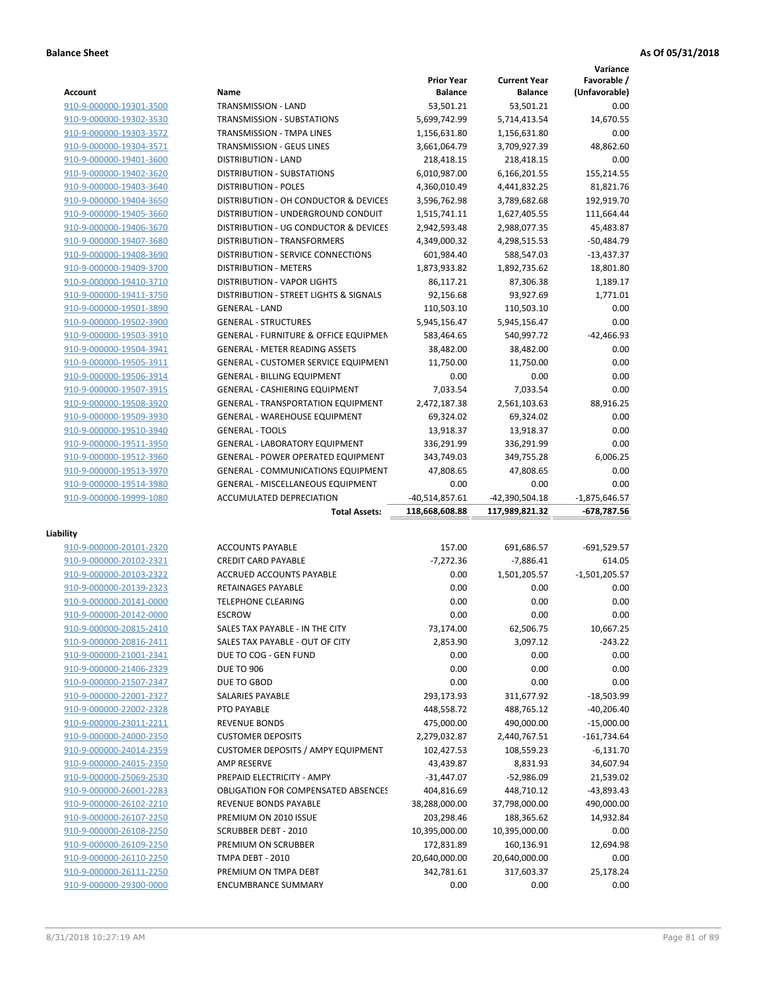**Variance**

|                         |                                                  | <b>Prior Year</b> | <b>Current Year</b> | Favorable /      |
|-------------------------|--------------------------------------------------|-------------------|---------------------|------------------|
| Account                 | Name                                             | <b>Balance</b>    | <b>Balance</b>      | (Unfavorable)    |
| 910-9-000000-19301-3500 | TRANSMISSION - LAND                              | 53,501.21         | 53,501.21           | 0.00             |
| 910-9-000000-19302-3530 | TRANSMISSION - SUBSTATIONS                       | 5,699,742.99      | 5,714,413.54        | 14,670.55        |
| 910-9-000000-19303-3572 | TRANSMISSION - TMPA LINES                        | 1,156,631.80      | 1,156,631.80        | 0.00             |
| 910-9-000000-19304-3571 | <b>TRANSMISSION - GEUS LINES</b>                 | 3,661,064.79      | 3,709,927.39        | 48,862.60        |
| 910-9-000000-19401-3600 | <b>DISTRIBUTION - LAND</b>                       | 218,418.15        | 218,418.15          | 0.00             |
| 910-9-000000-19402-3620 | DISTRIBUTION - SUBSTATIONS                       | 6,010,987.00      | 6,166,201.55        | 155,214.55       |
| 910-9-000000-19403-3640 | <b>DISTRIBUTION - POLES</b>                      | 4,360,010.49      | 4,441,832.25        | 81,821.76        |
| 910-9-000000-19404-3650 | DISTRIBUTION - OH CONDUCTOR & DEVICES            | 3,596,762.98      | 3,789,682.68        | 192,919.70       |
| 910-9-000000-19405-3660 | DISTRIBUTION - UNDERGROUND CONDUIT               | 1,515,741.11      | 1,627,405.55        | 111,664.44       |
| 910-9-000000-19406-3670 | DISTRIBUTION - UG CONDUCTOR & DEVICES            | 2,942,593.48      | 2,988,077.35        | 45,483.87        |
| 910-9-000000-19407-3680 | <b>DISTRIBUTION - TRANSFORMERS</b>               | 4,349,000.32      | 4,298,515.53        | $-50,484.79$     |
| 910-9-000000-19408-3690 | DISTRIBUTION - SERVICE CONNECTIONS               | 601,984.40        | 588,547.03          | $-13,437.37$     |
| 910-9-000000-19409-3700 | <b>DISTRIBUTION - METERS</b>                     | 1,873,933.82      | 1,892,735.62        | 18,801.80        |
| 910-9-000000-19410-3710 | <b>DISTRIBUTION - VAPOR LIGHTS</b>               | 86,117.21         | 87,306.38           | 1,189.17         |
| 910-9-000000-19411-3750 | DISTRIBUTION - STREET LIGHTS & SIGNALS           | 92,156.68         | 93,927.69           | 1,771.01         |
| 910-9-000000-19501-3890 | <b>GENERAL - LAND</b>                            | 110,503.10        | 110,503.10          | 0.00             |
| 910-9-000000-19502-3900 | <b>GENERAL - STRUCTURES</b>                      | 5,945,156.47      | 5,945,156.47        | 0.00             |
| 910-9-000000-19503-3910 | <b>GENERAL - FURNITURE &amp; OFFICE EQUIPMEN</b> | 583,464.65        | 540,997.72          | $-42,466.93$     |
| 910-9-000000-19504-3941 | <b>GENERAL - METER READING ASSETS</b>            | 38,482.00         | 38,482.00           | 0.00             |
| 910-9-000000-19505-3911 | GENERAL - CUSTOMER SERVICE EQUIPMENT             | 11,750.00         | 11,750.00           | 0.00             |
| 910-9-000000-19506-3914 | <b>GENERAL - BILLING EQUIPMENT</b>               | 0.00              | 0.00                | 0.00             |
| 910-9-000000-19507-3915 | <b>GENERAL - CASHIERING EQUIPMENT</b>            | 7,033.54          | 7,033.54            | 0.00             |
| 910-9-000000-19508-3920 | <b>GENERAL - TRANSPORTATION EQUIPMENT</b>        | 2,472,187.38      | 2,561,103.63        | 88,916.25        |
| 910-9-000000-19509-3930 | <b>GENERAL - WAREHOUSE EQUIPMENT</b>             | 69,324.02         | 69,324.02           | 0.00             |
| 910-9-000000-19510-3940 | <b>GENERAL - TOOLS</b>                           | 13,918.37         | 13,918.37           | 0.00             |
| 910-9-000000-19511-3950 | <b>GENERAL - LABORATORY EQUIPMENT</b>            |                   |                     |                  |
|                         |                                                  | 336,291.99        | 336,291.99          | 0.00<br>6,006.25 |
| 910-9-000000-19512-3960 | <b>GENERAL - POWER OPERATED EQUIPMENT</b>        | 343,749.03        | 349,755.28          |                  |
| 910-9-000000-19513-3970 | GENERAL - COMMUNICATIONS EQUIPMENT               | 47,808.65         | 47,808.65           | 0.00             |
| 910-9-000000-19514-3980 | <b>GENERAL - MISCELLANEOUS EQUIPMENT</b>         | 0.00              | 0.00                | 0.00             |
| 910-9-000000-19999-1080 | ACCUMULATED DEPRECIATION                         | $-40,514,857.61$  | -42,390,504.18      | $-1,875,646.57$  |
|                         | <b>Total Assets:</b>                             | 118,668,608.88    | 117,989,821.32      | -678,787.56      |
| Liability               |                                                  |                   |                     |                  |
| 910-9-000000-20101-2320 | <b>ACCOUNTS PAYABLE</b>                          | 157.00            | 691,686.57          | $-691,529.57$    |
| 910-9-000000-20102-2321 | <b>CREDIT CARD PAYABLE</b>                       | $-7,272.36$       | $-7,886.41$         | 614.05           |
| 910-9-000000-20103-2322 | ACCRUED ACCOUNTS PAYABLE                         | 0.00              | 1,501,205.57        | $-1,501,205.57$  |
| 910-9-000000-20139-2323 | RETAINAGES PAYABLE                               | 0.00              | 0.00                | 0.00             |
| 910-9-000000-20141-0000 | <b>TELEPHONE CLEARING</b>                        | 0.00              | 0.00                | 0.00             |
| 910-9-000000-20142-0000 | <b>ESCROW</b>                                    | 0.00              | 0.00                | 0.00             |
| 910-9-000000-20815-2410 | SALES TAX PAYABLE - IN THE CITY                  | 73,174.00         | 62,506.75           | 10,667.25        |
| 910-9-000000-20816-2411 | SALES TAX PAYABLE - OUT OF CITY                  | 2,853.90          | 3,097.12            | $-243.22$        |
| 910-9-000000-21001-2341 | DUE TO COG - GEN FUND                            | 0.00              | 0.00                | 0.00             |
| 910-9-000000-21406-2329 | <b>DUE TO 906</b>                                | 0.00              | 0.00                | 0.00             |
|                         | DUE TO GBOD                                      | 0.00              | 0.00                | 0.00             |
| 910-9-000000-21507-2347 |                                                  |                   |                     | $-18,503.99$     |
| 910-9-000000-22001-2327 | SALARIES PAYABLE                                 | 293,173.93        | 311,677.92          |                  |
| 910-9-000000-22002-2328 | PTO PAYABLE                                      | 448,558.72        | 488,765.12          | $-40,206.40$     |
| 910-9-000000-23011-2211 | <b>REVENUE BONDS</b>                             | 475,000.00        | 490,000.00          | $-15,000.00$     |
| 910-9-000000-24000-2350 | <b>CUSTOMER DEPOSITS</b>                         | 2,279,032.87      | 2,440,767.51        | $-161,734.64$    |
| 910-9-000000-24014-2359 | <b>CUSTOMER DEPOSITS / AMPY EQUIPMENT</b>        | 102,427.53        | 108,559.23          | $-6,131.70$      |
| 910-9-000000-24015-2350 | <b>AMP RESERVE</b>                               | 43,439.87         | 8,831.93            | 34,607.94        |
| 910-9-000000-25069-2530 | PREPAID ELECTRICITY - AMPY                       | $-31,447.07$      | $-52,986.09$        | 21,539.02        |
| 910-9-000000-26001-2283 | <b>OBLIGATION FOR COMPENSATED ABSENCES</b>       | 404,816.69        | 448,710.12          | -43,893.43       |
| 910-9-000000-26102-2210 | REVENUE BONDS PAYABLE                            | 38,288,000.00     | 37,798,000.00       | 490,000.00       |
| 910-9-000000-26107-2250 | PREMIUM ON 2010 ISSUE                            | 203,298.46        | 188,365.62          | 14,932.84        |
| 910-9-000000-26108-2250 | <b>SCRUBBER DEBT - 2010</b>                      | 10,395,000.00     | 10,395,000.00       | 0.00             |
| 910-9-000000-26109-2250 | PREMIUM ON SCRUBBER                              | 172,831.89        | 160,136.91          | 12,694.98        |
| 910-9-000000-26110-2250 | TMPA DEBT - 2010                                 | 20,640,000.00     | 20,640,000.00       | 0.00             |
| 910-9-000000-26111-2250 | PREMIUM ON TMPA DEBT                             | 342,781.61        | 317,603.37          | 25,178.24        |
| 910-9-000000-29300-0000 | <b>ENCUMBRANCE SUMMARY</b>                       | 0.00              | 0.00                | 0.00             |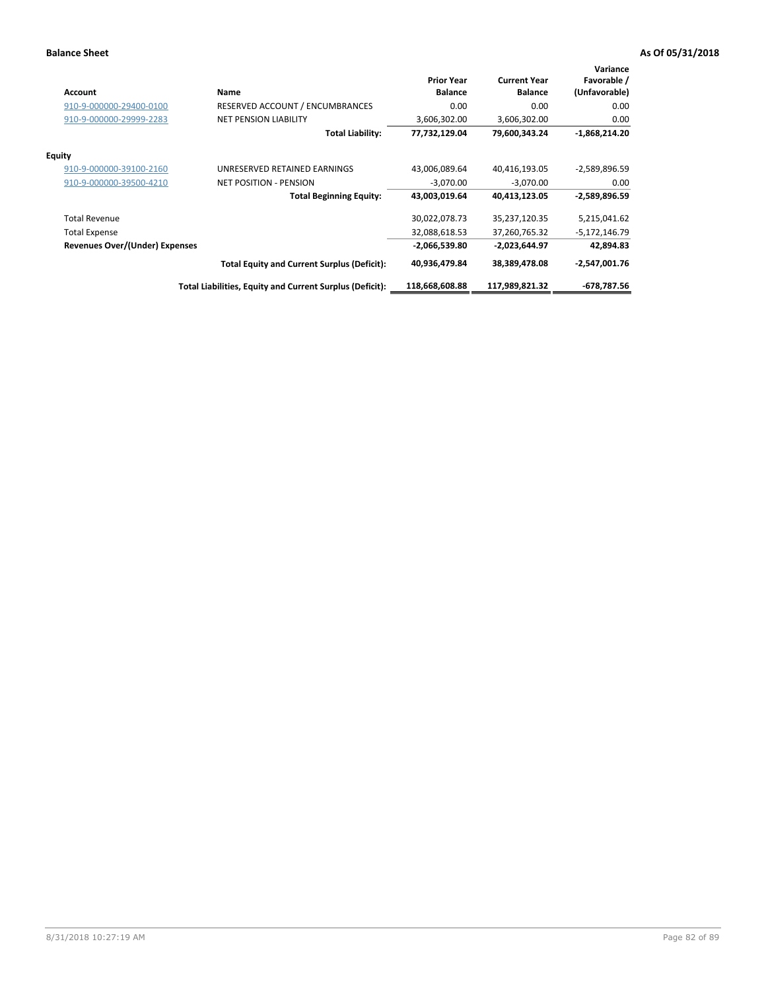| <b>Account</b>                        | Name                                                     | <b>Prior Year</b><br><b>Balance</b> | <b>Current Year</b><br><b>Balance</b> | Variance<br>Favorable /<br>(Unfavorable) |
|---------------------------------------|----------------------------------------------------------|-------------------------------------|---------------------------------------|------------------------------------------|
| 910-9-000000-29400-0100               | RESERVED ACCOUNT / ENCUMBRANCES                          | 0.00                                | 0.00                                  | 0.00                                     |
| 910-9-000000-29999-2283               | <b>NET PENSION LIABILITY</b>                             | 3,606,302.00                        | 3,606,302.00                          | 0.00                                     |
|                                       | <b>Total Liability:</b>                                  | 77,732,129.04                       | 79,600,343.24                         | $-1,868,214.20$                          |
| <b>Equity</b>                         |                                                          |                                     |                                       |                                          |
| 910-9-000000-39100-2160               | UNRESERVED RETAINED EARNINGS                             | 43,006,089.64                       | 40,416,193.05                         | $-2,589,896.59$                          |
| 910-9-000000-39500-4210               | <b>NET POSITION - PENSION</b>                            | $-3,070.00$                         | $-3,070.00$                           | 0.00                                     |
|                                       | <b>Total Beginning Equity:</b>                           | 43,003,019.64                       | 40,413,123.05                         | $-2,589,896.59$                          |
| <b>Total Revenue</b>                  |                                                          | 30,022,078.73                       | 35,237,120.35                         | 5,215,041.62                             |
| <b>Total Expense</b>                  |                                                          | 32,088,618.53                       | 37,260,765.32                         | -5,172,146.79                            |
| <b>Revenues Over/(Under) Expenses</b> |                                                          | $-2,066,539.80$                     | $-2,023,644.97$                       | 42,894.83                                |
|                                       | <b>Total Equity and Current Surplus (Deficit):</b>       | 40,936,479.84                       | 38,389,478.08                         | $-2,547,001.76$                          |
|                                       | Total Liabilities, Equity and Current Surplus (Deficit): | 118.668.608.88                      | 117,989,821.32                        | -678,787.56                              |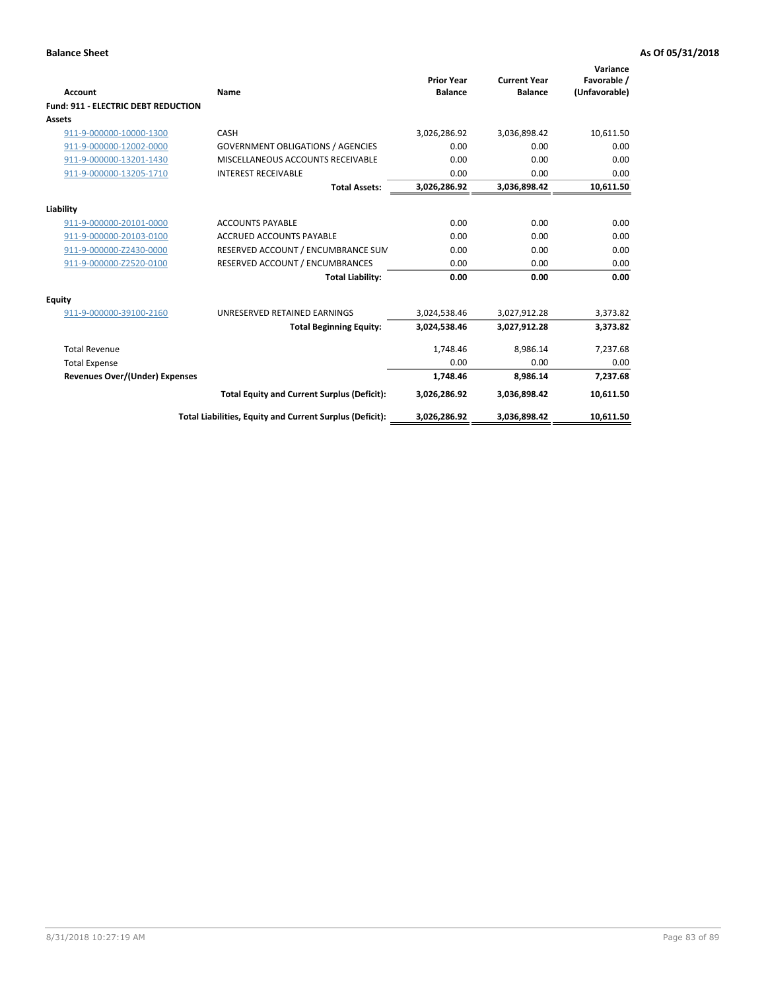| Account                                    | Name                                                     | <b>Prior Year</b><br><b>Balance</b> | <b>Current Year</b><br><b>Balance</b> | Variance<br>Favorable /<br>(Unfavorable) |
|--------------------------------------------|----------------------------------------------------------|-------------------------------------|---------------------------------------|------------------------------------------|
| <b>Fund: 911 - ELECTRIC DEBT REDUCTION</b> |                                                          |                                     |                                       |                                          |
| <b>Assets</b>                              |                                                          |                                     |                                       |                                          |
| 911-9-000000-10000-1300                    | CASH                                                     | 3,026,286.92                        | 3,036,898.42                          | 10,611.50                                |
| 911-9-000000-12002-0000                    | <b>GOVERNMENT OBLIGATIONS / AGENCIES</b>                 | 0.00                                | 0.00                                  | 0.00                                     |
| 911-9-000000-13201-1430                    | MISCELLANEOUS ACCOUNTS RECEIVABLE                        | 0.00                                | 0.00                                  | 0.00                                     |
| 911-9-000000-13205-1710                    | <b>INTEREST RECEIVABLE</b>                               | 0.00                                | 0.00                                  | 0.00                                     |
|                                            | <b>Total Assets:</b>                                     | 3,026,286.92                        | 3,036,898.42                          | 10,611.50                                |
| Liability                                  |                                                          |                                     |                                       |                                          |
| 911-9-000000-20101-0000                    | <b>ACCOUNTS PAYABLE</b>                                  | 0.00                                | 0.00                                  | 0.00                                     |
| 911-9-000000-20103-0100                    | <b>ACCRUED ACCOUNTS PAYABLE</b>                          | 0.00                                | 0.00                                  | 0.00                                     |
| 911-9-000000-Z2430-0000                    | RESERVED ACCOUNT / ENCUMBRANCE SUM                       | 0.00                                | 0.00                                  | 0.00                                     |
| 911-9-000000-Z2520-0100                    | RESERVED ACCOUNT / ENCUMBRANCES                          | 0.00                                | 0.00                                  | 0.00                                     |
|                                            | <b>Total Liability:</b>                                  | 0.00                                | 0.00                                  | 0.00                                     |
|                                            |                                                          |                                     |                                       |                                          |
| <b>Equity</b><br>911-9-000000-39100-2160   | UNRESERVED RETAINED EARNINGS                             | 3,024,538.46                        | 3,027,912.28                          | 3,373.82                                 |
|                                            |                                                          |                                     |                                       |                                          |
|                                            | <b>Total Beginning Equity:</b>                           | 3,024,538.46                        | 3,027,912.28                          | 3,373.82                                 |
| <b>Total Revenue</b>                       |                                                          | 1,748.46                            | 8,986.14                              | 7,237.68                                 |
| <b>Total Expense</b>                       |                                                          | 0.00                                | 0.00                                  | 0.00                                     |
| <b>Revenues Over/(Under) Expenses</b>      |                                                          | 1,748.46                            | 8,986.14                              | 7,237.68                                 |
|                                            | <b>Total Equity and Current Surplus (Deficit):</b>       | 3,026,286.92                        | 3,036,898.42                          | 10,611.50                                |
|                                            | Total Liabilities, Equity and Current Surplus (Deficit): | 3,026,286.92                        | 3,036,898.42                          | 10,611.50                                |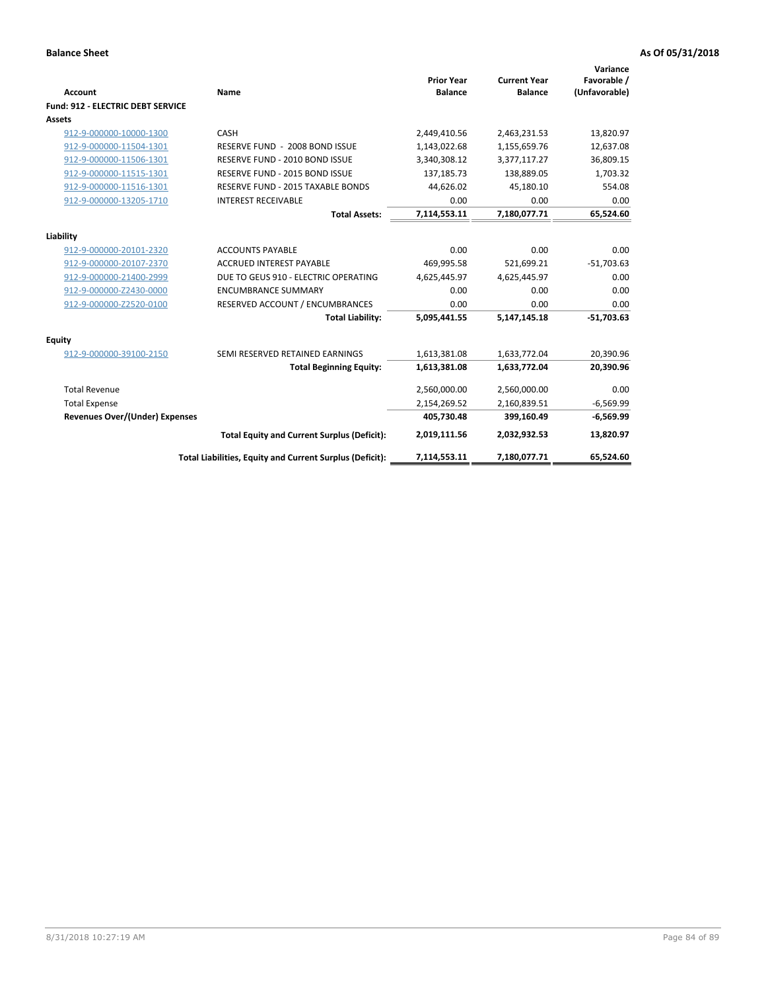| Account                                  | Name                                                     | <b>Prior Year</b><br><b>Balance</b> | <b>Current Year</b><br><b>Balance</b> | Variance<br>Favorable /<br>(Unfavorable) |
|------------------------------------------|----------------------------------------------------------|-------------------------------------|---------------------------------------|------------------------------------------|
| <b>Fund: 912 - ELECTRIC DEBT SERVICE</b> |                                                          |                                     |                                       |                                          |
| <b>Assets</b>                            |                                                          |                                     |                                       |                                          |
| 912-9-000000-10000-1300                  | CASH                                                     | 2,449,410.56                        | 2,463,231.53                          | 13,820.97                                |
| 912-9-000000-11504-1301                  | RESERVE FUND - 2008 BOND ISSUE                           | 1,143,022.68                        | 1,155,659.76                          | 12,637.08                                |
| 912-9-000000-11506-1301                  | RESERVE FUND - 2010 BOND ISSUE                           | 3,340,308.12                        | 3,377,117.27                          | 36,809.15                                |
| 912-9-000000-11515-1301                  | RESERVE FUND - 2015 BOND ISSUE                           | 137,185.73                          | 138,889.05                            | 1,703.32                                 |
| 912-9-000000-11516-1301                  | <b>RESERVE FUND - 2015 TAXABLE BONDS</b>                 | 44,626.02                           | 45,180.10                             | 554.08                                   |
| 912-9-000000-13205-1710                  | <b>INTEREST RECEIVABLE</b>                               | 0.00                                | 0.00                                  | 0.00                                     |
|                                          | <b>Total Assets:</b>                                     | 7,114,553.11                        | 7,180,077.71                          | 65,524.60                                |
| Liability                                |                                                          |                                     |                                       |                                          |
| 912-9-000000-20101-2320                  | <b>ACCOUNTS PAYABLE</b>                                  | 0.00                                | 0.00                                  | 0.00                                     |
| 912-9-000000-20107-2370                  | <b>ACCRUED INTEREST PAYABLE</b>                          | 469,995.58                          | 521,699.21                            | $-51,703.63$                             |
| 912-9-000000-21400-2999                  | DUE TO GEUS 910 - ELECTRIC OPERATING                     | 4,625,445.97                        | 4,625,445.97                          | 0.00                                     |
| 912-9-000000-Z2430-0000                  | <b>ENCUMBRANCE SUMMARY</b>                               | 0.00                                | 0.00                                  | 0.00                                     |
| 912-9-000000-Z2520-0100                  | RESERVED ACCOUNT / ENCUMBRANCES                          | 0.00                                | 0.00                                  | 0.00                                     |
|                                          | <b>Total Liability:</b>                                  | 5,095,441.55                        | 5,147,145.18                          | $-51,703.63$                             |
| Equity                                   |                                                          |                                     |                                       |                                          |
| 912-9-000000-39100-2150                  | SEMI RESERVED RETAINED EARNINGS                          | 1,613,381.08                        | 1,633,772.04                          | 20,390.96                                |
|                                          | <b>Total Beginning Equity:</b>                           | 1,613,381.08                        | 1,633,772.04                          | 20,390.96                                |
| <b>Total Revenue</b>                     |                                                          | 2,560,000.00                        | 2,560,000.00                          | 0.00                                     |
| <b>Total Expense</b>                     |                                                          | 2,154,269.52                        | 2,160,839.51                          | $-6,569.99$                              |
| Revenues Over/(Under) Expenses           |                                                          | 405,730.48                          | 399,160.49                            | $-6,569.99$                              |
|                                          | <b>Total Equity and Current Surplus (Deficit):</b>       | 2,019,111.56                        | 2,032,932.53                          | 13,820.97                                |
|                                          | Total Liabilities, Equity and Current Surplus (Deficit): | 7,114,553.11                        | 7,180,077.71                          | 65.524.60                                |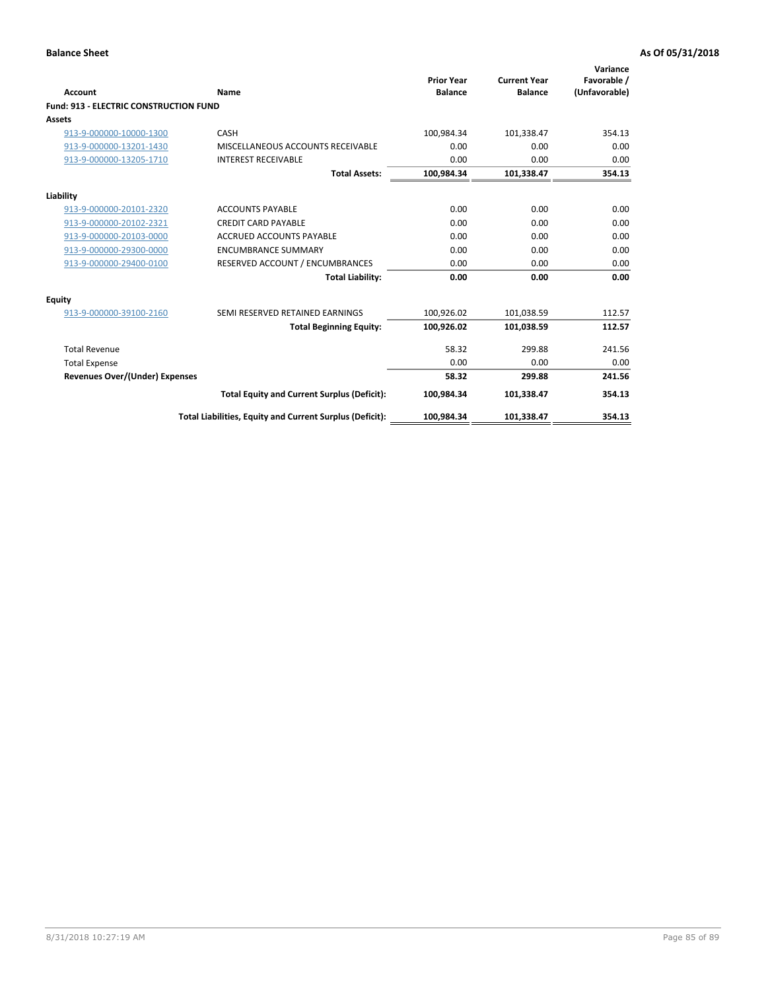| Account                                       | Name                                                     | <b>Prior Year</b><br><b>Balance</b> | <b>Current Year</b><br><b>Balance</b> | Variance<br>Favorable /<br>(Unfavorable) |
|-----------------------------------------------|----------------------------------------------------------|-------------------------------------|---------------------------------------|------------------------------------------|
| <b>Fund: 913 - ELECTRIC CONSTRUCTION FUND</b> |                                                          |                                     |                                       |                                          |
| <b>Assets</b>                                 |                                                          |                                     |                                       |                                          |
| 913-9-000000-10000-1300                       | CASH                                                     | 100,984.34                          | 101,338.47                            | 354.13                                   |
| 913-9-000000-13201-1430                       | MISCELLANEOUS ACCOUNTS RECEIVABLE                        | 0.00                                | 0.00                                  | 0.00                                     |
| 913-9-000000-13205-1710                       | <b>INTEREST RECEIVABLE</b>                               | 0.00                                | 0.00                                  | 0.00                                     |
|                                               | <b>Total Assets:</b>                                     | 100,984.34                          | 101,338.47                            | 354.13                                   |
| Liability                                     |                                                          |                                     |                                       |                                          |
| 913-9-000000-20101-2320                       | <b>ACCOUNTS PAYABLE</b>                                  | 0.00                                | 0.00                                  | 0.00                                     |
| 913-9-000000-20102-2321                       | <b>CREDIT CARD PAYABLE</b>                               | 0.00                                | 0.00                                  | 0.00                                     |
| 913-9-000000-20103-0000                       | <b>ACCRUED ACCOUNTS PAYABLE</b>                          | 0.00                                | 0.00                                  | 0.00                                     |
| 913-9-000000-29300-0000                       | <b>ENCUMBRANCE SUMMARY</b>                               | 0.00                                | 0.00                                  | 0.00                                     |
| 913-9-000000-29400-0100                       | RESERVED ACCOUNT / ENCUMBRANCES                          | 0.00                                | 0.00                                  | 0.00                                     |
|                                               | <b>Total Liability:</b>                                  | 0.00                                | 0.00                                  | 0.00                                     |
| Equity                                        |                                                          |                                     |                                       |                                          |
| 913-9-000000-39100-2160                       | SEMI RESERVED RETAINED EARNINGS                          | 100,926.02                          | 101,038.59                            | 112.57                                   |
|                                               | <b>Total Beginning Equity:</b>                           | 100,926.02                          | 101,038.59                            | 112.57                                   |
| <b>Total Revenue</b>                          |                                                          | 58.32                               | 299.88                                | 241.56                                   |
| <b>Total Expense</b>                          |                                                          | 0.00                                | 0.00                                  | 0.00                                     |
| Revenues Over/(Under) Expenses                |                                                          | 58.32                               | 299.88                                | 241.56                                   |
|                                               | <b>Total Equity and Current Surplus (Deficit):</b>       | 100,984.34                          | 101,338.47                            | 354.13                                   |
|                                               | Total Liabilities, Equity and Current Surplus (Deficit): | 100,984.34                          | 101,338.47                            | 354.13                                   |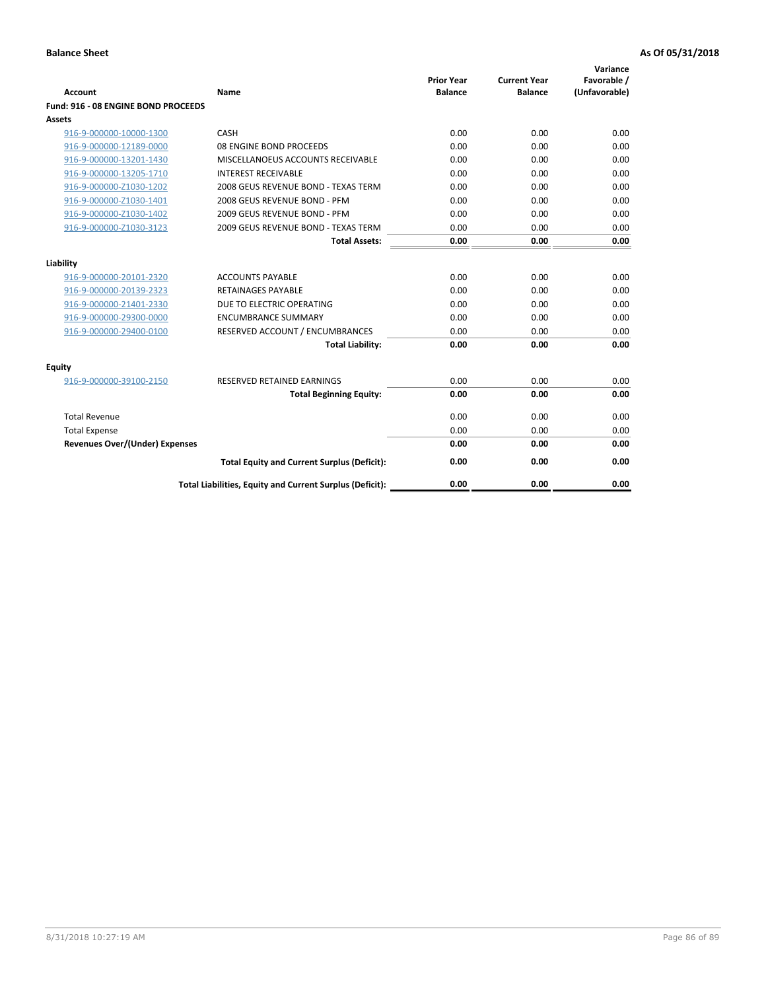| <b>Account</b>                        | Name                                                     | <b>Prior Year</b><br><b>Balance</b> | <b>Current Year</b><br><b>Balance</b> | Variance<br>Favorable /<br>(Unfavorable) |
|---------------------------------------|----------------------------------------------------------|-------------------------------------|---------------------------------------|------------------------------------------|
| Fund: 916 - 08 ENGINE BOND PROCEEDS   |                                                          |                                     |                                       |                                          |
| Assets                                |                                                          |                                     |                                       |                                          |
| 916-9-000000-10000-1300               | CASH                                                     | 0.00                                | 0.00                                  | 0.00                                     |
| 916-9-000000-12189-0000               | 08 ENGINE BOND PROCEEDS                                  | 0.00                                | 0.00                                  | 0.00                                     |
| 916-9-000000-13201-1430               | MISCELLANOEUS ACCOUNTS RECEIVABLE                        | 0.00                                | 0.00                                  | 0.00                                     |
| 916-9-000000-13205-1710               | <b>INTEREST RECEIVABLE</b>                               | 0.00                                | 0.00                                  | 0.00                                     |
| 916-9-000000-Z1030-1202               | 2008 GEUS REVENUE BOND - TEXAS TERM                      | 0.00                                | 0.00                                  | 0.00                                     |
| 916-9-000000-Z1030-1401               | 2008 GEUS REVENUE BOND - PFM                             | 0.00                                | 0.00                                  | 0.00                                     |
| 916-9-000000-Z1030-1402               | 2009 GEUS REVENUE BOND - PFM                             | 0.00                                | 0.00                                  | 0.00                                     |
| 916-9-000000-Z1030-3123               | 2009 GEUS REVENUE BOND - TEXAS TERM                      | 0.00                                | 0.00                                  | 0.00                                     |
|                                       | <b>Total Assets:</b>                                     | 0.00                                | 0.00                                  | 0.00                                     |
| Liability                             |                                                          |                                     |                                       |                                          |
| 916-9-000000-20101-2320               | <b>ACCOUNTS PAYABLE</b>                                  | 0.00                                | 0.00                                  | 0.00                                     |
| 916-9-000000-20139-2323               | <b>RETAINAGES PAYABLE</b>                                | 0.00                                | 0.00                                  | 0.00                                     |
| 916-9-000000-21401-2330               | DUE TO ELECTRIC OPERATING                                | 0.00                                | 0.00                                  | 0.00                                     |
| 916-9-000000-29300-0000               | <b>ENCUMBRANCE SUMMARY</b>                               | 0.00                                | 0.00                                  | 0.00                                     |
| 916-9-000000-29400-0100               | RESERVED ACCOUNT / ENCUMBRANCES                          | 0.00                                | 0.00                                  | 0.00                                     |
|                                       | <b>Total Liability:</b>                                  | 0.00                                | 0.00                                  | 0.00                                     |
| Equity                                |                                                          |                                     |                                       |                                          |
| 916-9-000000-39100-2150               | <b>RESERVED RETAINED EARNINGS</b>                        | 0.00                                | 0.00                                  | 0.00                                     |
|                                       | <b>Total Beginning Equity:</b>                           | 0.00                                | 0.00                                  | 0.00                                     |
| <b>Total Revenue</b>                  |                                                          | 0.00                                | 0.00                                  | 0.00                                     |
| <b>Total Expense</b>                  |                                                          | 0.00                                | 0.00                                  | 0.00                                     |
| <b>Revenues Over/(Under) Expenses</b> |                                                          | 0.00                                | 0.00                                  | 0.00                                     |
|                                       | <b>Total Equity and Current Surplus (Deficit):</b>       | 0.00                                | 0.00                                  | 0.00                                     |
|                                       | Total Liabilities, Equity and Current Surplus (Deficit): | 0.00                                | 0.00                                  | 0.00                                     |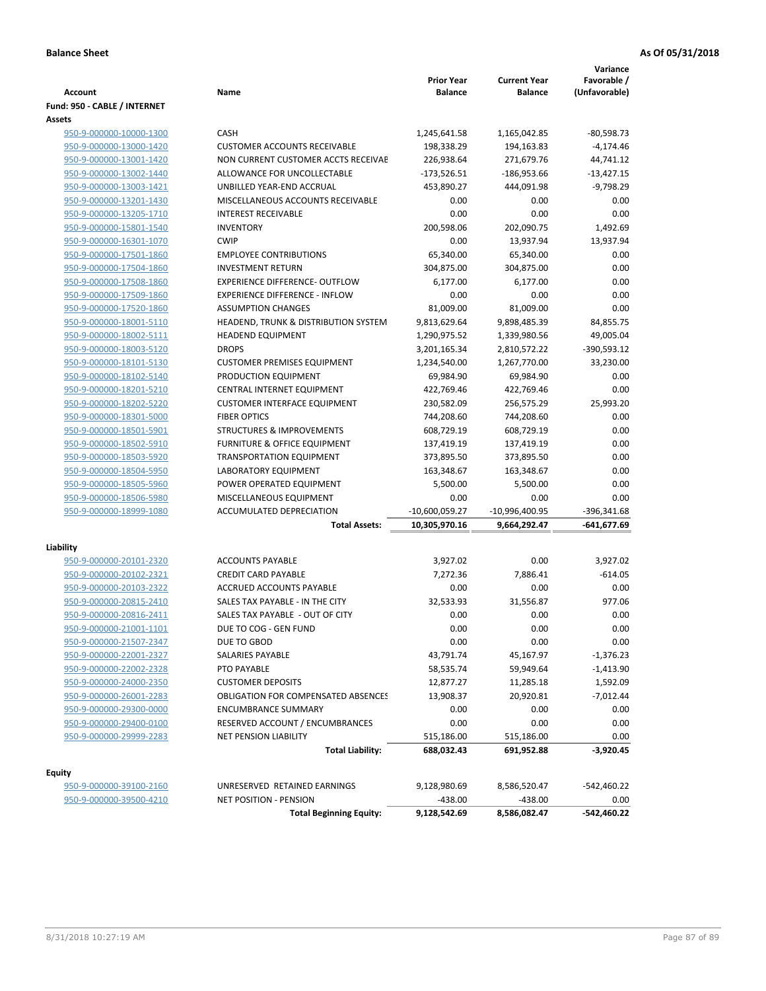| <b>Account</b>                                     | Name                                                          | <b>Prior Year</b><br><b>Balance</b> | <b>Current Year</b><br><b>Balance</b> | Variance<br>Favorable /<br>(Unfavorable) |
|----------------------------------------------------|---------------------------------------------------------------|-------------------------------------|---------------------------------------|------------------------------------------|
| Fund: 950 - CABLE / INTERNET                       |                                                               |                                     |                                       |                                          |
| Assets                                             |                                                               |                                     |                                       |                                          |
| 950-9-000000-10000-1300                            | CASH                                                          | 1,245,641.58                        | 1,165,042.85                          | $-80,598.73$                             |
| 950-9-000000-13000-1420                            | <b>CUSTOMER ACCOUNTS RECEIVABLE</b>                           | 198,338.29                          | 194,163.83                            | $-4,174.46$                              |
| 950-9-000000-13001-1420                            | NON CURRENT CUSTOMER ACCTS RECEIVAE                           | 226,938.64                          | 271,679.76                            | 44,741.12                                |
| 950-9-000000-13002-1440                            | ALLOWANCE FOR UNCOLLECTABLE                                   | $-173,526.51$                       | $-186,953.66$                         | $-13,427.15$                             |
| 950-9-000000-13003-1421                            | UNBILLED YEAR-END ACCRUAL                                     | 453,890.27                          | 444,091.98                            | $-9,798.29$                              |
| 950-9-000000-13201-1430                            | MISCELLANEOUS ACCOUNTS RECEIVABLE                             | 0.00                                | 0.00                                  | 0.00                                     |
| 950-9-000000-13205-1710                            | <b>INTEREST RECEIVABLE</b>                                    | 0.00                                | 0.00                                  | 0.00                                     |
| 950-9-000000-15801-1540                            | <b>INVENTORY</b><br><b>CWIP</b>                               | 200,598.06                          | 202,090.75                            | 1,492.69                                 |
| 950-9-000000-16301-1070<br>950-9-000000-17501-1860 | <b>EMPLOYEE CONTRIBUTIONS</b>                                 | 0.00<br>65,340.00                   | 13,937.94                             | 13,937.94<br>0.00                        |
|                                                    | <b>INVESTMENT RETURN</b>                                      |                                     | 65,340.00                             |                                          |
| 950-9-000000-17504-1860<br>950-9-000000-17508-1860 | <b>EXPERIENCE DIFFERENCE- OUTFLOW</b>                         | 304,875.00<br>6,177.00              | 304,875.00<br>6,177.00                | 0.00<br>0.00                             |
| 950-9-000000-17509-1860                            | <b>EXPERIENCE DIFFERENCE - INFLOW</b>                         | 0.00                                | 0.00                                  | 0.00                                     |
| 950-9-000000-17520-1860                            | <b>ASSUMPTION CHANGES</b>                                     | 81,009.00                           | 81,009.00                             | 0.00                                     |
| 950-9-000000-18001-5110                            | HEADEND, TRUNK & DISTRIBUTION SYSTEM                          | 9,813,629.64                        | 9,898,485.39                          | 84,855.75                                |
| 950-9-000000-18002-5111                            | <b>HEADEND EQUIPMENT</b>                                      | 1,290,975.52                        | 1,339,980.56                          | 49,005.04                                |
| 950-9-000000-18003-5120                            | <b>DROPS</b>                                                  | 3,201,165.34                        | 2,810,572.22                          | -390,593.12                              |
| 950-9-000000-18101-5130                            | <b>CUSTOMER PREMISES EQUIPMENT</b>                            | 1,234,540.00                        | 1,267,770.00                          | 33,230.00                                |
| 950-9-000000-18102-5140                            | PRODUCTION EQUIPMENT                                          | 69,984.90                           | 69,984.90                             | 0.00                                     |
| 950-9-000000-18201-5210                            | CENTRAL INTERNET EQUIPMENT                                    | 422,769.46                          | 422,769.46                            | 0.00                                     |
| 950-9-000000-18202-5220                            | <b>CUSTOMER INTERFACE EQUIPMENT</b>                           | 230,582.09                          | 256,575.29                            | 25,993.20                                |
| 950-9-000000-18301-5000                            | <b>FIBER OPTICS</b>                                           | 744,208.60                          | 744,208.60                            | 0.00                                     |
| 950-9-000000-18501-5901                            | <b>STRUCTURES &amp; IMPROVEMENTS</b>                          | 608,729.19                          | 608,729.19                            | 0.00                                     |
| 950-9-000000-18502-5910                            | <b>FURNITURE &amp; OFFICE EQUIPMENT</b>                       | 137,419.19                          | 137,419.19                            | 0.00                                     |
| 950-9-000000-18503-5920                            | <b>TRANSPORTATION EQUIPMENT</b>                               | 373,895.50                          | 373,895.50                            | 0.00                                     |
| 950-9-000000-18504-5950                            | LABORATORY EQUIPMENT                                          | 163,348.67                          | 163,348.67                            | 0.00                                     |
| 950-9-000000-18505-5960                            | POWER OPERATED EQUIPMENT                                      | 5,500.00                            | 5,500.00                              | 0.00                                     |
| 950-9-000000-18506-5980                            | MISCELLANEOUS EQUIPMENT                                       | 0.00                                | 0.00                                  | 0.00                                     |
| 950-9-000000-18999-1080                            | ACCUMULATED DEPRECIATION                                      | -10,600,059.27                      | -10,996,400.95                        | $-396,341.68$                            |
|                                                    | <b>Total Assets:</b>                                          | 10,305,970.16                       | 9,664,292.47                          | -641,677.69                              |
|                                                    |                                                               |                                     |                                       |                                          |
| Liability<br>950-9-000000-20101-2320               | <b>ACCOUNTS PAYABLE</b>                                       | 3,927.02                            | 0.00                                  | 3,927.02                                 |
| 950-9-000000-20102-2321                            | <b>CREDIT CARD PAYABLE</b>                                    | 7,272.36                            | 7,886.41                              | $-614.05$                                |
| 950-9-000000-20103-2322                            | ACCRUED ACCOUNTS PAYABLE                                      | 0.00                                | 0.00                                  | 0.00                                     |
| 950-9-000000-20815-2410                            | SALES TAX PAYABLE - IN THE CITY                               | 32,533.93                           | 31,556.87                             | 977.06                                   |
| 950-9-000000-20816-2411                            | SALES TAX PAYABLE - OUT OF CITY                               | 0.00                                | 0.00                                  | 0.00                                     |
| 950-9-000000-21001-1101                            | DUE TO COG - GEN FUND                                         | 0.00                                | 0.00                                  | 0.00                                     |
| 950-9-000000-21507-2347                            | DUE TO GBOD                                                   | 0.00                                | 0.00                                  | 0.00                                     |
| 950-9-000000-22001-2327                            | SALARIES PAYABLE                                              | 43,791.74                           | 45,167.97                             | -1,376.23                                |
| 950-9-000000-22002-2328                            | PTO PAYABLE                                                   | 58,535.74                           | 59,949.64                             | $-1,413.90$                              |
| 950-9-000000-24000-2350                            | <b>CUSTOMER DEPOSITS</b>                                      | 12,877.27                           | 11,285.18                             | 1,592.09                                 |
| 950-9-000000-26001-2283                            | <b>OBLIGATION FOR COMPENSATED ABSENCES</b>                    | 13,908.37                           | 20,920.81                             | $-7,012.44$                              |
| 950-9-000000-29300-0000                            | <b>ENCUMBRANCE SUMMARY</b>                                    | 0.00                                | 0.00                                  | 0.00                                     |
|                                                    | RESERVED ACCOUNT / ENCUMBRANCES                               | 0.00                                | 0.00                                  | 0.00                                     |
| 950-9-000000-29400-0100<br>950-9-000000-29999-2283 | <b>NET PENSION LIABILITY</b>                                  | 515,186.00                          | 515,186.00                            | 0.00                                     |
|                                                    | <b>Total Liability:</b>                                       | 688,032.43                          | 691,952.88                            | -3,920.45                                |
|                                                    |                                                               |                                     |                                       |                                          |
| Equity                                             |                                                               |                                     |                                       |                                          |
| 950-9-000000-39100-2160<br>950-9-000000-39500-4210 | UNRESERVED RETAINED EARNINGS<br><b>NET POSITION - PENSION</b> | 9,128,980.69<br>$-438.00$           | 8,586,520.47<br>$-438.00$             | -542,460.22<br>0.00                      |
|                                                    | <b>Total Beginning Equity:</b>                                | 9,128,542.69                        | 8,586,082.47                          | -542,460.22                              |
|                                                    |                                                               |                                     |                                       |                                          |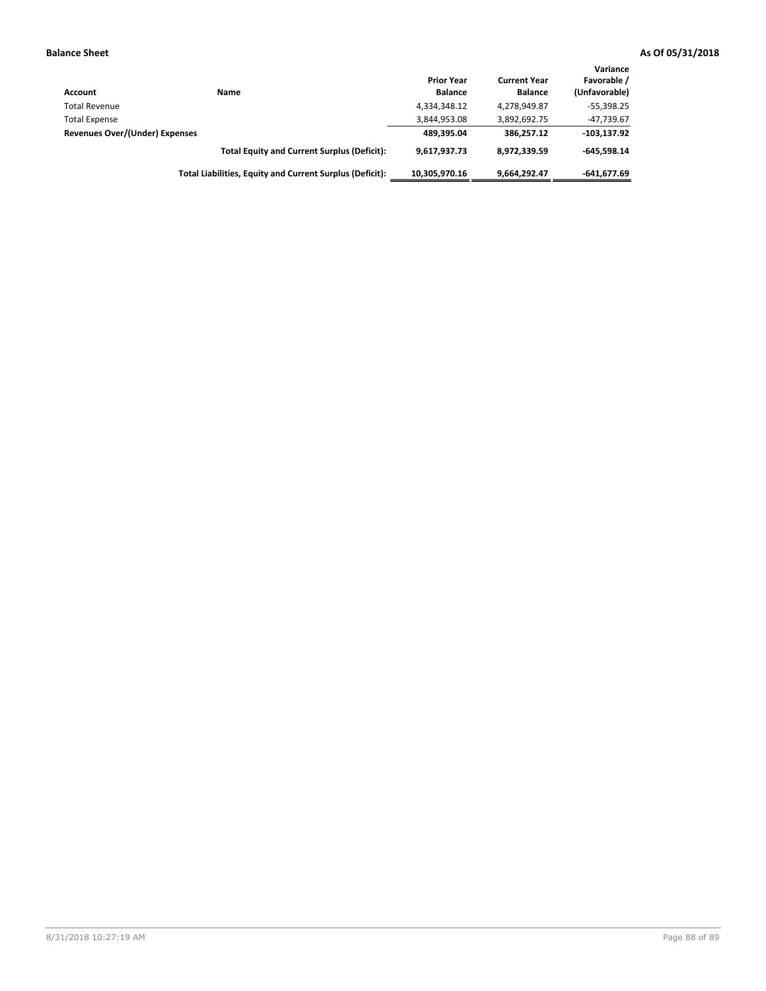| Account                        | Name                                                     | <b>Prior Year</b><br><b>Balance</b> | <b>Current Year</b><br><b>Balance</b> | Variance<br>Favorable /<br>(Unfavorable) |
|--------------------------------|----------------------------------------------------------|-------------------------------------|---------------------------------------|------------------------------------------|
| <b>Total Revenue</b>           |                                                          | 4,334,348.12                        | 4,278,949.87                          | $-55,398.25$                             |
| <b>Total Expense</b>           |                                                          | 3,844,953.08                        | 3,892,692.75                          | $-47,739.67$                             |
| Revenues Over/(Under) Expenses |                                                          | 489.395.04                          | 386.257.12                            | $-103.137.92$                            |
|                                | <b>Total Equity and Current Surplus (Deficit):</b>       | 9,617,937.73                        | 8,972,339.59                          | $-645.598.14$                            |
|                                | Total Liabilities, Equity and Current Surplus (Deficit): | 10,305,970.16                       | 9,664,292.47                          | $-641.677.69$                            |